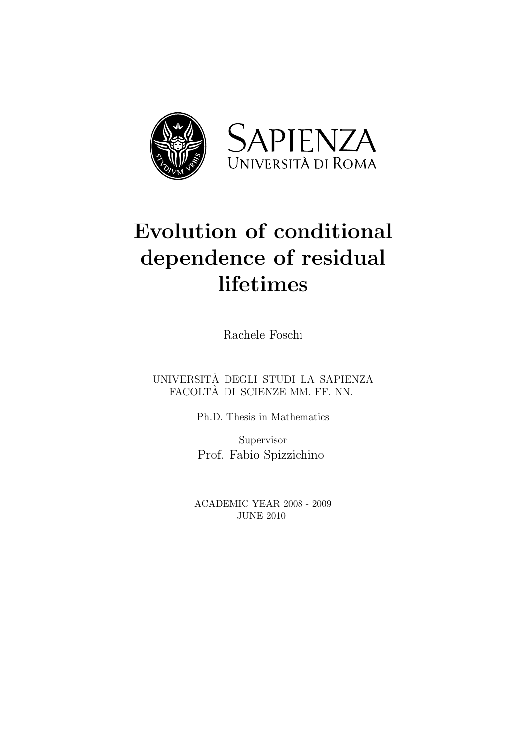

# Evolution of conditional dependence of residual lifetimes

Rachele Foschi

UNIVERSITA DEGLI STUDI LA SAPIENZA ` FACOLTA DI SCIENZE MM. FF. NN. `

Ph.D. Thesis in Mathematics

Supervisor Prof. Fabio Spizzichino

ACADEMIC YEAR 2008 - 2009 JUNE 2010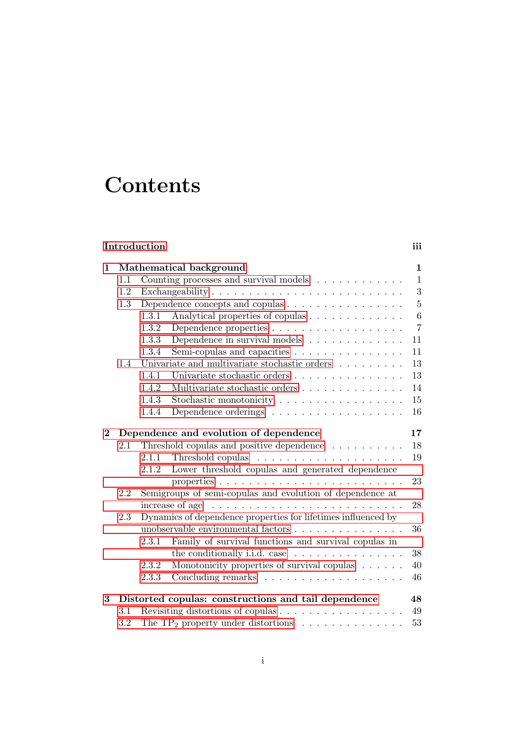# **Contents**

## <span id="page-1-0"></span>[Introduction](#page-1-0) iii

| $\mathbf{1}$ | Mathematical background                              |                                                               |                                                                               |                  |  |  |
|--------------|------------------------------------------------------|---------------------------------------------------------------|-------------------------------------------------------------------------------|------------------|--|--|
|              | 1.1                                                  | Counting processes and survival models<br>$\mathbf{1}$        |                                                                               |                  |  |  |
|              | 1.2                                                  |                                                               |                                                                               |                  |  |  |
|              | 1.3                                                  |                                                               | Dependence concepts and copulas                                               | 5                |  |  |
|              |                                                      | 1.3.1                                                         | Analytical properties of copulas                                              | $\boldsymbol{6}$ |  |  |
|              |                                                      | 1.3.2                                                         | Dependence properties                                                         | $\overline{7}$   |  |  |
|              |                                                      | 1.3.3                                                         | Dependence in survival models $\ldots \ldots \ldots \ldots$                   | 11               |  |  |
|              |                                                      | 1.3.4                                                         | Semi-copulas and capacities                                                   | 11               |  |  |
|              | 1.4                                                  |                                                               | Univariate and multivariate stochastic orders $\ldots \ldots \ldots$          | 13               |  |  |
|              |                                                      | 1.4.1                                                         | Univariate stochastic orders                                                  | 13               |  |  |
|              |                                                      | 1.4.2                                                         | Multivariate stochastic orders                                                | 14               |  |  |
|              |                                                      | 1.4.3                                                         | Stochastic monotonicity                                                       | 15               |  |  |
|              |                                                      | 1.4.4                                                         |                                                                               | 16               |  |  |
| $\bf{2}$     |                                                      | Dependence and evolution of dependence<br>17                  |                                                                               |                  |  |  |
|              | 2.1                                                  |                                                               | Threshold copulas and positive dependence                                     | 18               |  |  |
|              |                                                      | 2.1.1                                                         | Threshold copulas $\dots \dots \dots \dots \dots \dots \dots$                 | 19               |  |  |
|              |                                                      | 2.1.2                                                         | Lower threshold copulas and generated dependence                              |                  |  |  |
|              |                                                      |                                                               |                                                                               | 23               |  |  |
|              | 2.2                                                  |                                                               | Semigroups of semi-copulas and evolution of dependence at                     |                  |  |  |
|              |                                                      |                                                               | increase of age $\dots \dots \dots \dots \dots \dots \dots \dots \dots \dots$ | 28               |  |  |
|              | 2.3                                                  | Dynamics of dependence properties for lifetimes influenced by |                                                                               |                  |  |  |
|              |                                                      |                                                               | unobservable environmental factors                                            | 36               |  |  |
|              |                                                      | 2.3.1                                                         | Family of survival functions and survival copulas in                          |                  |  |  |
|              |                                                      |                                                               | the conditionally i.i.d. case $\dots \dots \dots \dots \dots$                 | 38               |  |  |
|              |                                                      | 2.3.2                                                         | Monotonicity properties of survival copulas                                   | 40               |  |  |
|              |                                                      | 2.3.3                                                         |                                                                               | 46               |  |  |
| 3            | Distorted copulas: constructions and tail dependence |                                                               |                                                                               |                  |  |  |
|              | 3.1                                                  |                                                               | Revisiting distortions of copulas                                             | 49               |  |  |
|              | 3.2                                                  |                                                               | The $TP_2$ property under distortions                                         | 53               |  |  |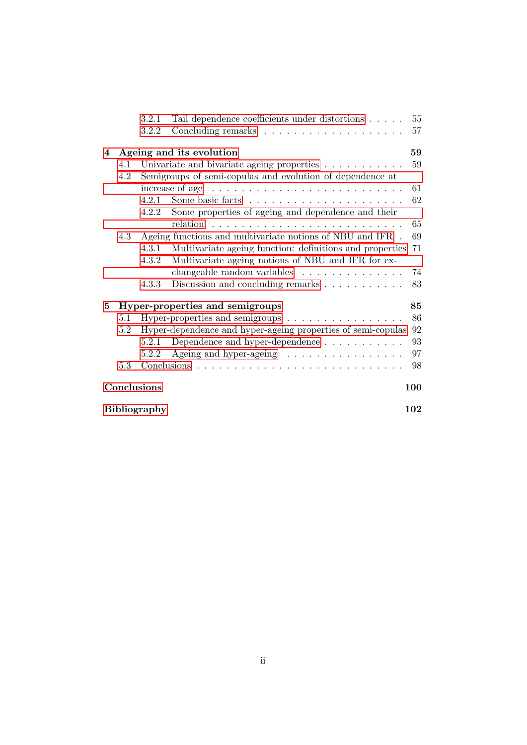|                     |                                 | 3.2.1                                                     | Tail dependence coefficients under distortions                                | 55         |  |
|---------------------|---------------------------------|-----------------------------------------------------------|-------------------------------------------------------------------------------|------------|--|
|                     |                                 | 3.2.2                                                     |                                                                               | 57         |  |
| 4                   | Ageing and its evolution        |                                                           |                                                                               |            |  |
|                     | 4.1                             | Univariate and bivariate ageing properties                |                                                                               |            |  |
|                     | 4.2                             | Semigroups of semi-copulas and evolution of dependence at |                                                                               |            |  |
|                     |                                 |                                                           | increase of age $\dots \dots \dots \dots \dots \dots \dots \dots \dots \dots$ | 61         |  |
|                     |                                 | 4.2.1                                                     |                                                                               | 62         |  |
|                     |                                 | 4.2.2                                                     | Some properties of ageing and dependence and their                            |            |  |
|                     |                                 |                                                           | relation                                                                      | 65         |  |
|                     | 4.3                             |                                                           | Ageing functions and multivariate notions of NBU and IFR.                     | 69         |  |
|                     |                                 | 4.3.1                                                     | Multivariate ageing function: definitions and properties                      | 71         |  |
|                     |                                 | 4.3.2                                                     | Multivariate ageing notions of NBU and IFR for ex-                            |            |  |
|                     |                                 |                                                           | changeable random variables                                                   | 74         |  |
|                     |                                 | 4.3.3                                                     | Discussion and concluding remarks                                             | 83         |  |
| 5                   | Hyper-properties and semigroups |                                                           |                                                                               |            |  |
|                     | 5.1                             |                                                           | Hyper-properties and semigroups $\dots \dots \dots \dots \dots$               | 86         |  |
|                     | 5.2                             |                                                           | Hyper-dependence and hyper-ageing properties of semi-copulas                  | 92         |  |
|                     |                                 | 5.2.1                                                     | Dependence and hyper-dependence                                               | 93         |  |
|                     |                                 | 5.2.2                                                     | Ageing and hyper-ageing                                                       | 97         |  |
|                     | 5.3                             |                                                           |                                                                               | 98         |  |
|                     |                                 | Conclusions                                               |                                                                               | <b>100</b> |  |
| <b>Bibliography</b> |                                 |                                                           |                                                                               |            |  |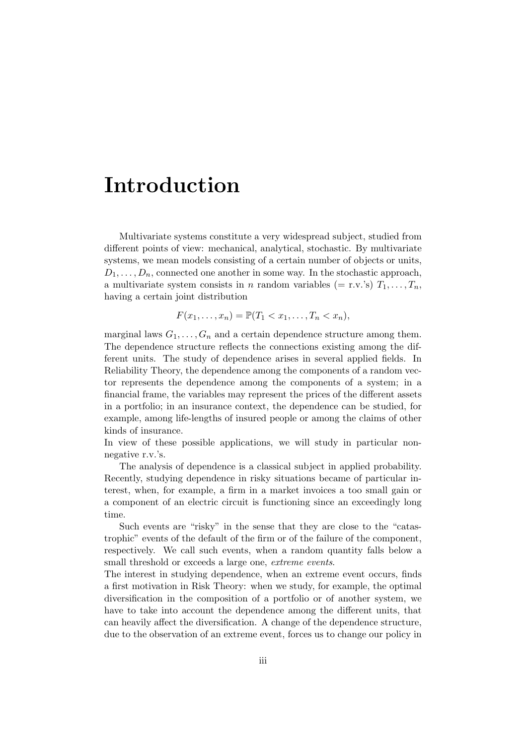# Introduction

Multivariate systems constitute a very widespread subject, studied from different points of view: mechanical, analytical, stochastic. By multivariate systems, we mean models consisting of a certain number of objects or units,  $D_1, \ldots, D_n$ , connected one another in some way. In the stochastic approach, a multivariate system consists in n random variables (= r.v.'s)  $T_1, \ldots, T_n$ , having a certain joint distribution

$$
F(x_1,\ldots,x_n)=\mathbb{P}(T_1
$$

marginal laws  $G_1, \ldots, G_n$  and a certain dependence structure among them. The dependence structure reflects the connections existing among the different units. The study of dependence arises in several applied fields. In Reliability Theory, the dependence among the components of a random vector represents the dependence among the components of a system; in a financial frame, the variables may represent the prices of the different assets in a portfolio; in an insurance context, the dependence can be studied, for example, among life-lengths of insured people or among the claims of other kinds of insurance.

In view of these possible applications, we will study in particular nonnegative r.v.'s.

The analysis of dependence is a classical subject in applied probability. Recently, studying dependence in risky situations became of particular interest, when, for example, a firm in a market invoices a too small gain or a component of an electric circuit is functioning since an exceedingly long time.

Such events are "risky" in the sense that they are close to the "catastrophic" events of the default of the firm or of the failure of the component, respectively. We call such events, when a random quantity falls below a small threshold or exceeds a large one, *extreme events*.

The interest in studying dependence, when an extreme event occurs, finds a first motivation in Risk Theory: when we study, for example, the optimal diversification in the composition of a portfolio or of another system, we have to take into account the dependence among the different units, that can heavily affect the diversification. A change of the dependence structure, due to the observation of an extreme event, forces us to change our policy in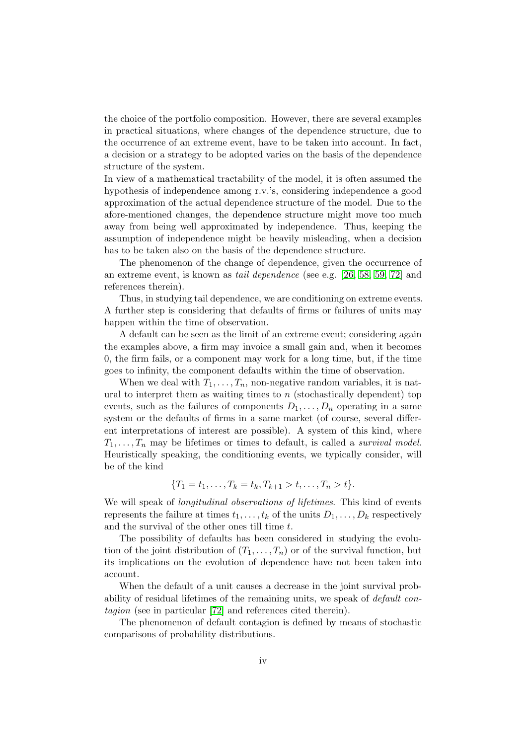the choice of the portfolio composition. However, there are several examples in practical situations, where changes of the dependence structure, due to the occurrence of an extreme event, have to be taken into account. In fact, a decision or a strategy to be adopted varies on the basis of the dependence structure of the system.

In view of a mathematical tractability of the model, it is often assumed the hypothesis of independence among r.v.'s, considering independence a good approximation of the actual dependence structure of the model. Due to the afore-mentioned changes, the dependence structure might move too much away from being well approximated by independence. Thus, keeping the assumption of independence might be heavily misleading, when a decision has to be taken also on the basis of the dependence structure.

The phenomenon of the change of dependence, given the occurrence of an extreme event, is known as tail dependence (see e.g. [\[26,](#page-119-0) [58,](#page-121-0) [59,](#page-121-1) [72\]](#page-122-0) and references therein).

Thus, in studying tail dependence, we are conditioning on extreme events. A further step is considering that defaults of firms or failures of units may happen within the time of observation.

A default can be seen as the limit of an extreme event; considering again the examples above, a firm may invoice a small gain and, when it becomes 0, the firm fails, or a component may work for a long time, but, if the time goes to infinity, the component defaults within the time of observation.

When we deal with  $T_1, \ldots, T_n$ , non-negative random variables, it is natural to interpret them as waiting times to  $n$  (stochastically dependent) top events, such as the failures of components  $D_1, \ldots, D_n$  operating in a same system or the defaults of firms in a same market (of course, several different interpretations of interest are possible). A system of this kind, where  $T_1, \ldots, T_n$  may be lifetimes or times to default, is called a survival model. Heuristically speaking, the conditioning events, we typically consider, will be of the kind

$$
\{T_1 = t_1, \ldots, T_k = t_k, T_{k+1} > t, \ldots, T_n > t\}.
$$

We will speak of *longitudinal observations of lifetimes*. This kind of events represents the failure at times  $t_1, \ldots, t_k$  of the units  $D_1, \ldots, D_k$  respectively and the survival of the other ones till time t.

The possibility of defaults has been considered in studying the evolution of the joint distribution of  $(T_1, \ldots, T_n)$  or of the survival function, but its implications on the evolution of dependence have not been taken into account.

When the default of a unit causes a decrease in the joint survival probability of residual lifetimes of the remaining units, we speak of default contagion (see in particular [\[72\]](#page-122-0) and references cited therein).

The phenomenon of default contagion is defined by means of stochastic comparisons of probability distributions.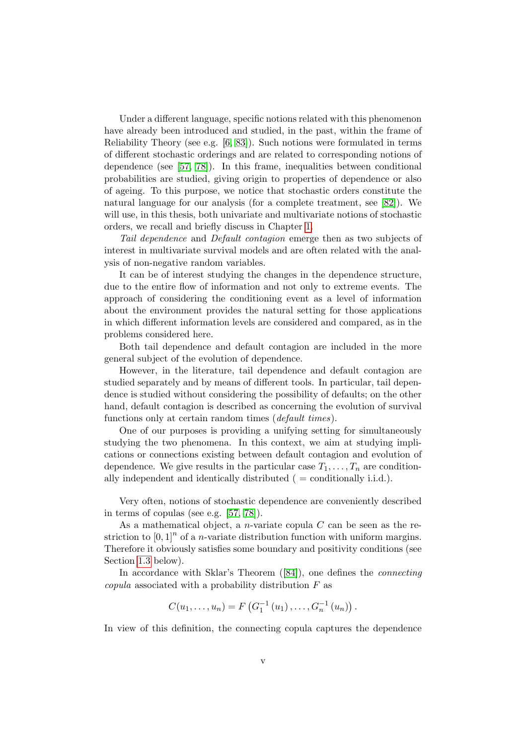Under a different language, specific notions related with this phenomenon have already been introduced and studied, in the past, within the frame of Reliability Theory (see e.g.  $[6, 83]$  $[6, 83]$ ). Such notions were formulated in terms of different stochastic orderings and are related to corresponding notions of dependence (see [\[57,](#page-121-2) [78\]](#page-122-1)). In this frame, inequalities between conditional probabilities are studied, giving origin to properties of dependence or also of ageing. To this purpose, we notice that stochastic orders constitute the natural language for our analysis (for a complete treatment, see [\[82\]](#page-123-1)). We will use, in this thesis, both univariate and multivariate notions of stochastic orders, we recall and briefly discuss in Chapter [1.](#page-16-0)

Tail dependence and Default contagion emerge then as two subjects of interest in multivariate survival models and are often related with the analysis of non-negative random variables.

It can be of interest studying the changes in the dependence structure, due to the entire flow of information and not only to extreme events. The approach of considering the conditioning event as a level of information about the environment provides the natural setting for those applications in which different information levels are considered and compared, as in the problems considered here.

Both tail dependence and default contagion are included in the more general subject of the evolution of dependence.

However, in the literature, tail dependence and default contagion are studied separately and by means of different tools. In particular, tail dependence is studied without considering the possibility of defaults; on the other hand, default contagion is described as concerning the evolution of survival functions only at certain random times (*default times*).

One of our purposes is providing a unifying setting for simultaneously studying the two phenomena. In this context, we aim at studying implications or connections existing between default contagion and evolution of dependence. We give results in the particular case  $T_1, \ldots, T_n$  are conditionally independent and identically distributed  $($  = conditionally i.i.d. $).$ 

Very often, notions of stochastic dependence are conveniently described in terms of copulas (see e.g. [\[57,](#page-121-2) [78\]](#page-122-1)).

As a mathematical object, a *n*-variate copula  $C$  can be seen as the restriction to  $[0,1]^n$  of a *n*-variate distribution function with uniform margins. Therefore it obviously satisfies some boundary and positivity conditions (see Section [1.3](#page-20-0) below).

Inaccordance with Sklar's Theorem ([\[84\]](#page-123-2)), one defines the *connecting* copula associated with a probability distribution  $F$  as

$$
C(u_1, \ldots, u_n) = F\left(G_1^{-1}(u_1), \ldots, G_n^{-1}(u_n)\right).
$$

In view of this definition, the connecting copula captures the dependence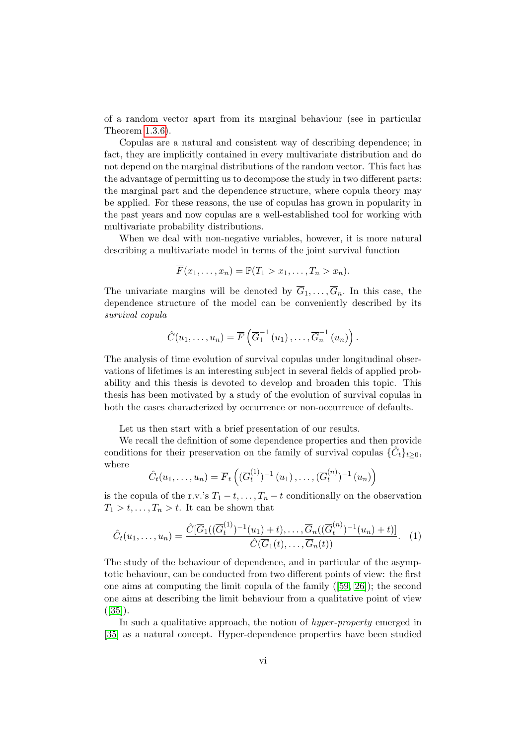of a random vector apart from its marginal behaviour (see in particular Theorem [1.3.6\)](#page-21-1).

Copulas are a natural and consistent way of describing dependence; in fact, they are implicitly contained in every multivariate distribution and do not depend on the marginal distributions of the random vector. This fact has the advantage of permitting us to decompose the study in two different parts: the marginal part and the dependence structure, where copula theory may be applied. For these reasons, the use of copulas has grown in popularity in the past years and now copulas are a well-established tool for working with multivariate probability distributions.

When we deal with non-negative variables, however, it is more natural describing a multivariate model in terms of the joint survival function

$$
\overline{F}(x_1,\ldots,x_n)=\mathbb{P}(T_1>x_1,\ldots,T_n>x_n).
$$

The univariate margins will be denoted by  $\overline{G}_1, \ldots, \overline{G}_n$ . In this case, the dependence structure of the model can be conveniently described by its survival copula

$$
\hat{C}(u_1,\ldots,u_n)=\overline{F}\left(\overline{G}_1^{-1}\left(u_1\right),\ldots,\overline{G}_n^{-1}\left(u_n\right)\right).
$$

The analysis of time evolution of survival copulas under longitudinal observations of lifetimes is an interesting subject in several fields of applied probability and this thesis is devoted to develop and broaden this topic. This thesis has been motivated by a study of the evolution of survival copulas in both the cases characterized by occurrence or non-occurrence of defaults.

Let us then start with a brief presentation of our results.

We recall the definition of some dependence properties and then provide conditions for their preservation on the family of survival copulas  $\{\hat{C}_t\}_{t\geq 0}$ , where

$$
\hat{C}_t(u_1,\ldots,u_n) = \overline{F}_t\left( (\overline{G}_t^{(1)})^{-1}(u_1),\ldots, (\overline{G}_t^{(n)})^{-1}(u_n) \right)
$$

is the copula of the r.v.'s  $T_1 - t, \ldots, T_n - t$  conditionally on the observation  $T_1 > t, \ldots, T_n > t$ . It can be shown that

$$
\hat{C}_t(u_1,\ldots,u_n) = \frac{\hat{C}[\overline{G}_1((\overline{G}_t^{(1)})^{-1}(u_1)+t),\ldots,\overline{G}_n((\overline{G}_t^{(n)})^{-1}(u_n)+t)]}{\hat{C}(\overline{G}_1(t),\ldots,\overline{G}_n(t))}.
$$
 (1)

The study of the behaviour of dependence, and in particular of the asymptotic behaviour, can be conducted from two different points of view: the first one aims at computing the limit copula of the family([\[59,](#page-121-1) [26\]](#page-119-0)); the second one aims at describing the limit behaviour from a qualitative point of view  $([35])$  $([35])$  $([35])$ .

In such a qualitative approach, the notion of *hyper-property* emerged in [\[35\]](#page-119-1) as a natural concept. Hyper-dependence properties have been studied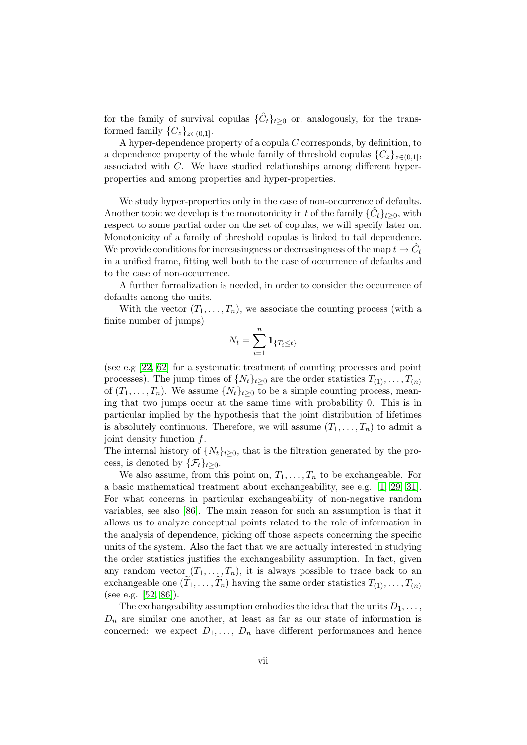for the family of survival copulas  $\{\hat{C}_t\}_{t\geq 0}$  or, analogously, for the transformed family  $\{C_z\}_{z\in(0,1]}$ .

A hyper-dependence property of a copula  $C$  corresponds, by definition, to a dependence property of the whole family of threshold copulas  ${C_z}_{z \in (0,1]}$ , associated with C. We have studied relationships among different hyperproperties and among properties and hyper-properties.

We study hyper-properties only in the case of non-occurrence of defaults. Another topic we develop is the monotonicity in t of the family  $\{\hat{C}_t\}_{t\geq 0}$ , with respect to some partial order on the set of copulas, we will specify later on. Monotonicity of a family of threshold copulas is linked to tail dependence. We provide conditions for increasingness or decreasingness of the map  $t \to \hat{C}_t$ in a unified frame, fitting well both to the case of occurrence of defaults and to the case of non-occurrence.

A further formalization is needed, in order to consider the occurrence of defaults among the units.

With the vector  $(T_1, \ldots, T_n)$ , we associate the counting process (with a finite number of jumps)

$$
N_t = \sum_{i=1}^n \mathbf{1}_{\{T_i \le t\}}
$$

(see e.g [\[22,](#page-118-0) [62\]](#page-121-3) for a systematic treatment of counting processes and point processes). The jump times of  $\{N_t\}_{t\geq 0}$  are the order statistics  $T_{(1)}, \ldots, T_{(n)}$ of  $(T_1, \ldots, T_n)$ . We assume  $\{N_t\}_{t>0}$  to be a simple counting process, meaning that two jumps occur at the same time with probability 0. This is in particular implied by the hypothesis that the joint distribution of lifetimes is absolutely continuous. Therefore, we will assume  $(T_1, \ldots, T_n)$  to admit a joint density function f.

The internal history of  $\{N_t\}_{t\geq 0}$ , that is the filtration generated by the process, is denoted by  $\{\mathcal{F}_t\}_{t>0}$ .

We also assume, from this point on,  $T_1, \ldots, T_n$  to be exchangeable. For a basic mathematical treatment about exchangeability, see e.g. [\[1,](#page-117-1) [29,](#page-119-2) [31\]](#page-119-3). For what concerns in particular exchangeability of non-negative random variables, see also [\[86\]](#page-123-3). The main reason for such an assumption is that it allows us to analyze conceptual points related to the role of information in the analysis of dependence, picking off those aspects concerning the specific units of the system. Also the fact that we are actually interested in studying the order statistics justifies the exchangeability assumption. In fact, given any random vector  $(T_1, \ldots, T_n)$ , it is always possible to trace back to an exchangeable one  $(T_1, \ldots, T_n)$  having the same order statistics  $T_{(1)}, \ldots, T_{(n)}$ (see e.g. [\[52,](#page-121-4) [86\]](#page-123-3)).

The exchangeability assumption embodies the idea that the units  $D_1, \ldots,$  $D_n$  are similar one another, at least as far as our state of information is concerned: we expect  $D_1, \ldots, D_n$  have different performances and hence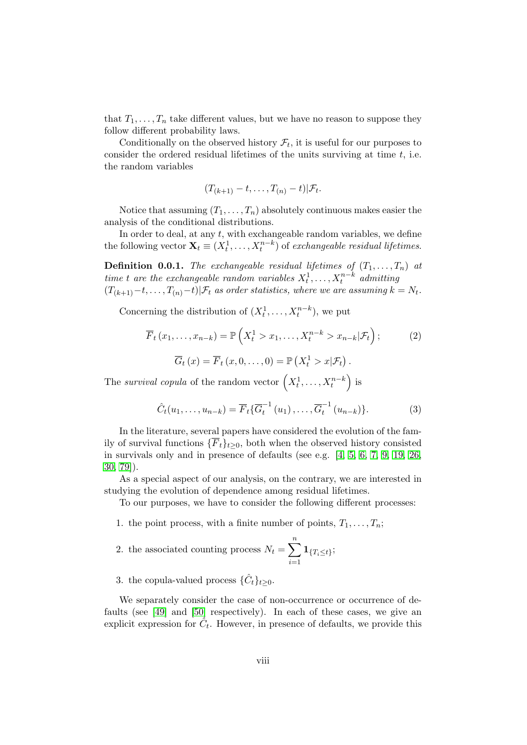that  $T_1, \ldots, T_n$  take different values, but we have no reason to suppose they follow different probability laws.

Conditionally on the observed history  $\mathcal{F}_t$ , it is useful for our purposes to consider the ordered residual lifetimes of the units surviving at time  $t$ , i.e. the random variables

$$
(T_{(k+1)}-t,\ldots,T_{(n)}-t)|\mathcal{F}_t.
$$

Notice that assuming  $(T_1, \ldots, T_n)$  absolutely continuous makes easier the analysis of the conditional distributions.

In order to deal, at any  $t$ , with exchangeable random variables, we define the following vector  $\mathbf{X}_t \equiv (X_t^1, \dots, X_t^{n-k})$  of exchangeable residual lifetimes.

**Definition 0.0.1.** The exchangeable residual lifetimes of  $(T_1, \ldots, T_n)$  at time t are the exchangeable random variables  $X_t^1, \ldots, X_t^{n-k}$  admitting  $(T_{(k+1)}-t,\ldots,T_{(n)}-t)|\mathcal{F}_t$  as order statistics, where we are assuming  $k=N_t$ .

Concerning the distribution of  $(X_t^1, \ldots, X_t^{n-k})$ , we put

$$
\overline{F}_t(x_1,\ldots,x_{n-k}) = \mathbb{P}\left(X_t^1 > x_1,\ldots,X_t^{n-k} > x_{n-k}|\mathcal{F}_t\right);
$$
\n
$$
\overline{G}_t(x) = \overline{F}_t(x,0,\ldots,0) = \mathbb{P}\left(X_t^1 > x|\mathcal{F}_t\right).
$$
\n(2)

The survival copula of the random vector  $(X_t^1, \ldots, X_t^{n-k})$  is

$$
\hat{C}_t(u_1,\ldots,u_{n-k}) = \overline{F}_t\{\overline{G}_t^{-1}(u_1),\ldots,\overline{G}_t^{-1}(u_{n-k})\}.
$$
 (3)

In the literature, several papers have considered the evolution of the family of survival functions  $\{\overline{F}_t\}_{t>0}$ , both when the observed history consisted in survivals only and in presence of defaults (see e.g. [\[4,](#page-117-2) [5,](#page-117-3) [6,](#page-117-0) [7,](#page-117-4) [9,](#page-117-5) [19,](#page-118-1) [26,](#page-119-0) [30,](#page-119-4) [79\]](#page-122-2)).

As a special aspect of our analysis, on the contrary, we are interested in studying the evolution of dependence among residual lifetimes.

To our purposes, we have to consider the following different processes:

1. the point process, with a finite number of points,  $T_1, \ldots, T_n$ ;

2. the associated counting process 
$$
N_t = \sum_{i=1}^n \mathbf{1}_{\{T_i \le t\}};
$$

3. the copula-valued process  $\{\hat{C}_t\}_{t\geq 0}$ .

We separately consider the case of non-occurrence or occurrence of defaults (see [\[49\]](#page-120-0) and [\[50\]](#page-120-1) respectively). In each of these cases, we give an explicit expression for  $\hat{C}_t$ . However, in presence of defaults, we provide this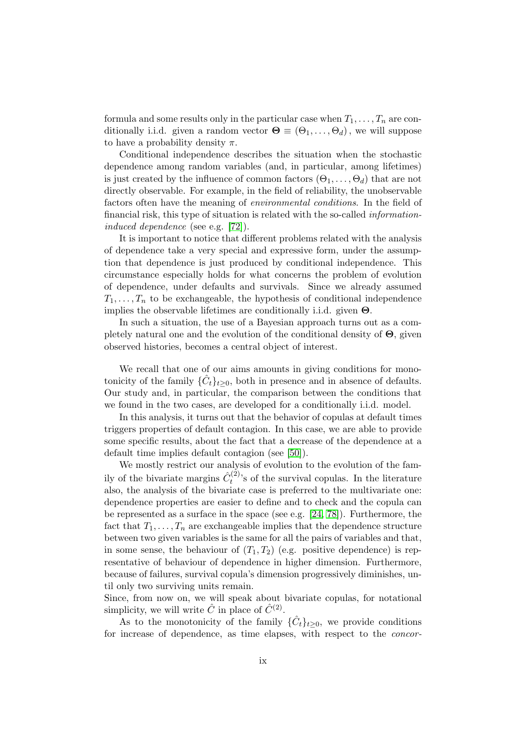formula and some results only in the particular case when  $T_1, \ldots, T_n$  are conditionally i.i.d. given a random vector  $\mathbf{\Theta} \equiv (\Theta_1, \ldots, \Theta_d)$ , we will suppose to have a probability density  $\pi$ .

Conditional independence describes the situation when the stochastic dependence among random variables (and, in particular, among lifetimes) is just created by the influence of common factors  $(\Theta_1, \ldots, \Theta_d)$  that are not directly observable. For example, in the field of reliability, the unobservable factors often have the meaning of environmental conditions. In the field of financial risk, this type of situation is related with the so-called informationinduced dependence (see e.g. [\[72\]](#page-122-0)).

It is important to notice that different problems related with the analysis of dependence take a very special and expressive form, under the assumption that dependence is just produced by conditional independence. This circumstance especially holds for what concerns the problem of evolution of dependence, under defaults and survivals. Since we already assumed  $T_1, \ldots, T_n$  to be exchangeable, the hypothesis of conditional independence implies the observable lifetimes are conditionally i.i.d. given  $\Theta$ .

In such a situation, the use of a Bayesian approach turns out as a completely natural one and the evolution of the conditional density of  $\Theta$ , given observed histories, becomes a central object of interest.

We recall that one of our aims amounts in giving conditions for monotonicity of the family  $\{\hat{C}_t\}_{t\geq 0}$ , both in presence and in absence of defaults. Our study and, in particular, the comparison between the conditions that we found in the two cases, are developed for a conditionally i.i.d. model.

In this analysis, it turns out that the behavior of copulas at default times triggers properties of default contagion. In this case, we are able to provide some specific results, about the fact that a decrease of the dependence at a default time implies default contagion (see [\[50\]](#page-120-1)).

We mostly restrict our analysis of evolution to the evolution of the family of the bivariate margins  $\hat{C}^{(2)}_t$  $t^{(2)}$ 's of the survival copulas. In the literature also, the analysis of the bivariate case is preferred to the multivariate one: dependence properties are easier to define and to check and the copula can be represented as a surface in the space (see e.g. [\[24,](#page-119-5) [78\]](#page-122-1)). Furthermore, the fact that  $T_1, \ldots, T_n$  are exchangeable implies that the dependence structure between two given variables is the same for all the pairs of variables and that, in some sense, the behaviour of  $(T_1, T_2)$  (e.g. positive dependence) is representative of behaviour of dependence in higher dimension. Furthermore, because of failures, survival copula's dimension progressively diminishes, until only two surviving units remain.

Since, from now on, we will speak about bivariate copulas, for notational simplicity, we will write  $\hat{C}$  in place of  $\hat{C}^{(2)}$ .

As to the monotonicity of the family  $\{\hat{C}_t\}_{t\geq0}$ , we provide conditions for increase of dependence, as time elapses, with respect to the concor-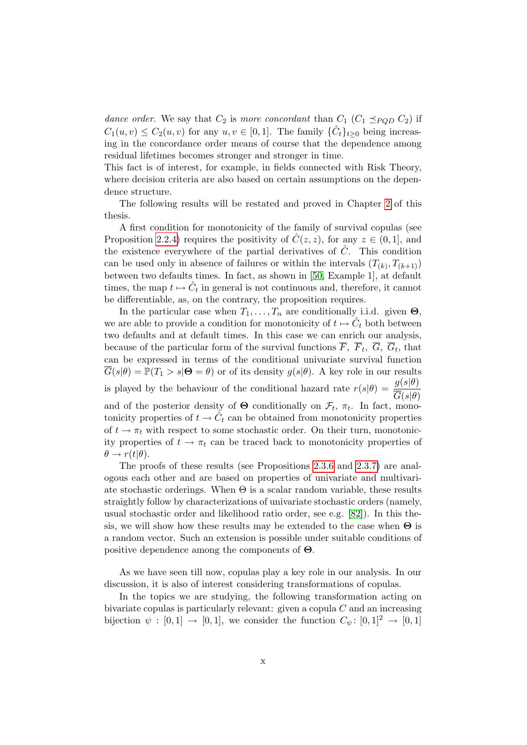dance order. We say that  $C_2$  is more concordant than  $C_1$   $(C_1 \preceq_{PQD} C_2)$  if  $C_1(u, v) \leq C_2(u, v)$  for any  $u, v \in [0, 1]$ . The family  $\{\hat{C}_t\}_{t \geq 0}$  being increasing in the concordance order means of course that the dependence among residual lifetimes becomes stronger and stronger in time.

This fact is of interest, for example, in fields connected with Risk Theory, where decision criteria are also based on certain assumptions on the dependence structure.

The following results will be restated and proved in Chapter [2](#page-32-0) of this thesis.

A first condition for monotonicity of the family of survival copulas (see Proposition [2.2.4\)](#page-47-0) requires the positivity of  $\hat{C}(z, z)$ , for any  $z \in (0, 1]$ , and the existence everywhere of the partial derivatives of  $\hat{C}$ . This condition can be used only in absence of failures or within the intervals  $(T_{(k)}, T_{(k+1)})$ between two defaults times. In fact, as shown in [\[50,](#page-120-1) Example 1], at default times, the map  $t \mapsto \hat{C}_t$  in general is not continuous and, therefore, it cannot be differentiable, as, on the contrary, the proposition requires.

In the particular case when  $T_1, \ldots, T_n$  are conditionally i.i.d. given  $\Theta$ , we are able to provide a condition for monotonicity of  $t \mapsto \hat{C}_t$  both between two defaults and at default times. In this case we can enrich our analysis, because of the particular form of the survival functions  $F, F_t, G, G_t$ , that can be expressed in terms of the conditional univariate survival function  $G(s|\theta) = \mathbb{P}(T_1 > s | \mathbf{\Theta} = \theta)$  or of its density  $g(s|\theta)$ . A key role in our results is played by the behaviour of the conditional hazard rate  $r(s|\theta) = \frac{g(s|\theta)}{\phi(s|\theta)}$  $G(s|\theta)$ and of the posterior density of  $\Theta$  conditionally on  $\mathcal{F}_t$ ,  $\pi_t$ . In fact, monotonicity properties of  $t \to \hat{C}_t$  can be obtained from monotonicity properties of  $t \to \pi_t$  with respect to some stochastic order. On their turn, monotonicity properties of  $t \to \pi_t$  can be traced back to monotonicity properties of  $\theta \rightarrow r(t|\theta)$ .

The proofs of these results (see Propositions [2.3.6](#page-58-0) and [2.3.7\)](#page-59-0) are analogous each other and are based on properties of univariate and multivariate stochastic orderings. When  $\Theta$  is a scalar random variable, these results straightly follow by characterizations of univariate stochastic orders (namely, usual stochastic order and likelihood ratio order, see e.g. [\[82\]](#page-123-1)). In this thesis, we will show how these results may be extended to the case when  $\Theta$  is a random vector. Such an extension is possible under suitable conditions of positive dependence among the components of Θ.

As we have seen till now, copulas play a key role in our analysis. In our discussion, it is also of interest considering transformations of copulas.

In the topics we are studying, the following transformation acting on bivariate copulas is particularly relevant: given a copula  $C$  and an increasing bijection  $\psi : [0,1] \rightarrow [0,1]$ , we consider the function  $C_{\psi}: [0,1]^2 \rightarrow [0,1]$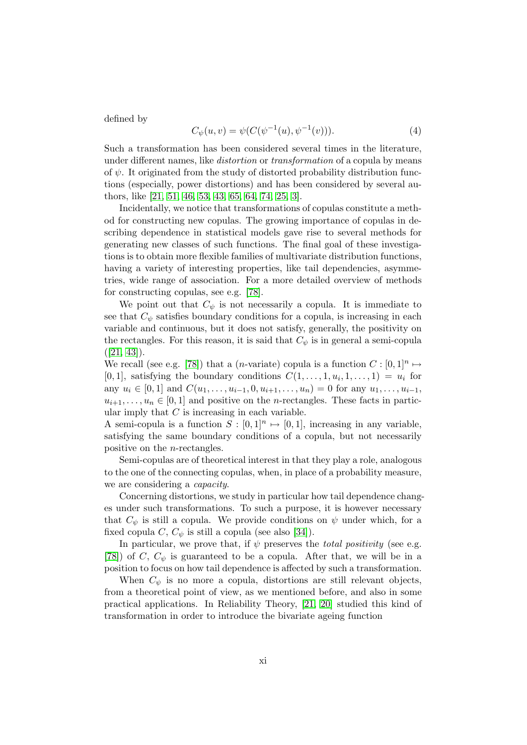defined by

$$
C_{\psi}(u,v) = \psi(C(\psi^{-1}(u), \psi^{-1}(v))). \tag{4}
$$

Such a transformation has been considered several times in the literature, under different names, like *distortion* or *transformation* of a copula by means of  $\psi$ . It originated from the study of distorted probability distribution functions (especially, power distortions) and has been considered by several authors, like [\[21,](#page-118-2) [51,](#page-121-5) [46,](#page-120-2) [53,](#page-121-6) [43,](#page-120-3) [65,](#page-121-7) [64,](#page-121-8) [74,](#page-122-3) [25,](#page-119-6) [3\]](#page-117-6).

Incidentally, we notice that transformations of copulas constitute a method for constructing new copulas. The growing importance of copulas in describing dependence in statistical models gave rise to several methods for generating new classes of such functions. The final goal of these investigations is to obtain more flexible families of multivariate distribution functions, having a variety of interesting properties, like tail dependencies, asymmetries, wide range of association. For a more detailed overview of methods for constructing copulas, see e.g. [\[78\]](#page-122-1).

We point out that  $C_{\psi}$  is not necessarily a copula. It is immediate to see that  $C_{\psi}$  satisfies boundary conditions for a copula, is increasing in each variable and continuous, but it does not satisfy, generally, the positivity on the rectangles. For this reason, it is said that  $C_{\psi}$  is in general a semi-copula  $([21, 43]).$  $([21, 43]).$  $([21, 43]).$  $([21, 43]).$ 

We recall (see e.g. [\[78\]](#page-122-1)) that a (*n*-variate) copula is a function  $C : [0,1]^n \mapsto$ [0, 1], satisfying the boundary conditions  $C(1,\ldots,1,u_i,1,\ldots,1) = u_i$  for any  $u_i \in [0,1]$  and  $C(u_1, \ldots, u_{i-1}, 0, u_{i+1}, \ldots, u_n) = 0$  for any  $u_1, \ldots, u_{i-1}$ ,  $u_{i+1}, \ldots, u_n \in [0,1]$  and positive on the *n*-rectangles. These facts in particular imply that  $C$  is increasing in each variable.

A semi-copula is a function  $S : [0,1]^n \mapsto [0,1]$ , increasing in any variable, satisfying the same boundary conditions of a copula, but not necessarily positive on the n-rectangles.

Semi-copulas are of theoretical interest in that they play a role, analogous to the one of the connecting copulas, when, in place of a probability measure, we are considering a capacity.

Concerning distortions, we study in particular how tail dependence changes under such transformations. To such a purpose, it is however necessary that  $C_{\psi}$  is still a copula. We provide conditions on  $\psi$  under which, for a fixed copula C,  $C_{\psi}$  is still a copula (see also [\[34\]](#page-119-7)).

In particular, we prove that, if  $\psi$  preserves the *total positivity* (see e.g. [\[78\]](#page-122-1)) of  $C, C_{\psi}$  is guaranteed to be a copula. After that, we will be in a position to focus on how tail dependence is affected by such a transformation.

When  $C_{\psi}$  is no more a copula, distortions are still relevant objects, from a theoretical point of view, as we mentioned before, and also in some practical applications. In Reliability Theory, [\[21,](#page-118-2) [20\]](#page-118-3) studied this kind of transformation in order to introduce the bivariate ageing function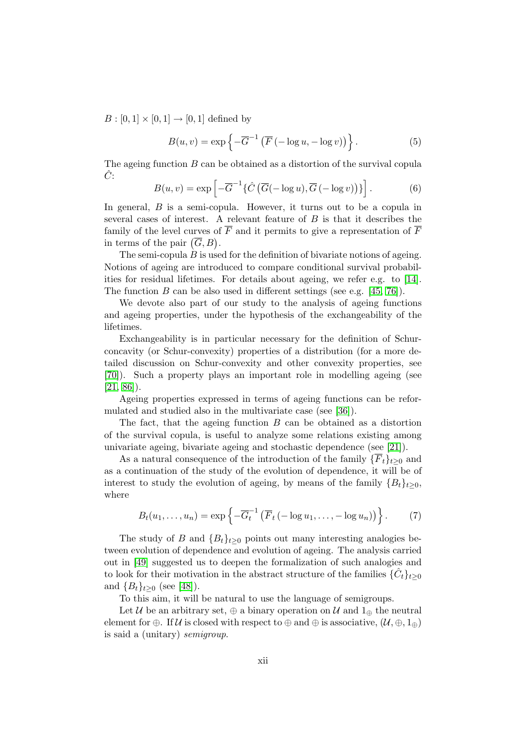$B : [0, 1] \times [0, 1] \to [0, 1]$  defined by

$$
B(u, v) = \exp\left\{-\overline{G}^{-1}\left(\overline{F}\left(-\log u, -\log v\right)\right)\right\}.
$$
 (5)

The ageing function  $B$  can be obtained as a distortion of the survival copula  $C$ :

$$
B(u,v) = \exp\left[-\overline{G}^{-1}\left\{\hat{C}\left(\overline{G}(-\log u), \overline{G}(-\log v)\right)\right\}\right].
$$
 (6)

In general,  $B$  is a semi-copula. However, it turns out to be a copula in several cases of interest. A relevant feature of B is that it describes the family of the level curves of  $\overline{F}$  and it permits to give a representation of  $\overline{F}$ in terms of the pair  $(\overline{G}, B)$ .

The semi-copula  $B$  is used for the definition of bivariate notions of ageing. Notions of ageing are introduced to compare conditional survival probabilities for residual lifetimes. For details about ageing, we refer e.g. to [\[14\]](#page-118-4). The function B can be also used in different settings (see e.g. [\[45,](#page-120-4) [76\]](#page-122-4)).

We devote also part of our study to the analysis of ageing functions and ageing properties, under the hypothesis of the exchangeability of the lifetimes.

Exchangeability is in particular necessary for the definition of Schurconcavity (or Schur-convexity) properties of a distribution (for a more detailed discussion on Schur-convexity and other convexity properties, see [\[70\]](#page-122-5)). Such a property plays an important role in modelling ageing (see  $[21, 86]$  $[21, 86]$ .

Ageing properties expressed in terms of ageing functions can be reformulated and studied also in the multivariate case (see [\[36\]](#page-119-8)).

The fact, that the ageing function  $B$  can be obtained as a distortion of the survival copula, is useful to analyze some relations existing among univariate ageing, bivariate ageing and stochastic dependence (see [\[21\]](#page-118-2)).

As a natural consequence of the introduction of the family  $\{\overline{F}_t\}_{t>0}$  and as a continuation of the study of the evolution of dependence, it will be of interest to study the evolution of ageing, by means of the family  ${B_t}_{t\geq0}$ , where

$$
B_t(u_1,\ldots,u_n) = \exp\left\{-\overline{G}_t^{-1}\left(\overline{F}_t\left(-\log u_1,\ldots,-\log u_n\right)\right)\right\}.
$$
 (7)

The study of B and  ${B_t}_{t\geq0}$  points out many interesting analogies between evolution of dependence and evolution of ageing. The analysis carried out in [\[49\]](#page-120-0) suggested us to deepen the formalization of such analogies and to look for their motivation in the abstract structure of the families  $\{\hat{C}_t\}_{t\geq 0}$ and  ${B_t}_{t>0}$  (see [\[48\]](#page-120-5)).

To this aim, it will be natural to use the language of semigroups.

Let U be an arbitrary set,  $\oplus$  a binary operation on U and  $1_{\oplus}$  the neutral element for ⊕. If  $\mathcal U$  is closed with respect to  $\oplus$  and  $\oplus$  is associative,  $(\mathcal U, \oplus, 1_{\oplus})$ is said a (unitary) semigroup.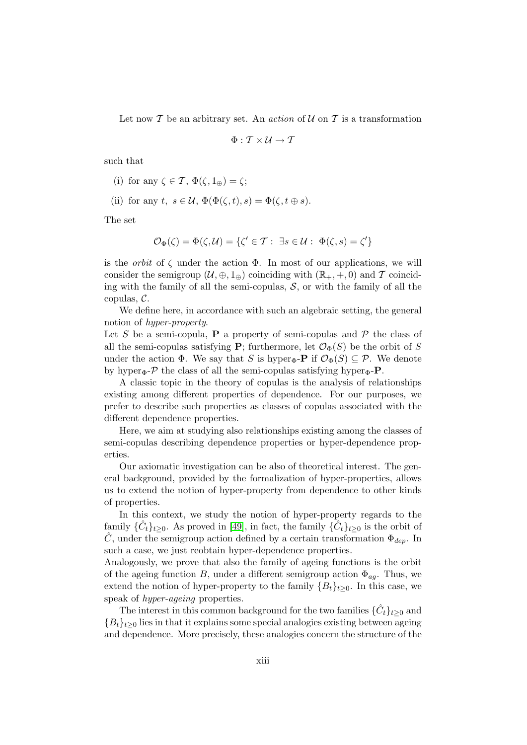Let now  $T$  be an arbitrary set. An *action* of  $U$  on  $T$  is a transformation

$$
\Phi: \mathcal{T} \times \mathcal{U} \rightarrow \mathcal{T}
$$

such that

- (i) for any  $\zeta \in \mathcal{T}$ ,  $\Phi(\zeta, 1_{\oplus}) = \zeta$ ;
- (ii) for any t,  $s \in \mathcal{U}$ ,  $\Phi(\Phi(\zeta,t), s) = \Phi(\zeta, t \oplus s)$ .

The set

$$
\mathcal{O}_{\Phi}(\zeta) = \Phi(\zeta, \mathcal{U}) = \{ \zeta' \in \mathcal{T} : \exists s \in \mathcal{U} : \Phi(\zeta, s) = \zeta' \}
$$

is the *orbit* of  $\zeta$  under the action  $\Phi$ . In most of our applications, we will consider the semigroup  $(\mathcal{U}, \oplus, 1_{\oplus})$  coinciding with  $(\mathbb{R}_+, +, 0)$  and T coinciding with the family of all the semi-copulas,  $S$ , or with the family of all the copulas, C.

We define here, in accordance with such an algebraic setting, the general notion of hyper-property.

Let S be a semi-copula, **P** a property of semi-copulas and  $\mathcal{P}$  the class of all the semi-copulas satisfying **P**; furthermore, let  $\mathcal{O}_{\Phi}(S)$  be the orbit of S under the action  $\Phi$ . We say that S is hyper<sub> $\Phi$ </sub>-**P** if  $\mathcal{O}_{\Phi}(S) \subseteq \mathcal{P}$ . We denote by hyper<sub> $\Phi$ </sub>- $\mathcal P$  the class of all the semi-copulas satisfying hyper $_{\Phi}$ - $\mathbf P$ .

A classic topic in the theory of copulas is the analysis of relationships existing among different properties of dependence. For our purposes, we prefer to describe such properties as classes of copulas associated with the different dependence properties.

Here, we aim at studying also relationships existing among the classes of semi-copulas describing dependence properties or hyper-dependence properties.

Our axiomatic investigation can be also of theoretical interest. The general background, provided by the formalization of hyper-properties, allows us to extend the notion of hyper-property from dependence to other kinds of properties.

In this context, we study the notion of hyper-property regards to the family  $\{\hat{C}_t\}_{t\geq 0}$ . As proved in [\[49\]](#page-120-0), in fact, the family  $\{\hat{C}_t\}_{t\geq 0}$  is the orbit of C, under the semigroup action defined by a certain transformation  $\Phi_{den}$ . In such a case, we just reobtain hyper-dependence properties.

Analogously, we prove that also the family of ageing functions is the orbit of the ageing function B, under a different semigroup action  $\Phi_{aq}$ . Thus, we extend the notion of hyper-property to the family  ${B_t}_{t\geq0}$ . In this case, we speak of *hyper-ageing* properties.

The interest in this common background for the two families  $\{\hat{C}_t\}_{t\geq 0}$  and  ${B_t}_{t\geq0}$  lies in that it explains some special analogies existing between ageing and dependence. More precisely, these analogies concern the structure of the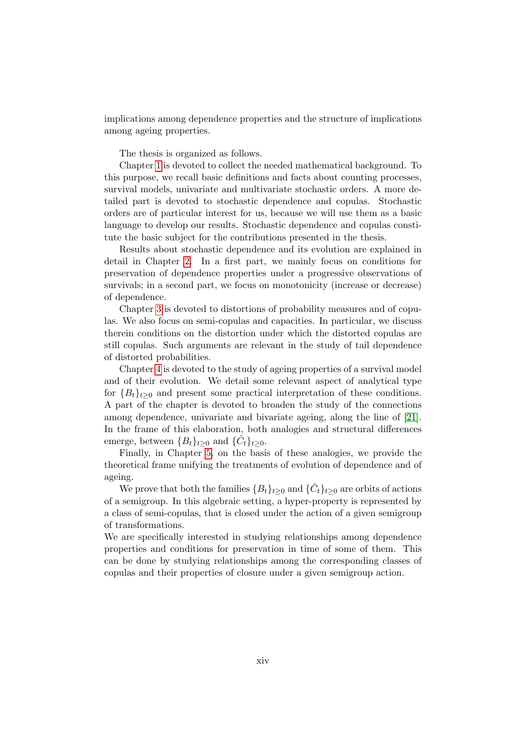implications among dependence properties and the structure of implications among ageing properties.

The thesis is organized as follows.

Chapter [1](#page-16-0) is devoted to collect the needed mathematical background. To this purpose, we recall basic definitions and facts about counting processes, survival models, univariate and multivariate stochastic orders. A more detailed part is devoted to stochastic dependence and copulas. Stochastic orders are of particular interest for us, because we will use them as a basic language to develop our results. Stochastic dependence and copulas constitute the basic subject for the contributions presented in the thesis.

Results about stochastic dependence and its evolution are explained in detail in Chapter [2.](#page-32-0) In a first part, we mainly focus on conditions for preservation of dependence properties under a progressive observations of survivals; in a second part, we focus on monotonicity (increase or decrease) of dependence.

Chapter [3](#page-63-0) is devoted to distortions of probability measures and of copulas. We also focus on semi-copulas and capacities. In particular, we discuss therein conditions on the distortion under which the distorted copulas are still copulas. Such arguments are relevant in the study of tail dependence of distorted probabilities.

Chapter [4](#page-74-0) is devoted to the study of ageing properties of a survival model and of their evolution. We detail some relevant aspect of analytical type for  ${B_t}_{t\geq0}$  and present some practical interpretation of these conditions. A part of the chapter is devoted to broaden the study of the connections among dependence, univariate and bivariate ageing, along the line of [\[21\]](#page-118-2). In the frame of this elaboration, both analogies and structural differences emerge, between  ${B_t}_{t\geq0}$  and  ${\{\hat{C}_t\}_{t\geq0}}$ .

Finally, in Chapter [5,](#page-100-0) on the basis of these analogies, we provide the theoretical frame unifying the treatments of evolution of dependence and of ageing.

We prove that both the families  ${B_t}_{t\geq0}$  and  ${\{\hat{C}_t\}_{t\geq0}}$  are orbits of actions of a semigroup. In this algebraic setting, a hyper-property is represented by a class of semi-copulas, that is closed under the action of a given semigroup of transformations.

We are specifically interested in studying relationships among dependence properties and conditions for preservation in time of some of them. This can be done by studying relationships among the corresponding classes of copulas and their properties of closure under a given semigroup action.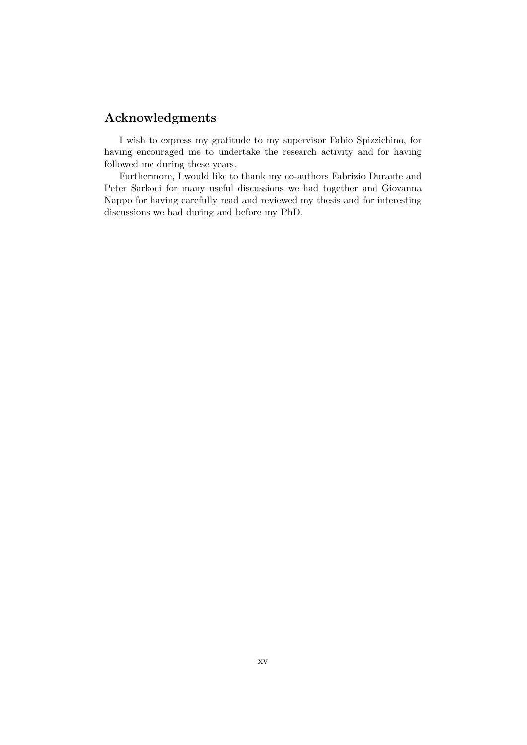## Acknowledgments

I wish to express my gratitude to my supervisor Fabio Spizzichino, for having encouraged me to undertake the research activity and for having followed me during these years.

Furthermore, I would like to thank my co-authors Fabrizio Durante and Peter Sarkoci for many useful discussions we had together and Giovanna Nappo for having carefully read and reviewed my thesis and for interesting discussions we had during and before my PhD.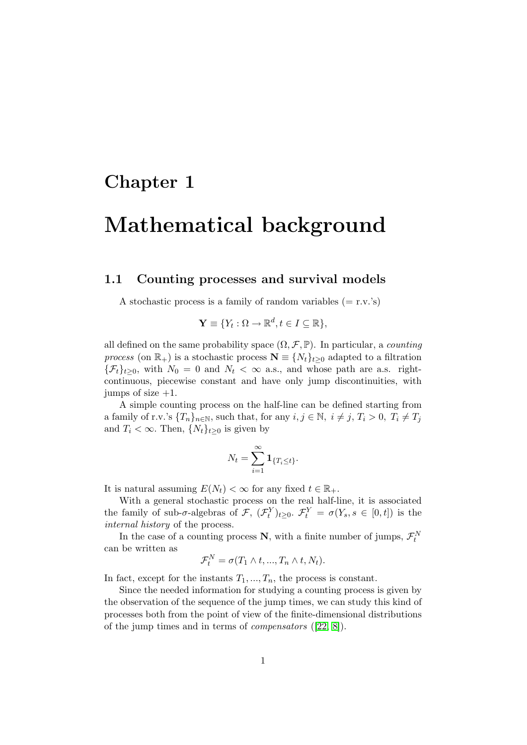# <span id="page-16-0"></span>Chapter 1

# Mathematical background

### <span id="page-16-1"></span>1.1 Counting processes and survival models

A stochastic process is a family of random variables  $(= r.v.'s)$ 

$$
\mathbf{Y} \equiv \{ Y_t : \Omega \to \mathbb{R}^d, t \in I \subseteq \mathbb{R} \},\
$$

all defined on the same probability space  $(\Omega, \mathcal{F}, \mathbb{P})$ . In particular, a *counting* process (on  $\mathbb{R}_+$ ) is a stochastic process  $\mathbf{N} \equiv \{N_t\}_{t\geq 0}$  adapted to a filtration  ${\{\mathcal{F}_t\}}_{t\geq0}$ , with  $N_0=0$  and  $N_t<\infty$  a.s., and whose path are a.s. rightcontinuous, piecewise constant and have only jump discontinuities, with jumps of size  $+1$ .

A simple counting process on the half-line can be defined starting from a family of r.v.'s  $\{T_n\}_{n\in\mathbb{N}}$ , such that, for any  $i, j \in \mathbb{N}$ ,  $i \neq j$ ,  $T_i > 0$ ,  $T_i \neq T_j$ and  $T_i < \infty$ . Then,  $\{N_t\}_{t\geq 0}$  is given by

$$
N_t = \sum_{i=1}^{\infty} \mathbf{1}_{\{T_i \le t\}}.
$$

It is natural assuming  $E(N_t) < \infty$  for any fixed  $t \in \mathbb{R}_+$ .

With a general stochastic process on the real half-line, it is associated the family of sub- $\sigma$ -algebras of  $\mathcal{F}, \ (\mathcal{F}_t^Y)_{t \geq 0}.$   $\mathcal{F}_t^Y = \sigma(Y_s, s \in [0, t])$  is the internal history of the process.

In the case of a counting process N, with a finite number of jumps,  $\mathcal{F}_t^N$ can be written as

$$
\mathcal{F}_t^N = \sigma(T_1 \wedge t, ..., T_n \wedge t, N_t).
$$

In fact, except for the instants  $T_1, ..., T_n$ , the process is constant.

Since the needed information for studying a counting process is given by the observation of the sequence of the jump times, we can study this kind of processes both from the point of view of the finite-dimensional distributions of the jump times and in terms of compensators ([\[22,](#page-118-0) [8\]](#page-117-7)).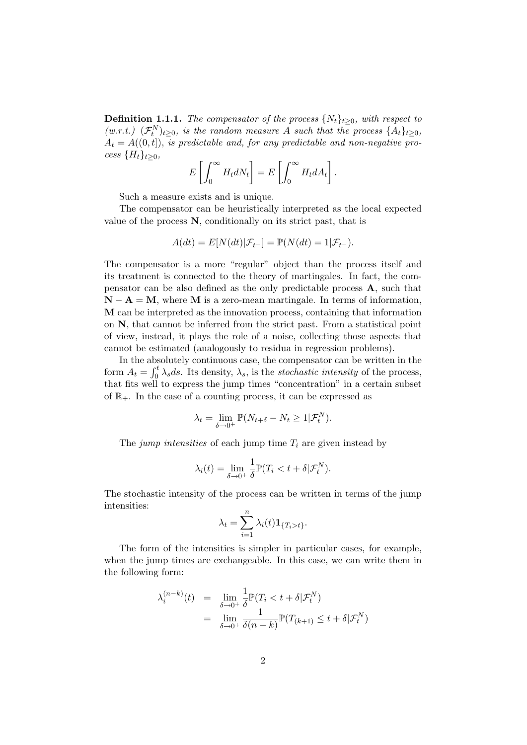**Definition 1.1.1.** The compensator of the process  $\{N_t\}_{t\geq0}$ , with respect to  $(w.r.t.)$   $(\mathcal{F}_t^N)_{t\geq 0}$ , is the random measure A such that the process  $\{A_t\}_{t\geq 0}$ ,  $A_t = A((0, t])$ , is predictable and, for any predictable and non-negative process  $\{H_t\}_{t>0}$ ,

$$
E\left[\int_0^\infty H_t dN_t\right] = E\left[\int_0^\infty H_t dA_t\right].
$$

Such a measure exists and is unique.

The compensator can be heuristically interpreted as the local expected value of the process N, conditionally on its strict past, that is

$$
A(dt) = E[N(dt)|\mathcal{F}_{t-}] = \mathbb{P}(N(dt) = 1|\mathcal{F}_{t-}).
$$

The compensator is a more "regular" object than the process itself and its treatment is connected to the theory of martingales. In fact, the compensator can be also defined as the only predictable process A, such that  $N - A = M$ , where M is a zero-mean martingale. In terms of information, M can be interpreted as the innovation process, containing that information on N, that cannot be inferred from the strict past. From a statistical point of view, instead, it plays the role of a noise, collecting those aspects that cannot be estimated (analogously to residua in regression problems).

In the absolutely continuous case, the compensator can be written in the form  $A_t = \int_0^t \lambda_s ds$ . Its density,  $\lambda_s$ , is the *stochastic intensity* of the process, that fits well to express the jump times "concentration" in a certain subset of  $\mathbb{R}_+$ . In the case of a counting process, it can be expressed as

$$
\lambda_t = \lim_{\delta \to 0^+} \mathbb{P}(N_{t+\delta} - N_t \ge 1 | \mathcal{F}_t^N).
$$

The jump intensities of each jump time  $T_i$  are given instead by

$$
\lambda_i(t) = \lim_{\delta \to 0^+} \frac{1}{\delta} \mathbb{P}(T_i < t + \delta | \mathcal{F}_t^N).
$$

The stochastic intensity of the process can be written in terms of the jump intensities:

$$
\lambda_t = \sum_{i=1}^n \lambda_i(t) \mathbf{1}_{\{T_i > t\}}.
$$

The form of the intensities is simpler in particular cases, for example, when the jump times are exchangeable. In this case, we can write them in the following form:

$$
\lambda_i^{(n-k)}(t) = \lim_{\delta \to 0^+} \frac{1}{\delta} \mathbb{P}(T_i < t + \delta | \mathcal{F}_t^N)
$$
\n
$$
= \lim_{\delta \to 0^+} \frac{1}{\delta(n-k)} \mathbb{P}(T_{(k+1)} \leq t + \delta | \mathcal{F}_t^N)
$$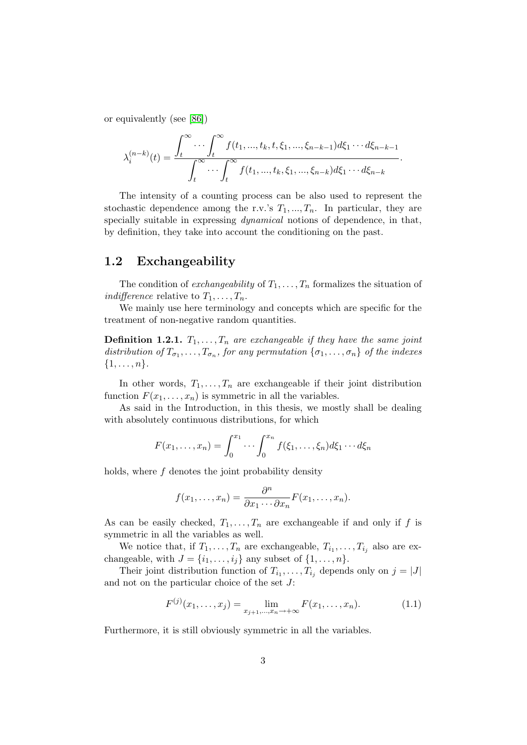or equivalently (see [\[86\]](#page-123-3))

$$
\lambda_i^{(n-k)}(t) = \frac{\int_t^{\infty} \cdots \int_t^{\infty} f(t_1, ..., t_k, t, \xi_1, ..., \xi_{n-k-1}) d\xi_1 \cdots d\xi_{n-k-1}}{\int_t^{\infty} \cdots \int_t^{\infty} f(t_1, ..., t_k, \xi_1, ..., \xi_{n-k}) d\xi_1 \cdots d\xi_{n-k}}.
$$

The intensity of a counting process can be also used to represent the stochastic dependence among the r.v.'s  $T_1, ..., T_n$ . In particular, they are specially suitable in expressing *dynamical* notions of dependence, in that, by definition, they take into account the conditioning on the past.

## <span id="page-18-0"></span>1.2 Exchangeability

The condition of *exchangeability* of  $T_1, \ldots, T_n$  formalizes the situation of *indifference* relative to  $T_1, \ldots, T_n$ .

We mainly use here terminology and concepts which are specific for the treatment of non-negative random quantities.

**Definition 1.2.1.**  $T_1, \ldots, T_n$  are exchangeable if they have the same joint distribution of  $T_{\sigma_1}, \ldots, T_{\sigma_n}$ , for any permutation  $\{\sigma_1, \ldots, \sigma_n\}$  of the indexes  $\{1, \ldots, n\}.$ 

In other words,  $T_1, \ldots, T_n$  are exchangeable if their joint distribution function  $F(x_1, \ldots, x_n)$  is symmetric in all the variables.

As said in the Introduction, in this thesis, we mostly shall be dealing with absolutely continuous distributions, for which

$$
F(x_1,\ldots,x_n)=\int_0^{x_1}\cdots\int_0^{x_n}f(\xi_1,\ldots,\xi_n)d\xi_1\cdots d\xi_n
$$

holds, where  $f$  denotes the joint probability density

$$
f(x_1,\ldots,x_n)=\frac{\partial^n}{\partial x_1\cdots\partial x_n}F(x_1,\ldots,x_n).
$$

As can be easily checked,  $T_1, \ldots, T_n$  are exchangeable if and only if f is symmetric in all the variables as well.

We notice that, if  $T_1, \ldots, T_n$  are exchangeable,  $T_{i_1}, \ldots, T_{i_j}$  also are exchangeable, with  $J = \{i_1, \ldots, i_j\}$  any subset of  $\{1, \ldots, n\}$ .

Their joint distribution function of  $T_{i_1}, \ldots, T_{i_j}$  depends only on  $j = |J|$ and not on the particular choice of the set J:

$$
F^{(j)}(x_1, \dots, x_j) = \lim_{x_{j+1}, \dots, x_n \to +\infty} F(x_1, \dots, x_n).
$$
 (1.1)

Furthermore, it is still obviously symmetric in all the variables.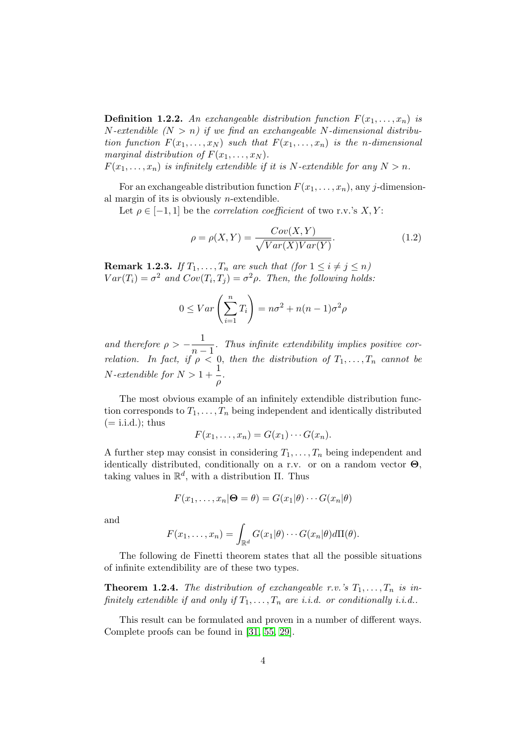**Definition 1.2.2.** An exchangeable distribution function  $F(x_1, \ldots, x_n)$  is N-extendible  $(N > n)$  if we find an exchangeable N-dimensional distribution function  $F(x_1, \ldots, x_N)$  such that  $F(x_1, \ldots, x_n)$  is the n-dimensional marginal distribution of  $F(x_1, \ldots, x_N)$ .

 $F(x_1, \ldots, x_n)$  is infinitely extendible if it is N-extendible for any  $N > n$ .

For an exchangeable distribution function  $F(x_1, \ldots, x_n)$ , any j-dimensional margin of its is obviously  $n$ -extendible.

Let  $\rho \in [-1, 1]$  be the *correlation coefficient* of two r.v.'s X, Y:

$$
\rho = \rho(X, Y) = \frac{Cov(X, Y)}{\sqrt{Var(X)Var(Y)}}.
$$
\n(1.2)

**Remark 1.2.3.** If  $T_1, \ldots, T_n$  are such that (for  $1 \leq i \neq j \leq n$ )  $Var(T_i) = \sigma^2$  and  $Cov(T_i, T_j) = \sigma^2 \rho$ . Then, the following holds:

$$
0 \le Var\left(\sum_{i=1}^{n} T_i\right) = n\sigma^2 + n(n-1)\sigma^2\rho
$$

and therefore  $\rho > -\frac{1}{\sqrt{2}}$  $\frac{1}{n-1}$ . Thus infinite extendibility implies positive correlation. In fact, if  $\rho < 0$ , then the distribution of  $T_1, \ldots, T_n$  cannot be  $N\text{-}extendible$  for  $N > 1 + \frac{1}{n}$  $\frac{1}{\rho}$ .

The most obvious example of an infinitely extendible distribution function corresponds to  $T_1, \ldots, T_n$  being independent and identically distributed  $(= i.i.d.);$  thus

$$
F(x_1,\ldots,x_n)=G(x_1)\cdots G(x_n).
$$

A further step may consist in considering  $T_1, \ldots, T_n$  being independent and identically distributed, conditionally on a r.v. or on a random vector  $\Theta$ , taking values in  $\mathbb{R}^d$ , with a distribution  $\Pi$ . Thus

$$
F(x_1,\ldots,x_n|\mathbf{\Theta}=\theta)=G(x_1|\theta)\cdots G(x_n|\theta)
$$

and

$$
F(x_1,\ldots,x_n)=\int_{\mathbb{R}^d}G(x_1|\theta)\cdots G(x_n|\theta)d\Pi(\theta).
$$

The following de Finetti theorem states that all the possible situations of infinite extendibility are of these two types.

**Theorem 1.2.4.** The distribution of exchangeable r.v.'s  $T_1, \ldots, T_n$  is infinitely extendible if and only if  $T_1, \ldots, T_n$  are i.i.d. or conditionally i.i.d..

This result can be formulated and proven in a number of different ways. Complete proofs can be found in [\[31,](#page-119-3) [55,](#page-121-9) [29\]](#page-119-2).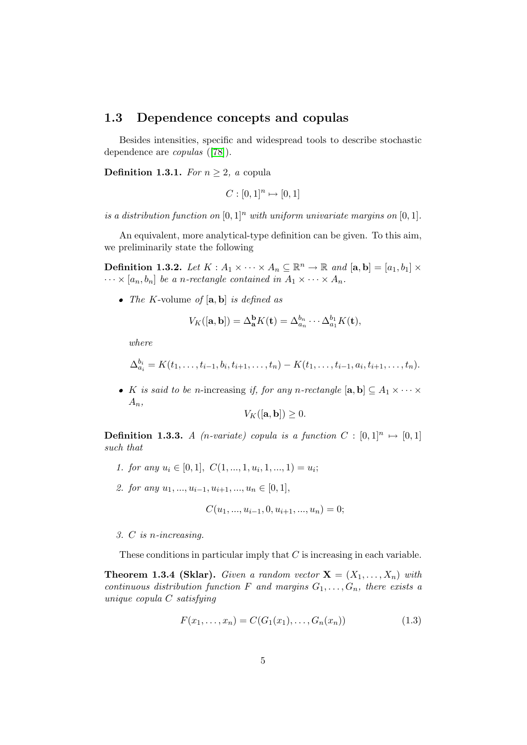### <span id="page-20-0"></span>1.3 Dependence concepts and copulas

Besides intensities, specific and widespread tools to describe stochastic dependence are copulas ([\[78\]](#page-122-1)).

Definition 1.3.1. For  $n \geq 2$ , a copula

$$
C : [0,1]^n \mapsto [0,1]
$$

is a distribution function on  $[0, 1]^n$  with uniform univariate margins on  $[0, 1]$ .

An equivalent, more analytical-type definition can be given. To this aim, we preliminarily state the following

**Definition 1.3.2.** Let  $K : A_1 \times \cdots \times A_n \subseteq \mathbb{R}^n \to \mathbb{R}$  and  $[\mathbf{a}, \mathbf{b}] = [a_1, b_1] \times$  $\cdots \times [a_n, b_n]$  be a n-rectangle contained in  $A_1 \times \cdots \times A_n$ .

• The K-volume of  $[a, b]$  is defined as

$$
V_K([\mathbf{a},\mathbf{b}]) = \Delta_{\mathbf{a}}^{\mathbf{b}} K(\mathbf{t}) = \Delta_{a_n}^{b_n} \cdots \Delta_{a_1}^{b_1} K(\mathbf{t}),
$$

where

$$
\Delta_{a_i}^{b_i}=K(t_1,\ldots,t_{i-1},b_i,t_{i+1},\ldots,t_n)-K(t_1,\ldots,t_{i-1},a_i,t_{i+1},\ldots,t_n).
$$

• K is said to be n-increasing if, for any n-rectangle  $[\mathbf{a}, \mathbf{b}] \subseteq A_1 \times \cdots \times$  $A_n$ ,

$$
V_K([\mathbf{a}, \mathbf{b}]) \geq 0.
$$

**Definition 1.3.3.** A (*n*-variate) copula is a function  $C : [0,1]^n \mapsto [0,1]$ such that

- 1. for any  $u_i \in [0,1], C(1, \ldots, 1, u_i, 1, \ldots, 1) = u_i;$
- 2. for any  $u_1, ..., u_{i-1}, u_{i+1}, ..., u_n \in [0, 1],$

$$
C(u_1, ..., u_{i-1}, 0, u_{i+1}, ..., u_n) = 0;
$$

3. C is n-increasing.

These conditions in particular imply that  $C$  is increasing in each variable.

**Theorem 1.3.4 (Sklar).** Given a random vector  $X = (X_1, \ldots, X_n)$  with continuous distribution function F and margins  $G_1, \ldots, G_n$ , there exists a unique copula C satisfying

<span id="page-20-1"></span>
$$
F(x_1, \ldots, x_n) = C(G_1(x_1), \ldots, G_n(x_n))
$$
\n(1.3)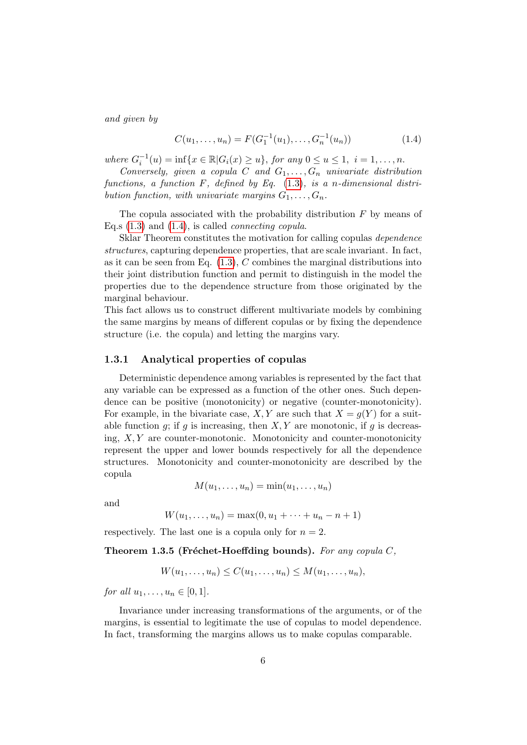and given by

<span id="page-21-2"></span>
$$
C(u_1, \ldots, u_n) = F(G_1^{-1}(u_1), \ldots, G_n^{-1}(u_n))
$$
\n(1.4)

where  $G_i^{-1}(u) = \inf\{x \in \mathbb{R} | G_i(x) \ge u\}$ , for any  $0 \le u \le 1$ ,  $i = 1, ..., n$ .

Conversely, given a copula C and  $G_1, \ldots, G_n$  univariate distribution functions, a function  $F$ , defined by Eq.  $(1.3)$ , is a n-dimensional distribution function, with univariate margins  $G_1, \ldots, G_n$ .

The copula associated with the probability distribution  $F$  by means of Eq.s  $(1.3)$  and  $(1.4)$ , is called *connecting copula*.

Sklar Theorem constitutes the motivation for calling copulas dependence structures, capturing dependence properties, that are scale invariant. In fact, as it can be seen from Eq.  $(1.3)$ , C combines the marginal distributions into their joint distribution function and permit to distinguish in the model the properties due to the dependence structure from those originated by the marginal behaviour.

This fact allows us to construct different multivariate models by combining the same margins by means of different copulas or by fixing the dependence structure (i.e. the copula) and letting the margins vary.

#### <span id="page-21-0"></span>1.3.1 Analytical properties of copulas

Deterministic dependence among variables is represented by the fact that any variable can be expressed as a function of the other ones. Such dependence can be positive (monotonicity) or negative (counter-monotonicity). For example, in the bivariate case, X, Y are such that  $X = q(Y)$  for a suitable function  $g$ ; if  $g$  is increasing, then  $X, Y$  are monotonic, if  $g$  is decreasing,  $X, Y$  are counter-monotonic. Monotonicity and counter-monotonicity represent the upper and lower bounds respectively for all the dependence structures. Monotonicity and counter-monotonicity are described by the copula

$$
M(u_1,\ldots,u_n)=\min(u_1,\ldots,u_n)
$$

and

$$
W(u_1, ..., u_n) = \max(0, u_1 + \dots + u_n - n + 1)
$$

respectively. The last one is a copula only for  $n = 2$ .

Theorem 1.3.5 (Fréchet-Hoeffding bounds). For any copula  $C$ ,

$$
W(u_1,\ldots,u_n)\leq C(u_1,\ldots,u_n)\leq M(u_1,\ldots,u_n),
$$

for all  $u_1, \ldots, u_n \in [0, 1]$ .

<span id="page-21-1"></span>Invariance under increasing transformations of the arguments, or of the margins, is essential to legitimate the use of copulas to model dependence. In fact, transforming the margins allows us to make copulas comparable.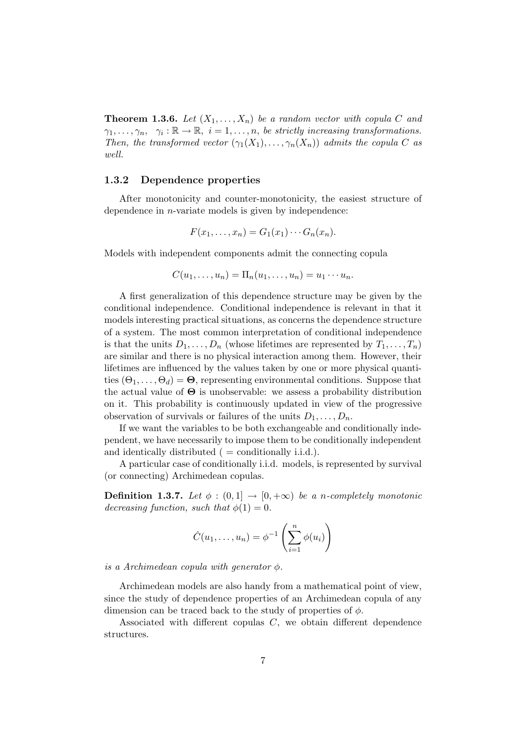**Theorem 1.3.6.** Let  $(X_1, \ldots, X_n)$  be a random vector with copula C and  $\gamma_1,\ldots,\gamma_n,\quad \gamma_i:\mathbb{R}\to\mathbb{R},\ \ i=1,\ldots,n,\ be\ strictly\ increasing\ transformations.$ Then, the transformed vector  $(\gamma_1(X_1), \ldots, \gamma_n(X_n))$  admits the copula C as well.

#### <span id="page-22-0"></span>1.3.2 Dependence properties

After monotonicity and counter-monotonicity, the easiest structure of dependence in *n*-variate models is given by independence:

$$
F(x_1,\ldots,x_n)=G_1(x_1)\cdots G_n(x_n).
$$

Models with independent components admit the connecting copula

$$
C(u_1,\ldots,u_n)=\Pi_n(u_1,\ldots,u_n)=u_1\cdots u_n.
$$

A first generalization of this dependence structure may be given by the conditional independence. Conditional independence is relevant in that it models interesting practical situations, as concerns the dependence structure of a system. The most common interpretation of conditional independence is that the units  $D_1, \ldots, D_n$  (whose lifetimes are represented by  $T_1, \ldots, T_n$ ) are similar and there is no physical interaction among them. However, their lifetimes are influenced by the values taken by one or more physical quantities  $(\Theta_1, \ldots, \Theta_d) = \mathbf{\Theta}$ , representing environmental conditions. Suppose that the actual value of  $\Theta$  is unobservable: we assess a probability distribution on it. This probability is continuously updated in view of the progressive observation of survivals or failures of the units  $D_1, \ldots, D_n$ .

If we want the variables to be both exchangeable and conditionally independent, we have necessarily to impose them to be conditionally independent and identically distributed  $($  = conditionally i.i.d. $)$ .

A particular case of conditionally i.i.d. models, is represented by survival (or connecting) Archimedean copulas.

**Definition 1.3.7.** Let  $\phi : (0,1] \rightarrow [0,+\infty)$  be a n-completely monotonic decreasing function, such that  $\phi(1) = 0$ .

$$
\hat{C}(u_1,\ldots,u_n)=\phi^{-1}\left(\sum_{i=1}^n\phi(u_i)\right)
$$

is a Archimedean copula with generator  $\phi$ .

Archimedean models are also handy from a mathematical point of view, since the study of dependence properties of an Archimedean copula of any dimension can be traced back to the study of properties of  $\phi$ .

Associated with different copulas C, we obtain different dependence structures.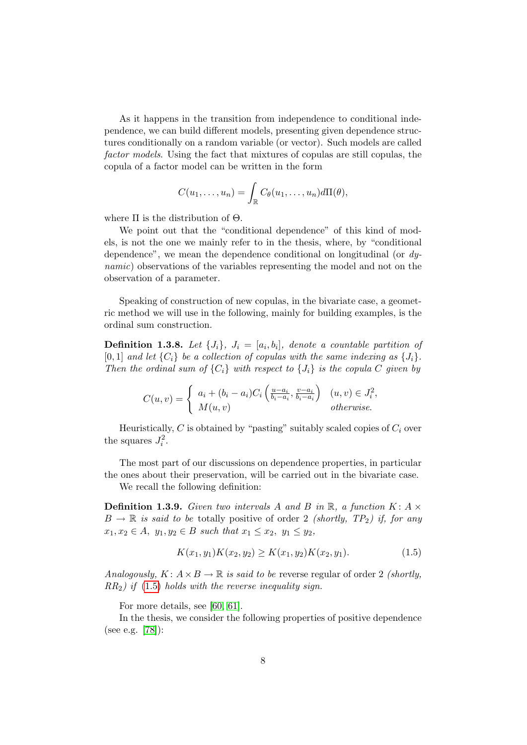As it happens in the transition from independence to conditional independence, we can build different models, presenting given dependence structures conditionally on a random variable (or vector). Such models are called factor models. Using the fact that mixtures of copulas are still copulas, the copula of a factor model can be written in the form

$$
C(u_1,\ldots,u_n)=\int_{\mathbb{R}}C_{\theta}(u_1,\ldots,u_n)d\Pi(\theta),
$$

where  $\Pi$  is the distribution of  $\Theta$ .

We point out that the "conditional dependence" of this kind of models, is not the one we mainly refer to in the thesis, where, by "conditional dependence", we mean the dependence conditional on longitudinal (or dynamic) observations of the variables representing the model and not on the observation of a parameter.

Speaking of construction of new copulas, in the bivariate case, a geometric method we will use in the following, mainly for building examples, is the ordinal sum construction.

**Definition 1.3.8.** Let  $\{J_i\}$ ,  $J_i = [a_i, b_i]$ , denote a countable partition of [0, 1] and let  $\{C_i\}$  be a collection of copulas with the same indexing as  $\{J_i\}$ . Then the ordinal sum of  $\{C_i\}$  with respect to  $\{J_i\}$  is the copula C given by

$$
C(u,v) = \begin{cases} a_i + (b_i - a_i)C_i \left( \frac{u - a_i}{b_i - a_i}, \frac{v - a_i}{b_i - a_i} \right) & (u,v) \in J_i^2, \\ M(u,v) & otherwise. \end{cases}
$$

Heuristically,  $C$  is obtained by "pasting" suitably scaled copies of  $C_i$  over the squares  $J_i^2$ .

The most part of our discussions on dependence properties, in particular the ones about their preservation, will be carried out in the bivariate case.

We recall the following definition:

**Definition 1.3.9.** Given two intervals A and B in  $\mathbb{R}$ , a function K: A  $\times$  $B \to \mathbb{R}$  is said to be totally positive of order 2 *(shortly, TP<sub>2</sub>)* if, for any  $x_1, x_2 \in A$ ,  $y_1, y_2 \in B$  such that  $x_1 \le x_2, y_1 \le y_2$ ,

<span id="page-23-0"></span>
$$
K(x_1, y_1)K(x_2, y_2) \ge K(x_1, y_2)K(x_2, y_1). \tag{1.5}
$$

Analogously,  $K: A \times B \to \mathbb{R}$  is said to be reverse regular of order 2 *(shortly,*  $RR<sub>2</sub>$ ) if [\(1.5\)](#page-23-0) holds with the reverse inequality sign.

For more details, see [\[60,](#page-121-10) [61\]](#page-121-11).

In the thesis, we consider the following properties of positive dependence (see e.g. [\[78\]](#page-122-1)):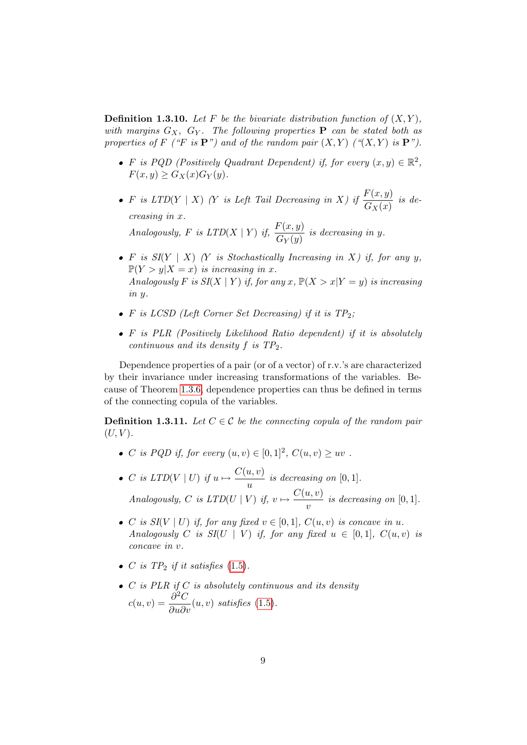**Definition 1.3.10.** Let F be the bivariate distribution function of  $(X, Y)$ , with margins  $G_X$ ,  $G_Y$ . The following properties **P** can be stated both as properties of F ("F is  $\mathbf{P}$ ") and of the random pair  $(X, Y)$  (" $(X, Y)$  is  $\mathbf{P}$ ").

- F is PQD (Positively Quadrant Dependent) if, for every  $(x, y) \in \mathbb{R}^2$ ,  $F(x, y) > G<sub>X</sub>(x)G<sub>Y</sub>(y)$ .
- F is LTD(Y | X) (Y is Left Tail Decreasing in X) if  $\frac{F(x, y)}{G(x)}$  $\frac{d(x, y)}{G_X(x)}$  is decreasing in x.

Analogously, F is  $LTD(X | Y)$  if,  $\frac{F(x, y)}{G(x)}$  $\frac{G_Y(y)}{G_Y(y)}$  is decreasing in y.

- F is  $SI(Y \mid X)$  (Y is Stochastically Increasing in X) if, for any y,  $\mathbb{P}(Y > y | X = x)$  is increasing in x. Analogously F is  $SI(X | Y)$  if, for any x,  $\mathbb{P}(X > x | Y = y)$  is increasing in y.
- F is LCSD (Left Corner Set Decreasing) if it is  $TP_2$ ;
- $\bullet$  F is PLR (Positively Likelihood Ratio dependent) if it is absolutely continuous and its density  $f$  is  $TP_2$ .

Dependence properties of a pair (or of a vector) of r.v.'s are characterized by their invariance under increasing transformations of the variables. Because of Theorem [1.3.6,](#page-21-1) dependence properties can thus be defined in terms of the connecting copula of the variables.

<span id="page-24-0"></span>**Definition 1.3.11.** Let  $C \in \mathcal{C}$  be the connecting copula of the random pair  $(U, V)$ .

- C is PQD if, for every  $(u, v) \in [0, 1]^2$ ,  $C(u, v) \ge uv$ .
- C is  $LTD(V \mid U)$  if  $u \mapsto \frac{C(u, v)}{U}$  $\frac{u,v}{u}$  is decreasing on [0, 1]. Analogously, C is  $LTD(U | V)$  if,  $v \mapsto \frac{C(u, v)}{V}$  $\frac{\alpha, \, \circ \, \cdot \,}{v}$  is decreasing on [0, 1].
- C is  $SI(V | U)$  if, for any fixed  $v \in [0,1]$ ,  $C(u, v)$  is concave in u. Analogously C is  $SI(U | V)$  if, for any fixed  $u \in [0,1], C(u, v)$  is concave in v.
- C is  $TP_2$  if it satisfies [\(1.5\)](#page-23-0).
- $\bullet$  C is PLR if C is absolutely continuous and its density  $c(u, v) = \frac{\partial^2 C}{\partial u^2}$  $\frac{\partial}{\partial u \partial v}(u, v)$  satisfies [\(1.5\)](#page-23-0).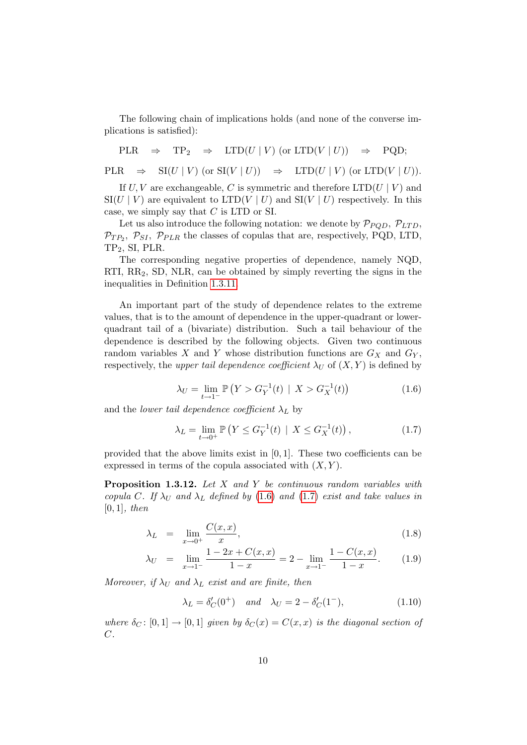The following chain of implications holds (and none of the converse implications is satisfied):

 $PLR \Rightarrow TP_2 \Rightarrow LTD(U | V)$  (or  $LTD(V | U)$ )  $\Rightarrow PQD;$ 

 $PLR \Rightarrow SI(U | V)$  (or  $SI(V | U)$ )  $\Rightarrow LTD(U | V)$  (or  $LTD(V | U)$ ).

If  $U, V$  are exchangeable, C is symmetric and therefore LTD( $U | V$ ) and  $\text{SI}(U | V)$  are equivalent to  $\text{LTD}(V | U)$  and  $\text{SI}(V | U)$  respectively. In this case, we simply say that C is LTD or SI.

Let us also introduce the following notation: we denote by  $\mathcal{P}_{PQD}$ ,  $\mathcal{P}_{LTD}$ ,  $\mathcal{P}_{TP_2}, \ \mathcal{P}_{SI}, \ \mathcal{P}_{PLR}$  the classes of copulas that are, respectively, PQD, LTD, TP<sub>2</sub>, SI, PLR.

The corresponding negative properties of dependence, namely NQD, RTI,  $RR_2$ , SD, NLR, can be obtained by simply reverting the signs in the inequalities in Definition [1.3.11.](#page-24-0)

An important part of the study of dependence relates to the extreme values, that is to the amount of dependence in the upper-quadrant or lowerquadrant tail of a (bivariate) distribution. Such a tail behaviour of the dependence is described by the following objects. Given two continuous random variables X and Y whose distribution functions are  $G_X$  and  $G_Y$ , respectively, the upper tail dependence coefficient  $\lambda_U$  of  $(X, Y)$  is defined by

<span id="page-25-1"></span>
$$
\lambda_U = \lim_{t \to 1^-} \mathbb{P}\left(Y > G_Y^{-1}(t) \mid X > G_X^{-1}(t)\right) \tag{1.6}
$$

<span id="page-25-0"></span>and the lower tail dependence coefficient  $\lambda_L$  by

$$
\lambda_L = \lim_{t \to 0^+} \mathbb{P}\left(Y \le G_Y^{-1}(t) \mid X \le G_X^{-1}(t)\right),\tag{1.7}
$$

provided that the above limits exist in  $[0, 1]$ . These two coefficients can be expressed in terms of the copula associated with  $(X, Y)$ .

Proposition 1.3.12. Let X and Y be continuous random variables with copula C. If  $\lambda_U$  and  $\lambda_L$  defined by [\(1.6\)](#page-25-0) and [\(1.7\)](#page-25-1) exist and take values in  $[0, 1]$ , then

$$
\lambda_L = \lim_{x \to 0^+} \frac{C(x, x)}{x}, \tag{1.8}
$$

$$
\lambda_U = \lim_{x \to 1^-} \frac{1 - 2x + C(x, x)}{1 - x} = 2 - \lim_{x \to 1^-} \frac{1 - C(x, x)}{1 - x}.
$$
 (1.9)

Moreover, if  $\lambda_U$  and  $\lambda_L$  exist and are finite, then

$$
\lambda_L = \delta'_C(0^+) \quad \text{and} \quad \lambda_U = 2 - \delta'_C(1^-), \tag{1.10}
$$

where  $\delta_C : [0,1] \to [0,1]$  given by  $\delta_C(x) = C(x,x)$  is the diagonal section of  $C$ .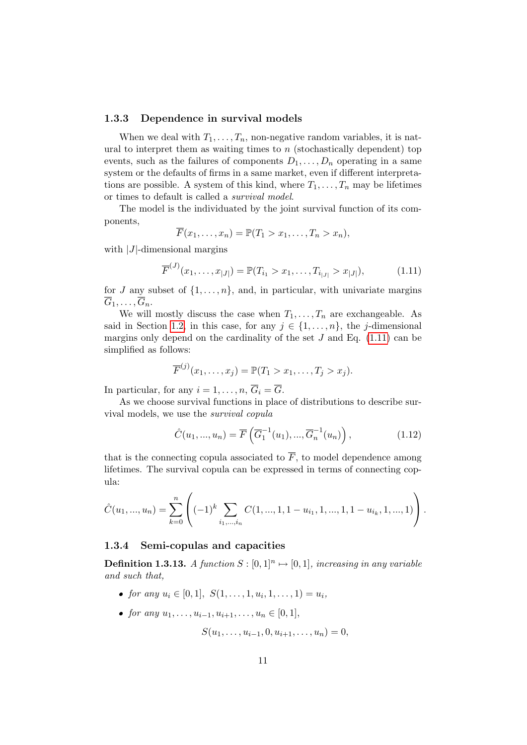#### <span id="page-26-0"></span>1.3.3 Dependence in survival models

When we deal with  $T_1, \ldots, T_n$ , non-negative random variables, it is natural to interpret them as waiting times to  $n$  (stochastically dependent) top events, such as the failures of components  $D_1, \ldots, D_n$  operating in a same system or the defaults of firms in a same market, even if different interpretations are possible. A system of this kind, where  $T_1, \ldots, T_n$  may be lifetimes or times to default is called a survival model.

The model is the individuated by the joint survival function of its components,

<span id="page-26-2"></span>
$$
\overline{F}(x_1,\ldots,x_n)=\mathbb{P}(T_1>x_1,\ldots,T_n>x_n),
$$

with  $|J|$ -dimensional margins

$$
\overline{F}^{(J)}(x_1,\ldots,x_{|J|}) = \mathbb{P}(T_{i_1} > x_1,\ldots,T_{i_{|J|}} > x_{|J|}),
$$
\n(1.11)

for J any subset of  $\{1, \ldots, n\}$ , and, in particular, with univariate margins  $\overline{G}_1, \ldots, \overline{G}_n.$ 

We will mostly discuss the case when  $T_1, \ldots, T_n$  are exchangeable. As said in Section [1.2,](#page-18-0) in this case, for any  $j \in \{1, \ldots, n\}$ , the j-dimensional margins only depend on the cardinality of the set  $J$  and Eq. [\(1.11\)](#page-26-2) can be simplified as follows:

$$
\overline{F}^{(j)}(x_1,\ldots,x_j)=\mathbb{P}(T_1>x_1,\ldots,T_j>x_j).
$$

In particular, for any  $i = 1, \ldots, n$ ,  $\overline{G}_i = \overline{G}$ .

As we choose survival functions in place of distributions to describe survival models, we use the survival copula

$$
\hat{C}(u_1, ..., u_n) = \overline{F}\left(\overline{G}_1^{-1}(u_1), ..., \overline{G}_n^{-1}(u_n)\right),
$$
\n(1.12)

that is the connecting copula associated to  $\overline{F}$ , to model dependence among lifetimes. The survival copula can be expressed in terms of connecting copula:

$$
\hat{C}(u_1, ..., u_n) = \sum_{k=0}^n \left( (-1)^k \sum_{i_1, ..., i_n} C(1, ..., 1, 1 - u_{i_1}, 1, ..., 1, 1 - u_{i_k}, 1, ..., 1) \right).
$$

#### <span id="page-26-1"></span>1.3.4 Semi-copulas and capacities

**Definition 1.3.13.** A function  $S : [0,1]^n \mapsto [0,1]$ , increasing in any variable and such that,

- for any  $u_i \in [0,1], S(1,\ldots,1,u_i,1,\ldots,1) = u_i$ ,
- for any  $u_1, \ldots, u_{i-1}, u_{i+1}, \ldots, u_n \in [0, 1],$

$$
S(u_1,\ldots,u_{i-1},0,u_{i+1},\ldots,u_n)=0,
$$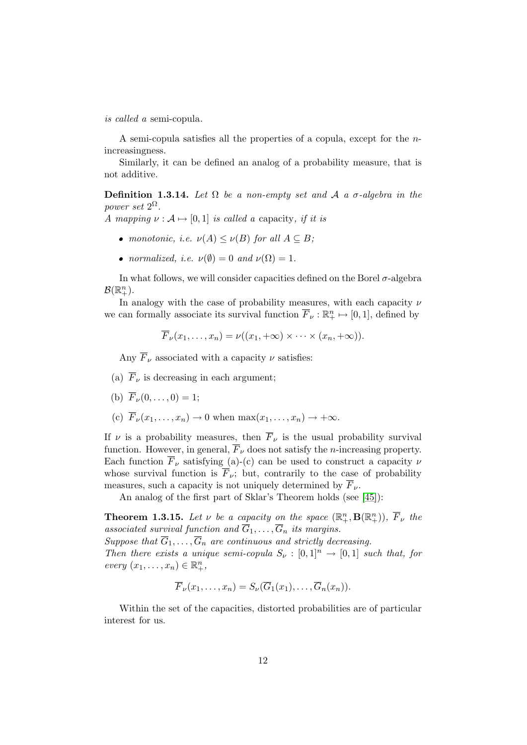is called a semi-copula.

A semi-copula satisfies all the properties of a copula, except for the nincreasingness.

Similarly, it can be defined an analog of a probability measure, that is not additive.

Definition 1.3.14. Let  $\Omega$  be a non-empty set and  $\mathcal A$  a  $\sigma$ -algebra in the power set  $2^{\Omega}$ .

A mapping  $\nu : A \mapsto [0, 1]$  is called a capacity, if it is

- monotonic, i.e.  $\nu(A) \leq \nu(B)$  for all  $A \subseteq B$ ;
- normalized, i.e.  $\nu(\emptyset) = 0$  and  $\nu(\Omega) = 1$ .

In what follows, we will consider capacities defined on the Borel  $\sigma$ -algebra  $\mathcal{B}(\mathbb{R}^n_+).$ 

In analogy with the case of probability measures, with each capacity  $\nu$ we can formally associate its survival function  $\overline{F}_{\nu} : \mathbb{R}^n_+ \mapsto [0,1]$ , defined by

$$
\overline{F}_{\nu}(x_1,\ldots,x_n)=\nu((x_1,+\infty)\times\cdots\times(x_n,+\infty)).
$$

Any  $\overline{F}_{\nu}$  associated with a capacity  $\nu$  satisfies:

- (a)  $\overline{F}_{\nu}$  is decreasing in each argument;
- (b)  $\overline{F}_{\nu}(0,\ldots,0) = 1;$
- (c)  $\overline{F}_{\nu}(x_1,\ldots,x_n)\to 0$  when  $\max(x_1,\ldots,x_n)\to+\infty$ .

If  $\nu$  is a probability measures, then  $\overline{F}_{\nu}$  is the usual probability survival function. However, in general,  $\overline{F}_{\nu}$  does not satisfy the *n*-increasing property. Each function  $\overline{F}_{\nu}$  satisfying (a)-(c) can be used to construct a capacity  $\nu$ whose survival function is  $\overline{F}_{\nu}$ ; but, contrarily to the case of probability measures, such a capacity is not uniquely determined by  $\overline{F}_{\nu}$ .

An analog of the first part of Sklar's Theorem holds (see [\[45\]](#page-120-4)):

**Theorem 1.3.15.** Let  $\nu$  be a capacity on the space  $(\mathbb{R}^n_+, \mathbf{B}(\mathbb{R}^n_+)), \ \overline{F}_{\nu}$  the associated survival function and  $\overline{G}_1, \ldots, \overline{G}_n$  its margins. Suppose that  $\overline{G}_1, \ldots, \overline{G}_n$  are continuous and strictly decreasing. Then there exists a unique semi-copula  $S_{\nu} : [0,1]^{n} \rightarrow [0,1]$  such that, for  $every (x_1, \ldots, x_n) \in \mathbb{R}_+^n,$ 

$$
\overline{F}_{\nu}(x_1,\ldots,x_n)=S_{\nu}(\overline{G}_1(x_1),\ldots,\overline{G}_n(x_n)).
$$

Within the set of the capacities, distorted probabilities are of particular interest for us.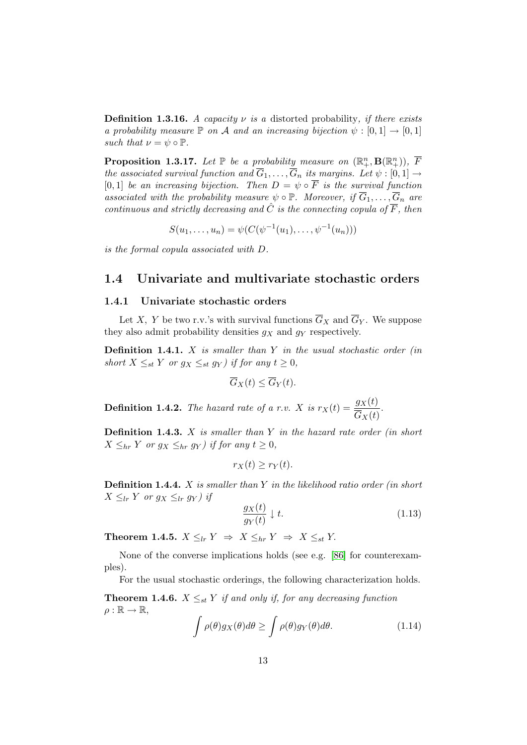**Definition 1.3.16.** A capacity  $\nu$  is a distorted probability, if there exists a probability measure  $\mathbb P$  on A and an increasing bijection  $\psi : [0,1] \to [0,1]$ such that  $\nu = \psi \circ \mathbb{P}$ .

**Proposition 1.3.17.** Let  $\mathbb{P}$  be a probability measure on  $(\mathbb{R}^n_+, \mathbf{B}(\mathbb{R}^n_+)), \ \overline{F}$ the associated survival function and  $\overline{G}_1, \ldots, \overline{G}_n$  its margins. Let  $\psi : [0,1] \rightarrow$ [0, 1] be an increasing bijection. Then  $D = \psi \circ \overline{F}$  is the survival function associated with the probability measure  $\psi \circ \mathbb{P}$ . Moreover, if  $\overline{G}_1, \ldots, \overline{G}_n$  are continuous and strictly decreasing and  $\hat{C}$  is the connecting copula of  $\overline{F}$ , then

$$
S(u_1, \ldots, u_n) = \psi(C(\psi^{-1}(u_1), \ldots, \psi^{-1}(u_n)))
$$

is the formal copula associated with D.

### <span id="page-28-0"></span>1.4 Univariate and multivariate stochastic orders

#### <span id="page-28-1"></span>1.4.1 Univariate stochastic orders

Let X, Y be two r.v.'s with survival functions  $\overline{G}_X$  and  $\overline{G}_Y$ . We suppose they also admit probability densities  $g_X$  and  $g_Y$  respectively.

**Definition 1.4.1.**  $X$  is smaller than  $Y$  in the usual stochastic order (in short  $X \leq_{st} Y$  or  $g_X \leq_{st} g_Y$ ) if for any  $t \geq 0$ ,

$$
\overline{G}_X(t) \le \overline{G}_Y(t).
$$

**Definition 1.4.2.** The hazard rate of a r.v. X is  $r_X(t) = \frac{g_X(t)}{\sigma_{\text{max}}(t)}$  $G_X(t)$ .

**Definition 1.4.3.**  $X$  is smaller than  $Y$  in the hazard rate order (in short  $X \leq_{hr} Y$  or  $g_X \leq_{hr} g_Y$  if for any  $t \geq 0$ ,

$$
r_X(t) \ge r_Y(t).
$$

**Definition 1.4.4.**  $X$  is smaller than  $Y$  in the likelihood ratio order (in short  $X \leq_{lr} Y$  or  $g_X \leq_{lr} g_Y$ ) if

$$
\frac{g_X(t)}{g_Y(t)} \downarrow t. \tag{1.13}
$$

Theorem 1.4.5.  $X \leq_{lr} Y \Rightarrow X \leq_{hr} Y \Rightarrow X \leq_{st} Y$ .

None of the converse implications holds (see e.g. [\[86\]](#page-123-3) for counterexamples).

For the usual stochastic orderings, the following characterization holds.

**Theorem 1.4.6.**  $X \leq_{st} Y$  if and only if, for any decreasing function  $\rho : \mathbb{R} \to \mathbb{R},$ 

$$
\int \rho(\theta) g_X(\theta) d\theta \ge \int \rho(\theta) g_Y(\theta) d\theta. \tag{1.14}
$$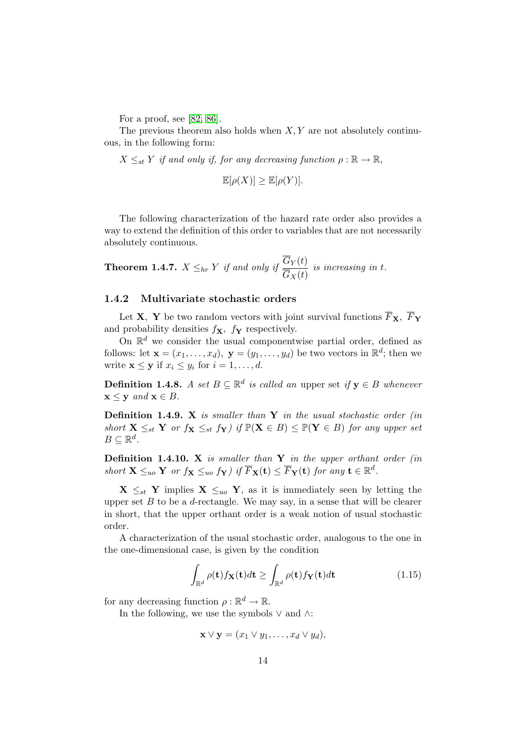For a proof, see [\[82,](#page-123-1) [86\]](#page-123-3).

The previous theorem also holds when  $X, Y$  are not absolutely continuous, in the following form:

 $X \leq_{st} Y$  if and only if, for any decreasing function  $\rho : \mathbb{R} \to \mathbb{R}$ ,

$$
\mathbb{E}[\rho(X)] \ge \mathbb{E}[\rho(Y)].
$$

The following characterization of the hazard rate order also provides a way to extend the definition of this order to variables that are not necessarily absolutely continuous.

**Theorem 1.4.7.**  $X \leq_{hr} Y$  if and only if  $\frac{G_Y(t)}{G_Y(t)}$  $G_X(t)$ is increasing in t.

#### <span id="page-29-0"></span>1.4.2 Multivariate stochastic orders

Let **X**, **Y** be two random vectors with joint survival functions  $\overline{F}_{\mathbf{X}}$ ,  $\overline{F}_{\mathbf{Y}}$ and probability densities  $f_{\mathbf{X}}$ ,  $f_{\mathbf{Y}}$  respectively.

On  $\mathbb{R}^d$  we consider the usual componentwise partial order, defined as follows: let  $\mathbf{x} = (x_1, \dots, x_d)$ ,  $\mathbf{y} = (y_1, \dots, y_d)$  be two vectors in  $\mathbb{R}^d$ ; then we write  $\mathbf{x} \leq \mathbf{y}$  if  $x_i \leq y_i$  for  $i = 1, \ldots, d$ .

**Definition 1.4.8.** A set  $B \subseteq \mathbb{R}^d$  is called an upper set if  $y \in B$  whenever  $\mathbf{x} \leq \mathbf{y}$  and  $\mathbf{x} \in B$ .

**Definition 1.4.9.** X is smaller than Y in the usual stochastic order (in short  $X \leq_{st} Y$  or  $f_X \leq_{st} f_Y$  if  $\mathbb{P}(X \in B) \leq \mathbb{P}(Y \in B)$  for any upper set  $B \subseteq \mathbb{R}^d$ .

**Definition 1.4.10.** X is smaller than  $Y$  in the upper orthant order (in short  $\mathbf{X} \leq_{uo} \mathbf{Y}$  or  $f_{\mathbf{X}} \leq_{uo} f_{\mathbf{Y}}$  if  $\overline{F}_{\mathbf{X}}(\mathbf{t}) \leq \overline{F}_{\mathbf{Y}}(\mathbf{t})$  for any  $\mathbf{t} \in \mathbb{R}^d$ .

 $\mathbf{X} \leq_{st} \mathbf{Y}$  implies  $\mathbf{X} \leq_{uo} \mathbf{Y}$ , as it is immediately seen by letting the upper set  $B$  to be a  $d$ -rectangle. We may say, in a sense that will be clearer in short, that the upper orthant order is a weak notion of usual stochastic order.

A characterization of the usual stochastic order, analogous to the one in the one-dimensional case, is given by the condition

$$
\int_{\mathbb{R}^d} \rho(\mathbf{t}) f_{\mathbf{X}}(\mathbf{t}) d\mathbf{t} \ge \int_{\mathbb{R}^d} \rho(\mathbf{t}) f_{\mathbf{Y}}(\mathbf{t}) d\mathbf{t} \tag{1.15}
$$

for any decreasing function  $\rho : \mathbb{R}^d \to \mathbb{R}$ .

In the following, we use the symbols  $\vee$  and  $\wedge$ :

$$
\mathbf{x} \vee \mathbf{y} = (x_1 \vee y_1, \dots, x_d \vee y_d),
$$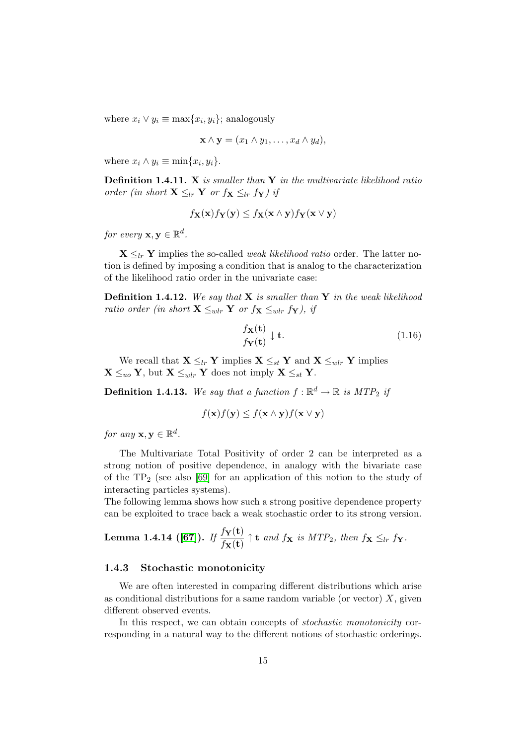where  $x_i \vee y_i \equiv \max\{x_i, y_i\}$ ; analogously

$$
\mathbf{x} \wedge \mathbf{y} = (x_1 \wedge y_1, \dots, x_d \wedge y_d),
$$

where  $x_i \wedge y_i \equiv \min\{x_i, y_i\}.$ 

**Definition 1.4.11.** X is smaller than  $Y$  in the multivariate likelihood ratio order (in short  $\mathbf{X} \leq_{lr} \mathbf{Y}$  or  $f_{\mathbf{X}} \leq_{lr} f_{\mathbf{Y}}$ ) if

$$
f_{\mathbf{X}}(\mathbf{x})f_{\mathbf{Y}}(\mathbf{y}) \le f_{\mathbf{X}}(\mathbf{x} \wedge \mathbf{y})f_{\mathbf{Y}}(\mathbf{x} \vee \mathbf{y})
$$

for every  $\mathbf{x}, \mathbf{y} \in \mathbb{R}^d$ .

 $\mathbf{X} \leq_{lr} \mathbf{Y}$  implies the so-called *weak likelihood ratio* order. The latter notion is defined by imposing a condition that is analog to the characterization of the likelihood ratio order in the univariate case:

**Definition 1.4.12.** We say that  $X$  is smaller than  $Y$  in the weak likelihood ratio order (in short  $\mathbf{X} \leq_{wlr} \mathbf{Y}$  or  $f_{\mathbf{X}} \leq_{wlr} f_{\mathbf{Y}}$ ), if

$$
\frac{f_{\mathbf{X}}(\mathbf{t})}{f_{\mathbf{Y}}(\mathbf{t})} \downarrow \mathbf{t}.\tag{1.16}
$$

We recall that  $\mathbf{X} \leq_{lr} \mathbf{Y}$  implies  $\mathbf{X} \leq_{st} \mathbf{Y}$  and  $\mathbf{X} \leq_{wlr} \mathbf{Y}$  implies  $\mathbf{X} \leq_{uo} \mathbf{Y}$ , but  $\mathbf{X} \leq_{wlr} \mathbf{Y}$  does not imply  $\mathbf{X} \leq_{st} \mathbf{Y}$ .

**Definition 1.4.13.** We say that a function  $f : \mathbb{R}^d \to \mathbb{R}$  is MTP<sub>2</sub> if

$$
f(\mathbf{x})f(\mathbf{y}) \le f(\mathbf{x} \wedge \mathbf{y})f(\mathbf{x} \vee \mathbf{y})
$$

for any  $\mathbf{x}, \mathbf{y} \in \mathbb{R}^d$ .

The Multivariate Total Positivity of order 2 can be interpreted as a strong notion of positive dependence, in analogy with the bivariate case of the  $TP_2$  (see also [\[69\]](#page-122-6) for an application of this notion to the study of interacting particles systems).

The following lemma shows how such a strong positive dependence property can be exploited to trace back a weak stochastic order to its strong version.

**Lemma 1.4.14 ([67]).** *If* 
$$
\frac{f_{\mathbf{Y}}(\mathbf{t})}{f_{\mathbf{X}}(\mathbf{t})}
$$
  $\uparrow$  **t** *and*  $f_{\mathbf{X}}$  *is*  $MTP_2$ , *then*  $f_{\mathbf{X}} \leq_{lr} f_{\mathbf{Y}}$ .

#### <span id="page-30-0"></span>1.4.3 Stochastic monotonicity

We are often interested in comparing different distributions which arise as conditional distributions for a same random variable (or vector)  $X$ , given different observed events.

In this respect, we can obtain concepts of *stochastic monotonicity* corresponding in a natural way to the different notions of stochastic orderings.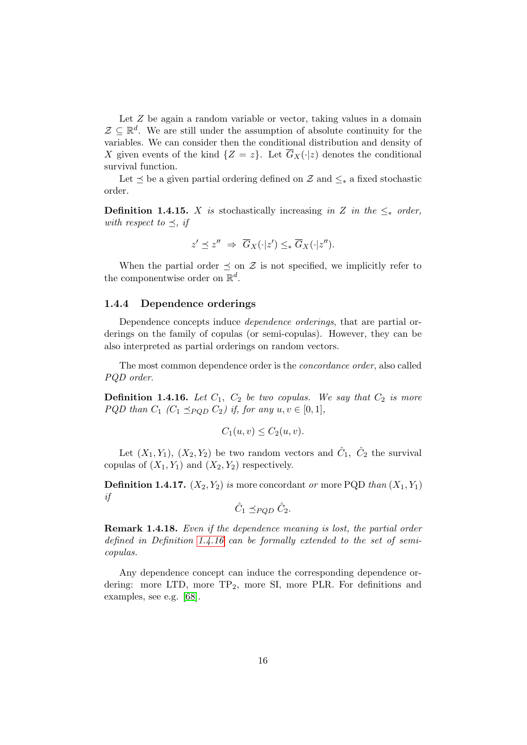Let Z be again a random variable or vector, taking values in a domain  $\mathcal{Z} \subseteq \mathbb{R}^d$ . We are still under the assumption of absolute continuity for the variables. We can consider then the conditional distribution and density of X given events of the kind  $\{Z = z\}$ . Let  $\overline{G}_X(\cdot|z)$  denotes the conditional survival function.

Let  $\leq$  be a given partial ordering defined on  $\mathcal Z$  and  $\leq_*$  a fixed stochastic order.

**Definition 1.4.15.** X is stochastically increasing in Z in the  $\leq_*$  order, with respect to  $\preceq$ , if

$$
z' \preceq z'' \Rightarrow \overline{G}_X(\cdot | z') \leq_* \overline{G}_X(\cdot | z'').
$$

When the partial order  $\preceq$  on  $\mathcal Z$  is not specified, we implicitly refer to the componentwise order on  $\mathbb{R}^d$ .

#### <span id="page-31-0"></span>1.4.4 Dependence orderings

Dependence concepts induce *dependence orderings*, that are partial orderings on the family of copulas (or semi-copulas). However, they can be also interpreted as partial orderings on random vectors.

The most common dependence order is the concordance order, also called PQD order.

<span id="page-31-1"></span>**Definition 1.4.16.** Let  $C_1$ ,  $C_2$  be two copulas. We say that  $C_2$  is more PQD than  $C_1$   $(C_1 \preceq_{PQD} C_2)$  if, for any  $u, v \in [0, 1]$ ,

$$
C_1(u, v) \le C_2(u, v).
$$

Let  $(X_1, Y_1)$ ,  $(X_2, Y_2)$  be two random vectors and  $\hat{C}_1$ ,  $\hat{C}_2$  the survival copulas of  $(X_1, Y_1)$  and  $(X_2, Y_2)$  respectively.

**Definition 1.4.17.**  $(X_2, Y_2)$  is more concordant or more PQD than  $(X_1, Y_1)$ if

$$
\hat{C}_1 \preceq_{PQD} \hat{C}_2.
$$

Remark 1.4.18. Even if the dependence meaning is lost, the partial order defined in Definition [1.4.16](#page-31-1) can be formally extended to the set of semicopulas.

Any dependence concept can induce the corresponding dependence ordering: more LTD, more  $TP_2$ , more SI, more PLR. For definitions and examples, see e.g. [\[68\]](#page-122-8).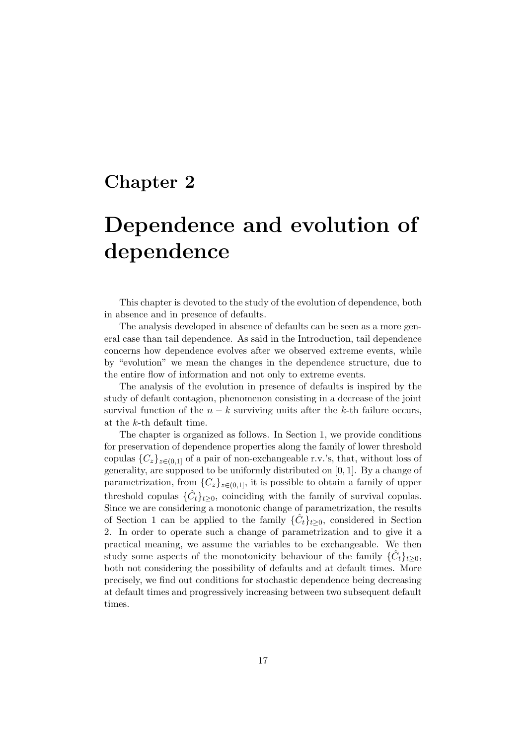# <span id="page-32-0"></span>Chapter 2

# Dependence and evolution of dependence

This chapter is devoted to the study of the evolution of dependence, both in absence and in presence of defaults.

The analysis developed in absence of defaults can be seen as a more general case than tail dependence. As said in the Introduction, tail dependence concerns how dependence evolves after we observed extreme events, while by "evolution" we mean the changes in the dependence structure, due to the entire flow of information and not only to extreme events.

The analysis of the evolution in presence of defaults is inspired by the study of default contagion, phenomenon consisting in a decrease of the joint survival function of the  $n - k$  surviving units after the k-th failure occurs, at the k-th default time.

The chapter is organized as follows. In Section 1, we provide conditions for preservation of dependence properties along the family of lower threshold copulas  ${C_z}_{z\in(0,1]}$  of a pair of non-exchangeable r.v.'s, that, without loss of generality, are supposed to be uniformly distributed on [0, 1]. By a change of parametrization, from  ${C_z}_{z\in(0,1]}$ , it is possible to obtain a family of upper threshold copulas  $\{\hat{C}_t\}_{t\geq 0}$ , coinciding with the family of survival copulas. Since we are considering a monotonic change of parametrization, the results of Section 1 can be applied to the family  $\{\hat{C}_t\}_{t\geq0}$ , considered in Section 2. In order to operate such a change of parametrization and to give it a practical meaning, we assume the variables to be exchangeable. We then study some aspects of the monotonicity behaviour of the family  $\{\hat{C}_t\}_{t\geq 0}$ , both not considering the possibility of defaults and at default times. More precisely, we find out conditions for stochastic dependence being decreasing at default times and progressively increasing between two subsequent default times.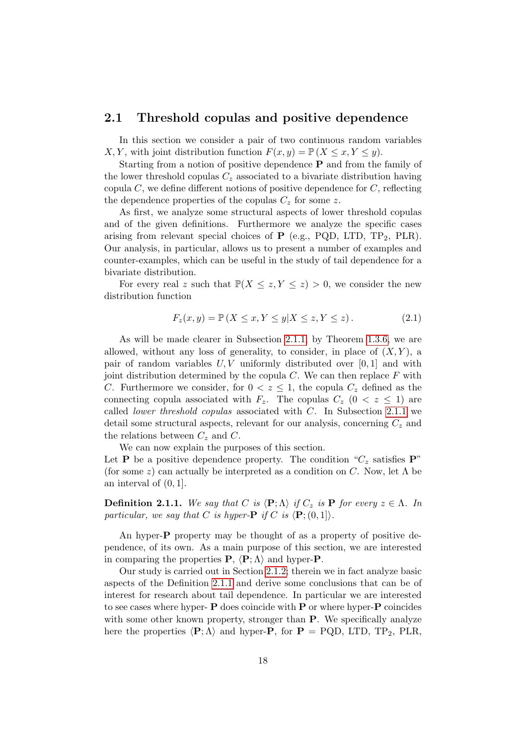### <span id="page-33-0"></span>2.1 Threshold copulas and positive dependence

In this section we consider a pair of two continuous random variables X, Y, with joint distribution function  $F(x, y) = \mathbb{P}(X \leq x, Y \leq y)$ .

Starting from a notion of positive dependence P and from the family of the lower threshold copulas  $C_z$  associated to a bivariate distribution having copula  $C$ , we define different notions of positive dependence for  $C$ , reflecting the dependence properties of the copulas  $C_z$  for some z.

As first, we analyze some structural aspects of lower threshold copulas and of the given definitions. Furthermore we analyze the specific cases arising from relevant special choices of  $P$  (e.g., PQD, LTD, TP<sub>2</sub>, PLR). Our analysis, in particular, allows us to present a number of examples and counter-examples, which can be useful in the study of tail dependence for a bivariate distribution.

For every real z such that  $\mathbb{P}(X \leq z, Y \leq z) > 0$ , we consider the new distribution function

<span id="page-33-2"></span>
$$
F_z(x,y) = \mathbb{P}\left(X \le x, Y \le y | X \le z, Y \le z\right). \tag{2.1}
$$

As will be made clearer in Subsection [2.1.1,](#page-34-0) by Theorem [1.3.6,](#page-21-1) we are allowed, without any loss of generality, to consider, in place of  $(X, Y)$ , a pair of random variables  $U, V$  uniformly distributed over  $[0, 1]$  and with joint distribution determined by the copula  $C$ . We can then replace  $F$  with C. Furthermore we consider, for  $0 < z \leq 1$ , the copula  $C_z$  defined as the connecting copula associated with  $F_z$ . The copulas  $C_z$   $(0 \lt z \le 1)$  are called *lower threshold copulas* associated with  $C$ . In Subsection [2.1.1](#page-34-0) we detail some structural aspects, relevant for our analysis, concerning  $C_z$  and the relations between  $C_z$  and  $C$ .

We can now explain the purposes of this section.

Let **P** be a positive dependence property. The condition " $C_z$  satisfies **P**" (for some z) can actually be interpreted as a condition on C. Now, let  $\Lambda$  be an interval of (0, 1].

<span id="page-33-1"></span>**Definition 2.1.1.** We say that C is  $\langle P; \Lambda \rangle$  if  $C_z$  is P for every  $z \in \Lambda$ . In particular, we say that C is hyper- $\mathbf P$  if C is  $\langle \mathbf P; (0,1] \rangle$ .

An hyper-P property may be thought of as a property of positive dependence, of its own. As a main purpose of this section, we are interested in comparing the properties  $P$ ,  $\langle P; \Lambda \rangle$  and hyper-P.

Our study is carried out in Section [2.1.2;](#page-38-0) therein we in fact analyze basic aspects of the Definition [2.1.1](#page-33-1) and derive some conclusions that can be of interest for research about tail dependence. In particular we are interested to see cases where hyper- $P$  does coincide with  $P$  or where hyper- $P$  coincides with some other known property, stronger than **P**. We specifically analyze here the properties  $\langle P; \Lambda \rangle$  and hyper-P, for  $P = PQD$ , LTD, TP<sub>2</sub>, PLR,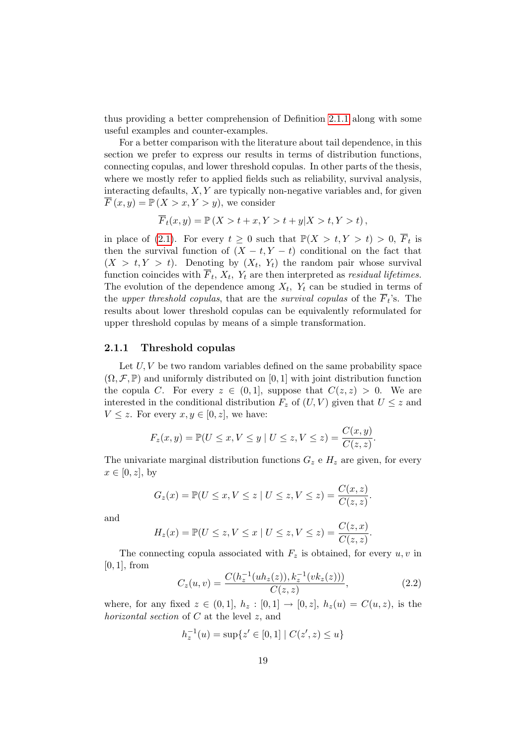thus providing a better comprehension of Definition [2.1.1](#page-33-1) along with some useful examples and counter-examples.

For a better comparison with the literature about tail dependence, in this section we prefer to express our results in terms of distribution functions, connecting copulas, and lower threshold copulas. In other parts of the thesis, where we mostly refer to applied fields such as reliability, survival analysis, interacting defaults,  $X, Y$  are typically non-negative variables and, for given  $\overline{F}(x, y) = \mathbb{P}(X > x, Y > y)$ , we consider

$$
\overline{F}_t(x,y) = \mathbb{P}\left(X > t + x, Y > t + y | X > t, Y > t\right),\,
$$

in place of [\(2.1\)](#page-33-2). For every  $t \geq 0$  such that  $\mathbb{P}(X > t, Y > t) > 0$ ,  $\overline{F}_t$  is then the survival function of  $(X - t, Y - t)$  conditional on the fact that  $(X > t, Y > t)$ . Denoting by  $(X_t, Y_t)$  the random pair whose survival function coincides with  $F_t$ ,  $X_t$ ,  $Y_t$  are then interpreted as *residual lifetimes*. The evolution of the dependence among  $X_t$ ,  $Y_t$  can be studied in terms of the upper threshold copulas, that are the survival copulas of the  $F_t$ 's. The results about lower threshold copulas can be equivalently reformulated for upper threshold copulas by means of a simple transformation.

#### <span id="page-34-0"></span>2.1.1 Threshold copulas

Let  $U, V$  be two random variables defined on the same probability space  $(\Omega, \mathcal{F}, \mathbb{P})$  and uniformly distributed on [0, 1] with joint distribution function the copula C. For every  $z \in (0,1]$ , suppose that  $C(z, z) > 0$ . We are interested in the conditional distribution  $F_z$  of  $(U, V)$  given that  $U \leq z$  and  $V \leq z$ . For every  $x, y \in [0, z]$ , we have:

$$
F_z(x, y) = \mathbb{P}(U \le x, V \le y \mid U \le z, V \le z) = \frac{C(x, y)}{C(z, z)}.
$$

The univariate marginal distribution functions  $G_z$  e  $H_z$  are given, for every  $x \in [0, z]$ , by

$$
G_z(x) = \mathbb{P}(U \le x, V \le z \mid U \le z, V \le z) = \frac{C(x, z)}{C(z, z)}.
$$

and

$$
H_z(x) = \mathbb{P}(U \le z, V \le x \mid U \le z, V \le z) = \frac{C(z, x)}{C(z, z)}
$$

The connecting copula associated with  $F_z$  is obtained, for every  $u, v$  in  $[0, 1]$ , from

<span id="page-34-1"></span>
$$
C_z(u,v) = \frac{C(h_z^{-1}(uh_z(z)), k_z^{-1}(vk_z(z)))}{C(z,z)},
$$
\n(2.2)

.

where, for any fixed  $z \in (0,1], h_z : [0,1] \to [0, z], h_z(u) = C(u, z)$ , is the horizontal section of C at the level z, and

$$
h_z^{-1}(u) = \sup\{z' \in [0,1] \mid C(z',z) \le u\}
$$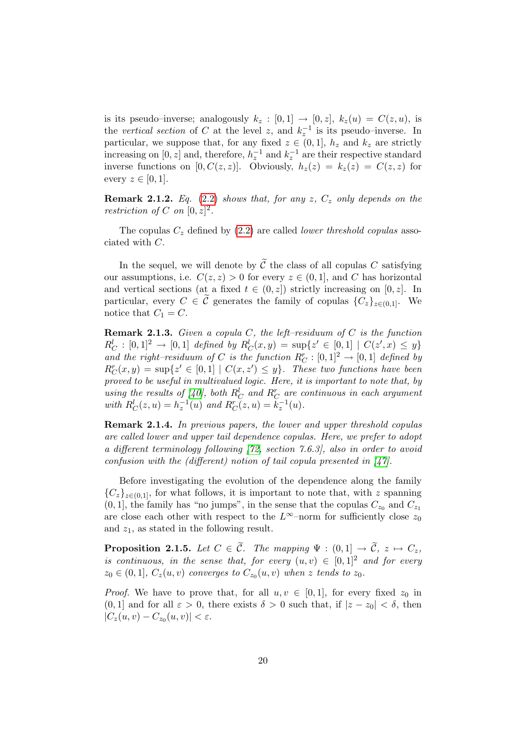is its pseudo–inverse; analogously  $k_z : [0,1] \rightarrow [0,z], k_z(u) = C(z,u)$ , is the vertical section of C at the level z, and  $k_z^{-1}$  is its pseudo–inverse. In particular, we suppose that, for any fixed  $z \in (0,1]$ ,  $h_z$  and  $k_z$  are strictly increasing on  $[0, z]$  and, therefore,  $h_z^{-1}$  and  $k_z^{-1}$  are their respective standard inverse functions on [0,  $C(z, z)$ ]. Obviously,  $h_z(z) = k_z(z) = C(z, z)$  for every  $z \in [0,1]$ .

**Remark 2.1.2.** Eq. [\(2.2\)](#page-34-1) shows that, for any  $z$ ,  $C_z$  only depends on the restriction of C on  $[0, z]^2$ .

The copulas  $C_z$  defined by [\(2.2\)](#page-34-1) are called *lower threshold copulas* associated with C.

In the sequel, we will denote by  $\tilde{\mathcal{C}}$  the class of all copulas C satisfying our assumptions, i.e.  $C(z, z) > 0$  for every  $z \in (0, 1]$ , and C has horizontal and vertical sections (at a fixed  $t \in (0, z]$ ) strictly increasing on [0, z]. In particular, every  $C \in \tilde{\mathcal{C}}$  generates the family of copulas  $\{C_z\}_{z \in (0,1]}$ . We notice that  $C_1 = C$ .

**Remark 2.1.3.** Given a copula C, the left–residuum of C is the function  $R_C^l : [0,1]^2 \to [0,1]$  defined by  $R_C^l(x,y) = \sup\{z' \in [0,1] \mid C(z',x) \leq y\}$ and the right–residuum of C is the function  $R_C^r : [0,1]^2 \to [0,1]$  defined by  $R_C^r(x, y) = \sup\{z' \in [0, 1] \mid C(x, z') \leq y\}.$  These two functions have been proved to be useful in multivalued logic. Here, it is important to note that, by using the results of [\[40\]](#page-120-6), both  $R_C^l$  and  $R_C^r$  are continuous in each argument with  $R_C^l(z, u) = h_z^{-1}(u)$  and  $R_C^r(z, u) = k_z^{-1}(u)$ .

Remark 2.1.4. In previous papers, the lower and upper threshold copulas are called lower and upper tail dependence copulas. Here, we prefer to adopt a different terminology following [\[72,](#page-122-0) section 7.6.3], also in order to avoid confusion with the (different) notion of tail copula presented in  $\frac{1}{4}$ .

Before investigating the evolution of the dependence along the family  ${C_z}_{z\in(0,1]}$ , for what follows, it is important to note that, with z spanning  $(0, 1]$ , the family has "no jumps", in the sense that the copulas  $C_{z_0}$  and  $C_{z_1}$ are close each other with respect to the  $L^{\infty}$ –norm for sufficiently close  $z_0$ and  $z_1$ , as stated in the following result.

**Proposition 2.1.5.** Let  $C \in \tilde{C}$ . The mapping  $\Psi : (0,1] \rightarrow \tilde{C}$ ,  $z \mapsto C_z$ , is continuous, in the sense that, for every  $(u, v) \in [0, 1]^2$  and for every  $z_0 \in (0,1], C_z(u,v)$  converges to  $C_{z_0}(u,v)$  when z tends to  $z_0$ .

*Proof.* We have to prove that, for all  $u, v \in [0, 1]$ , for every fixed  $z_0$  in  $(0, 1]$  and for all  $\varepsilon > 0$ , there exists  $\delta > 0$  such that, if  $|z - z_0| < \delta$ , then  $|C_z(u, v) - C_{z_0}(u, v)| < \varepsilon.$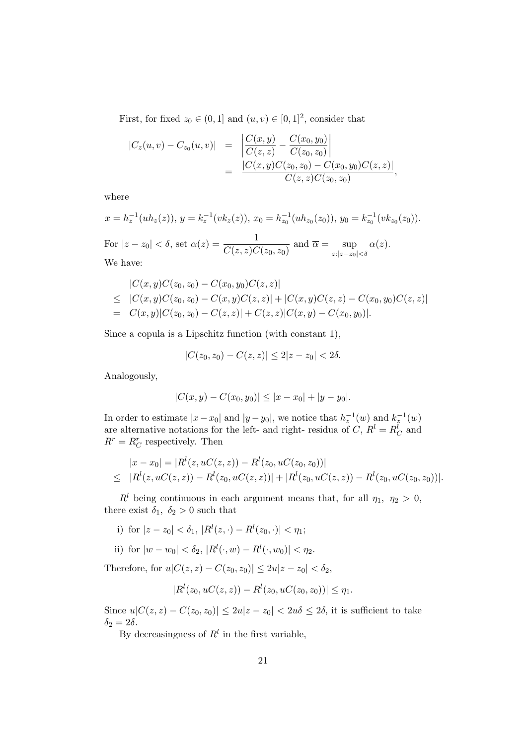First, for fixed  $z_0 \in (0,1]$  and  $(u, v) \in [0,1]^2$ , consider that

$$
|C_z(u, v) - C_{z_0}(u, v)| = \left| \frac{C(x, y)}{C(z, z)} - \frac{C(x_0, y_0)}{C(z_0, z_0)} \right|
$$
  
= 
$$
\frac{|C(x, y)C(z_0, z_0) - C(x_0, y_0)C(z, z)|}{C(z, z)C(z_0, z_0)},
$$

where

$$
x = h_z^{-1}(uh_z(z)), y = k_z^{-1}(vk_z(z)), x_0 = h_{z_0}^{-1}(uh_{z_0}(z_0)), y_0 = k_{z_0}^{-1}(vk_{z_0}(z_0)).
$$
  
For  $|z - z_0| < \delta$ , set  $\alpha(z) = \frac{1}{C(z, z)C(z_0, z_0)}$  and  $\overline{\alpha} = \sup_{z:|z - z_0| < \delta} \alpha(z)$ .  
We have:

$$
|C(x,y)C(z_0,z_0) - C(x_0,y_0)C(z,z)|
$$
  
\n
$$
\leq |C(x,y)C(z_0,z_0) - C(x,y)C(z,z)| + |C(x,y)C(z,z) - C(x_0,y_0)C(z,z)|
$$
  
\n
$$
= C(x,y)|C(z_0,z_0) - C(z,z)| + C(z,z)|C(x,y) - C(x_0,y_0)|.
$$

Since a copula is a Lipschitz function (with constant 1),

$$
|C(z_0, z_0) - C(z, z)| \le 2|z - z_0| < 2\delta.
$$

Analogously,

$$
|C(x,y) - C(x_0, y_0)| \le |x - x_0| + |y - y_0|.
$$

In order to estimate  $|x-x_0|$  and  $|y-y_0|$ , we notice that  $h_z^{-1}(w)$  and  $k_z^{-1}(w)$ are alternative notations for the left- and right- residua of  $C, R^l = R_C^l$  and  $R^r = R_C^r$  respectively. Then

$$
|x - x_0| = |R^l(z, uC(z, z)) - R^l(z_0, uC(z_0, z_0))|
$$
  
\n
$$
\leq |R^l(z, uC(z, z)) - R^l(z_0, uC(z, z))| + |R^l(z_0, uC(z, z)) - R^l(z_0, uC(z_0, z_0))|.
$$

 $R<sup>l</sup>$  being continuous in each argument means that, for all  $\eta_1$ ,  $\eta_2 > 0$ , there exist  $\delta_1$ ,  $\delta_2 > 0$  such that

- i) for  $|z z_0| < \delta_1$ ,  $|R^{l}(z, \cdot) R^{l}(z_0, \cdot)| < \eta_1$ ;
- ii) for  $|w w_0| < \delta_2$ ,  $|R^{l}(\cdot, w) R^{l}(\cdot, w_0)| < \eta_2$ .

Therefore, for  $u|C(z, z) - C(z_0, z_0)| \leq 2u|z - z_0| < \delta_2$ ,

$$
|R^{l}(z_0, uC(z, z)) - R^{l}(z_0, uC(z_0, z_0))| \leq \eta_1.
$$

Since  $u|C(z, z) - C(z_0, z_0)| \leq 2u|z - z_0| < 2u\delta \leq 2\delta$ , it is sufficient to take  $\delta_2 = 2\delta.$ 

By decreasingness of  $R^l$  in the first variable,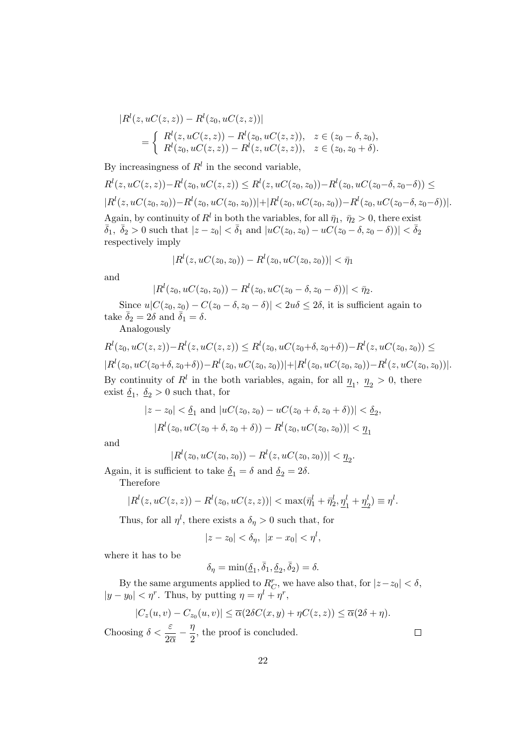$$
|R^{l}(z, uC(z, z)) - R^{l}(z_{0}, uC(z, z))|
$$
  
= 
$$
\begin{cases} R^{l}(z, uC(z, z)) - R^{l}(z_{0}, uC(z, z)), & z \in (z_{0} - \delta, z_{0}), \\ R^{l}(z_{0}, uC(z, z)) - R^{l}(z, uC(z, z)), & z \in (z_{0}, z_{0} + \delta). \end{cases}
$$

By increasingness of  $R<sup>l</sup>$  in the second variable,

$$
R^l(z, uC(z, z)) - R^l(z_0, uC(z, z)) \leq R^l(z, uC(z_0, z_0)) - R^l(z_0, uC(z_0 - \delta, z_0 - \delta)) \leq
$$
  
\n
$$
|R^l(z, uC(z_0, z_0)) - R^l(z_0, uC(z_0, z_0))| + |R^l(z_0, uC(z_0, z_0)) - R^l(z_0, uC(z_0 - \delta, z_0 - \delta))|.
$$
  
\nAgain, by continuity of  $R^l$  in both the variables, for all  $\bar{\eta}_1$ ,  $\bar{\eta}_2 > 0$ , there exist  $\bar{\delta}_1$ ,  $\bar{\delta}_2 > 0$  such that  $|z - z_0| < \bar{\delta}_1$  and  $|uC(z_0, z_0) - uC(z_0 - \delta, z_0 - \delta))| < \bar{\delta}_2$   
\nrespectively imply

$$
|R^{l}(z, uC(z_0, z_0)) - R^{l}(z_0, uC(z_0, z_0))| < \bar{\eta}_1
$$

and

$$
|R^{l}(z_0, uC(z_0, z_0)) - R^{l}(z_0, uC(z_0 - \delta, z_0 - \delta))| < \bar{\eta}_2.
$$

Since  $u|C(z_0, z_0) - C(z_0 - \delta, z_0 - \delta)| < 2u\delta \leq 2\delta$ , it is sufficient again to take  $\bar{\delta}_2 = 2\delta$  and  $\bar{\delta}_1 = \delta$ .

Analogously

$$
R^l(z_0, uC(z, z)) - R^l(z, uC(z, z)) \leq R^l(z_0, uC(z_0 + \delta, z_0 + \delta)) - R^l(z, uC(z_0, z_0)) \leq |R^l(z_0, uC(z_0 + \delta, z_0 + \delta)) - R^l(z_0, uC(z_0, z_0))| + |R^l(z_0, uC(z_0, z_0)) - R^l(z, uC(z_0, z_0))|.
$$
 By continuity of  $R^l$  in the both variables, again, for all  $\underline{\eta}_1$ ,  $\underline{\eta}_2 > 0$ , there exist  $\underline{\delta}_1$ ,  $\underline{\delta}_2 > 0$  such that, for

$$
\begin{aligned} |z-z_0|&<\underline{\delta}_1 \text{ and } |uC(z_0,z_0)-uC(z_0+\delta,z_0+\delta))|<\underline{\delta}_2,\\ |R^l(z_0,uC(z_0+\delta,z_0+\delta))-R^l(z_0,uC(z_0,z_0))|&<\underline{\eta}_1 \end{aligned}
$$

and

$$
|Rl(z0, uC(z0, z0))-Rl(z, uC(z0, z0))| < η2.
$$

Again, it is sufficient to take  $\delta_1 = \delta$  and  $\delta_2 = 2\delta$ .

Therefore

$$
|R^{l}(z, uC(z, z)) - R^{l}(z_0, uC(z, z))| < \max(\bar{\eta}_1^{l} + \bar{\eta}_2^{l}, \underline{\eta}_1^{l} + \underline{\eta}_2^{l}) \equiv \eta^{l}.
$$

Thus, for all  $\eta^l$ , there exists a  $\delta_{\eta} > 0$  such that, for

$$
|z-z_0|<\delta_\eta,\ |x-x_0|<\eta^l,
$$

where it has to be

$$
\delta_{\eta} = \min(\underline{\delta}_1, \overline{\delta}_1, \underline{\delta}_2, \overline{\delta}_2) = \delta.
$$

By the same arguments applied to  $R_C^r$ , we have also that, for  $|z-z_0| < \delta$ ,  $|y - y_0| < \eta^r$ . Thus, by putting  $\eta = \eta^l + \eta^r$ ,

$$
|C_z(u,v) - C_{z_0}(u,v)| \le \overline{\alpha}(2\delta C(x,y) + \eta C(z,z)) \le \overline{\alpha}(2\delta + \eta).
$$

 $\Box$ 

Choosing  $\delta < \frac{\varepsilon}{2\overline{\alpha}} - \frac{\eta}{2}$  $\frac{\pi}{2}$ , the proof is concluded.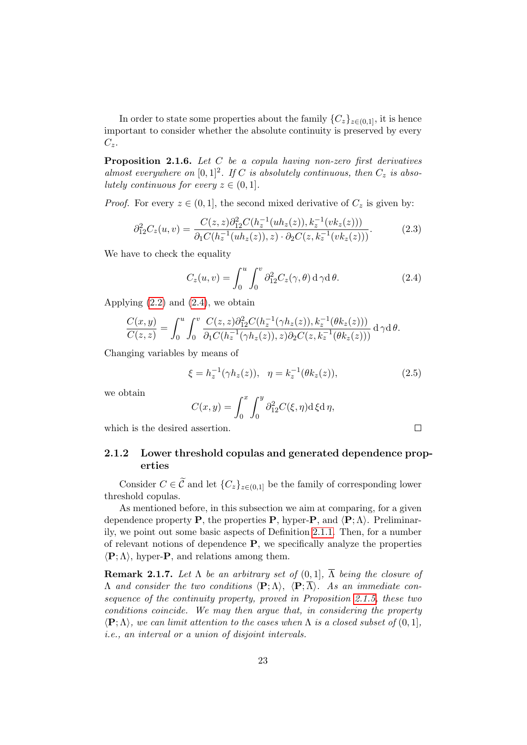In order to state some properties about the family  $\{C_z\}_{z\in(0,1]}$ , it is hence important to consider whether the absolute continuity is preserved by every  $C_z$ .

**Proposition 2.1.6.** Let  $C$  be a copula having non-zero first derivatives almost everywhere on  $[0,1]^2$ . If C is absolutely continuous, then  $C_z$  is absolutely continuous for every  $z \in (0,1]$ .

*Proof.* For every  $z \in (0, 1]$ , the second mixed derivative of  $C_z$  is given by:

$$
\partial_{12}^2 C_z(u,v) = \frac{C(z,z)\partial_{12}^2 C(h_z^{-1}(uh_z(z)), k_z^{-1}(vk_z(z)))}{\partial_1 C(h_z^{-1}(uh_z(z)), z) \cdot \partial_2 C(z, k_z^{-1}(vk_z(z)))}.
$$
(2.3)

We have to check the equality

<span id="page-38-0"></span>
$$
C_z(u,v) = \int_0^u \int_0^v \partial_{12}^2 C_z(\gamma,\theta) d\gamma d\theta.
$$
 (2.4)

Applying  $(2.2)$  and  $(2.4)$ , we obtain

$$
\frac{C(x,y)}{C(z,z)} = \int_0^u \int_0^v \frac{C(z,z)\partial_{12}^2 C(h_z^{-1}(\gamma h_z(z)), k_z^{-1}(\theta k_z(z)))}{\partial_1 C(h_z^{-1}(\gamma h_z(z)), z)\partial_2 C(z, k_z^{-1}(\theta k_z(z)))} d\gamma d\theta.
$$

Changing variables by means of

$$
\xi = h_z^{-1}(\gamma h_z(z)), \quad \eta = k_z^{-1}(\theta k_z(z)), \tag{2.5}
$$

<span id="page-38-1"></span> $\Box$ 

we obtain

$$
C(x,y) = \int_0^x \int_0^y \partial_{12}^2 C(\xi, \eta) d\xi d\eta,
$$

which is the desired assertion.

### 2.1.2 Lower threshold copulas and generated dependence properties

Consider  $C \in \widetilde{\mathcal{C}}$  and let  $\{C_z\}_{z \in (0,1]}$  be the family of corresponding lower threshold copulas.

As mentioned before, in this subsection we aim at comparing, for a given dependence property **P**, the properties **P**, hyper-**P**, and  $\langle \mathbf{P}; \Lambda \rangle$ . Preliminarily, we point out some basic aspects of Definition [2.1.1.](#page-33-0) Then, for a number of relevant notions of dependence  $P$ , we specifically analyze the properties  $\langle \mathbf{P}; \Lambda \rangle$ , hyper-**P**, and relations among them.

**Remark 2.1.7.** Let  $\Lambda$  be an arbitrary set of  $(0, 1]$ ,  $\overline{\Lambda}$  being the closure of Λ and consider the two conditions  $\langle P; \Lambda \rangle$ ,  $\langle P; \overline{\Lambda} \rangle$ . As an immediate consequence of the continuity property, proved in Proposition [2.1.5,](#page-35-0) these two conditions coincide. We may then argue that, in considering the property  $\langle \mathbf{P}; \Lambda \rangle$ , we can limit attention to the cases when  $\Lambda$  is a closed subset of  $(0, 1]$ , i.e., an interval or a union of disjoint intervals.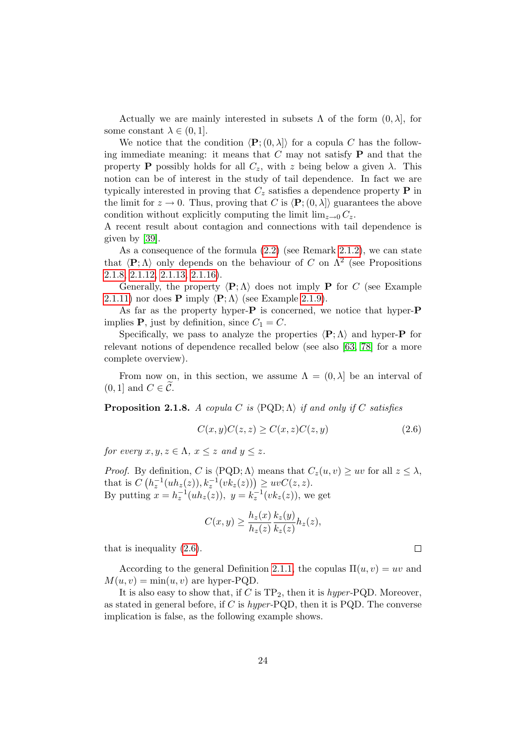Actually we are mainly interested in subsets  $\Lambda$  of the form  $(0, \lambda]$ , for some constant  $\lambda \in (0,1]$ .

We notice that the condition  $\langle \mathbf{P}; (0, \lambda] \rangle$  for a copula C has the following immediate meaning: it means that  $C$  may not satisfy  $P$  and that the property **P** possibly holds for all  $C_z$ , with z being below a given  $\lambda$ . This notion can be of interest in the study of tail dependence. In fact we are typically interested in proving that  $C_z$  satisfies a dependence property **P** in the limit for  $z \to 0$ . Thus, proving that C is  $\langle P; (0, \lambda] \rangle$  guarantees the above condition without explicitly computing the limit  $\lim_{z\to 0} C_z$ .

A recent result about contagion and connections with tail dependence is given by [\[39\]](#page-120-0).

As a consequence of the formula [\(2.2\)](#page-34-0) (see Remark [2.1.2\)](#page-35-1), we can state that  $\langle P; \Lambda \rangle$  only depends on the behaviour of C on  $\Lambda^2$  (see Propositions [2.1.8,](#page-39-0) [2.1.12,](#page-41-0) [2.1.13,](#page-41-1) [2.1.16\)](#page-43-0).

Generally, the property  $\langle P; \Lambda \rangle$  does not imply P for C (see Example [2.1.11\)](#page-40-0) nor does **P** imply  $\langle \mathbf{P}; \Lambda \rangle$  (see Example [2.1.9\)](#page-39-1).

As far as the property hyper-**P** is concerned, we notice that hyper-**P** implies **P**, just by definition, since  $C_1 = C$ .

Specifically, we pass to analyze the properties  $\langle P; \Lambda \rangle$  and hyper-P for relevant notions of dependence recalled below (see also [\[63,](#page-121-0) [78\]](#page-122-0) for a more complete overview).

From now on, in this section, we assume  $\Lambda = (0, \lambda]$  be an interval of  $(0, 1]$  and  $C \in \mathcal{C}$ .

<span id="page-39-0"></span>**Proposition 2.1.8.** A copula C is  $\langle \text{PQD}; \Lambda \rangle$  if and only if C satisfies

$$
C(x,y)C(z,z) \ge C(x,z)C(z,y) \tag{2.6}
$$

for every  $x, y, z \in \Lambda$ ,  $x \leq z$  and  $y \leq z$ .

*Proof.* By definition, C is  $\langle PQD; \Lambda \rangle$  means that  $C_z(u, v) \ge uv$  for all  $z \le \lambda$ , that is  $C\left(h_z^{-1}(uh_z(z)), k_z^{-1}(vk_z(z))\right) \geq uvC(z, z).$ By putting  $x = h_z^{-1}(uh_z(z)), y = k_z^{-1}(vk_z(z)),$  we get

$$
C(x,y) \geq \frac{h_z(x)}{h_z(z)} \frac{k_z(y)}{k_z(z)} h_z(z),
$$

that is inequality [\(2.6\)](#page-39-2).

According to the general Definition [2.1.1,](#page-33-0) the copulas  $\Pi(u, v) = uv$  and  $M(u, v) = \min(u, v)$  are hyper-PQD.

<span id="page-39-1"></span>It is also easy to show that, if C is  $TP_2$ , then it is hyper-PQD. Moreover, as stated in general before, if  $C$  is hyper-PQD, then it is PQD. The converse implication is false, as the following example shows.

<span id="page-39-2"></span> $\Box$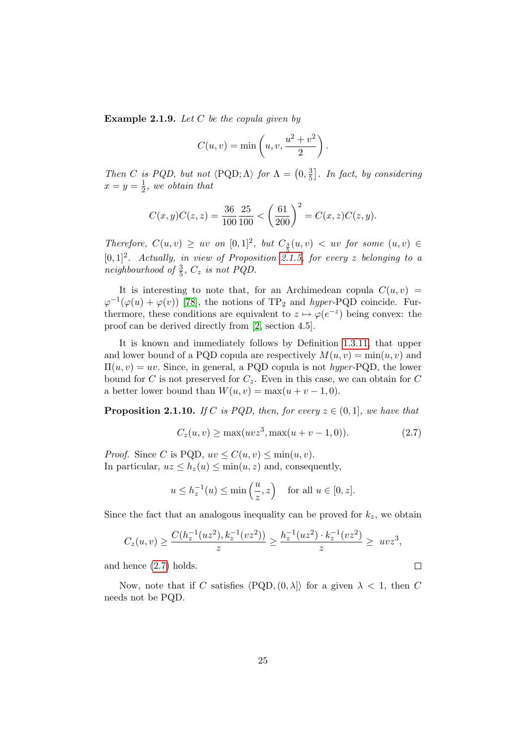**Example 2.1.9.** Let  $C$  be the copula given by

$$
C(u, v) = \min\left(u, v, \frac{u^2 + v^2}{2}\right).
$$

Then C is PQD, but not  $\langle PQD; \Lambda \rangle$  for  $\Lambda = \left(0, \frac{3}{5}\right)$  $\frac{3}{5}$ . In fact, by considering  $x=y=\frac{1}{2}$  $\frac{1}{2}$ , we obtain that

$$
C(x,y)C(z,z) = \frac{36}{100} \frac{25}{100} < \left(\frac{61}{200}\right)^2 = C(x,z)C(z,y).
$$

Therefore,  $C(u, v) \geq uv$  on  $[0, 1]^2$ , but  $C_2(u, v) < uv$  for some  $(u, v) \in$  $[0, 1]^2$ . Actually, in view of Proposition [2.1.5,](#page-35-0) for every z belonging to a neighbourhood of  $\frac{3}{5}$ ,  $C_z$  is not PQD.

It is interesting to note that, for an Archimedean copula  $C(u, v)$  $\varphi^{-1}(\varphi(u) + \varphi(v))$  [\[78\]](#page-122-0), the notions of TP<sub>2</sub> and *hyper*-PQD coincide. Furthermore, these conditions are equivalent to  $z \mapsto \varphi(e^{-z})$  being convex: the proof can be derived directly from [\[2,](#page-117-0) section 4.5].

It is known and immediately follows by Definition [1.3.11,](#page-24-0) that upper and lower bound of a PQD copula are respectively  $M(u, v) = min(u, v)$  and  $\Pi(u, v) = uv$ . Since, in general, a PQD copula is not hyper-PQD, the lower bound for C is not preserved for  $C_z$ . Even in this case, we can obtain for C a better lower bound than  $W(u, v) = \max(u + v - 1, 0)$ .

**Proposition 2.1.10.** If C is PQD, then, for every  $z \in (0,1]$ , we have that

$$
C_z(u, v) \ge \max(uvz^3, \max(u+v-1, 0)).
$$
\n(2.7)

<span id="page-40-1"></span> $\Box$ 

*Proof.* Since C is PQD,  $uv \le C(u, v) \le \min(u, v)$ . In particular,  $uz \leq h_z(u) \leq \min(u, z)$  and, consequently,

$$
u \le h_z^{-1}(u) \le \min\left(\frac{u}{z},z\right)
$$
 for all  $u \in [0,z]$ .

Since the fact that an analogous inequality can be proved for  $k_z$ , we obtain

$$
C_z(u,v) \ge \frac{C(h_z^{-1}(uz^2), k_z^{-1}(vz^2))}{z} \ge \frac{h_z^{-1}(uz^2) \cdot k_z^{-1}(vz^2)}{z} \ge uvz^3,
$$

and hence [\(2.7\)](#page-40-1) holds.

<span id="page-40-0"></span>Now, note that if C satisfies  $\langle PQD, (0, \lambda] \rangle$  for a given  $\lambda < 1$ , then C needs not be PQD.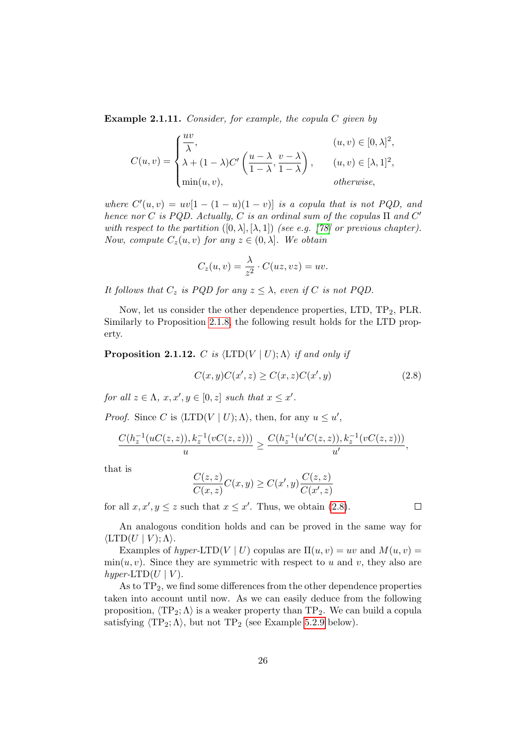**Example 2.1.11.** Consider, for example, the copula C given by

$$
C(u,v) = \begin{cases} \frac{uv}{\lambda}, & (u,v) \in [0,\lambda]^2, \\ \lambda + (1-\lambda)C' \left(\frac{u-\lambda}{1-\lambda}, \frac{v-\lambda}{1-\lambda}\right), & (u,v) \in [\lambda,1]^2, \\ \min(u,v), & otherwise, \end{cases}
$$

where  $C'(u, v) = uv[1 - (1 - u)(1 - v)]$  is a copula that is not PQD, and hence nor C is PQD. Actually, C is an ordinal sum of the copulas  $\Pi$  and  $C'$ with respect to the partition  $([0, \lambda], [\lambda, 1])$  (see e.g. [\[78\]](#page-122-0) or previous chapter). Now, compute  $C_z(u, v)$  for any  $z \in (0, \lambda]$ . We obtain

$$
C_z(u,v) = \frac{\lambda}{z^2} \cdot C(uz,vz) = uv.
$$

It follows that  $C_z$  is PQD for any  $z \leq \lambda$ , even if C is not PQD.

Now, let us consider the other dependence properties, LTD,  $TP_2$ , PLR. Similarly to Proposition [2.1.8,](#page-39-0) the following result holds for the LTD property.

<span id="page-41-0"></span>**Proposition 2.1.12.** C is  $\langle \text{LTD}(V | U); \Lambda \rangle$  if and only if

<span id="page-41-2"></span>
$$
C(x,y)C(x',z) \ge C(x,z)C(x',y) \tag{2.8}
$$

for all  $z \in \Lambda$ ,  $x, x', y \in [0, z]$  such that  $x \leq x'$ .

*Proof.* Since C is  $\langle \text{LTD}(V | U); \Lambda \rangle$ , then, for any  $u \leq u'$ ,

$$
\frac{C(h_z^{-1}(uC(z,z)), k_z^{-1}(vC(z,z)))}{u} \geq \frac{C(h_z^{-1}(u'C(z,z)), k_z^{-1}(vC(z,z)))}{u'},
$$

that is

$$
\frac{C(z,z)}{C(x,z)}C(x,y) \geq C(x',y)\frac{C(z,z)}{C(x',z)}
$$

for all  $x, x', y \leq z$  such that  $x \leq x'$ . Thus, we obtain [\(2.8\)](#page-41-2).

An analogous condition holds and can be proved in the same way for  $\langle \text{LTD}(U | V) : \Lambda \rangle$ .

Examples of hyper-LTD(V | U) copulas are  $\Pi(u, v) = uv$  and  $M(u, v) =$  $min(u, v)$ . Since they are symmetric with respect to u and v, they also are hyper-LTD $(U | V)$ .

<span id="page-41-1"></span>As to  $TP_2$ , we find some differences from the other dependence properties taken into account until now. As we can easily deduce from the following proposition,  $\langle TP_2; \Lambda \rangle$  is a weaker property than  $TP_2$ . We can build a copula satisfying  $\langle TP_2; \Lambda \rangle$ , but not  $TP_2$  (see Example [5.2.9](#page-110-0) below).

 $\Box$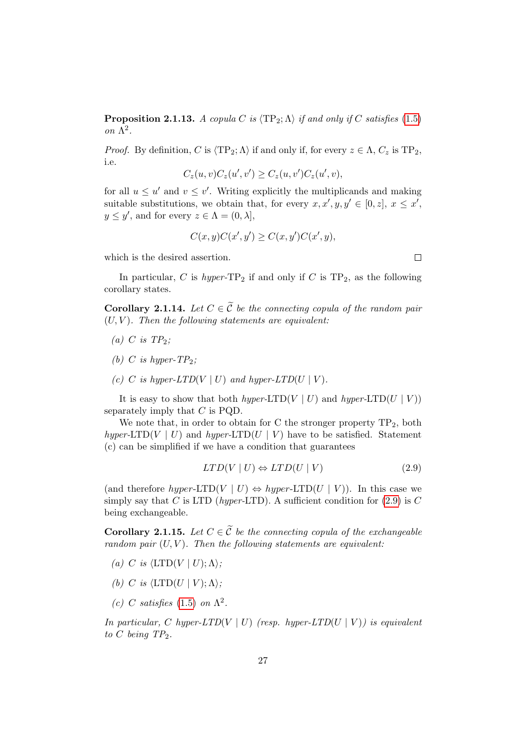**Proposition 2.1.13.** A copula C is  $\langle TP_2; \Lambda \rangle$  if and only if C satisfies [\(1.5\)](#page-23-0) on Λ 2 .

*Proof.* By definition, C is  $\langle TP_2; \Lambda \rangle$  if and only if, for every  $z \in \Lambda$ ,  $C_z$  is  $TP_2$ , i.e.

$$
C_z(u,v)C_z(u',v') \ge C_z(u,v')C_z(u',v),
$$

for all  $u \leq u'$  and  $v \leq v'$ . Writing explicitly the multiplicands and making suitable substitutions, we obtain that, for every  $x, x', y, y' \in [0, z]$ ,  $x \leq x'$ ,  $y \leq y'$ , and for every  $z \in \Lambda = (0, \lambda],$ 

$$
C(x, y)C(x', y') \ge C(x, y')C(x', y),
$$

which is the desired assertion.

In particular, C is hyper- $TP_2$  if and only if C is  $TP_2$ , as the following corollary states.

**Corollary 2.1.14.** Let  $C \in \widetilde{C}$  be the connecting copula of the random pair  $(U, V)$ . Then the following statements are equivalent:

- (a) C is  $TP_2$ ;
- (b) C is hyper- $TP_2$ ;
- (c) C is hyper-LTD(V | U) and hyper-LTD(U | V).

It is easy to show that both hyper-LTD(V | U) and hyper-LTD(U | V)) separately imply that  $C$  is PQD.

We note that, in order to obtain for C the stronger property  $TP_2$ , both hyper-LTD(V | U) and hyper-LTD(U | V) have to be satisfied. Statement (c) can be simplified if we have a condition that guarantees

<span id="page-42-0"></span>
$$
LTD(V \mid U) \Leftrightarrow LTD(U \mid V) \tag{2.9}
$$

(and therefore hyper-LTD(V | U)  $\Leftrightarrow$  hyper-LTD(U | V)). In this case we simply say that C is LTD (hyper-LTD). A sufficient condition for  $(2.9)$  is C being exchangeable.

Corollary 2.1.15. Let  $C \in \widetilde{C}$  be the connecting copula of the exchangeable random pair  $(U, V)$ . Then the following statements are equivalent:

- (a) C is  $\langle \text{LTD}(V \mid U); \Lambda \rangle;$
- (b) C is  $\langle \text{LTD}(U | V); \Lambda \rangle$ ;
- (c) C satisfies [\(1.5\)](#page-23-0) on  $\Lambda^2$ .

In particular, C hyper-LTD(V | U) (resp. hyper-LTD(U | V)) is equivalent to C being  $TP_2$ .

 $\Box$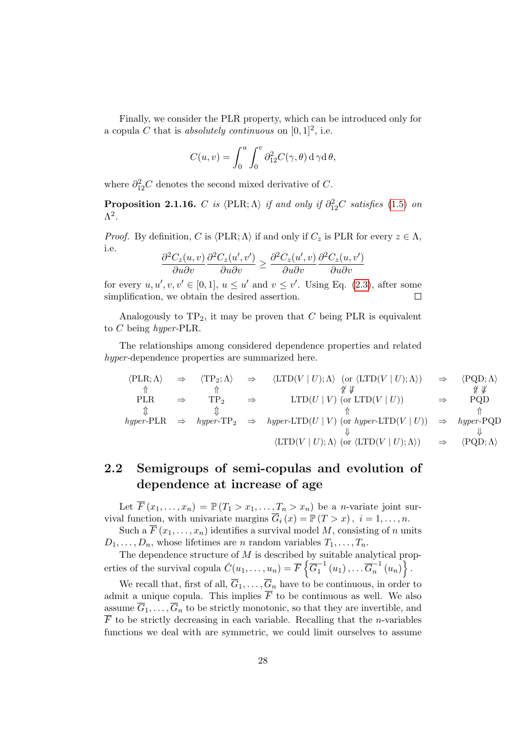Finally, we consider the PLR property, which can be introduced only for a copula C that is absolutely continuous on  $[0, 1]^2$ , i.e.

$$
C(u, v) = \int_0^u \int_0^v \partial_{12}^2 C(\gamma, \theta) d\gamma d\theta,
$$

where  $\partial_{12}^2 C$  denotes the second mixed derivative of C.

<span id="page-43-0"></span>**Proposition 2.1.16.** C is  $\langle \text{PLR}; \Lambda \rangle$  if and only if  $\partial_{12}^2C$  satisfies [\(1.5\)](#page-23-0) on  $\Lambda^2$ .

*Proof.* By definition, C is  $\langle \text{PLR}; \Lambda \rangle$  if and only if  $C_z$  is PLR for every  $z \in \Lambda$ , i.e.

$$
\frac{\partial^2 C_z(u,v)}{\partial u \partial v} \frac{\partial^2 C_z(u',v')}{\partial u \partial v} \ge \frac{\partial^2 C_z(u',v)}{\partial u \partial v} \frac{\partial^2 C_z(u,v')}{\partial u \partial v}
$$

for every  $u, u', v, v' \in [0, 1], u \leq u'$  and  $v \leq v'$ . Using Eq. [\(2.3\)](#page-38-1), after some simplification, we obtain the desired assertion.  $\Box$ 

Analogously to  $TP_2$ , it may be proven that C being PLR is equivalent to C being hyper-PLR.

The relationships among considered dependence properties and related hyper-dependence properties are summarized here.

$$
\langle PLR; \Lambda \rangle \Rightarrow \langle TP_2; \Lambda \rangle \Rightarrow \langle LTD(V | U); \Lambda \rangle \text{ (or } \langle LTD(V | U); \Lambda \rangle) \Rightarrow \langle PQD; \Lambda \rangle
$$
  
\n
$$
\uparrow \qquad \qquad \uparrow \qquad \qquad \uparrow \qquad \qquad \uparrow \qquad \qquad \uparrow \qquad \qquad \uparrow \qquad \qquad \uparrow \qquad \qquad \uparrow \qquad \qquad \uparrow \qquad \qquad \uparrow
$$
  
\nPLR  $\Rightarrow \text{TP}_2 \Rightarrow \text{LTD}(U | V) \text{ (or } \text{LTD}(V | U)) \Rightarrow \text{PQD}$   
\n
$$
\uparrow \qquad \qquad \uparrow \qquad \qquad \uparrow \qquad \qquad \uparrow
$$
  
\nhyper-PLR  $\Rightarrow \text{hyper-TP}_2 \Rightarrow \text{hyper-LTD}(U | V) \text{ (or } \text{hyper-LTD}(V | U)) \Rightarrow \text{hyper-PQD}$   
\n
$$
\downarrow \qquad \qquad \downarrow \qquad \qquad \downarrow
$$
  
\n
$$
\langle \text{LTD}(V | U); \Lambda \rangle \text{ (or } \langle \text{LTD}(V | U); \Lambda \rangle) \Rightarrow \langle \text{PQD}; \Lambda \rangle
$$

### 2.2 Semigroups of semi-copulas and evolution of dependence at increase of age

Let  $\overline{F}(x_1,\ldots,x_n) = \mathbb{P}(T_1 > x_1,\ldots,T_n > x_n)$  be a *n*-variate joint survival function, with univariate margins  $\overline{G}_i(x) = \mathbb{P}(T > x)$ ,  $i = 1, \ldots, n$ .

Such a  $\overline{F}(x_1,\ldots,x_n)$  identifies a survival model M, consisting of n units  $D_1, \ldots, D_n$ , whose lifetimes are *n* random variables  $T_1, \ldots, T_n$ .

The dependence structure of  $M$  is described by suitable analytical properties of the survival copula  $\hat{C}(u_1, \ldots, u_n) = \overline{F}\left\{ \overline{G}_1^{-1} \right\}$  $\overline{G}_1^{-1}(u_1), \ldots \overline{G}_n^{-1}$  $\left\{ \frac{n-1}{n}(u_n)\right\}.$ 

We recall that, first of all,  $\overline{G}_1, \ldots, \overline{G}_n$  have to be continuous, in order to admit a unique copula. This implies  $\overline{F}$  to be continuous as well. We also assume  $\overline{G}_1, \ldots, \overline{G}_n$  to be strictly monotonic, so that they are invertible, and  $\overline{F}$  to be strictly decreasing in each variable. Recalling that the *n*-variables functions we deal with are symmetric, we could limit ourselves to assume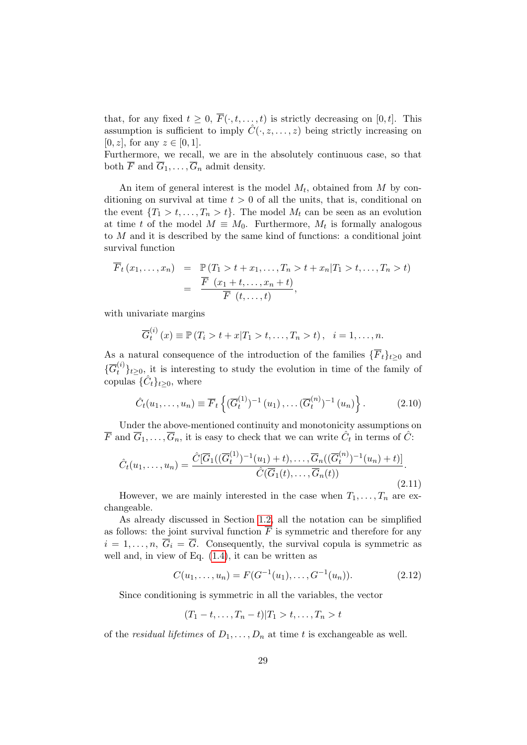that, for any fixed  $t \geq 0$ ,  $\overline{F}(\cdot, t, \ldots, t)$  is strictly decreasing on [0, t]. This assumption is sufficient to imply  $\hat{C}(\cdot, z, \ldots, z)$  being strictly increasing on  $[0, z]$ , for any  $z \in [0, 1]$ .

Furthermore, we recall, we are in the absolutely continuous case, so that both  $\overline{F}$  and  $\overline{G}_1, \ldots, \overline{G}_n$  admit density.

An item of general interest is the model  $M_t$ , obtained from M by conditioning on survival at time  $t > 0$  of all the units, that is, conditional on the event  $\{T_1 > t, \ldots, T_n > t\}$ . The model  $M_t$  can be seen as an evolution at time t of the model  $M \equiv M_0$ . Furthermore,  $M_t$  is formally analogous to M and it is described by the same kind of functions: a conditional joint survival function

$$
\overline{F}_t(x_1,...,x_n) = \mathbb{P}(T_1 > t + x_1,...,T_n > t + x_n | T_1 > t,...,T_n > t) \n= \frac{\overline{F}(x_1 + t,...,x_n + t)}{\overline{F}(t,...,t)},
$$

with univariate margins

$$
\overline{G}_t^{(i)}(x) \equiv \mathbb{P}(T_i > t + x | T_1 > t, \dots, T_n > t), \quad i = 1, \dots, n.
$$

As a natural consequence of the introduction of the families  $\{\overline{F}_t\}_{t\geq 0}$  and  $\{\overline{G}_{t}^{(i)}\}_{t\geq0}$ , it is interesting to study the evolution in time of the family of copulas  $\{\hat{C}_t\}_{t\geq 0}$ , where

$$
\hat{C}_t(u_1,\ldots,u_n) \equiv \overline{F}_t\left\{ (\overline{G}_t^{(1)})^{-1}(u_1),\ldots(\overline{G}_t^{(n)})^{-1}(u_n) \right\}.
$$
 (2.10)

Under the above-mentioned continuity and monotonicity assumptions on  $\overline{F}$  and  $\overline{G}_1, \ldots, \overline{G}_n$ , it is easy to check that we can write  $\hat{C}_t$  in terms of  $\hat{C}$ :

$$
\hat{C}_t(u_1,\ldots,u_n) = \frac{\hat{C}[\overline{G}_1((\overline{G}_t^{(1)})^{-1}(u_1)+t),\ldots,\overline{G}_n((\overline{G}_t^{(n)})^{-1}(u_n)+t)]}{\hat{C}(\overline{G}_1(t),\ldots,\overline{G}_n(t))}.
$$
\n(2.11)

However, we are mainly interested in the case when  $T_1, \ldots, T_n$  are exchangeable.

As already discussed in Section [1.2,](#page-18-0) all the notation can be simplified as follows: the joint survival function  $\overline{F}$  is symmetric and therefore for any  $i = 1, \ldots, n$ ,  $\overline{G}_i = \overline{G}$ . Consequently, the survival copula is symmetric as well and, in view of Eq. [\(1.4\)](#page-21-0), it can be written as

$$
C(u_1, \ldots, u_n) = F(G^{-1}(u_1), \ldots, G^{-1}(u_n)).
$$
\n(2.12)

Since conditioning is symmetric in all the variables, the vector

$$
(T_1-t,\ldots,T_n-t)|T_1>t,\ldots,T_n>t
$$

of the *residual lifetimes* of  $D_1, \ldots, D_n$  at time t is exchangeable as well.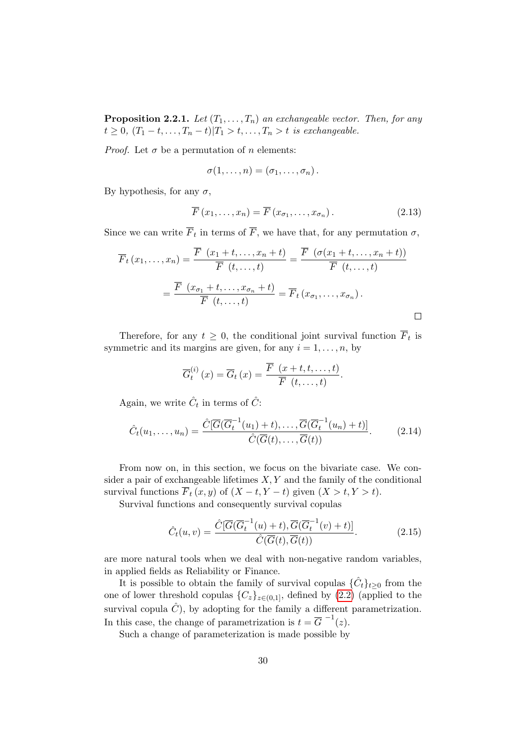**Proposition 2.2.1.** Let  $(T_1, \ldots, T_n)$  an exchangeable vector. Then, for any  $t \geq 0$ ,  $(T_1-t,\ldots,T_n-t)|T_1 > t,\ldots,T_n > t$  is exchangeable.

*Proof.* Let  $\sigma$  be a permutation of n elements:

$$
\sigma(1,\ldots,n)=(\sigma_1,\ldots,\sigma_n).
$$

By hypothesis, for any  $\sigma$ ,

$$
\overline{F}(x_1,\ldots,x_n) = \overline{F}(x_{\sigma_1},\ldots,x_{\sigma_n}).
$$
\n(2.13)

Since we can write  $F_t$  in terms of F, we have that, for any permutation  $\sigma$ ,

$$
\overline{F}_t(x_1,\ldots,x_n) = \frac{\overline{F}(x_1+t,\ldots,x_n+t)}{\overline{F}(t,\ldots,t)} = \frac{\overline{F}(\sigma(x_1+t,\ldots,x_n+t))}{\overline{F}(t,\ldots,t)}
$$

$$
= \frac{\overline{F}(x_{\sigma_1}+t,\ldots,x_{\sigma_n}+t)}{\overline{F}(t,\ldots,t)} = \overline{F}_t(x_{\sigma_1},\ldots,x_{\sigma_n}).
$$

Therefore, for any  $t \geq 0$ , the conditional joint survival function  $F_t$  is symmetric and its margins are given, for any  $i = 1, \ldots, n$ , by

<span id="page-45-1"></span>
$$
\overline{G}_{t}^{(i)}(x) = \overline{G}_{t}(x) = \frac{\overline{F}(x+t,t,\ldots,t)}{\overline{F}(t,\ldots,t)}.
$$

Again, we write  $\hat{C}_t$  in terms of  $\hat{C}$ :

$$
\hat{C}_t(u_1,\ldots,u_n) = \frac{\hat{C}[\overline{G}(\overline{G}_t^{-1}(u_1)+t),\ldots,\overline{G}(\overline{G}_t^{-1}(u_n)+t)]}{\hat{C}(\overline{G}(t),\ldots,\overline{G}(t))}.
$$
\n(2.14)

From now on, in this section, we focus on the bivariate case. We consider a pair of exchangeable lifetimes  $X, Y$  and the family of the conditional survival functions  $\overline{F}_t(x, y)$  of  $(X - t, Y - t)$  given  $(X > t, Y > t)$ .

Survival functions and consequently survival copulas

<span id="page-45-0"></span>
$$
\hat{C}_t(u,v) = \frac{\hat{C}[\overline{G}(\overline{G}_t^{-1}(u)+t), \overline{G}(\overline{G}_t^{-1}(v)+t)]}{\hat{C}(\overline{G}(t), \overline{G}(t))}.
$$
\n(2.15)

are more natural tools when we deal with non-negative random variables, in applied fields as Reliability or Finance.

It is possible to obtain the family of survival copulas  $\{\hat{C}_t\}_{t\geq 0}$  from the one of lower threshold copulas  ${C_z}_{z \in (0,1]}$ , defined by  $(2.2)$  (applied to the survival copula  $\hat{C}$ ), by adopting for the family a different parametrization. In this case, the change of parametrization is  $t = \overline{G}^{-1}(z)$ .

Such a change of parameterization is made possible by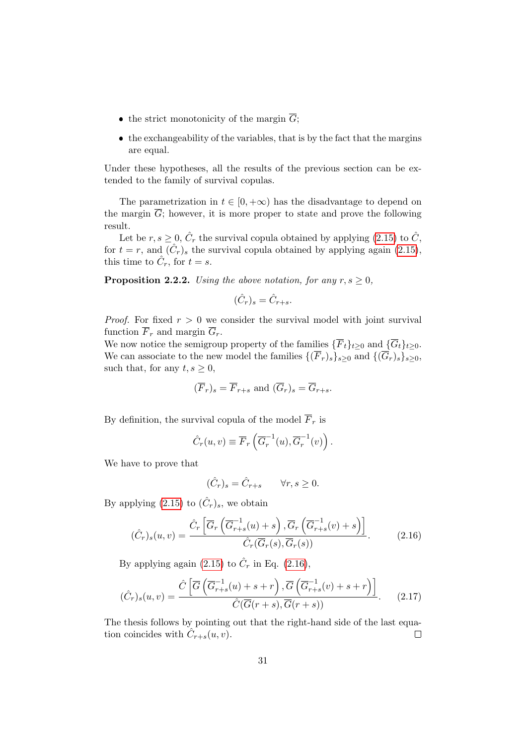- the strict monotonicity of the margin  $\overline{G}$ ;
- $\bullet$  the exchangeability of the variables, that is by the fact that the margins are equal.

Under these hypotheses, all the results of the previous section can be extended to the family of survival copulas.

The parametrization in  $t \in [0, +\infty)$  has the disadvantage to depend on the margin  $\overline{G}$ ; however, it is more proper to state and prove the following result.

Let be  $r, s \geq 0$ ,  $\hat{C}_r$  the survival copula obtained by applying [\(2.15\)](#page-45-0) to  $\hat{C}$ , for  $t = r$ , and  $(\hat{C}_r)_s$  the survival copula obtained by applying again  $(2.15)$ , this time to  $\hat{C}_r$ , for  $t = s$ .

**Proposition 2.2.2.** Using the above notation, for any  $r, s \geq 0$ ,

$$
(\hat{C}_r)_s = \hat{C}_{r+s}.
$$

*Proof.* For fixed  $r > 0$  we consider the survival model with joint survival function  $\overline{F}_r$  and margin  $\overline{G}_r$ .

We now notice the semigroup property of the families  $\{\overline{F}_t\}_{t>0}$  and  $\{\overline{G}_t\}_{t>0}$ . We can associate to the new model the families  $\{(\overline{F}_r)_s\}_{s\geq 0}$  and  $\{(\overline{G}_r)_s\}_{s\geq 0}$ , such that, for any  $t, s \geq 0$ ,

$$
(\overline{F}_r)_s = \overline{F}_{r+s}
$$
 and  $(\overline{G}_r)_s = \overline{G}_{r+s}$ .

By definition, the survival copula of the model  $\overline{F}_r$  is

$$
\hat{C}_r(u,v) \equiv \overline{F}_r\left(\overline{G}_r^{-1}(u), \overline{G}_r^{-1}(v)\right).
$$

We have to prove that

<span id="page-46-0"></span>
$$
(\hat{C}_r)_s = \hat{C}_{r+s} \qquad \forall r, s \ge 0.
$$

By applying  $(2.15)$  to  $(\hat{C}_r)_s$ , we obtain

$$
(\hat{C}_r)_s(u,v) = \frac{\hat{C}_r \left[ \overline{G}_r \left( \overline{G}_{r+s}^{-1}(u) + s \right), \overline{G}_r \left( \overline{G}_{r+s}^{-1}(v) + s \right) \right]}{\hat{C}_r(\overline{G}_r(s), \overline{G}_r(s))}.
$$
(2.16)

By applying again [\(2.15\)](#page-45-0) to  $\hat{C}_r$  in Eq. [\(2.16\)](#page-46-0),

$$
(\hat{C}_r)_s(u,v) = \frac{\hat{C}\left[\overline{G}\left(\overline{G}_{r+s}^{-1}(u) + s + r\right), \overline{G}\left(\overline{G}_{r+s}^{-1}(v) + s + r\right)\right]}{\hat{C}(\overline{G}(r+s), \overline{G}(r+s))}.
$$
 (2.17)

The thesis follows by pointing out that the right-hand side of the last equation coincides with  $\hat{C}_{r+s}(u, v)$ .  $\Box$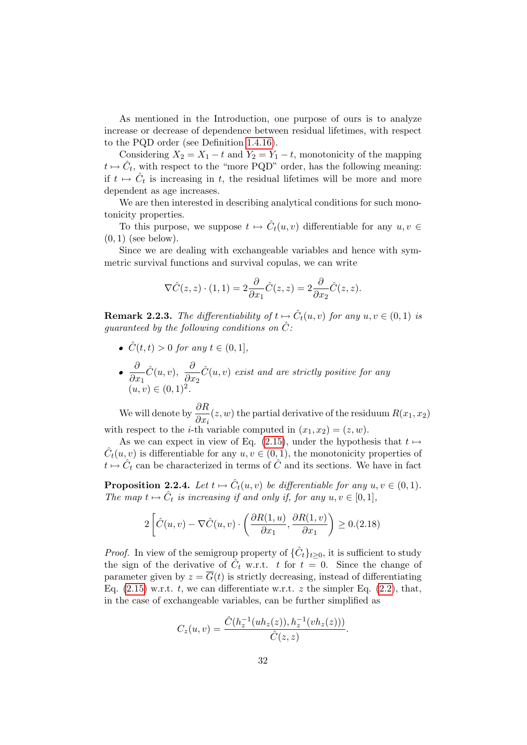As mentioned in the Introduction, one purpose of ours is to analyze increase or decrease of dependence between residual lifetimes, with respect to the PQD order (see Definition [1.4.16\)](#page-31-0).

Considering  $X_2 = X_1 - t$  and  $Y_2 = Y_1 - t$ , monotonicity of the mapping  $t \mapsto \hat{C}_t$ , with respect to the "more PQD" order, has the following meaning: if  $t \mapsto \hat{C}_t$  is increasing in t, the residual lifetimes will be more and more dependent as age increases.

We are then interested in describing analytical conditions for such monotonicity properties.

To this purpose, we suppose  $t \mapsto \hat{C}_t(u, v)$  differentiable for any  $u, v \in$  $(0, 1)$  (see below).

Since we are dealing with exchangeable variables and hence with symmetric survival functions and survival copulas, we can write

$$
\nabla \hat{C}(z, z) \cdot (1, 1) = 2 \frac{\partial}{\partial x_1} \hat{C}(z, z) = 2 \frac{\partial}{\partial x_2} \hat{C}(z, z).
$$

**Remark 2.2.3.** The differentiability of  $t \mapsto \hat{C}_t(u, v)$  for any  $u, v \in (0, 1)$  is quaranteed by the following conditions on  $\hat{C}$ :

- $\hat{C}(t, t) > 0$  for any  $t \in (0, 1]$ ,
- ∂  $\partial x_1$  $\hat{C}(u, v), \ \frac{\delta}{2}$  $\partial x_2$  $\hat{C}(u, v)$  exist and are strictly positive for any  $(u, v) \in (0, 1)^2$ .

We will denote by  $\frac{\partial R}{\partial \tau}$  $\frac{\partial^2 \mathbf{r}}{\partial x_i}(z, w)$  the partial derivative of the residuum  $R(x_1, x_2)$ with respect to the *i*-th variable computed in  $(x_1, x_2) = (z, w)$ .

As we can expect in view of Eq. [\(2.15\)](#page-45-0), under the hypothesis that  $t \mapsto$  $\hat{C}_t(u, v)$  is differentiable for any  $u, v \in (0, 1)$ , the monotonicity properties of  $t \mapsto \hat{C}_t$  can be characterized in terms of  $\hat{C}$  and its sections. We have in fact

**Proposition 2.2.4.** Let  $t \mapsto \hat{C}_t(u, v)$  be differentiable for any  $u, v \in (0, 1)$ . The map  $t \mapsto \hat{C}_t$  is increasing if and only if, for any  $u, v \in [0, 1]$ ,

$$
2\left[\hat{C}(u,v) - \nabla \hat{C}(u,v) \cdot \left(\frac{\partial R(1,u)}{\partial x_1}, \frac{\partial R(1,v)}{\partial x_1}\right) \ge 0.(2.18)\right]
$$

*Proof.* In view of the semigroup property of  $\{\hat{C}_t\}_{t\geq 0}$ , it is sufficient to study the sign of the derivative of  $\hat{C}_t$  w.r.t. t for  $t = 0$ . Since the change of parameter given by  $z = \overline{G}(t)$  is strictly decreasing, instead of differentiating Eq.  $(2.15)$  w.r.t. t, we can differentiate w.r.t. z the simpler Eq.  $(2.2)$ , that, in the case of exchangeable variables, can be further simplified as

$$
C_z(u,v) = \frac{\hat{C}(h_z^{-1}(uh_z(z)), h_z^{-1}(vh_z(z)))}{\hat{C}(z,z)}.
$$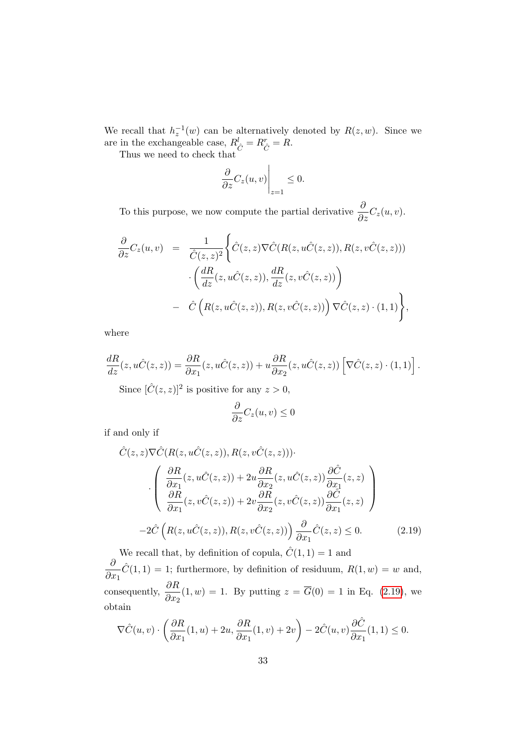We recall that  $h_z^{-1}(w)$  can be alternatively denoted by  $R(z, w)$ . Since we are in the exchangeable case,  $R_{\hat{C}}^l = R_{\hat{C}}^r = R$ .

Thus we need to check that

$$
\left. \frac{\partial}{\partial z} C_z(u, v) \right|_{z=1} \le 0.
$$

To this purpose, we now compute the partial derivative  $\frac{\partial}{\partial z}C_z(u,v)$ .

$$
\frac{\partial}{\partial z}C_z(u,v) = \frac{1}{\hat{C}(z,z)^2} \Biggl\{\hat{C}(z,z)\nabla \hat{C}(R(z,u\hat{C}(z,z)),R(z,v\hat{C}(z,z)))\cdot \left(\frac{dR}{dz}(z,u\hat{C}(z,z)),\frac{dR}{dz}(z,v\hat{C}(z,z))\right) \quad - \hat{C}\left(R(z,u\hat{C}(z,z)),R(z,v\hat{C}(z,z))\right)\nabla \hat{C}(z,z)\cdot(1,1)\Biggr\},\
$$

where

$$
\frac{dR}{dz}(z, u\hat{C}(z, z)) = \frac{\partial R}{\partial x_1}(z, u\hat{C}(z, z)) + u\frac{\partial R}{\partial x_2}(z, u\hat{C}(z, z)) \left[\nabla \hat{C}(z, z) \cdot (1, 1)\right].
$$

Since  $[\hat{C}(z, z)]^2$  is positive for any  $z > 0$ ,

$$
\frac{\partial}{\partial z}C_z(u,v)\leq 0
$$

if and only if

$$
\hat{C}(z, z)\nabla \hat{C}(R(z, u\hat{C}(z, z)), R(z, v\hat{C}(z, z))).
$$
\n
$$
\cdot \left( \frac{\partial R}{\partial x_1}(z, u\hat{C}(z, z)) + 2u \frac{\partial R}{\partial x_2}(z, u\hat{C}(z, z)) \frac{\partial \hat{C}}{\partial x_1}(z, z) \right)
$$
\n
$$
\cdot \left( \frac{\partial R}{\partial R}(z, v\hat{C}(z, z)) + 2v \frac{\partial R}{\partial x_2}(z, v\hat{C}(z, z)) \frac{\partial \hat{C}}{\partial x_1}(z, z) \right)
$$
\n
$$
-2\hat{C}\left( R(z, u\hat{C}(z, z)), R(z, v\hat{C}(z, z)) \right) \frac{\partial}{\partial x_1} \hat{C}(z, z) \le 0. \tag{2.19}
$$

<span id="page-48-0"></span>We recall that, by definition of copula,  $\hat{C}(1,1) = 1$  and ∂  $\partial x_1$  $\hat{C}(1, 1) = 1$ ; furthermore, by definition of residuum,  $R(1, w) = w$  and, consequently,  $\frac{\partial R}{\partial \theta}$  $\frac{\partial^2 x}{\partial x_2}(1, w) = 1$ . By putting  $z = G(0) = 1$  in Eq. [\(2.19\)](#page-48-0), we obtain

$$
\nabla \hat{C}(u,v) \cdot \left(\frac{\partial R}{\partial x_1}(1,u) + 2u, \frac{\partial R}{\partial x_1}(1,v) + 2v\right) - 2\hat{C}(u,v)\frac{\partial \hat{C}}{\partial x_1}(1,1) \le 0.
$$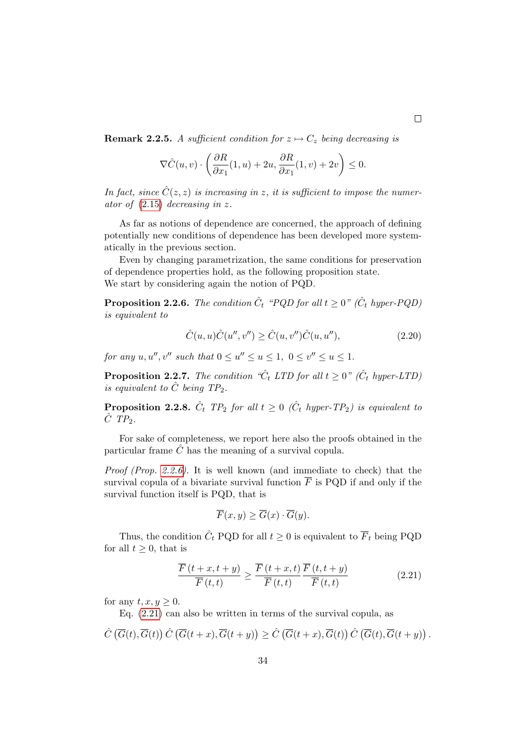**Remark 2.2.5.** A sufficient condition for  $z \mapsto C_z$  being decreasing is

$$
\nabla \hat{C}(u,v) \cdot \left(\frac{\partial R}{\partial x_1}(1,u) + 2u, \frac{\partial R}{\partial x_1}(1,v) + 2v\right) \le 0.
$$

In fact, since  $\hat{C}(z, z)$  is increasing in z, it is sufficient to impose the numerator of [\(2.15\)](#page-45-0) decreasing in z.

As far as notions of dependence are concerned, the approach of defining potentially new conditions of dependence has been developed more systematically in the previous section.

Even by changing parametrization, the same conditions for preservation of dependence properties hold, as the following proposition state. We start by considering again the notion of PQD.

<span id="page-49-0"></span>**Proposition 2.2.6.** The condition  $\hat{C}_t$  "PQD for all  $t \geq 0$ " ( $\hat{C}_t$  hyper-PQD) is equivalent to

$$
\hat{C}(u, u)\hat{C}(u'', v'') \ge \hat{C}(u, v'')\hat{C}(u, u''),\tag{2.20}
$$

for any  $u, u'', v''$  such that  $0 \le u'' \le u \le 1$ ,  $0 \le v'' \le u \le 1$ .

<span id="page-49-2"></span>**Proposition 2.2.7.** The condition " $\hat{C}_t$  LTD for all  $t \geq 0$ " ( $\hat{C}_t$  hyper-LTD) is equivalent to  $\hat{C}$  being  $TP_2$ .

<span id="page-49-3"></span>**Proposition 2.2.8.**  $\hat{C}_t$  TP<sub>2</sub> for all  $t \geq 0$  ( $\hat{C}_t$  hyper-TP<sub>2</sub>) is equivalent to  $\hat{C}$  TP<sub>2</sub>.

For sake of completeness, we report here also the proofs obtained in the particular frame  $\hat{C}$  has the meaning of a survival copula.

Proof (Prop. [2.2.6\)](#page-49-0). It is well known (and immediate to check) that the survival copula of a bivariate survival function  $\overline{F}$  is PQD if and only if the survival function itself is PQD, that is

$$
\overline{F}(x, y) \ge \overline{G}(x) \cdot \overline{G}(y).
$$

Thus, the condition  $\hat{C}_t$  PQD for all  $t \geq 0$  is equivalent to  $\overline{F}_t$  being PQD for all  $t \geq 0$ , that is

<span id="page-49-1"></span>
$$
\frac{\overline{F}(t+x,t+y)}{\overline{F}(t,t)} \ge \frac{\overline{F}(t+x,t)}{\overline{F}(t,t)} \frac{\overline{F}(t,t+y)}{\overline{F}(t,t)}\n \tag{2.21}
$$

for any  $t, x, y \geq 0$ .

Eq. [\(2.21\)](#page-49-1) can also be written in terms of the survival copula, as

$$
\hat{C}\left(\overline{G}(t),\overline{G}(t)\right)\hat{C}\left(\overline{G}(t+x),\overline{G}(t+y)\right)\geq \hat{C}\left(\overline{G}(t+x),\overline{G}(t)\right)\hat{C}\left(\overline{G}(t),\overline{G}(t+y)\right).
$$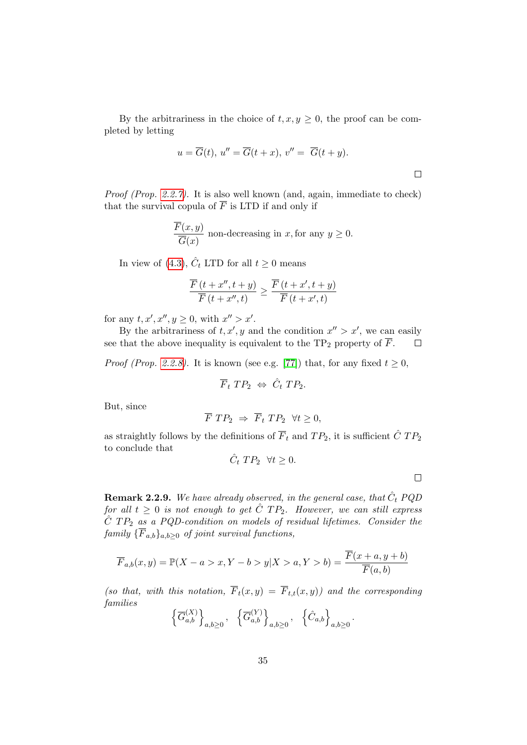By the arbitrariness in the choice of  $t, x, y \geq 0$ , the proof can be completed by letting

$$
u = \overline{G}(t), u'' = \overline{G}(t+x), v'' = \overline{G}(t+y).
$$

Proof (Prop. [2.2.7\)](#page-49-2). It is also well known (and, again, immediate to check) that the survival copula of  $\overline{F}$  is LTD if and only if

$$
\frac{\overline{F}(x,y)}{\overline{G}(x)}
$$
 non-decreasing in x, for any  $y \ge 0$ .

In view of [\(4.3\)](#page-77-0),  $\hat{C}_t$  LTD for all  $t \geq 0$  means

$$
\frac{\overline{F}(t+x'',t+y)}{\overline{F}(t+x'',t)} \ge \frac{\overline{F}(t+x',t+y)}{\overline{F}(t+x',t)}
$$

for any  $t, x', x'', y \geq 0$ , with  $x'' > x'$ .

By the arbitrariness of  $t, x', y$  and the condition  $x'' > x'$ , we can easily see that the above inequality is equivalent to the TP<sub>2</sub> property of  $\overline{F}$ .  $\Box$ 

*Proof (Prop. [2.2.8\)](#page-49-3).* It is known (see e.g. [\[77\]](#page-122-1)) that, for any fixed  $t \geq 0$ ,

$$
\overline{F}_t \; TP_2 \; \Leftrightarrow \; \hat{C}_t \; TP_2.
$$

But, since

$$
\overline{F} \; TP_2 \; \Rightarrow \; \overline{F}_t \; TP_2 \; \; \forall t \geq 0,
$$

as straightly follows by the definitions of  $\overline{F}_t$  and  $TP_2$ , it is sufficient  $\hat{C}$   $TP_2$ to conclude that

$$
\hat{C}_t \; TP_2 \; \; \forall t \ge 0.
$$

 $\Box$ 

.

**Remark 2.2.9.** We have already observed, in the general case, that  $\hat{C}_t$  PQD for all  $t\geq 0$  is not enough to get  $\hat C$   $TP_2$ . However, we can still express  $\hat{C}$  TP<sub>2</sub> as a PQD-condition on models of residual lifetimes. Consider the family  $\{\overline{F}_{a,b}\}_{a,b\geq 0}$  of joint survival functions,

$$
\overline{F}_{a,b}(x,y) = \mathbb{P}(X - a > x, Y - b > y | X > a, Y > b) = \frac{\overline{F}(x + a, y + b)}{\overline{F}(a, b)}
$$

(so that, with this notation,  $\overline{F}_t(x,y) = \overline{F}_{t,t}(x,y)$ ) and the corresponding families

$$
\left\{\overline{G}_{a,b}^{(X)}\right\}_{a,b\geq 0}, \quad \left\{\overline{G}_{a,b}^{(Y)}\right\}_{a,b\geq 0}, \quad \left\{\hat{C}_{a,b}\right\}_{a,b\geq 0}
$$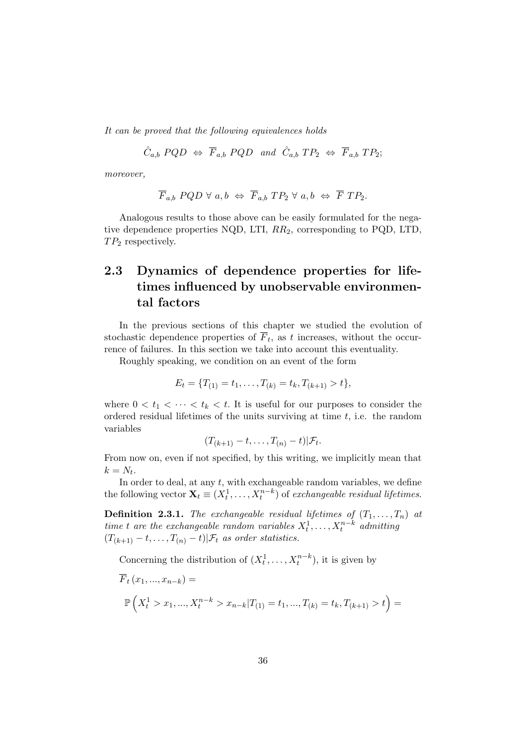It can be proved that the following equivalences holds

 $\hat{C}_{a,b}$  PQD  $\Leftrightarrow$   $\overline{F}_{a,b}$  PQD and  $\hat{C}_{a,b}$   $TP_2 \Leftrightarrow$   $\overline{F}_{a,b}$   $TP_2$ ;

moreover,

$$
\overline{F}_{a,b} \, PQD \, \forall \, a,b \Leftrightarrow \, \overline{F}_{a,b} \, TP_2 \, \forall \, a,b \, \Leftrightarrow \, \overline{F} \, TP_2.
$$

Analogous results to those above can be easily formulated for the negative dependence properties NQD, LTI,  $RR_2$ , corresponding to PQD, LTD,  $TP_2$  respectively.

## 2.3 Dynamics of dependence properties for lifetimes influenced by unobservable environmental factors

In the previous sections of this chapter we studied the evolution of stochastic dependence properties of  $F_t$ , as t increases, without the occurrence of failures. In this section we take into account this eventuality.

Roughly speaking, we condition on an event of the form

$$
E_t = \{T_{(1)} = t_1, \dots, T_{(k)} = t_k, T_{(k+1)} > t\},\
$$

where  $0 < t_1 < \cdots < t_k < t$ . It is useful for our purposes to consider the ordered residual lifetimes of the units surviving at time  $t$ , i.e. the random variables

$$
(T_{(k+1)}-t,\ldots,T_{(n)}-t)|\mathcal{F}_t.
$$

From now on, even if not specified, by this writing, we implicitly mean that  $k=N_t$ .

In order to deal, at any  $t$ , with exchangeable random variables, we define the following vector  $\mathbf{X}_t \equiv (X_t^1, \dots, X_t^{n-k})$  of exchangeable residual lifetimes.

**Definition 2.3.1.** The exchangeable residual lifetimes of  $(T_1, \ldots, T_n)$  at time t are the exchangeable random variables  $X_t^1, \ldots, X_t^{n-k}$  admitting  $(T_{(k+1)} - t, \ldots, T_{(n)} - t) | \mathcal{F}_t$  as order statistics.

Concerning the distribution of  $(X_t^1, \ldots, X_t^{n-k})$ , it is given by

$$
\overline{F}_t(x_1, ..., x_{n-k}) =
$$
  
\n
$$
\mathbb{P}\left(X_t^1 > x_1, ..., X_t^{n-k} > x_{n-k} | T_{(1)} = t_1, ..., T_{(k)} = t_k, T_{(k+1)} > t\right) =
$$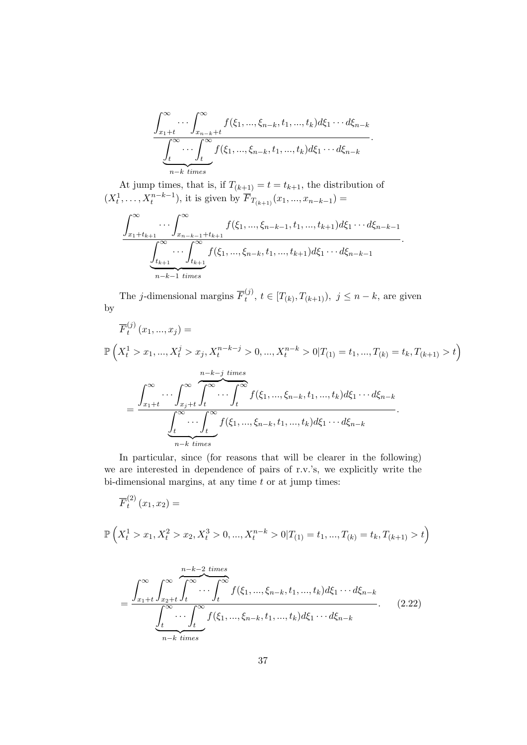$$
\frac{\int_{x_1+t}^{\infty} \cdots \int_{x_{n-k}+t}^{\infty} f(\xi_1, ..., \xi_{n-k}, t_1, ..., t_k) d\xi_1 \cdots d\xi_{n-k}}{\underbrace{\int_{t}^{\infty} \cdots \int_{t}^{\infty} f(\xi_1, ..., \xi_{n-k}, t_1, ..., t_k) d\xi_1 \cdots d\xi_{n-k}}_{n-k \ times}.
$$

At jump times, that is, if  $T_{(k+1)} = t = t_{k+1}$ , the distribution of  $(X_t^1, \ldots, X_t^{n-k-1}),$  it is given by  $\overline{F}_{T_{(k+1)}}(x_1, \ldots, x_{n-k-1}) =$ 

$$
\frac{\int_{x_1+t_{k+1}}^{\infty} \cdots \int_{x_{n-k-1}+t_{k+1}}^{\infty} f(\xi_1, ..., \xi_{n-k-1}, t_1, ..., t_{k+1}) d\xi_1 \cdots d\xi_{n-k-1}}{\underbrace{\int_{t_{k+1}}^{\infty} \cdots \int_{t_{k+1}}^{\infty} f(\xi_1, ..., \xi_{n-k}, t_1, ..., t_{k+1}) d\xi_1 \cdots d\xi_{n-k-1}}_{n-k-1 \ times}}.
$$

The *j*-dimensional margins  $\overline{F}_t^{(j)}$  $t_i^{(j)}, t \in [T_{(k)}, T_{(k+1)}), j \leq n-k$ , are given by

$$
\overline{F}_t^{(j)}(x_1, ..., x_j) =
$$
\n
$$
\mathbb{P}\left(X_t^1 > x_1, ..., X_t^j > x_j, X_t^{n-k-j} > 0, ..., X_t^{n-k} > 0 | T_{(1)} = t_1, ..., T_{(k)} = t_k, T_{(k+1)} > t\right)
$$
\n
$$
= \frac{\int_{x_1+t}^{\infty} \cdots \int_{x_j+t}^{\infty} \int_t^{\infty} \cdots \int_t^{\infty} f(\xi_1, ..., \xi_{n-k}, t_1, ..., t_k) d\xi_1 \cdots d\xi_{n-k}}{\int_t^{\infty} \cdots \int_t^{\infty} f(\xi_1, ..., \xi_{n-k}, t_1, ..., t_k) d\xi_1 \cdots d\xi_{n-k}}
$$
\n
$$
= \frac{\int_t^{\infty} \cdots \int_t^{\infty} f(\xi_1, ..., \xi_{n-k}, t_1, ..., t_k) d\xi_1 \cdots d\xi_{n-k}}{n-k \text{ times}}
$$

In particular, since (for reasons that will be clearer in the following) we are interested in dependence of pairs of r.v.'s, we explicitly write the bi-dimensional margins, at any time  $t$  or at jump times:

$$
\overline{F}_t^{(2)}(x_1, x_2) =
$$
  

$$
\mathbb{P}\left(X_t^1 > x_1, X_t^2 > x_2, X_t^3 > 0, ..., X_t^{n-k} > 0 | T_{(1)} = t_1, ..., T_{(k)} = t_k, T_{(k+1)} > t\right)
$$

$$
= \frac{\int_{x_1+t}^{\infty} \int_{x_2+t}^{\infty} \int_t^{\infty} \cdots \int_t^{\infty} f(\xi_1, ..., \xi_{n-k}, t_1, ..., t_k) d\xi_1 \cdots d\xi_{n-k}}{\underbrace{\int_t^{\infty} \cdots \int_t^{\infty} f(\xi_1, ..., \xi_{n-k}, t_1, ..., t_k) d\xi_1 \cdots d\xi_{n-k}}_{n-k \ times}}.
$$
 (2.22)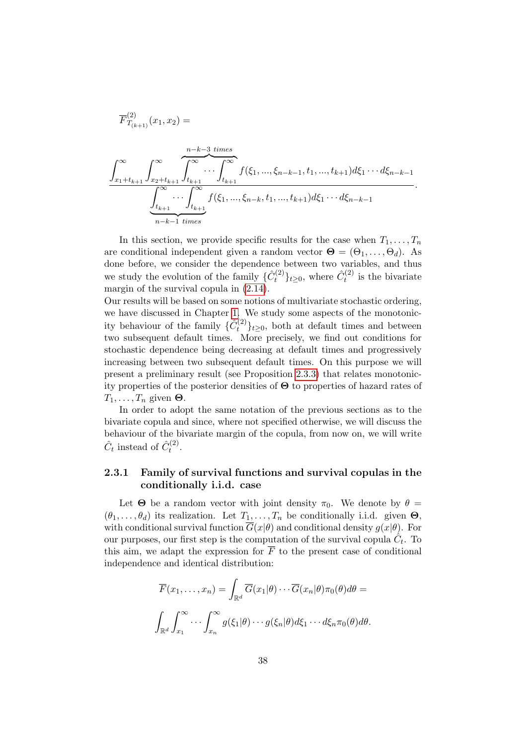$$
\overline{F}_{T_{(k+1)}}^{(2)}(x_1, x_2) =
$$
\n
$$
\int_{x_1 + t_{k+1}}^{\infty} \int_{x_2 + t_{k+1}}^{\infty} \underbrace{\int_{t_{k+1}}^{\infty} \cdots \int_{t_{k+1}}^{\infty}}_{n-k-1} f(\xi_1, ..., \xi_{n-k-1}, t_1, ..., t_{k+1}) d\xi_1 \cdots d\xi_{n-k-1}}_{n-k-1 \text{ times}}
$$

.

In this section, we provide specific results for the case when  $T_1, \ldots, T_n$ are conditional independent given a random vector  $\Theta = (\Theta_1, \dots, \Theta_d)$ . As done before, we consider the dependence between two variables, and thus we study the evolution of the family  $\{\hat{C}_{t}^{(2)}\}$  $\hat{C}^{(2)}_t\}_{t\geq0}$ , where  $\hat{C}^{(2)}_t$  $t_t^{(2)}$  is the bivariate margin of the survival copula in [\(2.14\)](#page-45-1).

Our results will be based on some notions of multivariate stochastic ordering, we have discussed in Chapter [1.](#page-16-0) We study some aspects of the monotonicity behaviour of the family  $\{\hat{C}_{t}^{(2)}\}$  $\{t^{(2)}\}_{t\geq 0}$ , both at default times and between two subsequent default times. More precisely, we find out conditions for stochastic dependence being decreasing at default times and progressively increasing between two subsequent default times. On this purpose we will present a preliminary result (see Proposition [2.3.3\)](#page-56-0) that relates monotonicity properties of the posterior densities of Θ to properties of hazard rates of  $T_1, \ldots, T_n$  given  $\Theta$ .

In order to adopt the same notation of the previous sections as to the bivariate copula and since, where not specified otherwise, we will discuss the behaviour of the bivariate margin of the copula, from now on, we will write  $\hat{C}_t$  instead of  $\hat{C}_t^{(2)}$  $\frac{1}{t}$ .

### 2.3.1 Family of survival functions and survival copulas in the conditionally i.i.d. case

Let  $\Theta$  be a random vector with joint density  $\pi_0$ . We denote by  $\theta =$  $(\theta_1, \ldots, \theta_d)$  its realization. Let  $T_1, \ldots, T_n$  be conditionally i.i.d. given  $\Theta$ , with conditional survival function  $\overline{G}(x|\theta)$  and conditional density  $g(x|\theta)$ . For our purposes, our first step is the computation of the survival copula  $\hat{C}_t$ . To this aim, we adapt the expression for  $\overline{F}$  to the present case of conditional independence and identical distribution:

$$
\overline{F}(x_1,\ldots,x_n) = \int_{\mathbb{R}^d} \overline{G}(x_1|\theta)\cdots\overline{G}(x_n|\theta)\pi_0(\theta)d\theta =
$$
  

$$
\int_{\mathbb{R}^d} \int_{x_1}^{\infty} \cdots \int_{x_n}^{\infty} g(\xi_1|\theta)\cdots g(\xi_n|\theta)d\xi_1\cdots d\xi_n\pi_0(\theta)d\theta.
$$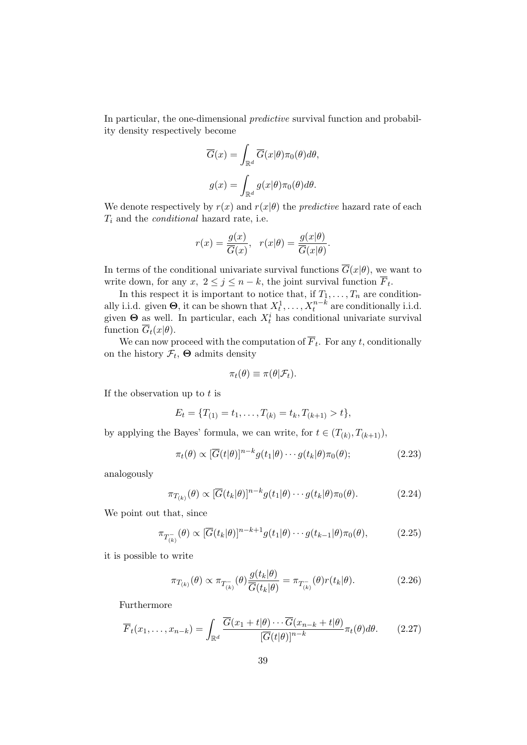In particular, the one-dimensional predictive survival function and probability density respectively become

$$
\overline{G}(x) = \int_{\mathbb{R}^d} \overline{G}(x|\theta) \pi_0(\theta) d\theta,
$$

$$
g(x) = \int_{\mathbb{R}^d} g(x|\theta) \pi_0(\theta) d\theta.
$$

We denote respectively by  $r(x)$  and  $r(x|\theta)$  the *predictive* hazard rate of each  $T_i$  and the *conditional* hazard rate, i.e.

$$
r(x) = \frac{g(x)}{\overline{G}(x)}, \quad r(x|\theta) = \frac{g(x|\theta)}{\overline{G}(x|\theta)}.
$$

In terms of the conditional univariate survival functions  $\overline{G}(x|\theta)$ , we want to write down, for any  $x, 2 \le j \le n - k$ , the joint survival function  $F_t$ .

In this respect it is important to notice that, if  $T_1, \ldots, T_n$  are conditionally i.i.d. given  $\Theta$ , it can be shown that  $X_t^1, \ldots, X_t^{n-k}$  are conditionally i.i.d. given  $\Theta$  as well. In particular, each  $X_t^i$  has conditional univariate survival function  $\overline{G}_t(x|\theta)$ .

We can now proceed with the computation of  $F_t$ . For any t, conditionally on the history  $\mathcal{F}_t$ ,  $\Theta$  admits density

<span id="page-54-1"></span>
$$
\pi_t(\theta) \equiv \pi(\theta | \mathcal{F}_t).
$$

If the observation up to  $t$  is

$$
E_t = \{T_{(1)} = t_1, \ldots, T_{(k)} = t_k, T_{(k+1)} > t\},\
$$

by applying the Bayes' formula, we can write, for  $t \in (T_{(k)}, T_{(k+1)}),$ 

$$
\pi_t(\theta) \propto [\overline{G}(t|\theta)]^{n-k} g(t_1|\theta) \cdots g(t_k|\theta) \pi_0(\theta); \tag{2.23}
$$

analogously

$$
\pi_{T_{(k)}}(\theta) \propto [\overline{G}(t_k|\theta)]^{n-k} g(t_1|\theta) \cdots g(t_k|\theta) \pi_0(\theta). \tag{2.24}
$$

We point out that, since

$$
\pi_{T_{(k)}^{-}}(\theta) \propto [\overline{G}(t_k|\theta)]^{n-k+1} g(t_1|\theta) \cdots g(t_{k-1}|\theta) \pi_0(\theta), \tag{2.25}
$$

it is possible to write

<span id="page-54-0"></span>
$$
\pi_{T_{(k)}}(\theta) \propto \pi_{T_{(k)}^{-}}(\theta) \frac{g(t_k|\theta)}{\overline{G}(t_k|\theta)} = \pi_{T_{(k)}^{-}}(\theta)r(t_k|\theta). \tag{2.26}
$$

Furthermore

$$
\overline{F}_t(x_1,\ldots,x_{n-k}) = \int_{\mathbb{R}^d} \frac{\overline{G}(x_1+t|\theta)\cdots\overline{G}(x_{n-k}+t|\theta)}{[\overline{G}(t|\theta)]^{n-k}} \pi_t(\theta) d\theta.
$$
 (2.27)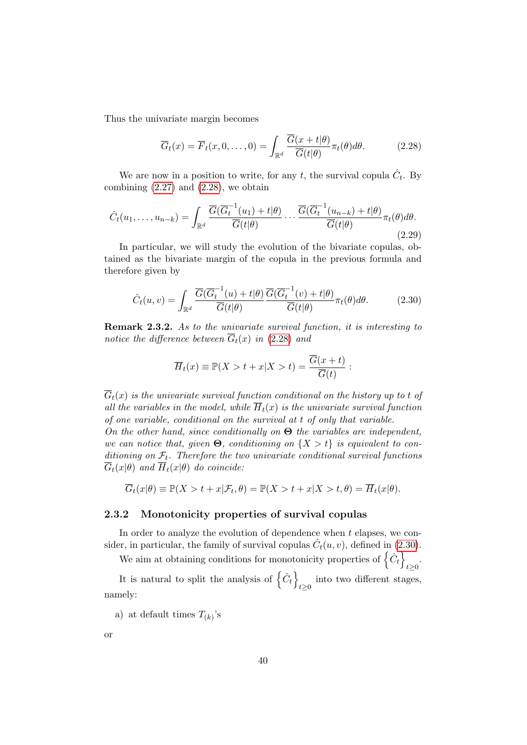Thus the univariate margin becomes

<span id="page-55-2"></span><span id="page-55-0"></span>
$$
\overline{G}_t(x) = \overline{F}_t(x, 0, \dots, 0) = \int_{\mathbb{R}^d} \frac{\overline{G}(x + t | \theta)}{\overline{G}(t | \theta)} \pi_t(\theta) d\theta.
$$
 (2.28)

We are now in a position to write, for any t, the survival copula  $\hat{C}_t$ . By combining  $(2.27)$  and  $(2.28)$ , we obtain

$$
\hat{C}_t(u_1,\ldots,u_{n-k}) = \int_{\mathbb{R}^d} \frac{\overline{G}(\overline{G}_t^{-1}(u_1) + t | \theta)}{\overline{G}(t | \theta)} \cdots \frac{\overline{G}(\overline{G}_t^{-1}(u_{n-k}) + t | \theta)}{\overline{G}(t | \theta)} \pi_t(\theta) d\theta.
$$
\n(2.29)

In particular, we will study the evolution of the bivariate copulas, obtained as the bivariate margin of the copula in the previous formula and therefore given by

<span id="page-55-1"></span>
$$
\hat{C}_t(u,v) = \int_{\mathbb{R}^d} \frac{\overline{G}(\overline{G}_t^{-1}(u) + t | \theta)}{\overline{G}(t | \theta)} \frac{\overline{G}(\overline{G}_t^{-1}(v) + t | \theta)}{\overline{G}(t | \theta)} \pi_t(\theta) d\theta.
$$
 (2.30)

Remark 2.3.2. As to the univariate survival function, it is interesting to notice the difference between  $\overline{G}_t(x)$  in [\(2.28\)](#page-55-0) and

$$
\overline{H}_t(x) \equiv \mathbb{P}(X>t+x|X>t) = \frac{\overline{G}(x+t)}{\overline{G}(t)}:
$$

 $\overline{G}_t(x)$  is the univariate survival function conditional on the history up to t of all the variables in the model, while  $\overline{H}_t(x)$  is the univariate survival function of one variable, conditional on the survival at t of only that variable.

On the other hand, since conditionally on  $\Theta$  the variables are independent, we can notice that, given  $\Theta$ , conditioning on  $\{X > t\}$  is equivalent to conditioning on  $\mathcal{F}_t$ . Therefore the two univariate conditional survival functions  $\overline{G}_t(x|\theta)$  and  $\overline{H}_t(x|\theta)$  do coincide:

$$
\overline{G}_t(x|\theta) \equiv \mathbb{P}(X > t + x|\mathcal{F}_t, \theta) = \mathbb{P}(X > t + x|X > t, \theta) = \overline{H}_t(x|\theta).
$$

### 2.3.2 Monotonicity properties of survival copulas

In order to analyze the evolution of dependence when  $t$  elapses, we consider, in particular, the family of survival copulas  $\hat{C}_t(u, v)$ , defined in [\(2.30\)](#page-55-1).

We aim at obtaining conditions for monotonicity properties of  $\{\hat{C}_t\}$  $t\geq 0$ 

It is natural to split the analysis of  $\{\hat{C}_t\}$ into two different stages,  $t\geq 0$ namely:

a) at default times  $T_{(k)}$ 's

or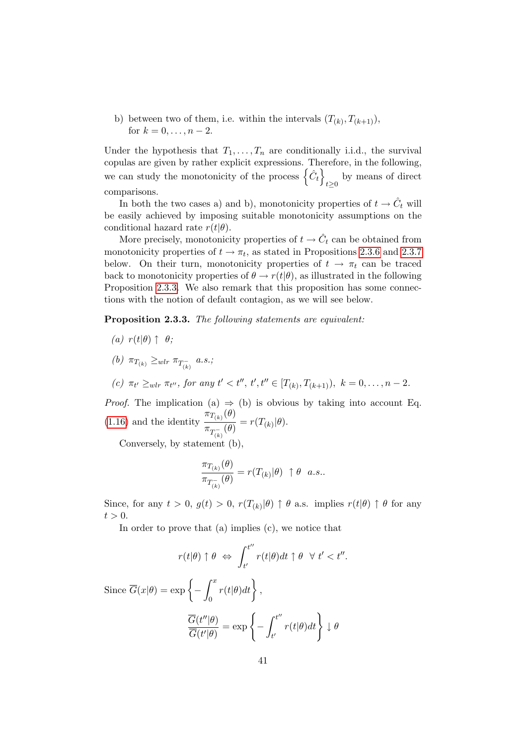b) between two of them, i.e. within the intervals  $(T_{(k)}, T_{(k+1)}),$ for  $k = 0, \ldots, n - 2$ .

Under the hypothesis that  $T_1, \ldots, T_n$  are conditionally i.i.d., the survival copulas are given by rather explicit expressions. Therefore, in the following, we can study the monotonicity of the process  $\{\hat{C}_t\}$  $t \geq 0$  by means of direct comparisons.

In both the two cases a) and b), monotonicity properties of  $t \to \hat{C}_t$  will be easily achieved by imposing suitable monotonicity assumptions on the conditional hazard rate  $r(t|\theta)$ .

More precisely, monotonicity properties of  $t \to \hat{C}_t$  can be obtained from monotonicity properties of  $t \to \pi_t$ , as stated in Propositions [2.3.6](#page-58-0) and [2.3.7](#page-59-0) below. On their turn, monotonicity properties of  $t \to \pi_t$  can be traced back to monotonicity properties of  $\theta \to r(t|\theta)$ , as illustrated in the following Proposition [2.3.3.](#page-56-0) We also remark that this proposition has some connections with the notion of default contagion, as we will see below.

<span id="page-56-0"></span>Proposition 2.3.3. The following statements are equivalent:

- (a)  $r(t|\theta) \uparrow \theta$ ;
- (b)  $\pi_{T_{(k)}} \geq_{wlr} \pi_{T_{(k)}^{-}} a.s.$ ;
- (c)  $\pi_{t'} \geq_{wlr} \pi_{t''},$  for any  $t' < t''$ ,  $t', t'' \in [T_{(k)}, T_{(k+1)}),$   $k = 0, \ldots, n-2$ .

*Proof.* The implication (a)  $\Rightarrow$  (b) is obvious by taking into account Eq. [\(1.16\)](#page-30-0) and the identity  $\frac{\pi_{T_{(k)}}(\theta)}{(\theta)}$  $\frac{T(k)}{\pi_{T_{(k)}^{-}}(\theta)} = r(T_{(k)}|\theta).$ 

Conversely, by statement (b),

$$
\frac{\pi_{T_{(k)}}(\theta)}{\pi_{T_{(k)}^-}(\theta)} = r(T_{(k)}|\theta) \uparrow \theta \quad a.s..
$$

Since, for any  $t > 0$ ,  $g(t) > 0$ ,  $r(T_{(k)}|\theta) \uparrow \theta$  a.s. implies  $r(t|\theta) \uparrow \theta$  for any  $t > 0$ .

.

In order to prove that (a) implies (c), we notice that

$$
r(t|\theta) \uparrow \theta \iff \int_{t'}^{t''} r(t|\theta) dt \uparrow \theta \quad \forall \ t' < t''
$$
  
Since  $\overline{G}(x|\theta) = \exp\left\{-\int_0^x r(t|\theta) dt\right\},$   

$$
\frac{\overline{G}(t''|\theta)}{\overline{G}(t'|\theta)} = \exp\left\{-\int_{t'}^{t''} r(t|\theta) dt\right\} \downarrow \theta
$$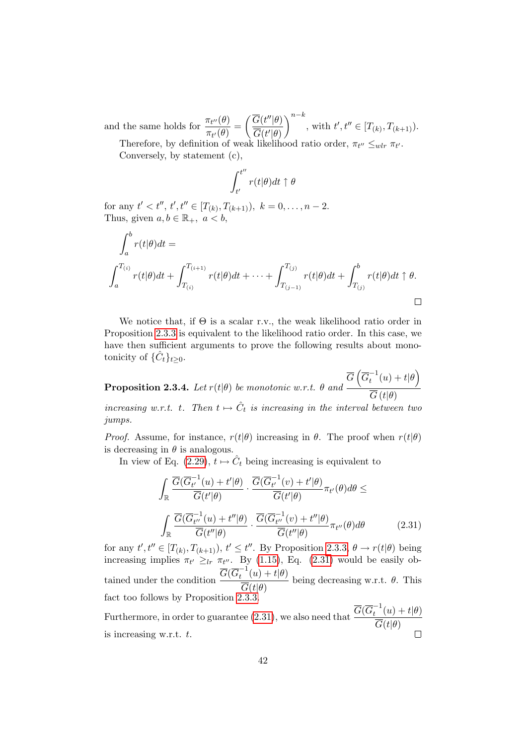and the same holds for  $\frac{\pi_{t''}(\theta)}{(\theta)}$  $\frac{\pi_{t^{\prime\prime}}(\theta)}{\pi_{t^{\prime}}(\theta)} = \bigg(\frac{\overline{G}(t^{\prime\prime}|\theta)}{\overline{G}(t^{\prime}|\theta)}$  $\overline{G}(t'|\theta)$  $\bigg\}^{n-k}$ , with  $t', t'' \in [T_{(k)}, T_{(k+1)}).$ 

Therefore, by definition of weak likelihood ratio order,  $\pi_{t''} \leq_{wlr} \pi_{t'}$ . Conversely, by statement (c),

$$
\int_{t'}^{t''} r(t|\theta) dt \uparrow \theta
$$

for any  $t' < t'', t', t'' \in [T_{(k)}, T_{(k+1)}), k = 0, \ldots, n-2.$ Thus, given  $a, b \in \mathbb{R}_+$ ,  $a < b$ ,

$$
\int_{a}^{b} r(t|\theta)dt =
$$
\n
$$
\int_{a}^{T_{(i)}} r(t|\theta)dt + \int_{T_{(i)}}^{T_{(i+1)}} r(t|\theta)dt + \dots + \int_{T_{(j-1)}}^{T_{(j)}} r(t|\theta)dt + \int_{T_{(j)}}^{b} r(t|\theta)dt \uparrow \theta.
$$

We notice that, if  $\Theta$  is a scalar r.v., the weak likelihood ratio order in Proposition [2.3.3](#page-56-0) is equivalent to the likelihood ratio order. In this case, we have then sufficient arguments to prove the following results about monotonicity of  $\{\hat{C}_t\}_{t\geq 0}$ .

<span id="page-57-1"></span>**Proposition 2.3.4.** Let  $r(t|\theta)$  be monotonic w.r.t.  $\theta$  and  $\overline{G}\left(\overline{G}_{t}^{-1}\right)$  $t_0^{-1}(u)+t|\theta\big)$  $\overline{G}\left(t|\theta\right)$ increasing w.r.t. t. Then  $t \mapsto \hat{C}_t$  is increasing in the interval between two jumps.

*Proof.* Assume, for instance,  $r(t|\theta)$  increasing in  $\theta$ . The proof when  $r(t|\theta)$ is decreasing in  $\theta$  is analogous.

In view of Eq. [\(2.29\)](#page-55-2),  $t \mapsto \hat{C}_t$  being increasing is equivalent to

$$
\int_{\mathbb{R}} \frac{\overline{G}(\overline{G}_{t'}^{-1}(u) + t'|\theta)}{\overline{G}(t'|\theta)} \cdot \frac{\overline{G}(\overline{G}_{t'}^{-1}(v) + t'|\theta)}{\overline{G}(t'|\theta)} \pi_{t'}(\theta) d\theta \le
$$
\n
$$
\int_{\mathbb{R}} \frac{\overline{G}(\overline{G}_{t''}^{-1}(u) + t''|\theta)}{\overline{G}(t''|\theta)} \cdot \frac{\overline{G}(\overline{G}_{t''}^{-1}(v) + t''|\theta)}{\overline{G}(t''|\theta)} \pi_{t''}(\theta) d\theta \qquad (2.31)
$$

<span id="page-57-0"></span>for any  $t', t'' \in [T_{(k)}, T_{(k+1)}), t' \leq t''$ . By Proposition [2.3.3,](#page-56-0)  $\theta \to r(t|\theta)$  being increasing implies  $\pi_{t'} \geq_{lr} \pi_{t''}$ . By [\(1.15\)](#page-29-0), Eq. [\(2.31\)](#page-57-0) would be easily obtained under the condition  $\frac{\overline{G}(\overline{G}_{t}^{-1})}{\overline{G}}$  $t^{-1}(u) + t|\theta)$  $\overline{G}(t|\theta)$ being decreasing w.r.t.  $\theta$ . This fact too follows by Proposition [2.3.3.](#page-56-0)

Furthermore, in order to guarantee [\(2.31\)](#page-57-0), we also need that  $\frac{\overline{G}(\overline{G}_{t}^{-1})}{\overline{G}}$  $t_t^{-1}(u) + t|\theta)$  $G(t|\theta)$ is increasing w.r.t. t.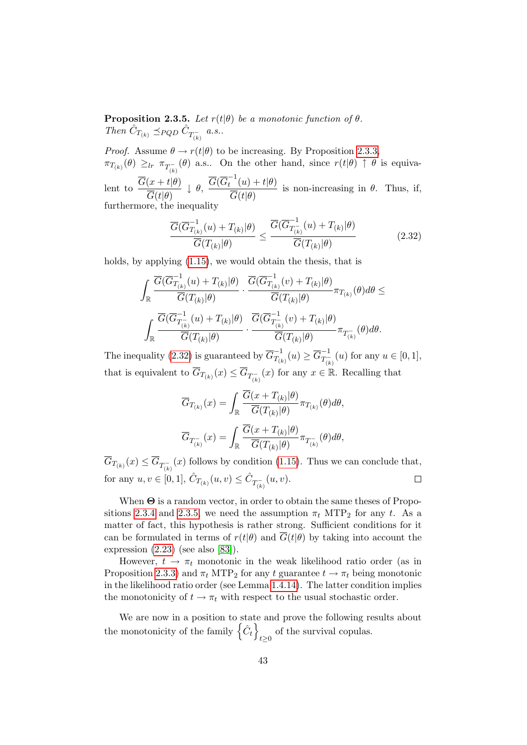<span id="page-58-2"></span>**Proposition 2.3.5.** Let  $r(t|\theta)$  be a monotonic function of  $\theta$ . Then  $\hat{C}_{T_{(k)}} \preceq_{PQD} \hat{C}_{T_{(k)}^-}$  a.s..

*Proof.* Assume  $\theta \rightarrow r(t|\theta)$  to be increasing. By Proposition [2.3.3,](#page-56-0)  $\pi_{T_{(k)}}(\theta) \geq_{lr} \pi_{T_{(k)}^{-}}(\theta)$  a.s.. On the other hand, since  $r(t|\theta) \uparrow \theta$  is equivalent to  $\frac{G(x+t|\theta)}{\sqrt{G(x)}\theta}$  $G(t|\theta)$  $\downarrow \theta$ ,  $\overline{\frac{G(\overline{G}_{t}^{-1})}{\overline{G}}}$  $t^{-1}(u) + t|\theta)$  $G(t|\theta)$ is non-increasing in  $\theta$ . Thus, if, furthermore, the inequality

<span id="page-58-1"></span>
$$
\frac{\overline{G}(\overline{G}_{T_{(k)}}^{-1}(u) + T_{(k)}|\theta)}{\overline{G}(T_{(k)}|\theta)} \le \frac{\overline{G}(\overline{G}_{T_{(k)}}^{-1}(u) + T_{(k)}|\theta)}{\overline{G}(T_{(k)}|\theta)}
$$
(2.32)

holds, by applying  $(1.15)$ , we would obtain the thesis, that is

$$
\int_{\mathbb{R}} \frac{\overline{G}(\overline{G}_{T_{(k)}}^{-1}(u) + T_{(k)} | \theta)}{\overline{G}(T_{(k)} | \theta)} \cdot \frac{\overline{G}(\overline{G}_{T_{(k)}}^{-1}(v) + T_{(k)} | \theta)}{\overline{G}(T_{(k)} | \theta)} \pi_{T_{(k)}}(\theta) d\theta \leq \int_{\mathbb{R}} \frac{\overline{G}(\overline{G}_{T_{(k)}}^{-1}(u) + T_{(k)} | \theta)}{\overline{G}(T_{(k)} | \theta)} \cdot \frac{\overline{G}(\overline{G}_{T_{(k)}}^{-1}(v) + T_{(k)} | \theta)}{\overline{G}(T_{(k)} | \theta)} \pi_{T_{(k)}}(\theta) d\theta.
$$

The inequality [\(2.32\)](#page-58-1) is guaranteed by  $\overline{G}_{T_Q}^{-1}$  $\overline{G}^{-1}_{T_{(k)}}(u) \geq \overline{G}^{-1}_{T_{(k)}^-}$  $T_{(k)}^{-1}(u)$  for any  $u \in [0,1],$ that is equivalent to  $\overline{G}_{T_{(k)}}(x) \leq \overline{G}_{T_{(k)}^{-}}(x)$  for any  $x \in \mathbb{R}$ . Recalling that

$$
\overline{G}_{T_{(k)}}(x) = \int_{\mathbb{R}} \frac{\overline{G}(x + T_{(k)} | \theta)}{\overline{G}(T_{(k)} | \theta)} \pi_{T_{(k)}}(\theta) d\theta,
$$

$$
\overline{G}_{T_{(k)}^{-}}(x) = \int_{\mathbb{R}} \frac{\overline{G}(x + T_{(k)} | \theta)}{\overline{G}(T_{(k)} | \theta)} \pi_{T_{(k)}^{-}}(\theta) d\theta,
$$

 $G_{T_{(k)}}(x) \leq G_{T_{(k)}^{-}}(x)$  follows by condition [\(1.15\)](#page-29-0). Thus we can conclude that, for any  $u, v \in [0, 1], \hat{C}_{T_{(k)}}(u, v) \leq \hat{C}_{T_{(k)}^{-}}(u, v)$ .  $\Box$ 

When  $\Theta$  is a random vector, in order to obtain the same theses of Propo-sitions [2.3.4](#page-57-1) and [2.3.5,](#page-58-2) we need the assumption  $\pi_t$  MTP<sub>2</sub> for any t. As a matter of fact, this hypothesis is rather strong. Sufficient conditions for it can be formulated in terms of  $r(t|\theta)$  and  $\overline{G}(t|\theta)$  by taking into account the expression  $(2.23)$  (see also [\[83\]](#page-123-0)).

However,  $t \to \pi_t$  monotonic in the weak likelihood ratio order (as in Proposition [2.3.3\)](#page-56-0) and  $\pi_t$  MTP<sub>2</sub> for any t guarantee  $t \to \pi_t$  being monotonic in the likelihood ratio order (see Lemma [1.4.14\)](#page-30-1). The latter condition implies the monotonicity of  $t \to \pi_t$  with respect to the usual stochastic order.

<span id="page-58-0"></span>We are now in a position to state and prove the following results about the monotonicity of the family  $\{\hat{C}_t\}$ of the survival copulas.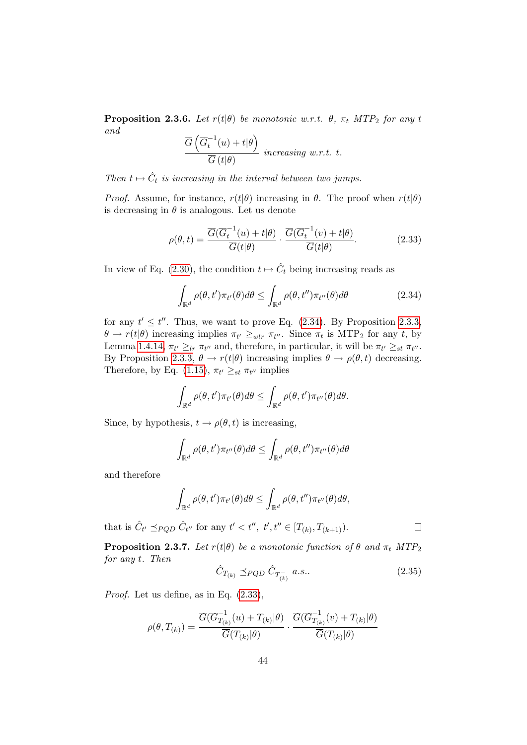**Proposition 2.3.6.** Let  $r(t|\theta)$  be monotonic w.r.t.  $\theta$ ,  $\pi_t$  MTP<sub>2</sub> for any t and  $\overline{ }$ 

<span id="page-59-2"></span>
$$
\frac{\overline{G}\left(\overline{G}_t^{-1}(u) + t | \theta\right)}{\overline{G}\left(t | \theta\right)} \text{ increasing w.r.t. } t.
$$

Then  $t \mapsto \hat{C}_t$  is increasing in the interval between two jumps.

*Proof.* Assume, for instance,  $r(t|\theta)$  increasing in  $\theta$ . The proof when  $r(t|\theta)$ is decreasing in  $\theta$  is analogous. Let us denote

$$
\rho(\theta, t) = \frac{\overline{G}(\overline{G}_t^{-1}(u) + t | \theta)}{\overline{G}(t | \theta)} \cdot \frac{\overline{G}(\overline{G}_t^{-1}(v) + t | \theta)}{\overline{G}(t | \theta)}.
$$
\n(2.33)

In view of Eq. [\(2.30\)](#page-55-1), the condition  $t \mapsto \hat{C}_t$  being increasing reads as

<span id="page-59-1"></span>
$$
\int_{\mathbb{R}^d} \rho(\theta, t') \pi_{t'}(\theta) d\theta \le \int_{\mathbb{R}^d} \rho(\theta, t'') \pi_{t''}(\theta) d\theta \tag{2.34}
$$

for any  $t' \leq t''$ . Thus, we want to prove Eq. [\(2.34\)](#page-59-1). By Proposition [2.3.3,](#page-56-0)  $\theta \to r(t|\theta)$  increasing implies  $\pi_{t'} \geq_{wlr} \pi_{t''}$ . Since  $\pi_t$  is MTP<sub>2</sub> for any t, by Lemma [1.4.14,](#page-30-1)  $\pi_{t'} \geq_{lr} \pi_{t''}$  and, therefore, in particular, it will be  $\pi_{t'} \geq_{st} \pi_{t''}$ . By Proposition [2.3.3,](#page-56-0)  $\theta \to r(t|\theta)$  increasing implies  $\theta \to \rho(\theta, t)$  decreasing. Therefore, by Eq. [\(1.15\)](#page-29-0),  $\pi_{t'} \geq_{st} \pi_{t''}$  implies

$$
\int_{\mathbb{R}^d} \rho(\theta, t') \pi_{t'}(\theta) d\theta \leq \int_{\mathbb{R}^d} \rho(\theta, t') \pi_{t''}(\theta) d\theta.
$$

Since, by hypothesis,  $t \to \rho(\theta, t)$  is increasing,

$$
\int_{\mathbb{R}^d} \rho(\theta, t') \pi_{t''}(\theta) d\theta \le \int_{\mathbb{R}^d} \rho(\theta, t'') \pi_{t''}(\theta) d\theta
$$

and therefore

$$
\int_{\mathbb{R}^d} \rho(\theta, t') \pi_{t'}(\theta) d\theta \le \int_{\mathbb{R}^d} \rho(\theta, t'') \pi_{t''}(\theta) d\theta,
$$

that is  $\hat{C}_{t'} \preceq_{PQD} \hat{C}_{t''}$  for any  $t' < t''$ ,  $t''$ ,  $t'' \in [T_{(k)}, T_{(k+1)}).$ 

<span id="page-59-0"></span>**Proposition 2.3.7.** Let  $r(t|\theta)$  be a monotonic function of  $\theta$  and  $\pi_t$  MTP<sub>2</sub> for any t. Then

<span id="page-59-3"></span>
$$
\hat{C}_{T_{(k)}} \preceq_{PQD} \hat{C}_{T_{(k)}^-} a.s.. \tag{2.35}
$$

 $\Box$ 

Proof. Let us define, as in Eq. [\(2.33\)](#page-59-2),

$$
\rho(\theta,T_{(k)})=\frac{\overline{G}(\overline{G}_{T_{(k)}}^{-1}(u)+T_{(k)}|\theta)}{\overline{G}(T_{(k)}|\theta)}\cdot\frac{\overline{G}(\overline{G}_{T_{(k)}}^{-1}(v)+T_{(k)}|\theta)}{\overline{G}(T_{(k)}|\theta)}
$$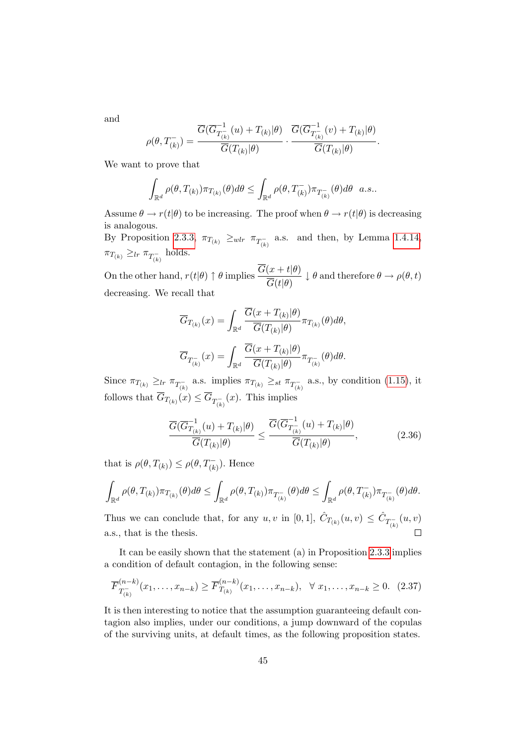and

$$
\rho(\theta,T_{(k)}^-)=\frac{\overline{G}(\overline{G}_{T_{(k)}^-}^{-1}(u)+T_{(k)}|\theta)}{\overline{G}(T_{(k)}|\theta)}\cdot\frac{\overline{G}(\overline{G}_{T_{(k)}^-}^{-1}(v)+T_{(k)}|\theta)}{\overline{G}(T_{(k)}|\theta)}.
$$

We want to prove that

$$
\int_{\mathbb{R}^d} \rho(\theta, T_{(k)}) \pi_{T_{(k)}}(\theta) d\theta \le \int_{\mathbb{R}^d} \rho(\theta, T_{(k)}^-) \pi_{T_{(k)}^-}(\theta) d\theta \quad a.s..
$$

Assume  $\theta \to r(t|\theta)$  to be increasing. The proof when  $\theta \to r(t|\theta)$  is decreasing is analogous.

By Proposition [2.3.3,](#page-56-0)  $\pi_{T_{(k)}} \geq_{wlr} \pi_{T_{(k)}^-}$  a.s. and then, by Lemma [1.4.14,](#page-30-1)  $\pi_{T_{(k)}} \geq_{lr} \pi_{T_{(k)}^-}$  holds.

On the other hand,  $r(t|\theta) \uparrow \theta$  implies  $\frac{G(x+t|\theta)}{\sqrt{G(x)}\theta}$  $\overline{G}(t|\theta)$  $\downarrow \theta$  and therefore  $\theta \to \rho(\theta, t)$ decreasing. We recall that

$$
\overline{G}_{T_{(k)}}(x) = \int_{\mathbb{R}^d} \frac{G(x + T_{(k)} | \theta)}{\overline{G}(T_{(k)} | \theta)} \pi_{T_{(k)}}(\theta) d\theta,
$$

$$
\overline{G}_{T_{(k)}^-}(x) = \int_{\mathbb{R}^d} \frac{\overline{G}(x + T_{(k)} | \theta)}{\overline{G}(T_{(k)} | \theta)} \pi_{T_{(k)}^-}(\theta) d\theta.
$$

Since  $\pi_{T_{(k)}} \geq_{lr} \pi_{T_{(k)}^-}$  a.s. implies  $\pi_{T_{(k)}} \geq_{st} \pi_{T_{(k)}^-}$  a.s., by condition [\(1.15\)](#page-29-0), it follows that  $\overline{G}_{T_{(k)}}(x) \leq \overline{G}_{T_{(k)}^{-}}(x)$ . This implies

<span id="page-60-0"></span>
$$
\frac{\overline{G}(\overline{G}_{T_{(k)}}^{-1}(u) + T_{(k)}|\theta)}{\overline{G}(T_{(k)}|\theta)} \le \frac{\overline{G}(\overline{G}_{T_{(k)}}^{-1}(u) + T_{(k)}|\theta)}{\overline{G}(T_{(k)}|\theta)},
$$
\n(2.36)

that is  $\rho(\theta, T_{(k)}) \leq \rho(\theta, T_{(k)}^-)$ . Hence

$$
\int_{\mathbb{R}^d} \rho(\theta, T_{(k)}) \pi_{T_{(k)}}(\theta) d\theta \le \int_{\mathbb{R}^d} \rho(\theta, T_{(k)}) \pi_{T_{(k)}^-}(\theta) d\theta \le \int_{\mathbb{R}^d} \rho(\theta, T_{(k)}^-) \pi_{T_{(k)}^-}(\theta) d\theta.
$$

Thus we can conclude that, for any  $u, v$  in [0, 1],  $\hat{C}_{T_{(k)}}(u, v) \leq \hat{C}_{T_{(k)}^{-}}(u, v)$  $\Box$ a.s., that is the thesis.

It can be easily shown that the statement (a) in Proposition [2.3.3](#page-56-0) implies a condition of default contagion, in the following sense:

$$
\overline{F}_{T_{(k)}^{-}}^{(n-k)}(x_1,\ldots,x_{n-k}) \ge \overline{F}_{T_{(k)}}^{(n-k)}(x_1,\ldots,x_{n-k}), \quad \forall \ x_1,\ldots,x_{n-k} \ge 0. \tag{2.37}
$$

<span id="page-60-1"></span>It is then interesting to notice that the assumption guaranteeing default contagion also implies, under our conditions, a jump downward of the copulas of the surviving units, at default times, as the following proposition states.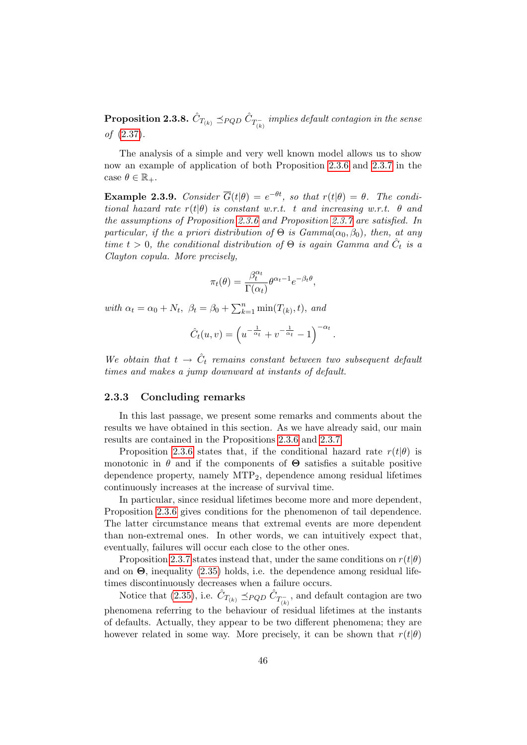$\bf{Proposition 2.3.8.}$   $\hat{C}_{T_{(k)}} \preceq_{PQD} \hat{C}_{T_{(k)}^-}$  implies default contagion in the sense of [\(2.37\)](#page-60-0).

The analysis of a simple and very well known model allows us to show now an example of application of both Proposition [2.3.6](#page-58-0) and [2.3.7](#page-59-0) in the case  $\theta \in \mathbb{R}_+$ .

**Example 2.3.9.** Consider  $\overline{G}(t|\theta) = e^{-\theta t}$ , so that  $r(t|\theta) = \theta$ . The conditional hazard rate  $r(t|\theta)$  is constant w.r.t. t and increasing w.r.t.  $\theta$  and the assumptions of Proposition [2.3.6](#page-58-0) and Proposition [2.3.7](#page-59-0) are satisfied. In particular, if the a priori distribution of  $\Theta$  is  $Gamma(\alpha_0, \beta_0)$ , then, at any time  $t > 0$ , the conditional distribution of  $\Theta$  is again Gamma and  $\hat{C}_t$  is a Clayton copula. More precisely,

$$
\pi_t(\theta) = \frac{\beta_t^{\alpha_t}}{\Gamma(\alpha_t)} \theta^{\alpha_t - 1} e^{-\beta_t \theta},
$$

with  $\alpha_t = \alpha_0 + N_t$ ,  $\beta_t = \beta_0 + \sum_{k=1}^n \min(T_{(k)}, t)$ , and

$$
\hat{C}_t(u,v) = \left(u^{-\frac{1}{\alpha_t}} + v^{-\frac{1}{\alpha_t}} - 1\right)^{-\alpha_t}.
$$

We obtain that  $t \to \hat{C}_t$  remains constant between two subsequent default times and makes a jump downward at instants of default.

### 2.3.3 Concluding remarks

In this last passage, we present some remarks and comments about the results we have obtained in this section. As we have already said, our main results are contained in the Propositions [2.3.6](#page-58-0) and [2.3.7.](#page-59-0)

Proposition [2.3.6](#page-58-0) states that, if the conditional hazard rate  $r(t|\theta)$  is monotonic in  $\theta$  and if the components of  $\Theta$  satisfies a suitable positive dependence property, namely MTP2, dependence among residual lifetimes continuously increases at the increase of survival time.

In particular, since residual lifetimes become more and more dependent, Proposition [2.3.6](#page-58-0) gives conditions for the phenomenon of tail dependence. The latter circumstance means that extremal events are more dependent than non-extremal ones. In other words, we can intuitively expect that, eventually, failures will occur each close to the other ones.

Proposition [2.3.7](#page-59-0) states instead that, under the same conditions on  $r(t|\theta)$ and on  $\Theta$ , inequality [\(2.35\)](#page-59-3) holds, i.e. the dependence among residual lifetimes discontinuously decreases when a failure occurs.

Notice that [\(2.35\)](#page-59-3), i.e.  $\hat{C}_{T_{(k)}} \preceq_{PQD} \hat{C}_{T_{(k)}^-}$ , and default contagion are two phenomena referring to the behaviour of residual lifetimes at the instants of defaults. Actually, they appear to be two different phenomena; they are however related in some way. More precisely, it can be shown that  $r(t|\theta)$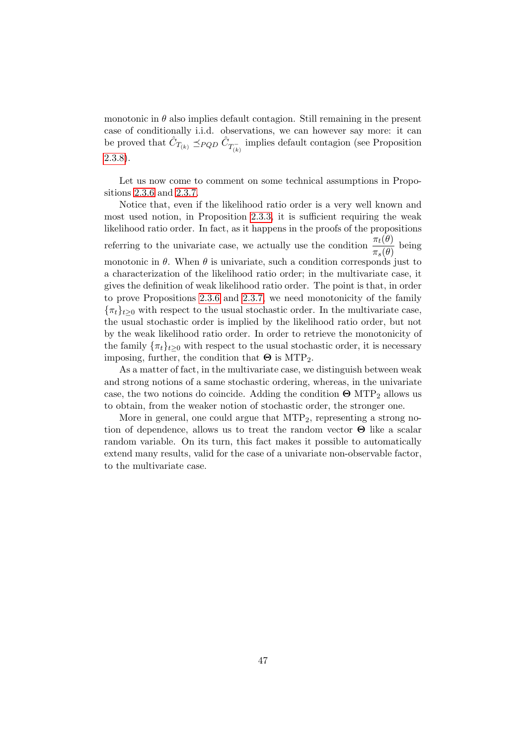monotonic in  $\theta$  also implies default contagion. Still remaining in the present case of conditionally i.i.d. observations, we can however say more: it can be proved that  $\hat{C}_{T_{(k)}} \preceq_{PQD} \hat{C}_{T_{(k)}^-}$  implies default contagion (see Proposition [2.3.8\)](#page-60-1).

Let us now come to comment on some technical assumptions in Propositions [2.3.6](#page-58-0) and [2.3.7.](#page-59-0)

Notice that, even if the likelihood ratio order is a very well known and most used notion, in Proposition [2.3.3,](#page-56-0) it is sufficient requiring the weak likelihood ratio order. In fact, as it happens in the proofs of the propositions referring to the univariate case, we actually use the condition  $\frac{\pi_t(\theta)}{\sigma_t(\theta)}$  $\frac{\pi_{\ell}(\theta)}{\pi_{s}(\theta)}$  being monotonic in  $\theta$ . When  $\theta$  is univariate, such a condition corresponds just to a characterization of the likelihood ratio order; in the multivariate case, it gives the definition of weak likelihood ratio order. The point is that, in order to prove Propositions [2.3.6](#page-58-0) and [2.3.7,](#page-59-0) we need monotonicity of the family  ${\lbrace \pi_t \rbrace_{t>0}}$  with respect to the usual stochastic order. In the multivariate case, the usual stochastic order is implied by the likelihood ratio order, but not by the weak likelihood ratio order. In order to retrieve the monotonicity of the family  $\{\pi_t\}_{t\geq 0}$  with respect to the usual stochastic order, it is necessary imposing, further, the condition that  $\Theta$  is MTP<sub>2</sub>.

As a matter of fact, in the multivariate case, we distinguish between weak and strong notions of a same stochastic ordering, whereas, in the univariate case, the two notions do coincide. Adding the condition  $\Theta$  MTP<sub>2</sub> allows us to obtain, from the weaker notion of stochastic order, the stronger one.

More in general, one could argue that  $\text{MTP}_2$ , representing a strong notion of dependence, allows us to treat the random vector Θ like a scalar random variable. On its turn, this fact makes it possible to automatically extend many results, valid for the case of a univariate non-observable factor, to the multivariate case.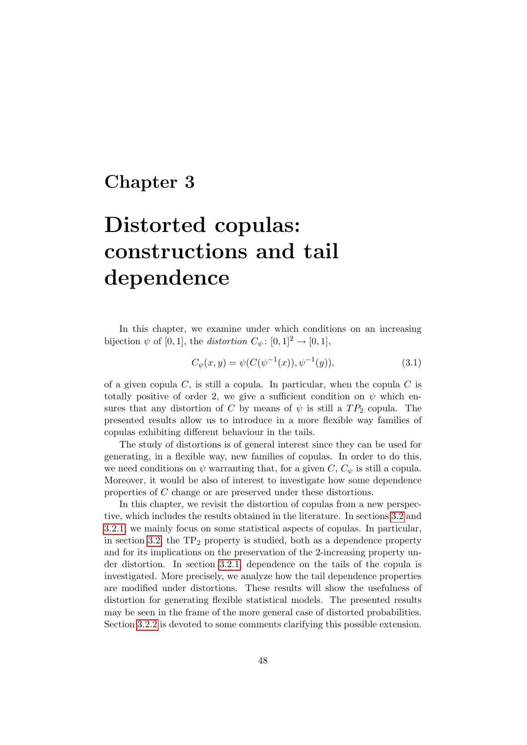# Chapter 3

# Distorted copulas: constructions and tail dependence

In this chapter, we examine under which conditions on an increasing bijection  $\psi$  of [0, 1], the *distortion*  $C_{\psi}$ : [0, 1]<sup>2</sup>  $\rightarrow$  [0, 1],

<span id="page-63-0"></span>
$$
C_{\psi}(x, y) = \psi(C(\psi^{-1}(x)), \psi^{-1}(y)), \tag{3.1}
$$

of a given copula  $C$ , is still a copula. In particular, when the copula  $C$  is totally positive of order 2, we give a sufficient condition on  $\psi$  which ensures that any distortion of C by means of  $\psi$  is still a  $TP_2$  copula. The presented results allow us to introduce in a more flexible way families of copulas exhibiting different behaviour in the tails.

The study of distortions is of general interest since they can be used for generating, in a flexible way, new families of copulas. In order to do this, we need conditions on  $\psi$  warranting that, for a given C,  $C_{\psi}$  is still a copula. Moreover, it would be also of interest to investigate how some dependence properties of C change or are preserved under these distortions.

In this chapter, we revisit the distortion of copulas from a new perspective, which includes the results obtained in the literature. In sections [3.2](#page-68-0) and [3.2.1,](#page-70-0) we mainly focus on some statistical aspects of copulas. In particular, in section [3.2,](#page-68-0) the  $TP_2$  property is studied, both as a dependence property and for its implications on the preservation of the 2-increasing property under distortion. In section [3.2.1,](#page-70-0) dependence on the tails of the copula is investigated. More precisely, we analyze how the tail dependence properties are modified under distortions. These results will show the usefulness of distortion for generating flexible statistical models. The presented results may be seen in the frame of the more general case of distorted probabilities. Section [3.2.2](#page-72-0) is devoted to some comments clarifying this possible extension.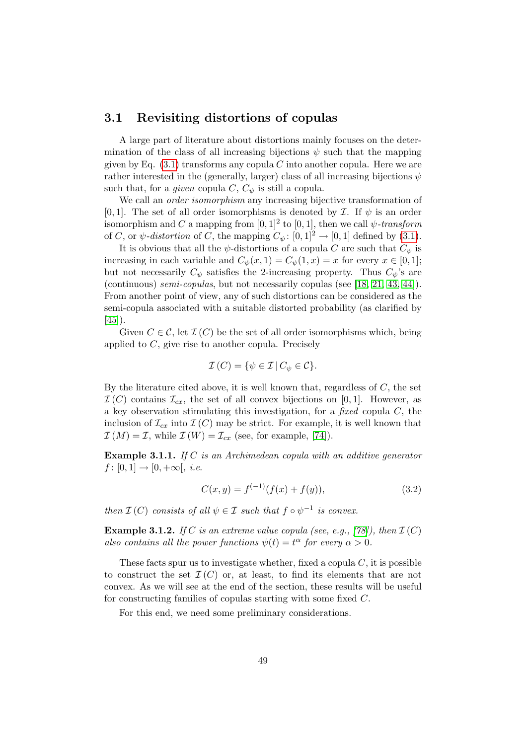### 3.1 Revisiting distortions of copulas

A large part of literature about distortions mainly focuses on the determination of the class of all increasing bijections  $\psi$  such that the mapping given by Eq.  $(3.1)$  transforms any copula C into another copula. Here we are rather interested in the (generally, larger) class of all increasing bijections  $\psi$ such that, for a *given* copula  $C$ ,  $C_{\psi}$  is still a copula.

We call an *order isomorphism* any increasing bijective transformation of [0, 1]. The set of all order isomorphisms is denoted by  $\mathcal I$ . If  $\psi$  is an order isomorphism and C a mapping from  $[0,1]^2$  to  $[0,1]$ , then we call  $\psi$ -transform of C, or  $\psi$ -distortion of C, the mapping  $C_{\psi}$ : [0, 1]<sup>2</sup>  $\rightarrow$  [0, 1] defined by [\(3.1\)](#page-63-0).

It is obvious that all the  $\psi$ -distortions of a copula C are such that  $C_{\psi}$  is increasing in each variable and  $C_{\psi}(x,1) = C_{\psi}(1,x) = x$  for every  $x \in [0,1]$ ; but not necessarily  $C_{\psi}$  satisfies the 2-increasing property. Thus  $C_{\psi}$ 's are (continuous) semi-copulas, but not necessarily copulas (see [\[18,](#page-118-0) [21,](#page-118-1) [43,](#page-120-1) [44\]](#page-120-2)). From another point of view, any of such distortions can be considered as the semi-copula associated with a suitable distorted probability (as clarified by [\[45\]](#page-120-3)).

Given  $C \in \mathcal{C}$ , let  $\mathcal{I}(C)$  be the set of all order isomorphisms which, being applied to C, give rise to another copula. Precisely

$$
\mathcal{I}(C) = \{ \psi \in \mathcal{I} \, | \, C_{\psi} \in \mathcal{C} \}.
$$

By the literature cited above, it is well known that, regardless of  $C$ , the set  $\mathcal{I}(C)$  contains  $\mathcal{I}_{cx}$ , the set of all convex bijections on [0,1]. However, as a key observation stimulating this investigation, for a fixed copula  $C$ , the inclusion of  $\mathcal{I}_{cx}$  into  $\mathcal{I}(C)$  may be strict. For example, it is well known that  $\mathcal{I}(M) = \mathcal{I}$ , while  $\mathcal{I}(W) = \mathcal{I}_{cx}$  (see, for example, [\[74\]](#page-122-2)).

Example 3.1.1. If C is an Archimedean copula with an additive generator  $f: [0, 1] \to [0, +\infty[, i.e.$ 

$$
C(x, y) = f(-1)(f(x) + f(y)),
$$
\n(3.2)

then  $\mathcal{I}(C)$  consists of all  $\psi \in \mathcal{I}$  such that  $f \circ \psi^{-1}$  is convex.

**Example 3.1.2.** If C is an extreme value copula (see, e.g., [\[78\]](#page-122-0)), then  $\mathcal{I}(C)$ also contains all the power functions  $\psi(t) = t^{\alpha}$  for every  $\alpha > 0$ .

These facts spur us to investigate whether, fixed a copula  $C$ , it is possible to construct the set  $\mathcal{I}(C)$  or, at least, to find its elements that are not convex. As we will see at the end of the section, these results will be useful for constructing families of copulas starting with some fixed C.

<span id="page-64-0"></span>For this end, we need some preliminary considerations.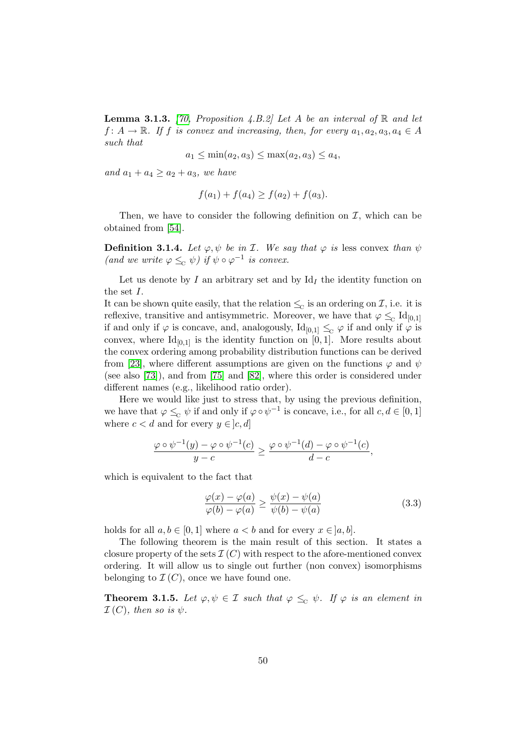**Lemma 3.1.3.** [\[70,](#page-122-3) Proposition 4.B.2] Let A be an interval of R and let  $f: A \to \mathbb{R}$ . If f is convex and increasing, then, for every  $a_1, a_2, a_3, a_4 \in A$ such that

$$
a_1 \leq \min(a_2, a_3) \leq \max(a_2, a_3) \leq a_4
$$

and  $a_1 + a_4 \ge a_2 + a_3$ , we have

$$
f(a_1) + f(a_4) \ge f(a_2) + f(a_3).
$$

Then, we have to consider the following definition on  $\mathcal{I}$ , which can be obtained from [\[54\]](#page-121-1).

**Definition 3.1.4.** Let  $\varphi, \psi$  be in *I*. We say that  $\varphi$  is less convex than  $\psi$ (and we write  $\varphi \leq_{\mathcal{C}} \psi$ ) if  $\psi \circ \varphi^{-1}$  is convex.

Let us denote by I an arbitrary set and by  $Id<sub>I</sub>$  the identity function on the set I.

It can be shown quite easily, that the relation  $\leq_{\mathcal{C}}$  is an ordering on  $\mathcal{I}$ , i.e. it is reflexive, transitive and antisymmetric. Moreover, we have that  $\varphi \leq_c \text{Id}_{[0,1]}$ if and only if  $\varphi$  is concave, and, analogously,  $Id_{[0,1]} \leq_{\mathcal{C}} \varphi$  if and only if  $\varphi$  is convex, where  $Id_{[0,1]}$  is the identity function on [0, 1]. More results about the convex ordering among probability distribution functions can be derived from [\[23\]](#page-119-0), where different assumptions are given on the functions  $\varphi$  and  $\psi$ (see also [\[73\]](#page-122-4)), and from [\[75\]](#page-122-5) and [\[82\]](#page-123-1), where this order is considered under different names (e.g., likelihood ratio order).

Here we would like just to stress that, by using the previous definition, we have that  $\varphi \leq_{\mathcal{C}} \psi$  if and only if  $\varphi \circ \psi^{-1}$  is concave, i.e., for all  $c, d \in [0, 1]$ where  $c < d$  and for every  $y \in [c, d]$ 

$$
\frac{\varphi \circ \psi^{-1}(y) - \varphi \circ \psi^{-1}(c)}{y - c} \ge \frac{\varphi \circ \psi^{-1}(d) - \varphi \circ \psi^{-1}(c)}{d - c},
$$

which is equivalent to the fact that

<span id="page-65-0"></span>
$$
\frac{\varphi(x) - \varphi(a)}{\varphi(b) - \varphi(a)} \ge \frac{\psi(x) - \psi(a)}{\psi(b) - \psi(a)}\tag{3.3}
$$

holds for all  $a, b \in [0, 1]$  where  $a < b$  and for every  $x \in [a, b]$ .

The following theorem is the main result of this section. It states a closure property of the sets  $\mathcal{I}(C)$  with respect to the afore-mentioned convex ordering. It will allow us to single out further (non convex) isomorphisms belonging to  $\mathcal{I}(C)$ , once we have found one.

<span id="page-65-1"></span>**Theorem 3.1.5.** Let  $\varphi, \psi \in \mathcal{I}$  such that  $\varphi \leq_{\mathcal{C}} \psi$ . If  $\varphi$  is an element in  $\mathcal{I}(C)$ , then so is  $\psi$ .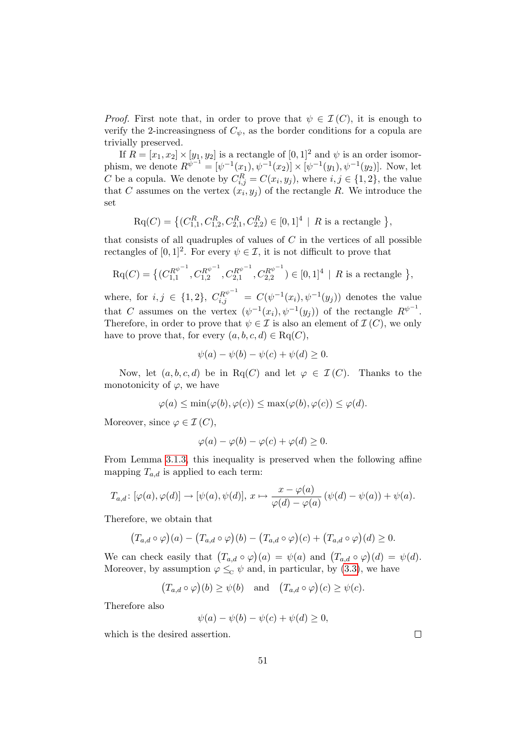*Proof.* First note that, in order to prove that  $\psi \in \mathcal{I}(C)$ , it is enough to verify the 2-increasingness of  $C_{\psi}$ , as the border conditions for a copula are trivially preserved.

If  $R = [x_1, x_2] \times [y_1, y_2]$  is a rectangle of  $[0, 1]^2$  and  $\psi$  is an order isomorphism, we denote  $R^{\psi^{-1}} = [\psi^{-1}(x_1), \psi^{-1}(x_2)] \times [\psi^{-1}(y_1), \psi^{-1}(y_2)]$ . Now, let C be a copula. We denote by  $C_{i,j}^R = C(x_i, y_j)$ , where  $i, j \in \{1, 2\}$ , the value that C assumes on the vertex  $(x_i, y_j)$  of the rectangle R. We introduce the set

$$
\text{Rq}(C) = \left\{ (C_{1,1}^R, C_{1,2}^R, C_{2,1}^R, C_{2,2}^R) \in [0,1]^4 \mid R \text{ is a rectangle } \right\},\
$$

that consists of all quadruples of values of  $C$  in the vertices of all possible rectangles of  $[0,1]^2$ . For every  $\psi \in \mathcal{I}$ , it is not difficult to prove that

$$
\mathrm{Rq}(C) = \big\{ (C_{1,1}^{R^{\psi^{-1}}}, C_{1,2}^{R^{\psi^{-1}}}, C_{2,1}^{R^{\psi^{-1}}}, C_{2,2}^{R^{\psi^{-1}}}) \in [0,1]^4 \mid R \text{ is a rectangle } \big\},
$$

where, for  $i, j \in \{1, 2\}$ ,  $C_{i,j}^{R^{\psi^{-1}}} = C(\psi^{-1}(x_i), \psi^{-1}(y_j))$  denotes the value that C assumes on the vertex  $(\psi^{-1}(x_i), \psi^{-1}(y_j))$  of the rectangle  $R^{\psi^{-1}}$ . Therefore, in order to prove that  $\psi \in \mathcal{I}$  is also an element of  $\mathcal{I}(C)$ , we only have to prove that, for every  $(a, b, c, d) \in \text{Rq}(C)$ ,

$$
\psi(a) - \psi(b) - \psi(c) + \psi(d) \ge 0.
$$

Now, let  $(a, b, c, d)$  be in Rq(C) and let  $\varphi \in \mathcal{I}(C)$ . Thanks to the monotonicity of  $\varphi$ , we have

$$
\varphi(a) \le \min(\varphi(b), \varphi(c)) \le \max(\varphi(b), \varphi(c)) \le \varphi(d).
$$

Moreover, since  $\varphi \in \mathcal{I}(C)$ ,

$$
\varphi(a) - \varphi(b) - \varphi(c) + \varphi(d) \ge 0.
$$

From Lemma [3.1.3,](#page-64-0) this inequality is preserved when the following affine mapping  $T_{a,d}$  is applied to each term:

$$
T_{a,d}\colon [\varphi(a), \varphi(d)] \to [\psi(a), \psi(d)], x \mapsto \frac{x - \varphi(a)}{\varphi(d) - \varphi(a)} (\psi(d) - \psi(a)) + \psi(a).
$$

Therefore, we obtain that

$$
(T_{a,d}\circ\varphi)(a)-(T_{a,d}\circ\varphi)(b)-(T_{a,d}\circ\varphi)(c)+(T_{a,d}\circ\varphi)(d)\geq 0.
$$

We can check easily that  $(T_{a,d} \circ \varphi)(a) = \psi(a)$  and  $(T_{a,d} \circ \varphi)(d) = \psi(d)$ . Moreover, by assumption  $\varphi \leq_{\mathcal{C}} \psi$  and, in particular, by [\(3.3\)](#page-65-0), we have

$$
(T_{a,d} \circ \varphi)(b) \ge \psi(b)
$$
 and  $(T_{a,d} \circ \varphi)(c) \ge \psi(c)$ .

Therefore also

$$
\psi(a) - \psi(b) - \psi(c) + \psi(d) \ge 0,
$$

which is the desired assertion.

 $\Box$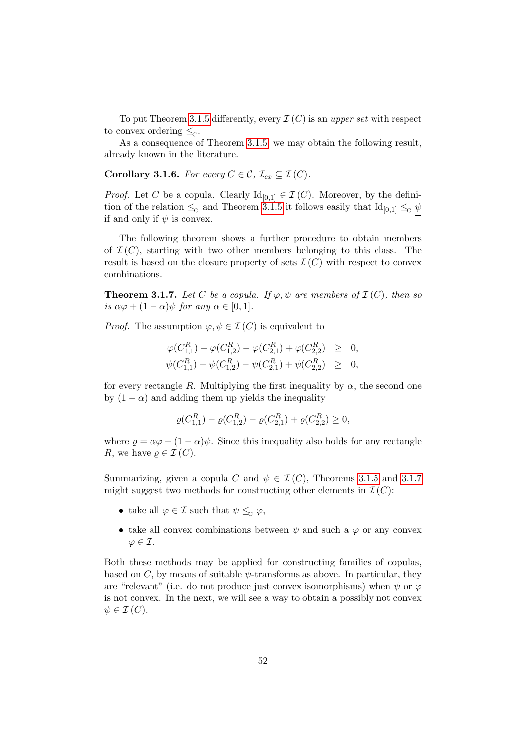To put Theorem [3.1.5](#page-65-1) differently, every  $\mathcal{I}(C)$  is an upper set with respect to convex ordering  $\leq_{\mathbb{C}}$ .

As a consequence of Theorem [3.1.5,](#page-65-1) we may obtain the following result, already known in the literature.

Corollary 3.1.6. For every  $C \in \mathcal{C}$ ,  $\mathcal{I}_{cx} \subseteq \mathcal{I}(C)$ .

*Proof.* Let C be a copula. Clearly  $\mathrm{Id}_{[0,1]} \in \mathcal{I}(C)$ . Moreover, by the definition of the relation  $\leq_c$  and Theorem [3.1.5](#page-65-1) it follows easily that  $\text{Id}_{[0,1]} \leq_c \psi$ if and only if  $\psi$  is convex.  $\Box$ 

The following theorem shows a further procedure to obtain members of  $\mathcal{I}(C)$ , starting with two other members belonging to this class. The result is based on the closure property of sets  $\mathcal{I}(C)$  with respect to convex combinations.

<span id="page-67-0"></span>**Theorem 3.1.7.** Let C be a copula. If  $\varphi, \psi$  are members of  $\mathcal{I}(C)$ , then so is  $\alpha\varphi + (1 - \alpha)\psi$  for any  $\alpha \in [0, 1]$ .

*Proof.* The assumption  $\varphi, \psi \in \mathcal{I}(C)$  is equivalent to

$$
\varphi(C_{1,1}^R) - \varphi(C_{1,2}^R) - \varphi(C_{2,1}^R) + \varphi(C_{2,2}^R) \geq 0, \n\psi(C_{1,1}^R) - \psi(C_{1,2}^R) - \psi(C_{2,1}^R) + \psi(C_{2,2}^R) \geq 0,
$$

for every rectangle R. Multiplying the first inequality by  $\alpha$ , the second one by  $(1 - \alpha)$  and adding them up yields the inequality

$$
\varrho(C_{1,1}^R) - \varrho(C_{1,2}^R) - \varrho(C_{2,1}^R) + \varrho(C_{2,2}^R) \ge 0,
$$

where  $\rho = \alpha \varphi + (1 - \alpha) \psi$ . Since this inequality also holds for any rectangle R, we have  $\rho \in \mathcal{I}(C)$ .  $\Box$ 

Summarizing, given a copula C and  $\psi \in \mathcal{I}(C)$ , Theorems [3.1.5](#page-65-1) and [3.1.7](#page-67-0) might suggest two methods for constructing other elements in  $\mathcal{I}(C)$ :

- take all  $\varphi \in \mathcal{I}$  such that  $\psi \leq_{\alpha} \varphi$ ,
- take all convex combinations between  $\psi$  and such a  $\varphi$  or any convex  $\varphi \in \mathcal{I}.$

Both these methods may be applied for constructing families of copulas, based on  $C$ , by means of suitable  $\psi$ -transforms as above. In particular, they are "relevant" (i.e. do not produce just convex isomorphisms) when  $\psi$  or  $\varphi$ is not convex. In the next, we will see a way to obtain a possibly not convex  $\psi \in \mathcal{I}(C).$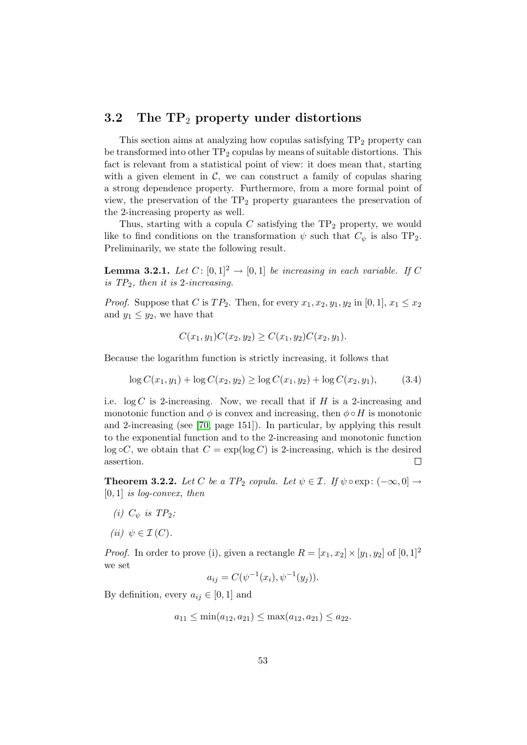### <span id="page-68-0"></span>3.2 The  $TP_2$  property under distortions

This section aims at analyzing how copulas satisfying  $TP<sub>2</sub>$  property can be transformed into other  $TP_2$  copulas by means of suitable distortions. This fact is relevant from a statistical point of view: it does mean that, starting with a given element in  $\mathcal{C}$ , we can construct a family of copulas sharing a strong dependence property. Furthermore, from a more formal point of view, the preservation of the  $TP_2$  property guarantees the preservation of the 2-increasing property as well.

Thus, starting with a copula  $C$  satisfying the  $TP_2$  property, we would like to find conditions on the transformation  $\psi$  such that  $C_{\psi}$  is also TP<sub>2</sub>. Preliminarily, we state the following result.

<span id="page-68-1"></span>**Lemma 3.2.1.** Let  $C: [0,1]^2 \rightarrow [0,1]$  be increasing in each variable. If C is  $TP_2$ , then it is 2-increasing.

*Proof.* Suppose that C is  $TP_2$ . Then, for every  $x_1, x_2, y_1, y_2$  in [0, 1],  $x_1 \le x_2$ and  $y_1 \leq y_2$ , we have that

$$
C(x_1, y_1)C(x_2, y_2) \ge C(x_1, y_2)C(x_2, y_1).
$$

Because the logarithm function is strictly increasing, it follows that

$$
\log C(x_1, y_1) + \log C(x_2, y_2) \ge \log C(x_1, y_2) + \log C(x_2, y_1), \tag{3.4}
$$

i.e.  $\log C$  is 2-increasing. Now, we recall that if H is a 2-increasing and monotonic function and  $\phi$  is convex and increasing, then  $\phi \circ H$  is monotonic and 2-increasing (see [\[70,](#page-122-3) page 151]). In particular, by applying this result to the exponential function and to the 2-increasing and monotonic function  $log \circ C$ , we obtain that  $C = exp(log C)$  is 2-increasing, which is the desired assertion.  $\Box$ 

<span id="page-68-2"></span>**Theorem 3.2.2.** Let C be a TP<sub>2</sub> copula. Let  $\psi \in \mathcal{I}$ . If  $\psi \circ \exp : (-\infty, 0] \rightarrow$  $[0, 1]$  is log-convex, then

- (i)  $C_{\psi}$  is  $TP_2$ ;
- (ii)  $\psi \in \mathcal{I}(C)$ .

*Proof.* In order to prove (i), given a rectangle  $R = [x_1, x_2] \times [y_1, y_2]$  of  $[0, 1]^2$ we set

$$
a_{ij} = C(\psi^{-1}(x_i), \psi^{-1}(y_j)).
$$

By definition, every  $a_{ij} \in [0, 1]$  and

$$
a_{11} \le \min(a_{12}, a_{21}) \le \max(a_{12}, a_{21}) \le a_{22}.
$$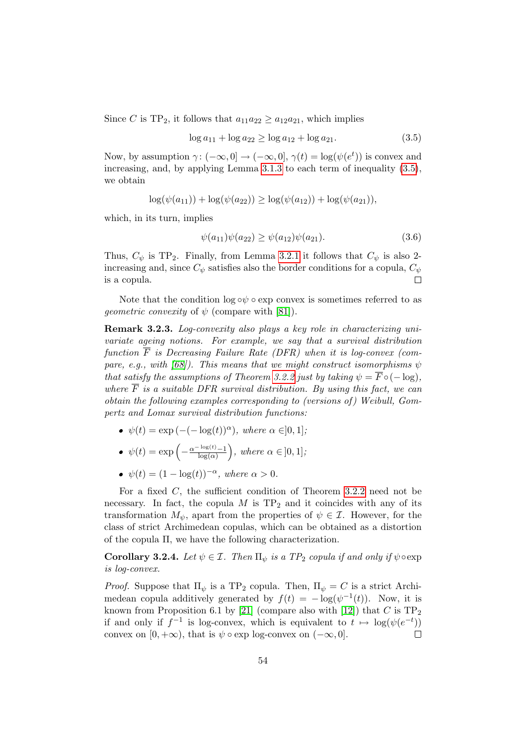Since C is TP<sub>2</sub>, it follows that  $a_{11}a_{22} \ge a_{12}a_{21}$ , which implies

<span id="page-69-0"></span>
$$
\log a_{11} + \log a_{22} \ge \log a_{12} + \log a_{21}.\tag{3.5}
$$

Now, by assumption  $\gamma: (-\infty, 0] \to (-\infty, 0], \gamma(t) = \log(\psi(e^t))$  is convex and increasing, and, by applying Lemma [3.1.3](#page-64-0) to each term of inequality [\(3.5\)](#page-69-0), we obtain

$$
\log(\psi(a_{11})) + \log(\psi(a_{22})) \ge \log(\psi(a_{12})) + \log(\psi(a_{21})),
$$

which, in its turn, implies

$$
\psi(a_{11})\psi(a_{22}) \ge \psi(a_{12})\psi(a_{21}).\tag{3.6}
$$

Thus,  $C_{\psi}$  is TP<sub>2</sub>. Finally, from Lemma [3.2.1](#page-68-1) it follows that  $C_{\psi}$  is also 2increasing and, since  $C_{\psi}$  satisfies also the border conditions for a copula,  $C_{\psi}$ is a copula.  $\Box$ 

Note that the condition  $\log \circ \psi \circ \exp$  convex is sometimes referred to as *geometric convexity* of  $\psi$  (compare with [\[81\]](#page-123-2)).

Remark 3.2.3. Log-convexity also plays a key role in characterizing univariate ageing notions. For example, we say that a survival distribution function  $\overline{F}$  is Decreasing Failure Rate (DFR) when it is log-convex (com-pare, e.g., with [\[68\]](#page-122-6)). This means that we might construct isomorphisms  $\psi$ that satisfy the assumptions of Theorem [3.2.2](#page-68-2) just by taking  $\psi = \overline{F} \circ (-\log),$ where  $\overline{F}$  is a suitable DFR survival distribution. By using this fact, we can obtain the following examples corresponding to (versions of) Weibull, Gompertz and Lomax survival distribution functions:

•  $\psi(t) = \exp\left(-(-\log(t))^{\alpha}\right)$ , where  $\alpha \in ]0,1]$ ;

• 
$$
\psi(t) = \exp\left(-\frac{\alpha^{-\log(t)} - 1}{\log(\alpha)}\right)
$$
, where  $\alpha \in [0, 1]$ ;

•  $\psi(t) = (1 - \log(t))^{-\alpha}$ , where  $\alpha > 0$ .

For a fixed  $C$ , the sufficient condition of Theorem [3.2.2](#page-68-2) need not be necessary. In fact, the copula  $M$  is  $TP_2$  and it coincides with any of its transformation  $M_{\psi}$ , apart from the properties of  $\psi \in \mathcal{I}$ . However, for the class of strict Archimedean copulas, which can be obtained as a distortion of the copula Π, we have the following characterization.

**Corollary 3.2.4.** Let  $\psi \in \mathcal{I}$ . Then  $\Pi_{\psi}$  is a TP<sub>2</sub> copula if and only if  $\psi \circ \exp$ is log-convex.

*Proof.* Suppose that  $\Pi_{\psi}$  is a TP<sub>2</sub> copula. Then,  $\Pi_{\psi} = C$  is a strict Archimedean copula additively generated by  $f(t) = -\log(\psi^{-1}(t))$ . Now, it is known from Proposition 6.1 by [\[21\]](#page-118-1) (compare also with [\[12\]](#page-118-2)) that C is  $TP_2$ if and only if  $f^{-1}$  is log-convex, which is equivalent to  $t \mapsto \log(\psi(e^{-t}))$ convex on  $[0, +\infty)$ , that is  $\psi \circ \exp$  log-convex on  $(-\infty, 0]$ .  $\Box$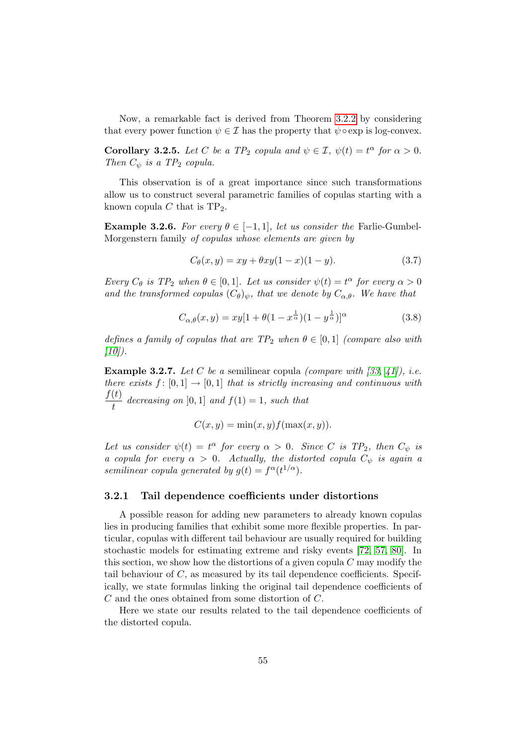Now, a remarkable fact is derived from Theorem [3.2.2](#page-68-2) by considering that every power function  $\psi \in \mathcal{I}$  has the property that  $\psi \circ \exp$  is log-convex.

**Corollary 3.2.5.** Let C be a TP<sub>2</sub> copula and  $\psi \in \mathcal{I}$ ,  $\psi(t) = t^{\alpha}$  for  $\alpha > 0$ . Then  $C_{\psi}$  is a TP<sub>2</sub> copula.

This observation is of a great importance since such transformations allow us to construct several parametric families of copulas starting with a known copula C that is  $TP_2$ .

**Example 3.2.6.** For every  $\theta \in [-1, 1]$ , let us consider the Farlie-Gumbel-Morgenstern family of copulas whose elements are given by

<span id="page-70-1"></span>
$$
C_{\theta}(x, y) = xy + \theta xy(1 - x)(1 - y).
$$
 (3.7)

Every  $C_{\theta}$  is  $TP_2$  when  $\theta \in [0,1]$ . Let us consider  $\psi(t) = t^{\alpha}$  for every  $\alpha > 0$ and the transformed copulas  $(C_{\theta})_{\psi}$ , that we denote by  $C_{\alpha,\theta}$ . We have that

$$
C_{\alpha,\theta}(x,y) = xy[1 + \theta(1 - x^{\frac{1}{\alpha}})(1 - y^{\frac{1}{\alpha}})]^{\alpha}
$$
\n(3.8)

defines a family of copulas that are  $TP_2$  when  $\theta \in [0,1]$  (compare also with  $[10]$ ).

**Example 3.2.7.** Let C be a semilinear copula *(compare with [\[33,](#page-119-1) [41\]](#page-120-4)), i.e.* there exists  $f : [0, 1] \rightarrow [0, 1]$  that is strictly increasing and continuous with  $f(t)$  $\frac{\partial}{\partial t}$  decreasing on [0, 1] and  $f(1) = 1$ , such that

$$
C(x, y) = \min(x, y) f(\max(x, y)).
$$

Let us consider  $\psi(t) = t^{\alpha}$  for every  $\alpha > 0$ . Since C is  $TP_2$ , then  $C_{\psi}$  is a copula for every  $\alpha > 0$ . Actually, the distorted copula  $C_{\psi}$  is again a semilinear copula generated by  $g(t) = f^{\alpha}(t^{1/\alpha}).$ 

#### <span id="page-70-0"></span>3.2.1 Tail dependence coefficients under distortions

A possible reason for adding new parameters to already known copulas lies in producing families that exhibit some more flexible properties. In particular, copulas with different tail behaviour are usually required for building stochastic models for estimating extreme and risky events [\[72,](#page-122-7) [57,](#page-121-2) [80\]](#page-123-3). In this section, we show how the distortions of a given copula  $C$  may modify the tail behaviour of  $C$ , as measured by its tail dependence coefficients. Specifically, we state formulas linking the original tail dependence coefficients of C and the ones obtained from some distortion of C.

Here we state our results related to the tail dependence coefficients of the distorted copula.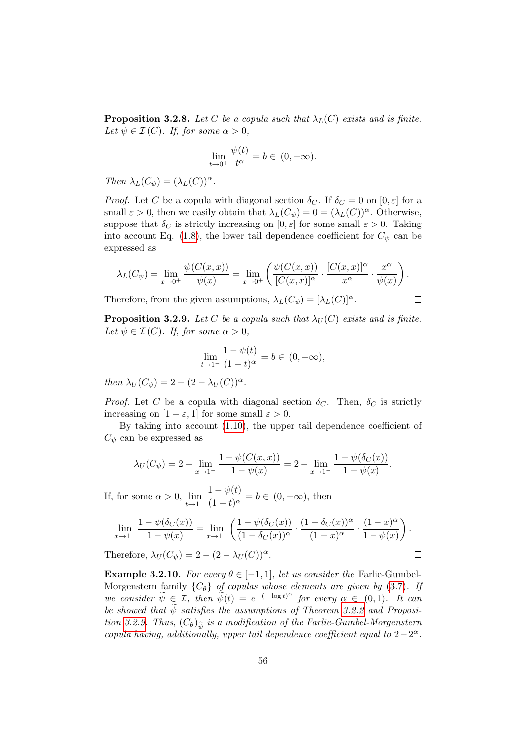**Proposition 3.2.8.** Let C be a copula such that  $\lambda_L(C)$  exists and is finite. Let  $\psi \in \mathcal{I}(C)$ . If, for some  $\alpha > 0$ ,

$$
\lim_{t \to 0^+} \frac{\psi(t)}{t^{\alpha}} = b \in (0, +\infty).
$$

Then  $\lambda_L(C_{\psi}) = (\lambda_L(C))^{\alpha}$ .

*Proof.* Let C be a copula with diagonal section  $\delta_C$ . If  $\delta_C = 0$  on  $[0, \varepsilon]$  for a small  $\varepsilon > 0$ , then we easily obtain that  $\lambda_L(C_{\psi}) = 0 = (\lambda_L(C))^{\alpha}$ . Otherwise, suppose that  $\delta_C$  is strictly increasing on  $[0, \varepsilon]$  for some small  $\varepsilon > 0$ . Taking into account Eq. [\(1.8\)](#page-25-0), the lower tail dependence coefficient for  $C_{\psi}$  can be expressed as

$$
\lambda_L(C_{\psi}) = \lim_{x \to 0^+} \frac{\psi(C(x,x))}{\psi(x)} = \lim_{x \to 0^+} \left( \frac{\psi(C(x,x))}{[C(x,x)]^{\alpha}} \cdot \frac{[C(x,x)]^{\alpha}}{x^{\alpha}} \cdot \frac{x^{\alpha}}{\psi(x)} \right).
$$

 $\Box$ 

 $\Box$ 

Therefore, from the given assumptions,  $\lambda_L(C_{\psi}) = [\lambda_L(C)]^{\alpha}$ .

<span id="page-71-0"></span>**Proposition 3.2.9.** Let C be a copula such that  $\lambda_U(C)$  exists and is finite. Let  $\psi \in \mathcal{I}(C)$ . If, for some  $\alpha > 0$ ,

$$
\lim_{t \to 1^{-}} \frac{1 - \psi(t)}{(1 - t)^{\alpha}} = b \in (0, +\infty),
$$

then  $\lambda_U(C_{\psi}) = 2 - (2 - \lambda_U(C))^{\alpha}$ .

*Proof.* Let C be a copula with diagonal section  $\delta_C$ . Then,  $\delta_C$  is strictly increasing on  $[1 - \varepsilon, 1]$  for some small  $\varepsilon > 0$ .

By taking into account [\(1.10\)](#page-25-1), the upper tail dependence coefficient of  $C_{\psi}$  can be expressed as

$$
\lambda_U(C_{\psi}) = 2 - \lim_{x \to 1^{-}} \frac{1 - \psi(C(x, x))}{1 - \psi(x)} = 2 - \lim_{x \to 1^{-}} \frac{1 - \psi(\delta_C(x))}{1 - \psi(x)}.
$$

If, for some  $\alpha > 0$ ,  $\lim_{t \to 1^-}$  $1 - \psi(t)$  $\frac{1-\psi(v)}{(1-t)^{\alpha}}=b \in (0,+\infty)$ , then

$$
\lim_{x \to 1^{-}} \frac{1 - \psi(\delta_C(x))}{1 - \psi(x)} = \lim_{x \to 1^{-}} \left( \frac{1 - \psi(\delta_C(x))}{(1 - \delta_C(x))^{\alpha}} \cdot \frac{(1 - \delta_C(x))^{\alpha}}{(1 - x)^{\alpha}} \cdot \frac{(1 - x)^{\alpha}}{1 - \psi(x)} \right).
$$

Therefore,  $\lambda_U(C_{\psi}) = 2 - (2 - \lambda_U(C))^{\alpha}$ .

**Example 3.2.10.** For every  $\theta \in [-1, 1]$ , let us consider the Farlie-Gumbel-Morgenstern family  $\{C_{\theta}\}\$  of copulas whose elements are given by [\(3.7\)](#page-70-1). If we consider  $\widetilde{\psi} \in \mathcal{I}$ , then  $\widetilde{\psi}(t) = e^{-(-\log t)^{\alpha}}$  for every  $\alpha \in (0,1)$ . It can be showed that  $\psi$  satisfies the assumptions of Theorem [3.2.2](#page-68-2) and Proposi-tion [3.2.9.](#page-71-0) Thus,  $(C_{\theta})_{\tilde{\psi}}$  is a modification of the Farlie-Gumbel-Morgenstern copula having, additionally, upper tail dependence coefficient equal to  $2-2^{\alpha}$ .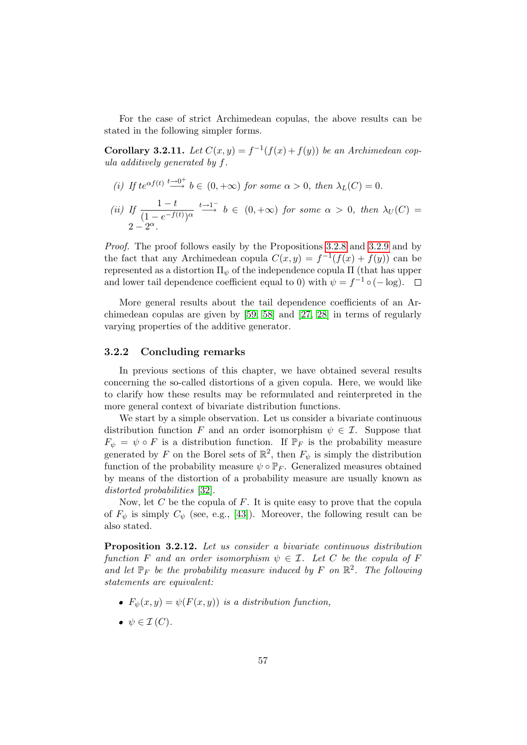For the case of strict Archimedean copulas, the above results can be stated in the following simpler forms.

**Corollary 3.2.11.** Let  $C(x, y) = f^{-1}(f(x) + f(y))$  be an Archimedean copula additively generated by f.

- (i) If  $te^{\alpha f(t)} \stackrel{t \to 0^+}{\longrightarrow} b \in (0, +\infty)$  for some  $\alpha > 0$ , then  $\lambda_L(C) = 0$ .
- (*ii*) If  $\frac{1-t}{(1-e^{-f(t)})^{\alpha}}$  $\stackrel{t\rightarrow 1^-}{\longrightarrow} b \in (0, +\infty)$  for some  $\alpha > 0$ , then  $\lambda_U(C) =$  $2-2^{\alpha}$ .

Proof. The proof follows easily by the Propositions [3.2.8](#page-70-0) and [3.2.9](#page-71-0) and by the fact that any Archimedean copula  $C(x, y) = f^{-1}(f(x) + f(y))$  can be represented as a distortion  $\Pi_{\psi}$  of the independence copula  $\Pi$  (that has upper and lower tail dependence coefficient equal to 0) with  $\psi = f^{-1} \circ (-\log)$ .

More general results about the tail dependence coefficients of an Archimedean copulas are given by [\[59,](#page-121-0) [58\]](#page-121-1) and [\[27,](#page-119-0) [28\]](#page-119-1) in terms of regularly varying properties of the additive generator.

#### 3.2.2 Concluding remarks

In previous sections of this chapter, we have obtained several results concerning the so-called distortions of a given copula. Here, we would like to clarify how these results may be reformulated and reinterpreted in the more general context of bivariate distribution functions.

We start by a simple observation. Let us consider a bivariate continuous distribution function F and an order isomorphism  $\psi \in \mathcal{I}$ . Suppose that  $F_{\psi} = \psi \circ F$  is a distribution function. If  $\mathbb{P}_F$  is the probability measure generated by F on the Borel sets of  $\mathbb{R}^2$ , then  $F_{\psi}$  is simply the distribution function of the probability measure  $\psi \circ \mathbb{P}_F$ . Generalized measures obtained by means of the distortion of a probability measure are usually known as distorted probabilities [\[32\]](#page-119-2).

Now, let C be the copula of F. It is quite easy to prove that the copula of  $F_{\psi}$  is simply  $C_{\psi}$  (see, e.g., [\[43\]](#page-120-0)). Moreover, the following result can be also stated.

Proposition 3.2.12. Let us consider a bivariate continuous distribution function F and an order isomorphism  $\psi \in \mathcal{I}$ . Let C be the copula of F and let  $\mathbb{P}_F$  be the probability measure induced by F on  $\mathbb{R}^2$ . The following statements are equivalent:

- $F_{\psi}(x, y) = \psi(F(x, y))$  is a distribution function,
- $\bullet \psi \in \mathcal{I}(C).$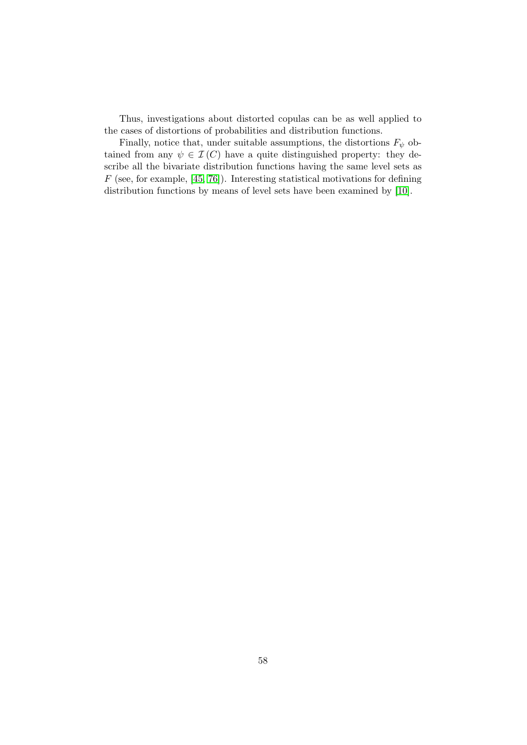Thus, investigations about distorted copulas can be as well applied to the cases of distortions of probabilities and distribution functions.

Finally, notice that, under suitable assumptions, the distortions  $F_{\psi}$  obtained from any  $\psi \in \mathcal{I}(C)$  have a quite distinguished property: they describe all the bivariate distribution functions having the same level sets as  $F$  (see, for example, [\[45,](#page-120-1) [76\]](#page-122-0)). Interesting statistical motivations for defining distribution functions by means of level sets have been examined by [\[10\]](#page-117-0).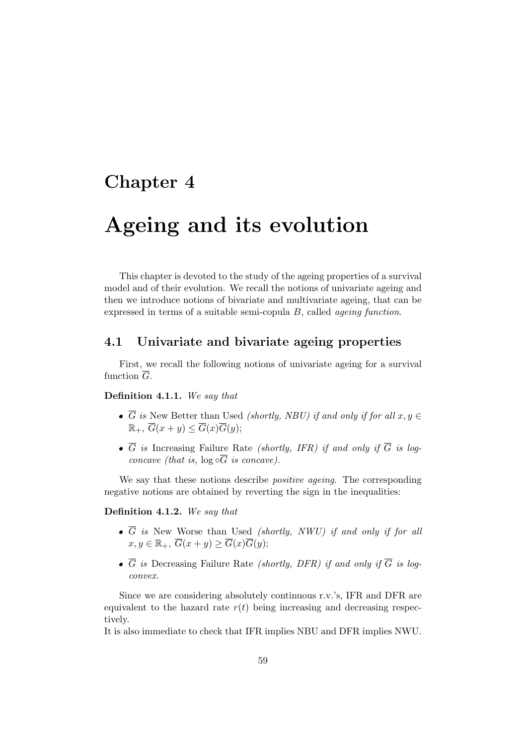## <span id="page-74-0"></span>Chapter 4

# Ageing and its evolution

This chapter is devoted to the study of the ageing properties of a survival model and of their evolution. We recall the notions of univariate ageing and then we introduce notions of bivariate and multivariate ageing, that can be expressed in terms of a suitable semi-copula B, called ageing function.

#### 4.1 Univariate and bivariate ageing properties

First, we recall the following notions of univariate ageing for a survival function  $\overline{G}$ .

#### Definition 4.1.1. We say that

- $\overline{G}$  is New Better than Used *(shortly, NBU)* if and only if for all  $x, y \in$  $\mathbb{R}_+$ ,  $\overline{G}(x+y) \leq \overline{G}(x)\overline{G}(y);$
- $\overline{G}$  is Increasing Failure Rate *(shortly, IFR)* if and only if  $\overline{G}$  is logconcave (that is,  $log \circ \overline{G}$  is concave).

We say that these notions describe *positive ageing*. The corresponding negative notions are obtained by reverting the sign in the inequalities:

#### Definition 4.1.2. We say that

- $\bullet$   $\overline{G}$  is New Worse than Used *(shortly, NWU)* if and only if for all  $x, y \in \mathbb{R}_+, \overline{G}(x+y) \ge \overline{G}(x)\overline{G}(y);$
- $\overline{G}$  is Decreasing Failure Rate *(shortly, DFR)* if and only if  $\overline{G}$  is logconvex.

Since we are considering absolutely continuous r.v.'s, IFR and DFR are equivalent to the hazard rate  $r(t)$  being increasing and decreasing respectively.

It is also immediate to check that IFR implies NBU and DFR implies NWU.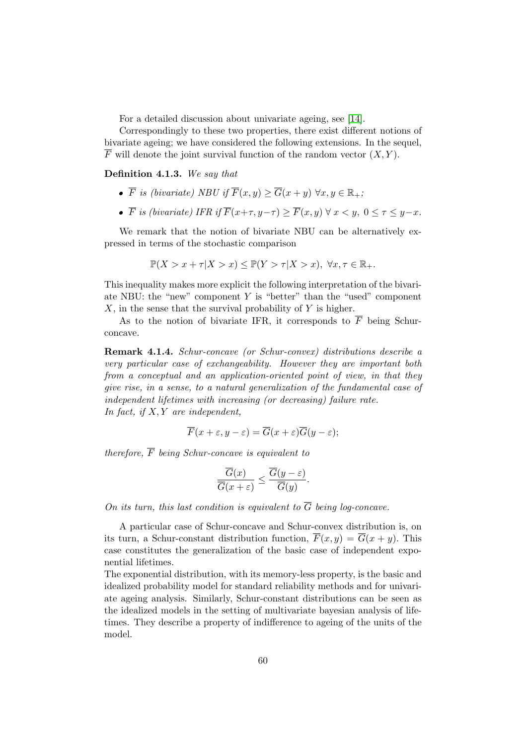For a detailed discussion about univariate ageing, see [\[14\]](#page-118-0).

Correspondingly to these two properties, there exist different notions of bivariate ageing; we have considered the following extensions. In the sequel,  $\overline{F}$  will denote the joint survival function of the random vector  $(X, Y)$ .

#### Definition 4.1.3. We say that

- $\overline{F}$  is (bivariate) NBU if  $\overline{F}(x, y) > \overline{G}(x + y) \,\forall x, y \in \mathbb{R}_+$ ;
- $\bullet$   $\overline{F}$  is (bivariate) IFR if  $\overline{F}(x+\tau, y-\tau) > \overline{F}(x, y)$   $\forall x < y, 0 < \tau < y-x$ .

We remark that the notion of bivariate NBU can be alternatively expressed in terms of the stochastic comparison

$$
\mathbb{P}(X > x + \tau | X > x) \le \mathbb{P}(Y > \tau | X > x), \ \forall x, \tau \in \mathbb{R}_+.
$$

This inequality makes more explicit the following interpretation of the bivariate NBU: the "new" component  $Y$  is "better" than the "used" component  $X$ , in the sense that the survival probability of Y is higher.

As to the notion of bivariate IFR, it corresponds to  $\overline{F}$  being Schurconcave.

Remark 4.1.4. Schur-concave (or Schur-convex) distributions describe a very particular case of exchangeability. However they are important both from a conceptual and an application-oriented point of view, in that they give rise, in a sense, to a natural generalization of the fundamental case of independent lifetimes with increasing (or decreasing) failure rate. In fact, if  $X, Y$  are independent,

$$
\overline{F}(x+\varepsilon, y-\varepsilon) = \overline{G}(x+\varepsilon)\overline{G}(y-\varepsilon);
$$

therefore,  $\overline{F}$  being Schur-concave is equivalent to

$$
\frac{\overline{G}(x)}{\overline{G}(x+\varepsilon)} \le \frac{\overline{G}(y-\varepsilon)}{\overline{G}(y)}.
$$

On its turn, this last condition is equivalent to  $\overline{G}$  being log-concave.

A particular case of Schur-concave and Schur-convex distribution is, on its turn, a Schur-constant distribution function,  $\overline{F}(x, y) = \overline{G}(x + y)$ . This case constitutes the generalization of the basic case of independent exponential lifetimes.

The exponential distribution, with its memory-less property, is the basic and idealized probability model for standard reliability methods and for univariate ageing analysis. Similarly, Schur-constant distributions can be seen as the idealized models in the setting of multivariate bayesian analysis of lifetimes. They describe a property of indifference to ageing of the units of the model.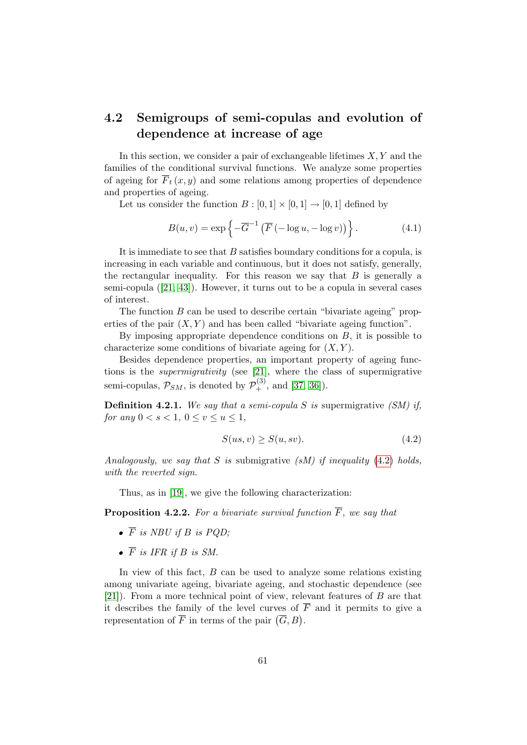## 4.2 Semigroups of semi-copulas and evolution of dependence at increase of age

In this section, we consider a pair of exchangeable lifetimes  $X, Y$  and the families of the conditional survival functions. We analyze some properties of ageing for  $\overline{F}_t(x, y)$  and some relations among properties of dependence and properties of ageing.

Let us consider the function  $B : [0,1] \times [0,1] \rightarrow [0,1]$  defined by

<span id="page-76-1"></span>
$$
B(u, v) = \exp\left\{-\overline{G}^{-1}\left(\overline{F}\left(-\log u, -\log v\right)\right)\right\}.
$$
 (4.1)

It is immediate to see that  $B$  satisfies boundary conditions for a copula, is increasing in each variable and continuous, but it does not satisfy, generally, the rectangular inequality. For this reason we say that  $B$  is generally a semi-copula([\[21,](#page-118-1) [43\]](#page-120-0)). However, it turns out to be a copula in several cases of interest.

The function B can be used to describe certain "bivariate ageing" properties of the pair  $(X, Y)$  and has been called "bivariate ageing function".

By imposing appropriate dependence conditions on  $B$ , it is possible to characterize some conditions of bivariate ageing for  $(X, Y)$ .

Besides dependence properties, an important property of ageing functions is the supermigrativity (see [\[21\]](#page-118-1), where the class of supermigrative semi-copulas,  $\mathcal{P}_{SM}$ , is denoted by  $\mathcal{P}_{+}^{(3)}$ , and [\[37,](#page-120-2) [36\]](#page-119-3)).

**Definition 4.2.1.** We say that a semi-copula S is supermigrative (SM) if, for any  $0 < s < 1, 0 \le v \le u \le 1$ ,

<span id="page-76-0"></span>
$$
S(us, v) \ge S(u, sv). \tag{4.2}
$$

Analogously, we say that S is submigrative  $(SM)$  if inequality [\(4.2\)](#page-76-0) holds, with the reverted sign.

Thus, as in [\[19\]](#page-118-2), we give the following characterization:

**Proposition 4.2.2.** For a bivariate survival function  $\overline{F}$ , we say that

- $\bullet$   $\overline{F}$  is NBU if B is POD:
- $\bullet$   $\overline{F}$  is IFR if B is SM.

In view of this fact,  $B$  can be used to analyze some relations existing among univariate ageing, bivariate ageing, and stochastic dependence (see [\[21\]](#page-118-1)). From a more technical point of view, relevant features of B are that it describes the family of the level curves of  $\overline{F}$  and it permits to give a representation of  $\overline{F}$  in terms of the pair  $(\overline{G}, B)$ .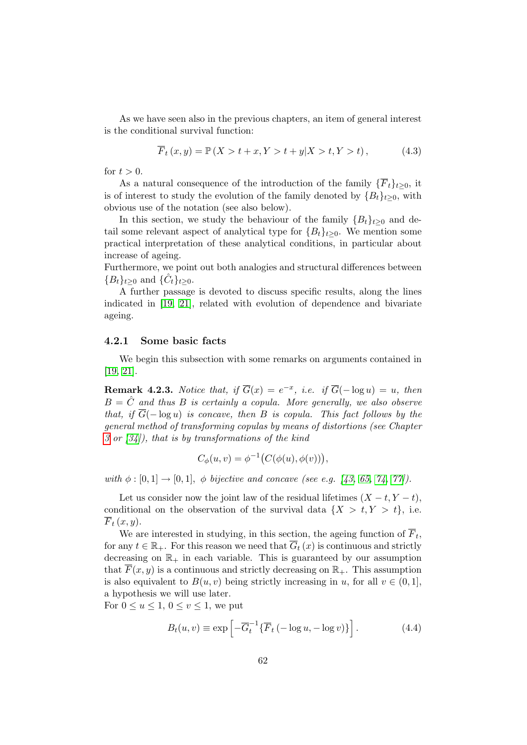As we have seen also in the previous chapters, an item of general interest is the conditional survival function:

$$
\overline{F}_t(x, y) = \mathbb{P}(X > t + x, Y > t + y | X > t, Y > t),
$$
\n(4.3)

for  $t > 0$ .

As a natural consequence of the introduction of the family  $\{\overline{F}_t\}_{t\geq0}$ , it is of interest to study the evolution of the family denoted by  ${B_t}_{t\geq0}$ , with obvious use of the notation (see also below).

In this section, we study the behaviour of the family  ${B_t}_{t\geq0}$  and detail some relevant aspect of analytical type for  ${B<sub>t</sub>}<sub>t>0</sub>$ . We mention some practical interpretation of these analytical conditions, in particular about increase of ageing.

Furthermore, we point out both analogies and structural differences between  ${B_t}_{t\geq 0}$  and  ${\hat{C}_t}_{t\geq 0}$ .

A further passage is devoted to discuss specific results, along the lines indicated in [\[19,](#page-118-2) [21\]](#page-118-1), related with evolution of dependence and bivariate ageing.

#### 4.2.1 Some basic facts

We begin this subsection with some remarks on arguments contained in [\[19,](#page-118-2) [21\]](#page-118-1).

**Remark 4.2.3.** Notice that, if  $\overline{G}(x) = e^{-x}$ , i.e. if  $\overline{G}(- \log u) = u$ , then  $B = \hat{C}$  and thus B is certainly a copula. More generally, we also observe that, if  $\overline{G}(-\log u)$  is concave, then B is copula. This fact follows by the general method of transforming copulas by means of distortions (see Chapter [3](#page-63-0) or  $(34)$ , that is by transformations of the kind

$$
C_{\phi}(u,v) = \phi^{-1}\big(C(\phi(u), \phi(v))\big),\,
$$

with  $\phi : [0, 1] \to [0, 1]$ ,  $\phi$  bijective and concave (see e.g. [\[43,](#page-120-0) [65,](#page-121-2) [74,](#page-122-1) [77\]](#page-122-2)).

Let us consider now the joint law of the residual lifetimes  $(X - t, Y - t)$ , conditional on the observation of the survival data  $\{X > t, Y > t\}$ , i.e.  $\overline{F}_t(x,y)$ .

We are interested in studying, in this section, the ageing function of  $F_t$ , for any  $t \in \mathbb{R}_+$ . For this reason we need that  $\overline{G}_t(x)$  is continuous and strictly decreasing on  $\mathbb{R}_+$  in each variable. This is guaranteed by our assumption that  $\overline{F}(x, y)$  is a continuous and strictly decreasing on  $\mathbb{R}_{+}$ . This assumption is also equivalent to  $B(u, v)$  being strictly increasing in u, for all  $v \in (0, 1]$ , a hypothesis we will use later.

For  $0 \le u \le 1$ ,  $0 \le v \le 1$ , we put

$$
B_t(u, v) \equiv \exp\left[-\overline{G}_t^{-1}\{\overline{F}_t\left(-\log u, -\log v\right)\}\right].\tag{4.4}
$$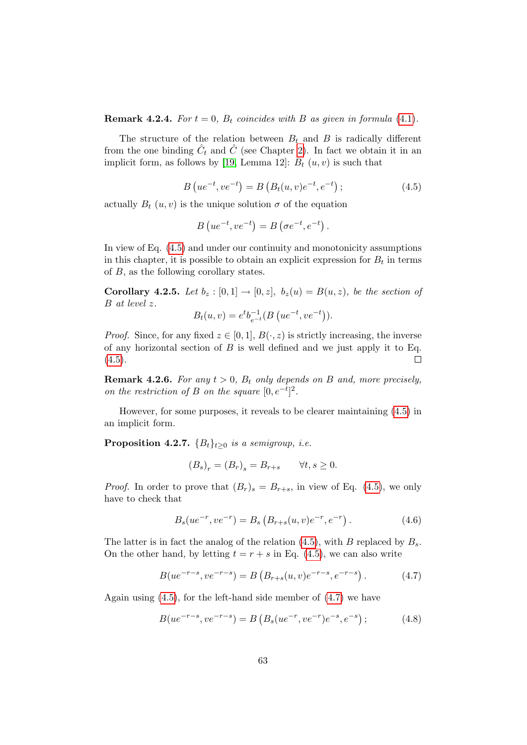**Remark 4.2.4.** For  $t = 0$ ,  $B_t$  coincides with B as given in formula [\(4.1\)](#page-76-1).

The structure of the relation between  $B_t$  and B is radically different from the one binding  $\hat{C}_t$  and  $\hat{C}$  (see Chapter [2\)](#page-32-0). In fact we obtain it in an implicit form, as follows by [\[19,](#page-118-2) Lemma 12]:  $B_t(u, v)$  is such that

$$
B\left(ue^{-t},ve^{-t}\right) = B\left(B_t(u,v)e^{-t},e^{-t}\right);
$$
\n(4.5)

<span id="page-78-0"></span>actually  $B_t(u, v)$  is the unique solution  $\sigma$  of the equation

$$
B\left(ue^{-t},ve^{-t}\right) = B\left(\sigma e^{-t},e^{-t}\right).
$$

In view of Eq. [\(4.5\)](#page-78-0) and under our continuity and monotonicity assumptions in this chapter, it is possible to obtain an explicit expression for  $B_t$  in terms of B, as the following corollary states.

Corollary 4.2.5. Let  $b_z : [0,1] \rightarrow [0,z], b_z(u) = B(u,z)$ , be the section of B at level z.

$$
B_t(u, v) = e^t b_{e^{-t}}^{-1} (B (u e^{-t}, v e^{-t})).
$$

*Proof.* Since, for any fixed  $z \in [0, 1], B(\cdot, z)$  is strictly increasing, the inverse of any horizontal section of  $B$  is well defined and we just apply it to Eq.  $(4.5).$  $(4.5).$  $\Box$ 

**Remark 4.2.6.** For any  $t > 0$ ,  $B_t$  only depends on B and, more precisely, on the restriction of B on the square  $[0, e^{-t}]^2$ .

However, for some purposes, it reveals to be clearer maintaining [\(4.5\)](#page-78-0) in an implicit form.

<span id="page-78-4"></span>**Proposition 4.2.7.**  ${B_t}_{t\geq0}$  is a semigroup, i.e.

<span id="page-78-1"></span>
$$
(B_s)_r = (B_r)_s = B_{r+s} \qquad \forall t, s \ge 0.
$$

*Proof.* In order to prove that  $(B_r)_s = B_{r+s}$ , in view of Eq. [\(4.5\)](#page-78-0), we only have to check that

<span id="page-78-3"></span><span id="page-78-2"></span>
$$
B_s(ue^{-r},ve^{-r}) = B_s(B_{r+s}(u,v)e^{-r},e^{-r}).
$$
\n(4.6)

The latter is in fact the analog of the relation  $(4.5)$ , with B replaced by  $B_s$ . On the other hand, by letting  $t = r + s$  in Eq. [\(4.5\)](#page-78-0), we can also write

$$
B(ue^{-r-s},ve^{-r-s}) = B\left(B_{r+s}(u,v)e^{-r-s},e^{-r-s}\right). \tag{4.7}
$$

Again using  $(4.5)$ , for the left-hand side member of  $(4.7)$  we have

$$
B(ue^{-r-s},ve^{-r-s}) = B\left(B_s(ue^{-r},ve^{-r})e^{-s},e^{-s}\right); \tag{4.8}
$$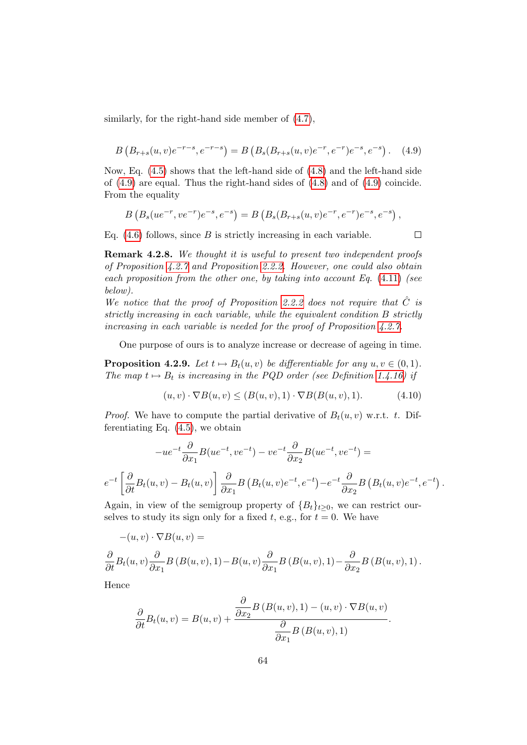<span id="page-79-0"></span>similarly, for the right-hand side member of [\(4.7\)](#page-78-1),

$$
B\left(B_{r+s}(u,v)e^{-r-s},e^{-r-s}\right) = B\left(B_s(B_{r+s}(u,v)e^{-r},e^{-r})e^{-s},e^{-s}\right). \tag{4.9}
$$

Now, Eq. [\(4.5\)](#page-78-0) shows that the left-hand side of [\(4.8\)](#page-78-2) and the left-hand side of [\(4.9\)](#page-79-0) are equal. Thus the right-hand sides of [\(4.8\)](#page-78-2) and of [\(4.9\)](#page-79-0) coincide. From the equality

$$
B(B_s(ue^{-r},ve^{-r})e^{-s},e^{-s}) = B(B_s(B_{r+s}(u,v)e^{-r},e^{-r})e^{-s},e^{-s}),
$$

Eq.  $(4.6)$  follows, since B is strictly increasing in each variable.

<span id="page-79-1"></span> $\Box$ 

Remark 4.2.8. We thought it is useful to present two independent proofs of Proposition [4.2.7](#page-78-4) and Proposition [2.2.2.](#page-46-0) However, one could also obtain each proposition from the other one, by taking into account Eq.  $(4.11)$  (see below).

We notice that the proof of Proposition [2.2.2](#page-46-0) does not require that  $\hat{C}$  is strictly increasing in each variable, while the equivalent condition B strictly increasing in each variable is needed for the proof of Proposition [4.2.7.](#page-78-4)

One purpose of ours is to analyze increase or decrease of ageing in time.

**Proposition 4.2.9.** Let  $t \mapsto B_t(u, v)$  be differentiable for any  $u, v \in (0, 1)$ . The map  $t \mapsto B_t$  is increasing in the PQD order (see Definition [1.4.16\)](#page-31-0) if

$$
(u, v) \cdot \nabla B(u, v) \le (B(u, v), 1) \cdot \nabla B(B(u, v), 1). \tag{4.10}
$$

*Proof.* We have to compute the partial derivative of  $B_t(u, v)$  w.r.t. t. Differentiating Eq.  $(4.5)$ , we obtain

$$
-ue^{-t}\frac{\partial}{\partial x_1}B(ue^{-t},ve^{-t}) - ve^{-t}\frac{\partial}{\partial x_2}B(ue^{-t},ve^{-t}) =
$$
  

$$
e^{-t}\left[\frac{\partial}{\partial t}B_t(u,v) - B_t(u,v)\right]\frac{\partial}{\partial x_1}B(B_t(u,v)e^{-t},e^{-t}) - e^{-t}\frac{\partial}{\partial x_2}B(B_t(u,v)e^{-t},e^{-t}).
$$

Again, in view of the semigroup property of  ${B<sub>t</sub>}<sub>t>0</sub>$ , we can restrict ourselves to study its sign only for a fixed t, e.g., for  $t = 0$ . We have

$$
-(u,v)\cdot \nabla B(u,v) =
$$

$$
\frac{\partial}{\partial t}B_t(u,v)\frac{\partial}{\partial x_1}B(B(u,v),1)-B(u,v)\frac{\partial}{\partial x_1}B(B(u,v),1)-\frac{\partial}{\partial x_2}B(B(u,v),1).
$$

Hence

$$
\frac{\partial}{\partial t}B_t(u,v) = B(u,v) + \frac{\frac{\partial}{\partial x_2}B(B(u,v),1) - (u,v) \cdot \nabla B(u,v)}{\frac{\partial}{\partial x_1}B(B(u,v),1)}.
$$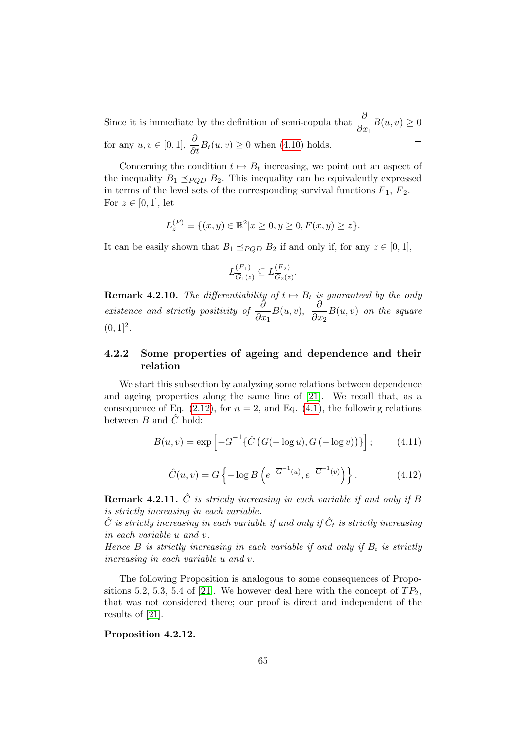Since it is immediate by the definition of semi-copula that  $\frac{\hat{b}}{2}$  $\frac{\partial}{\partial x_1}B(u, v) \geq 0$ for any  $u, v \in [0, 1], \frac{\partial}{\partial t} B_t(u, v) \ge 0$  when [\(4.10\)](#page-79-1) holds.  $\Box$ 

Concerning the condition  $t \mapsto B_t$  increasing, we point out an aspect of the inequality  $B_1 \preceq_{PQD} B_2$ . This inequality can be equivalently expressed in terms of the level sets of the corresponding survival functions  $\overline{F}_1$ ,  $\overline{F}_2$ . For  $z \in [0,1]$ , let

$$
L_z^{(\overline{F})} \equiv \{(x, y) \in \mathbb{R}^2 | x \ge 0, y \ge 0, \overline{F}(x, y) \ge z\}.
$$

It can be easily shown that  $B_1 \preceq_{POD} B_2$  if and only if, for any  $z \in [0, 1]$ ,

$$
L_{\overline{G}_1(z)}^{(\overline{F}_1)} \subseteq L_{\overline{G}_2(z)}^{(\overline{F}_2)}.
$$

**Remark 4.2.10.** The differentiability of  $t \mapsto B_t$  is guaranteed by the only existence and strictly positivity of  $\frac{\partial}{\partial x}$  $\frac{\partial}{\partial x_1}B(u, v), \ \ \frac{\partial}{\partial x_1}$  $\frac{\partial}{\partial x_2}B(u, v)$  on the square  $(0, 1]^2$ .

#### 4.2.2 Some properties of ageing and dependence and their relation

We start this subsection by analyzing some relations between dependence and ageing properties along the same line of [\[21\]](#page-118-1). We recall that, as a consequence of Eq.  $(2.12)$ , for  $n = 2$ , and Eq.  $(4.1)$ , the following relations between  $B$  and  $\ddot{C}$  hold:

<span id="page-80-0"></span>
$$
B(u, v) = \exp\left[-\overline{G}^{-1}\left\{\hat{C}\left(\overline{G}(-\log u), \overline{G}(-\log v)\right)\right\}\right];\tag{4.11}
$$

$$
\hat{C}(u,v) = \overline{G} \left\{ -\log B \left( e^{-\overline{G}^{-1}(u)}, e^{-\overline{G}^{-1}(v)} \right) \right\}.
$$
\n(4.12)

**Remark 4.2.11.**  $\hat{C}$  is strictly increasing in each variable if and only if B is strictly increasing in each variable.

 $\hat{C}$  is strictly increasing in each variable if and only if  $\hat{C}_t$  is strictly increasing in each variable u and v.

Hence B is strictly increasing in each variable if and only if  $B_t$  is strictly increasing in each variable u and v.

The following Proposition is analogous to some consequences of Propo-sitions 5.2, 5.3, 5.4 of [\[21\]](#page-118-1). We however deal here with the concept of  $TP_2$ , that was not considered there; our proof is direct and independent of the results of [\[21\]](#page-118-1).

#### <span id="page-80-1"></span>Proposition 4.2.12.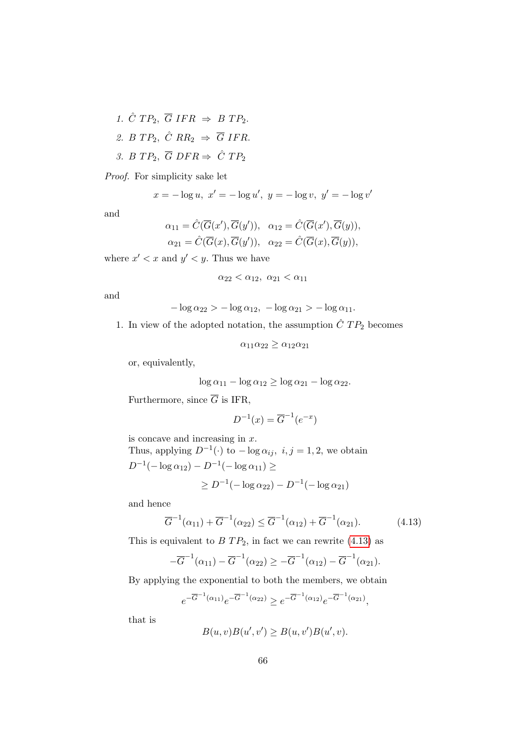- 1.  $\hat{C}$   $TP_2$ ,  $\overline{G}$  IFR  $\Rightarrow$  B  $TP_2$ .
- 2. B  $TP_2$ ,  $\hat{C}$   $RR_2 \Rightarrow \overline{G}$  IFR.
- 3. B TP<sub>2</sub>,  $\overline{G}$  DFR  $\Rightarrow$   $\hat{C}$  TP<sub>2</sub>

Proof. For simplicity sake let

$$
x = -\log u, \ x' = -\log u', \ y = -\log v, \ y' = -\log v'
$$

and

$$
\alpha_{11} = \hat{C}(\overline{G}(x'), \overline{G}(y')), \quad \alpha_{12} = \hat{C}(\overline{G}(x'), \overline{G}(y)),
$$
  

$$
\alpha_{21} = \hat{C}(\overline{G}(x), \overline{G}(y')), \quad \alpha_{22} = \hat{C}(\overline{G}(x), \overline{G}(y)),
$$

where  $x' < x$  and  $y' < y$ . Thus we have

 $\alpha_{22} < \alpha_{12}, \alpha_{21} < \alpha_{11}$ 

and

$$
-\log \alpha_{22} > -\log \alpha_{12}, -\log \alpha_{21} > -\log \alpha_{11}.
$$

1. In view of the adopted notation, the assumption  $\hat{C}$   $TP_2$  becomes

 $\alpha_{11}\alpha_{22} \geq \alpha_{12}\alpha_{21}$ 

or, equivalently,

$$
\log \alpha_{11} - \log \alpha_{12} \ge \log \alpha_{21} - \log \alpha_{22}.
$$

Furthermore, since  $\overline{G}$  is IFR,

$$
D^{-1}(x) = \overline{G}^{-1}(e^{-x})
$$

is concave and increasing in x. Thus, applying  $D^{-1}(\cdot)$  to  $-\log \alpha_{ij}$ ,  $i, j = 1, 2$ , we obtain

$$
D^{-1}(-\log \alpha_{12}) - D^{-1}(-\log \alpha_{11}) \ge
$$
  
 
$$
\ge D^{-1}(-\log \alpha_{22}) - D^{-1}(-\log \alpha_{21})
$$

and hence

<span id="page-81-0"></span>
$$
\overline{G}^{-1}(\alpha_{11}) + \overline{G}^{-1}(\alpha_{22}) \le \overline{G}^{-1}(\alpha_{12}) + \overline{G}^{-1}(\alpha_{21}).
$$
\n(4.13)

This is equivalent to  $BTP_2$ , in fact we can rewrite [\(4.13\)](#page-81-0) as

$$
-\overline{G}^{-1}(\alpha_{11}) - \overline{G}^{-1}(\alpha_{22}) \ge -\overline{G}^{-1}(\alpha_{12}) - \overline{G}^{-1}(\alpha_{21}).
$$

By applying the exponential to both the members, we obtain

$$
e^{-\overline{G}^{-1}(\alpha_{11})}e^{-\overline{G}^{-1}(\alpha_{22})} \ge e^{-\overline{G}^{-1}(\alpha_{12})}e^{-\overline{G}^{-1}(\alpha_{21})},
$$

that is

$$
B(u, v)B(u', v') \ge B(u, v')B(u', v).
$$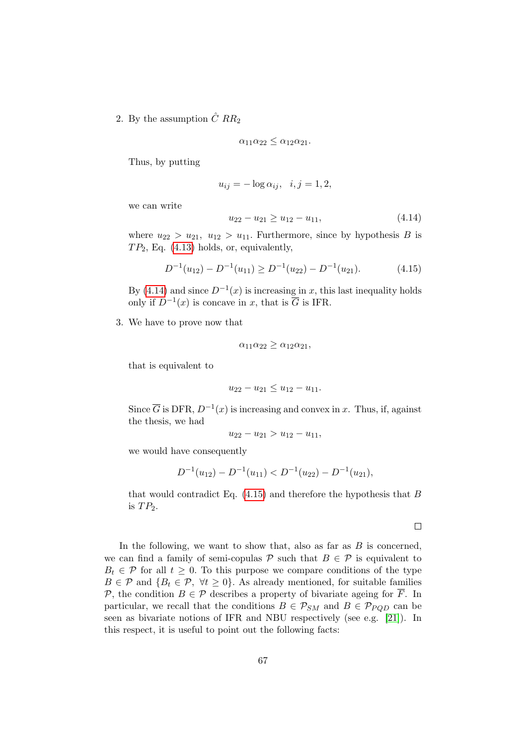2. By the assumption  $\hat{C}$   $RR_2$ 

$$
\alpha_{11}\alpha_{22}\leq \alpha_{12}\alpha_{21}.
$$

Thus, by putting

<span id="page-82-0"></span>
$$
u_{ij} = -\log \alpha_{ij}, \quad i, j = 1, 2,
$$

we can write

<span id="page-82-1"></span>
$$
u_{22} - u_{21} \ge u_{12} - u_{11}, \tag{4.14}
$$

where  $u_{22} > u_{21}$ ,  $u_{12} > u_{11}$ . Furthermore, since by hypothesis B is  $TP_2$ , Eq. [\(4.13\)](#page-81-0) holds, or, equivalently,

$$
D^{-1}(u_{12}) - D^{-1}(u_{11}) \ge D^{-1}(u_{22}) - D^{-1}(u_{21}). \tag{4.15}
$$

By [\(4.14\)](#page-82-0) and since  $D^{-1}(x)$  is increasing in x, this last inequality holds only if  $D^{-1}(x)$  is concave in x, that is  $\overline{G}$  is IFR.

3. We have to prove now that

$$
\alpha_{11}\alpha_{22} \ge \alpha_{12}\alpha_{21},
$$

that is equivalent to

$$
u_{22}-u_{21}\leq u_{12}-u_{11}.
$$

Since  $\overline{G}$  is DFR,  $D^{-1}(x)$  is increasing and convex in x. Thus, if, against the thesis, we had

$$
u_{22} - u_{21} > u_{12} - u_{11},
$$

we would have consequently

$$
D^{-1}(u_{12}) - D^{-1}(u_{11}) < D^{-1}(u_{22}) - D^{-1}(u_{21}),
$$

that would contradict Eq.  $(4.15)$  and therefore the hypothesis that B is  $TP_2$ .

 $\Box$ 

<span id="page-82-2"></span>In the following, we want to show that, also as far as  $B$  is concerned, we can find a family of semi-copulas P such that  $B \in \mathcal{P}$  is equivalent to  $B_t \in \mathcal{P}$  for all  $t \geq 0$ . To this purpose we compare conditions of the type  $B \in \mathcal{P}$  and  $\{B_t \in \mathcal{P}, \forall t \geq 0\}$ . As already mentioned, for suitable families P, the condition  $B \in \mathcal{P}$  describes a property of bivariate ageing for  $\overline{F}$ . In particular, we recall that the conditions  $B \in \mathcal{P}_{SM}$  and  $B \in \mathcal{P}_{POD}$  can be seen as bivariate notions of IFR and NBU respectively (see e.g. [\[21\]](#page-118-1)). In this respect, it is useful to point out the following facts: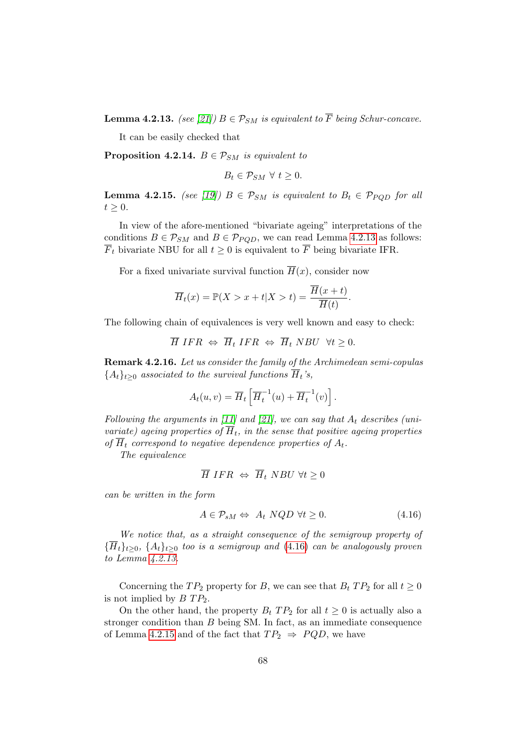**Lemma 4.2.13.** (see [\[21\]](#page-118-1))  $B \in \mathcal{P}_{SM}$  is equivalent to  $\overline{F}$  being Schur-concave.

It can be easily checked that

**Proposition 4.2.14.**  $B \in \mathcal{P}_{SM}$  is equivalent to

$$
B_t \in \mathcal{P}_{SM} \ \forall \ t \geq 0.
$$

<span id="page-83-1"></span>**Lemma 4.2.15.** (see [\[19\]](#page-118-2))  $B \in \mathcal{P}_{SM}$  is equivalent to  $B_t \in \mathcal{P}_{POD}$  for all  $t \geq 0$ .

In view of the afore-mentioned "bivariate ageing" interpretations of the conditions  $B \in \mathcal{P}_{SM}$  and  $B \in \mathcal{P}_{POD}$ , we can read Lemma [4.2.13](#page-82-2) as follows:  $\overline{F}_t$  bivariate NBU for all  $t \geq 0$  is equivalent to  $\overline{F}$  being bivariate IFR.

For a fixed univariate survival function  $\overline{H}(x)$ , consider now

$$
\overline{H}_t(x) = \mathbb{P}(X > x + t | X > t) = \frac{\overline{H}(x + t)}{\overline{H}(t)}.
$$

The following chain of equivalences is very well known and easy to check:

$$
\overline{H} IFR \Leftrightarrow \overline{H}_t IFR \Leftrightarrow \overline{H}_t NBU \ \forall t \ge 0.
$$

Remark 4.2.16. Let us consider the family of the Archimedean semi-copulas  ${A_t}_{t>0}$  associated to the survival functions  $\overline{H}_t$ 's,

$$
A_t(u,v) = \overline{H}_t \left[ \overline{H}_t^{-1}(u) + \overline{H}_t^{-1}(v) \right].
$$

Following the arguments in [\[11\]](#page-118-3) and [\[21\]](#page-118-1), we can say that  $A_t$  describes (univariate) ageing properties of  $\overline{H}_t$ , in the sense that positive ageing properties of  $\overline{H}_t$  correspond to negative dependence properties of  $A_t$ .

The equivalence

<span id="page-83-0"></span>
$$
\overline{H} IFR \Leftrightarrow \overline{H}_t NBU \ \forall t \ge 0
$$

can be written in the form

$$
A \in \mathcal{P}_{sM} \Leftrightarrow A_t \ NQD \ \forall t \ge 0. \tag{4.16}
$$

We notice that, as a straight consequence of the semigroup property of  ${\{\overline{H}_t\}}_{t\geq0}$ ,  ${A_t\}}_{t\geq0}$  too is a semigroup and [\(4.16\)](#page-83-0) can be analogously proven to Lemma [4.2.13.](#page-82-2)

Concerning the  $TP_2$  property for B, we can see that  $B_t$   $TP_2$  for all  $t \geq 0$ is not implied by  $BTP_2$ .

<span id="page-83-2"></span>On the other hand, the property  $B_t$  TP<sub>2</sub> for all  $t \geq 0$  is actually also a stronger condition than  $B$  being SM. In fact, as an immediate consequence of Lemma [4.2.15](#page-83-1) and of the fact that  $TP_2 \Rightarrow PQD$ , we have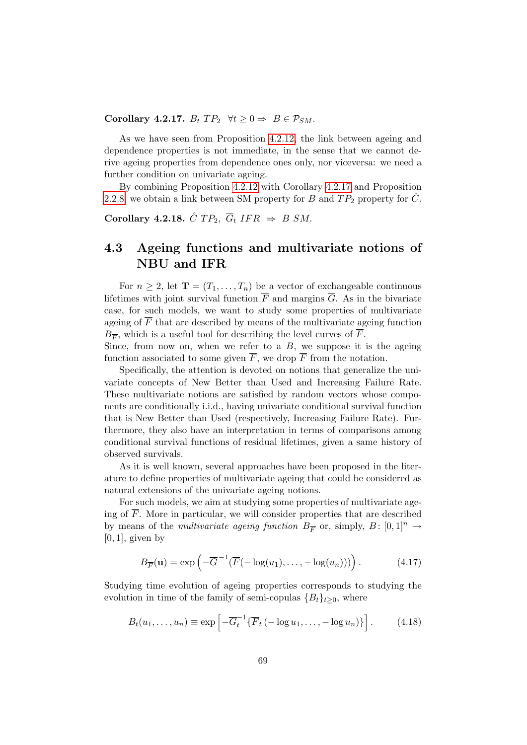Corollary 4.2.17.  $B_t$   $TP_2$   $\forall t \geq 0 \Rightarrow B \in \mathcal{P}_{SM}$ .

As we have seen from Proposition [4.2.12,](#page-80-1) the link between ageing and dependence properties is not immediate, in the sense that we cannot derive ageing properties from dependence ones only, nor viceversa: we need a further condition on univariate ageing.

By combining Proposition [4.2.12](#page-80-1) with Corollary [4.2.17](#page-83-2) and Proposition [2.2.8,](#page-49-0) we obtain a link between SM property for B and  $TP_2$  property for  $\hat{C}$ .

Corollary 4.2.18.  $\hat{C}TP_2$ ,  $\overline{G}_t IFR \Rightarrow B SM$ .

## 4.3 Ageing functions and multivariate notions of NBU and IFR

For  $n \geq 2$ , let  $\mathbf{T} = (T_1, \ldots, T_n)$  be a vector of exchangeable continuous lifetimes with joint survival function  $\overline{F}$  and margins  $\overline{G}$ . As in the bivariate case, for such models, we want to study some properties of multivariate ageing of  $\overline{F}$  that are described by means of the multivariate ageing function  $B_{\overline{F}}$ , which is a useful tool for describing the level curves of F.

Since, from now on, when we refer to a  $B$ , we suppose it is the ageing function associated to some given  $\overline{F}$ , we drop  $\overline{F}$  from the notation.

Specifically, the attention is devoted on notions that generalize the univariate concepts of New Better than Used and Increasing Failure Rate. These multivariate notions are satisfied by random vectors whose components are conditionally i.i.d., having univariate conditional survival function that is New Better than Used (respectively, Increasing Failure Rate). Furthermore, they also have an interpretation in terms of comparisons among conditional survival functions of residual lifetimes, given a same history of observed survivals.

As it is well known, several approaches have been proposed in the literature to define properties of multivariate ageing that could be considered as natural extensions of the univariate ageing notions.

For such models, we aim at studying some properties of multivariate ageing of  $\overline{F}$ . More in particular, we will consider properties that are described by means of the *multivariate ageing function*  $B_{\overline{F}}$  or, simply,  $B: [0,1]^n \rightarrow$  $[0, 1]$ , given by

<span id="page-84-0"></span>
$$
B_{\overline{F}}(\mathbf{u}) = \exp\left(-\overline{G}^{-1}(\overline{F}(-\log(u_1),\ldots,-\log(u_n)))\right). \tag{4.17}
$$

Studying time evolution of ageing properties corresponds to studying the evolution in time of the family of semi-copulas  ${B_t}_{t\geq0}$ , where

$$
B_t(u_1,\ldots,u_n) \equiv \exp\left[-\overline{G}_t^{-1}\{\overline{F}_t\left(-\log u_1,\ldots,-\log u_n\right)\}\right].\tag{4.18}
$$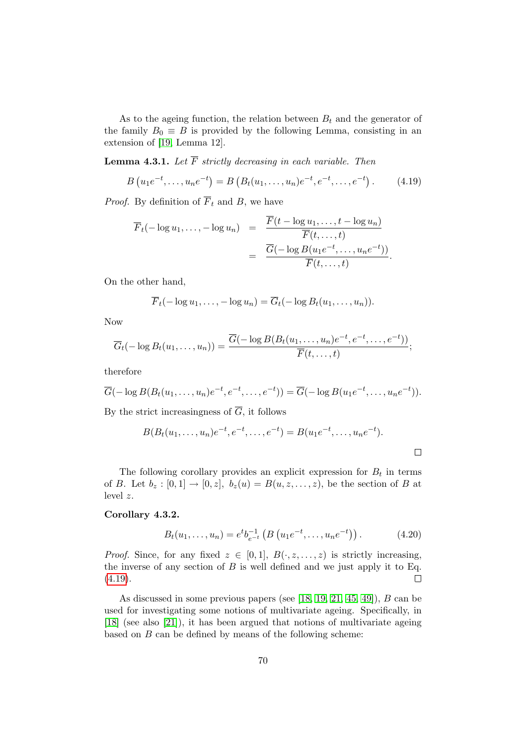As to the ageing function, the relation between  $B_t$  and the generator of the family  $B_0 \equiv B$  is provided by the following Lemma, consisting in an extension of [\[19,](#page-118-2) Lemma 12].

**Lemma 4.3.1.** Let  $\overline{F}$  strictly decreasing in each variable. Then

$$
B(u_1e^{-t},...,u_ne^{-t}) = B(B_t(u_1,...,u_n)e^{-t},e^{-t},...,e^{-t}).
$$
 (4.19)

*Proof.* By definition of  $\overline{F}_t$  and B, we have

<span id="page-85-0"></span>
$$
\overline{F}_t(-\log u_1, \dots, -\log u_n) = \frac{\overline{F}(t - \log u_1, \dots, t - \log u_n)}{\overline{F}(t, \dots, t)}
$$

$$
= \frac{\overline{G}(-\log B(u_1e^{-t}, \dots, u_ne^{-t}))}{\overline{F}(t, \dots, t)}.
$$

On the other hand,

$$
\overline{F}_t(-\log u_1,\ldots,-\log u_n)=\overline{G}_t(-\log B_t(u_1,\ldots,u_n)).
$$

Now

$$
\overline{G}_t(-\log B_t(u_1,\ldots,u_n))=\frac{\overline{G}(-\log B(B_t(u_1,\ldots,u_n)e^{-t},e^{-t},\ldots,e^{-t}))}{\overline{F}(t,\ldots,t)};
$$

therefore

$$
\overline{G}(-\log B(B_t(u_1,\ldots,u_n)e^{-t},e^{-t},\ldots,e^{-t}))=\overline{G}(-\log B(u_1e^{-t},\ldots,u_ne^{-t})).
$$

By the strict increasingness of  $\overline{G}$ , it follows

$$
B(B_t(u_1,\ldots,u_n)e^{-t},e^{-t},\ldots,e^{-t})=B(u_1e^{-t},\ldots,u_ne^{-t}).
$$

The following corollary provides an explicit expression for  $B_t$  in terms of B. Let  $b_z : [0,1] \rightarrow [0,z], b_z(u) = B(u,z,\ldots,z)$ , be the section of B at level z.

#### <span id="page-85-1"></span>Corollary 4.3.2.

$$
B_t(u_1,\ldots,u_n) = e^t b_{e^{-t}}^{-1} \left( B\left(u_1 e^{-t},\ldots,u_n e^{-t}\right)\right). \tag{4.20}
$$

*Proof.* Since, for any fixed  $z \in [0,1], B(\cdot, z, \ldots, z)$  is strictly increasing, the inverse of any section of  $B$  is well defined and we just apply it to Eq.  $(4.19).$  $(4.19).$  $\Box$ 

As discussed in some previous papers (see [\[18,](#page-118-4) [19,](#page-118-2) [21,](#page-118-1) [45,](#page-120-1) [49\]](#page-120-3)), B can be used for investigating some notions of multivariate ageing. Specifically, in [\[18\]](#page-118-4) (see also [\[21\]](#page-118-1)), it has been argued that notions of multivariate ageing based on  $B$  can be defined by means of the following scheme: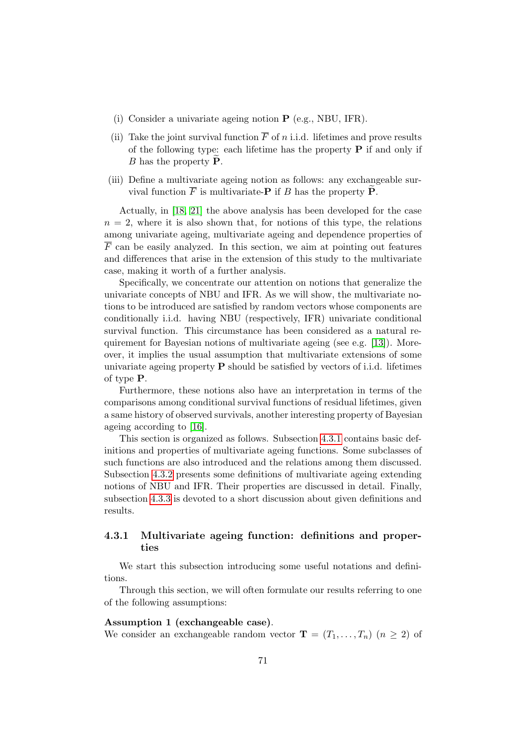- (i) Consider a univariate ageing notion P (e.g., NBU, IFR).
- (ii) Take the joint survival function  $\overline{F}$  of n i.i.d. lifetimes and prove results of the following type: each lifetime has the property  $P$  if and only if B has the property  $\overline{\mathbf{P}}$ .
- (iii) Define a multivariate ageing notion as follows: any exchangeable survival function  $\overline{F}$  is multivariate-**P** if *B* has the property **P**.

Actually, in [\[18,](#page-118-4) [21\]](#page-118-1) the above analysis has been developed for the case  $n = 2$ , where it is also shown that, for notions of this type, the relations among univariate ageing, multivariate ageing and dependence properties of  $\overline{F}$  can be easily analyzed. In this section, we aim at pointing out features and differences that arise in the extension of this study to the multivariate case, making it worth of a further analysis.

Specifically, we concentrate our attention on notions that generalize the univariate concepts of NBU and IFR. As we will show, the multivariate notions to be introduced are satisfied by random vectors whose components are conditionally i.i.d. having NBU (respectively, IFR) univariate conditional survival function. This circumstance has been considered as a natural requirement for Bayesian notions of multivariate ageing (see e.g. [\[13\]](#page-118-5)). Moreover, it implies the usual assumption that multivariate extensions of some univariate ageing property  $P$  should be satisfied by vectors of i.i.d. lifetimes of type P.

Furthermore, these notions also have an interpretation in terms of the comparisons among conditional survival functions of residual lifetimes, given a same history of observed survivals, another interesting property of Bayesian ageing according to [\[16\]](#page-118-6).

This section is organized as follows. Subsection [4.3.1](#page-86-0) contains basic definitions and properties of multivariate ageing functions. Some subclasses of such functions are also introduced and the relations among them discussed. Subsection [4.3.2](#page-89-0) presents some definitions of multivariate ageing extending notions of NBU and IFR. Their properties are discussed in detail. Finally, subsection [4.3.3](#page-98-0) is devoted to a short discussion about given definitions and results.

#### <span id="page-86-0"></span>4.3.1 Multivariate ageing function: definitions and properties

We start this subsection introducing some useful notations and definitions.

Through this section, we will often formulate our results referring to one of the following assumptions:

#### Assumption 1 (exchangeable case).

We consider an exchangeable random vector  $\mathbf{T} = (T_1, \ldots, T_n)$   $(n \geq 2)$  of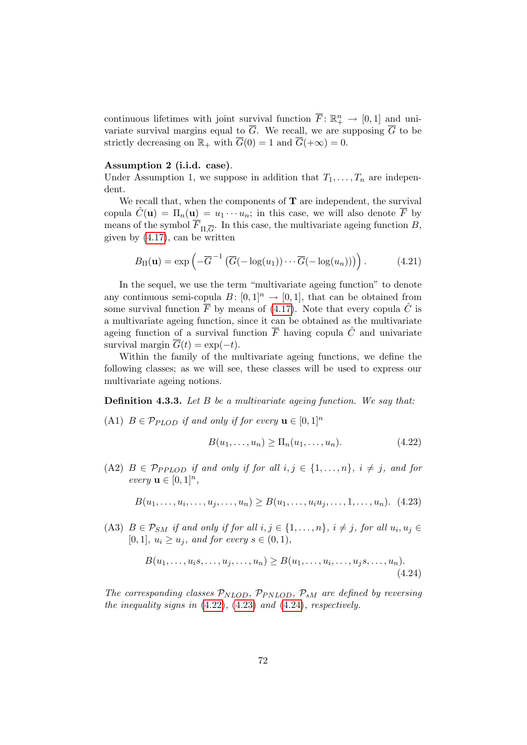continuous lifetimes with joint survival function  $\overline{F}$ :  $\mathbb{R}^n_+ \to [0,1]$  and univariate survival margins equal to  $\overline{G}$ . We recall, we are supposing  $\overline{G}$  to be strictly decreasing on  $\mathbb{R}_+$  with  $\overline{G}(0) = 1$  and  $\overline{G}(+\infty) = 0$ .

#### Assumption 2 (i.i.d. case).

Under Assumption 1, we suppose in addition that  $T_1, \ldots, T_n$  are independent.

We recall that, when the components of  $T$  are independent, the survival copula  $C(\mathbf{u}) = \Pi_n(\mathbf{u}) = u_1 \cdots u_n$ ; in this case, we will also denote  $\overline{F}$  by means of the symbol  $F_{\Pi,\overline{G}}$ . In this case, the multivariate ageing function B, given by [\(4.17\)](#page-84-0), can be written

<span id="page-87-3"></span>
$$
B_{\Pi}(\mathbf{u}) = \exp\left(-\overline{G}^{-1}\left(\overline{G}(-\log(u_1))\cdots\overline{G}(-\log(u_n))\right)\right). \tag{4.21}
$$

In the sequel, we use the term "multivariate ageing function" to denote any continuous semi-copula  $B: [0,1]^n \to [0,1]$ , that can be obtained from some survival function  $\overline{F}$  by means of [\(4.17\)](#page-84-0). Note that every copula  $\hat{C}$  is a multivariate ageing function, since it can be obtained as the multivariate ageing function of a survival function  $\overline{F}$  having copula  $\hat{C}$  and univariate survival margin  $\overline{G}(t) = \exp(-t)$ .

Within the family of the multivariate ageing functions, we define the following classes; as we will see, these classes will be used to express our multivariate ageing notions.

Definition 4.3.3. Let B be a multivariate ageing function. We say that:

(A1)  $B \in \mathcal{P}_{PLOD}$  if and only if for every  $\mathbf{u} \in [0,1]^n$ 

<span id="page-87-2"></span><span id="page-87-1"></span><span id="page-87-0"></span>
$$
B(u_1,\ldots,u_n)\geq \Pi_n(u_1,\ldots,u_n). \tag{4.22}
$$

(A2)  $B \in \mathcal{P}_{PPLOD}$  if and only if for all  $i, j \in \{1, \ldots, n\}$ ,  $i \neq j$ , and for every  $\mathbf{u} \in [0,1]^n$ ,

$$
B(u_1, \ldots, u_i, \ldots, u_j, \ldots, u_n) \ge B(u_1, \ldots, u_i u_j, \ldots, 1, \ldots, u_n).
$$
 (4.23)

(A3)  $B \in \mathcal{P}_{SM}$  if and only if for all  $i, j \in \{1, \ldots, n\}$ ,  $i \neq j$ , for all  $u_i, u_j \in$ [0, 1],  $u_i \geq u_j$ , and for every  $s \in (0,1)$ ,

$$
B(u_1,\ldots,u_i,\ldots,u_j,\ldots,u_n) \ge B(u_1,\ldots,u_i,\ldots,u_j,\ldots,u_n). \tag{4.24}
$$

The corresponding classes  $\mathcal{P}_{NLOD}$ ,  $\mathcal{P}_{PNLOD}$ ,  $\mathcal{P}_{sM}$  are defined by reversing the inequality signs in  $(4.22)$ ,  $(4.23)$  and  $(4.24)$ , respectively.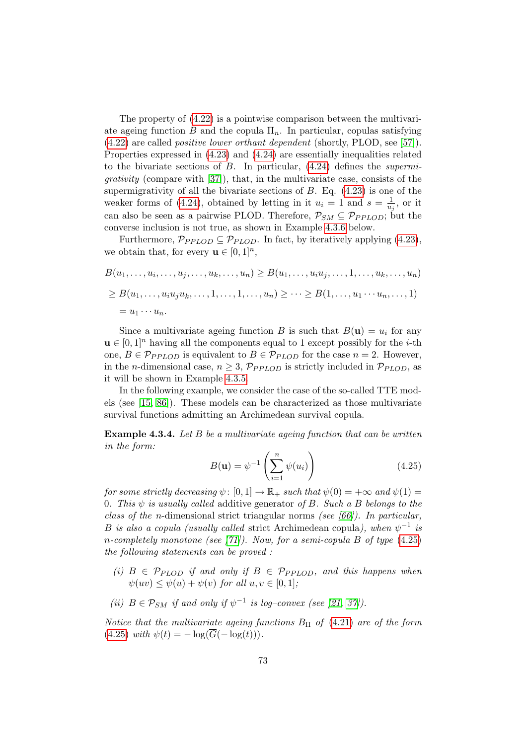The property of [\(4.22\)](#page-87-0) is a pointwise comparison between the multivariate ageing function B and the copula  $\Pi_n$ . In particular, copulas satisfying [\(4.22\)](#page-87-0) are called positive lower orthant dependent (shortly, PLOD, see [\[57\]](#page-121-3)). Properties expressed in [\(4.23\)](#page-87-1) and [\(4.24\)](#page-87-2) are essentially inequalities related to the bivariate sections of  $B$ . In particular,  $(4.24)$  defines the *supermi*grativity (compare with [\[37\]](#page-120-2)), that, in the multivariate case, consists of the supermigrativity of all the bivariate sections of  $B$ . Eq.  $(4.23)$  is one of the weaker forms of [\(4.24\)](#page-87-2), obtained by letting in it  $u_i = 1$  and  $s = \frac{1}{u}$  $\frac{1}{u_j},$  or it can also be seen as a pairwise PLOD. Therefore,  $P_{SM} \subseteq P_{PPLOD}$ ; but the converse inclusion is not true, as shown in Example [4.3.6](#page-89-1) below.

Furthermore,  $\mathcal{P}_{PPLOD} \subseteq \mathcal{P}_{PLOD}$ . In fact, by iteratively applying [\(4.23\)](#page-87-1), we obtain that, for every  $\mathbf{u} \in [0,1]^n$ ,

$$
B(u_1, ..., u_i, ..., u_j, ..., u_k, ..., u_n) \ge B(u_1, ..., u_iu_j, ..., 1, ..., u_k, ..., u_n)
$$
  
\n
$$
\ge B(u_1, ..., u_iu_ju_k, ..., 1, ..., 1, ..., u_n) \ge ... \ge B(1, ..., u_1 \cdots u_n, ..., 1)
$$
  
\n
$$
= u_1 \cdots u_n.
$$

Since a multivariate ageing function B is such that  $B(\mathbf{u}) = u_i$  for any  $u \in [0,1]^n$  having all the components equal to 1 except possibly for the *i*-th one,  $B \in \mathcal{P}_{PPLOD}$  is equivalent to  $B \in \mathcal{P}_{PLOD}$  for the case  $n = 2$ . However, in the *n*-dimensional case,  $n \geq 3$ ,  $\mathcal{P}_{PPLOD}$  is strictly included in  $\mathcal{P}_{PLOD}$ , as it will be shown in Example [4.3.5.](#page-89-2)

In the following example, we consider the case of the so-called TTE models (see [\[15,](#page-118-7) [86\]](#page-123-0)). These models can be characterized as those multivariate survival functions admitting an Archimedean survival copula.

<span id="page-88-1"></span>Example 4.3.4. Let B be a multivariate ageing function that can be written in the form:

<span id="page-88-0"></span>
$$
B(\mathbf{u}) = \psi^{-1}\left(\sum_{i=1}^{n} \psi(u_i)\right) \tag{4.25}
$$

for some strictly decreasing  $\psi: [0, 1] \to \mathbb{R}_+$  such that  $\psi(0) = +\infty$  and  $\psi(1) =$ 0. This  $\psi$  is usually called additive generator of B. Such a B belongs to the class of the n-dimensional strict triangular norms (see  $[66]$ ). In particular, B is also a copula (usually called strict Archimedean copula), when  $\psi^{-1}$  is n-completely monotone (see [\[71\]](#page-122-4)). Now, for a semi-copula B of type  $(4.25)$ the following statements can be proved :

- (i)  $B \in \mathcal{P}_{\text{PLOD}}$  if and only if  $B \in \mathcal{P}_{\text{PPLOD}}$ , and this happens when  $\psi(uv) \leq \psi(u) + \psi(v)$  for all  $u, v \in [0, 1]$ ;
- (ii)  $B \in \mathcal{P}_{SM}$  if and only if  $\psi^{-1}$  is log-convex (see [\[21,](#page-118-1) [37\]](#page-120-2)).

Notice that the multivariate ageing functions  $B_{\Pi}$  of [\(4.21\)](#page-87-3) are of the form [\(4.25\)](#page-88-0) with  $\psi(t) = -\log(\overline{G}(-\log(t))).$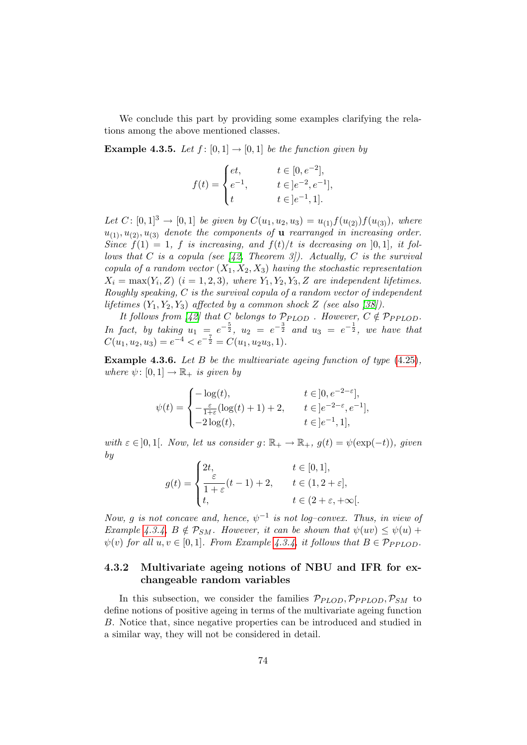We conclude this part by providing some examples clarifying the relations among the above mentioned classes.

<span id="page-89-2"></span>**Example 4.3.5.** Let  $f : [0,1] \rightarrow [0,1]$  be the function given by

$$
f(t) = \begin{cases} et, & t \in [0, e^{-2}], \\ e^{-1}, & t \in ]e^{-2}, e^{-1}], \\ t & t \in ]e^{-1}, 1]. \end{cases}
$$

Let  $C: [0, 1]^3 \to [0, 1]$  be given by  $C(u_1, u_2, u_3) = u_{(1)} f(u_{(2)}) f(u_{(3)})$ , where  $u_{(1)}, u_{(2)}, u_{(3)}$  denote the components of **u** rearranged in increasing order. Since  $f(1) = 1$ , f is increasing, and  $f(t)/t$  is decreasing on [0,1], it follows that C is a copula (see  $(42,$  Theorem 3]). Actually, C is the survival copula of a random vector  $(X_1, X_2, X_3)$  having the stochastic representation  $X_i = \max(Y_i, Z)$   $(i = 1, 2, 3)$ , where  $Y_1, Y_2, Y_3, Z$  are independent lifetimes. Roughly speaking, C is the survival copula of a random vector of independent lifetimes  $(Y_1, Y_2, Y_3)$  affected by a common shock Z (see also [\[38\]](#page-120-5)).

It follows from [\[42\]](#page-120-4) that C belongs to  $\mathcal{P}_{PLOD}$ . However,  $C \notin \mathcal{P}_{PPLOD}$ . In fact, by taking  $u_1 = e^{-\frac{5}{2}}$ ,  $u_2 = e^{-\frac{3}{2}}$  and  $u_3 = e^{-\frac{1}{2}}$ , we have that  $C(u_1, u_2, u_3) = e^{-4} < e^{-\frac{7}{2}} = C(u_1, u_2u_3, 1).$ 

<span id="page-89-1"></span>Example 4.3.6. Let B be the multivariate ageing function of type  $(4.25)$ , where  $\psi: [0, 1] \to \mathbb{R}_+$  is given by

$$
\psi(t) = \begin{cases}\n-\log(t), & t \in ]0, e^{-2-\varepsilon}], \\
-\frac{\varepsilon}{1+\varepsilon}(\log(t)+1)+2, & t \in ]e^{-2-\varepsilon}, e^{-1}], \\
-2\log(t), & t \in ]e^{-1}, 1],\n\end{cases}
$$

with  $\varepsilon \in ]0,1[$ . Now, let us consider  $g : \mathbb{R}_+ \to \mathbb{R}_+$ ,  $g(t) = \psi(\exp(-t))$ , given by

$$
g(t) = \begin{cases} 2t, & t \in [0,1], \\ \frac{\varepsilon}{1+\varepsilon}(t-1) + 2, & t \in (1,2+\varepsilon], \\ t, & t \in (2+\varepsilon,+\infty[. \end{cases}
$$

Now, g is not concave and, hence,  $\psi^{-1}$  is not log-convex. Thus, in view of Example [4.3.4,](#page-88-1)  $B \notin \mathcal{P}_{SM}$ . However, it can be shown that  $\psi(uv) \leq \psi(u) +$  $\psi(v)$  for all  $u, v \in [0, 1]$ . From Example [4.3.4,](#page-88-1) it follows that  $B \in \mathcal{P}_{PPLOD}$ .

#### <span id="page-89-0"></span>4.3.2 Multivariate ageing notions of NBU and IFR for exchangeable random variables

In this subsection, we consider the families  $\mathcal{P}_{PLOD}, \mathcal{P}_{PPLOD}, \mathcal{P}_{SM}$  to define notions of positive ageing in terms of the multivariate ageing function B. Notice that, since negative properties can be introduced and studied in a similar way, they will not be considered in detail.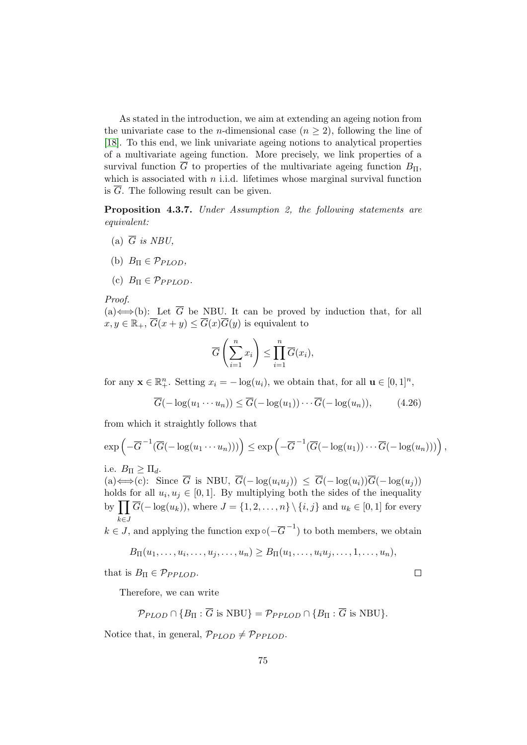As stated in the introduction, we aim at extending an ageing notion from the univariate case to the *n*-dimensional case  $(n \geq 2)$ , following the line of [\[18\]](#page-118-4). To this end, we link univariate ageing notions to analytical properties of a multivariate ageing function. More precisely, we link properties of a survival function  $\overline{G}$  to properties of the multivariate ageing function  $B_{\Pi}$ , which is associated with  $n$  i.i.d. lifetimes whose marginal survival function is  $\overline{G}$ . The following result can be given.

<span id="page-90-0"></span>Proposition 4.3.7. Under Assumption 2, the following statements are equivalent:

- (a)  $\overline{G}$  is NBU.
- (b)  $B_{\Pi} \in \mathcal{P}_{PLOD}$ ,
- (c)  $B_{\Pi} \in \mathcal{P}_{PPLOD}$ .

Proof.

(a)  $\Longleftrightarrow$  (b): Let  $\overline{G}$  be NBU. It can be proved by induction that, for all  $x, y \in \mathbb{R}_+, \overline{G}(x+y) \leq \overline{G}(x)\overline{G}(y)$  is equivalent to

$$
\overline{G}\left(\sum_{i=1}^n x_i\right) \le \prod_{i=1}^n \overline{G}(x_i),
$$

for any  $\mathbf{x} \in \mathbb{R}_+^n$ . Setting  $x_i = -\log(u_i)$ , we obtain that, for all  $\mathbf{u} \in [0,1]^n$ ,

$$
\overline{G}(-\log(u_1\cdots u_n)) \le \overline{G}(-\log(u_1))\cdots \overline{G}(-\log(u_n)),\tag{4.26}
$$

from which it straightly follows that

$$
\exp\left(-\overline{G}^{-1}(\overline{G}(-\log(u_1\cdots u_n)))\right)\leq \exp\left(-\overline{G}^{-1}(\overline{G}(-\log(u_1))\cdots\overline{G}(-\log(u_n)))\right),
$$

i.e.  $B_{\Pi} \geq \Pi_d$ .

(a)  $\Longleftrightarrow$  (c): Since  $\overline{G}$  is NBU,  $\overline{G}(-\log(u_iu_j)) \leq \overline{G}(-\log(u_i))\overline{G}(-\log(u_j))$ holds for all  $u_i, u_j \in [0, 1]$ . By multiplying both the sides of the inequality by  $\prod \overline{G}(-\log(u_k))$ , where  $J = \{1, 2, ..., n\} \setminus \{i, j\}$  and  $u_k \in [0, 1]$  for every  $k\in J$ 

 $k \in J$ , and applying the function  $\exp \circ (-\overline{G}^{-1})$  to both members, we obtain

$$
B_{\Pi}(u_1,\ldots,u_i,\ldots,u_j,\ldots,u_n)\geq B_{\Pi}(u_1,\ldots,u_iu_j,\ldots,1,\ldots,u_n),
$$

that is  $B_{\Pi} \in \mathcal{P}_{PPLOD}$ .

Therefore, we can write

$$
\mathcal{P}_{PLOD} \cap \{B_{\Pi} : \overline{G} \text{ is NBU}\} = \mathcal{P}_{PPLOD} \cap \{B_{\Pi} : \overline{G} \text{ is NBU}\}.
$$

<span id="page-90-1"></span>Notice that, in general,  $\mathcal{P}_{PLOD} \neq \mathcal{P}_{PPLOD}$ .

 $\Box$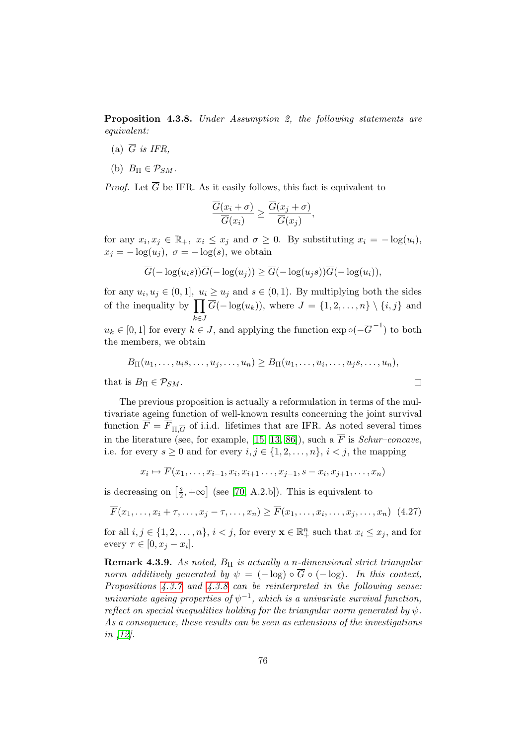Proposition 4.3.8. Under Assumption 2, the following statements are equivalent:

- (a)  $\overline{G}$  is IFR.
- (b)  $B_{\Pi} \in \mathcal{P}_{SM}$ .

*Proof.* Let  $\overline{G}$  be IFR. As it easily follows, this fact is equivalent to

$$
\frac{\overline{G}(x_i+\sigma)}{\overline{G}(x_i)} \ge \frac{\overline{G}(x_j+\sigma)}{\overline{G}(x_j)},
$$

for any  $x_i, x_j \in \mathbb{R}_+$ ,  $x_i \leq x_j$  and  $\sigma \geq 0$ . By substituting  $x_i = -\log(u_i)$ ,  $x_i = -\log(u_i)$ ,  $\sigma = -\log(s)$ , we obtain

$$
\overline{G}(-\log(u_i s))\overline{G}(-\log(u_j)) \ge \overline{G}(-\log(u_j s))\overline{G}(-\log(u_i)),
$$

for any  $u_i, u_j \in (0, 1]$ ,  $u_i \geq u_j$  and  $s \in (0, 1)$ . By multiplying both the sides of the inequality by  $\prod \overline{G}(-\log(u_k))$ , where  $J = \{1, 2, ..., n\} \setminus \{i, j\}$  and k∈J

 $u_k \in [0,1]$  for every  $k \in J$ , and applying the function  $\exp \circ (-\overline{G}^{-1})$  to both the members, we obtain

$$
B_{\Pi}(u_1,\ldots,u_i,\ldots,u_j,\ldots,u_n)\geq B_{\Pi}(u_1,\ldots,u_i,\ldots,u_j,\ldots,u_n),
$$

<span id="page-91-0"></span> $\Box$ 

that is  $B_{\Pi} \in \mathcal{P}_{SM}$ .

The previous proposition is actually a reformulation in terms of the multivariate ageing function of well-known results concerning the joint survival function  $F = F_{\Pi, \overline{G}}$  of i.i.d. lifetimes that are IFR. As noted several times in the literature (see, for example, [\[15,](#page-118-7) [13,](#page-118-5) [86\]](#page-123-0)), such a  $\overline{F}$  is *Schur–concave*, i.e. for every  $s > 0$  and for every  $i, j \in \{1, 2, \ldots, n\}, i < j$ , the mapping

$$
x_i \mapsto F(x_1, \dots, x_{i-1}, x_i, x_{i+1}, \dots, x_{j-1}, s - x_i, x_{j+1}, \dots, x_n)
$$

is decreasing on  $\left[\frac{s}{2}\right]$  $\left[\frac{s}{2}, +\infty\right]$  (see [\[70,](#page-122-5) A.2.b]). This is equivalent to

$$
\overline{F}(x_1,\ldots,x_i+\tau,\ldots,x_j-\tau,\ldots,x_n) \ge \overline{F}(x_1,\ldots,x_i,\ldots,x_j,\ldots,x_n) \tag{4.27}
$$

for all  $i, j \in \{1, 2, ..., n\}, i < j$ , for every  $\mathbf{x} \in \mathbb{R}_+^n$  such that  $x_i \leq x_j$ , and for every  $\tau \in [0, x_j - x_i]$ .

**Remark 4.3.9.** As noted,  $B_{\Pi}$  is actually a n-dimensional strict triangular norm additively generated by  $\psi = (-\log) \circ \overline{G} \circ (-\log)$ . In this context, Propositions  $4.3.7$  and  $4.3.8$  can be reinterpreted in the following sense. univariate ageing properties of  $\psi^{-1}$ , which is a univariate survival function, reflect on special inequalities holding for the triangular norm generated by  $\psi$ . As a consequence, these results can be seen as extensions of the investigations in [\[12\]](#page-118-8).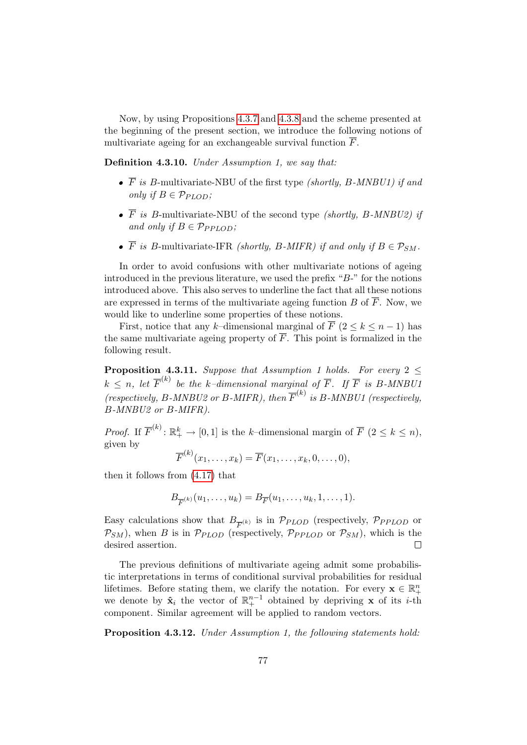Now, by using Propositions [4.3.7](#page-90-0) and [4.3.8](#page-90-1) and the scheme presented at the beginning of the present section, we introduce the following notions of multivariate ageing for an exchangeable survival function  $\overline{F}$ .

<span id="page-92-0"></span>Definition 4.3.10. Under Assumption 1, we say that:

- $\bullet$   $\overline{F}$  is B-multivariate-NBU of the first type *(shortly, B-MNBU1)* if and only if  $B \in \mathcal{P}_{PLOD}$ ;
- $\overline{F}$  is B-multivariate-NBU of the second type *(shortly, B-MNBU2)* if and only if  $B \in \mathcal{P}_{PPLOD}$ ;
- $\overline{F}$  is B-multivariate-IFR *(shortly, B-MIFR)* if and only if  $B \in \mathcal{P}_{SM}$ .

In order to avoid confusions with other multivariate notions of ageing introduced in the previous literature, we used the prefix " $B$ -" for the notions introduced above. This also serves to underline the fact that all these notions are expressed in terms of the multivariate ageing function  $B$  of  $\overline{F}$ . Now, we would like to underline some properties of these notions.

First, notice that any k–dimensional marginal of  $\overline{F}$  (2  $\leq$  k  $\leq$  n - 1) has the same multivariate ageing property of  $\overline{F}$ . This point is formalized in the following result.

**Proposition 4.3.11.** Suppose that Assumption 1 holds. For every  $2 \leq$  $k \leq n$ , let  $\overline{F}^{(k)}$  be the k-dimensional marginal of  $\overline{F}$ . If  $\overline{F}$  is B-MNBU1 (respectively, B-MNBU2 or B-MIFR), then  $\overline{F}^{(k)}$  is B-MNBU1 (respectively, B-MNBU2 or B-MIFR).

*Proof.* If  $\overline{F}^{(k)}$ :  $\mathbb{R}^k_+ \to [0,1]$  is the k-dimensional margin of  $\overline{F}$   $(2 \leq k \leq n)$ , given by

$$
\overline{F}^{(k)}(x_1,\ldots,x_k)=\overline{F}(x_1,\ldots,x_k,0,\ldots,0),
$$

then it follows from [\(4.17\)](#page-84-0) that

$$
B_{\overline{F}^{(k)}}(u_1,\ldots,u_k)=B_{\overline{F}}(u_1,\ldots,u_k,1,\ldots,1).
$$

Easy calculations show that  $B_{\overline{F}^{(k)}}$  is in  $\mathcal{P}_{PLOD}$  (respectively,  $\mathcal{P}_{PPLOD}$  or  $\mathcal{P}_{SM}$ ), when B is in  $\mathcal{P}_{PLOD}$  (respectively,  $\mathcal{P}_{PPLOD}$  or  $\mathcal{P}_{SM}$ ), which is the desired assertion.  $\Box$ 

The previous definitions of multivariate ageing admit some probabilistic interpretations in terms of conditional survival probabilities for residual lifetimes. Before stating them, we clarify the notation. For every  $\mathbf{x} \in \mathbb{R}^n_+$ we denote by  $\hat{\mathbf{x}}_i$  the vector of  $\mathbb{R}^{n-1}_+$  obtained by depriving **x** of its *i*-th component. Similar agreement will be applied to random vectors.

Proposition 4.3.12. Under Assumption 1, the following statements hold: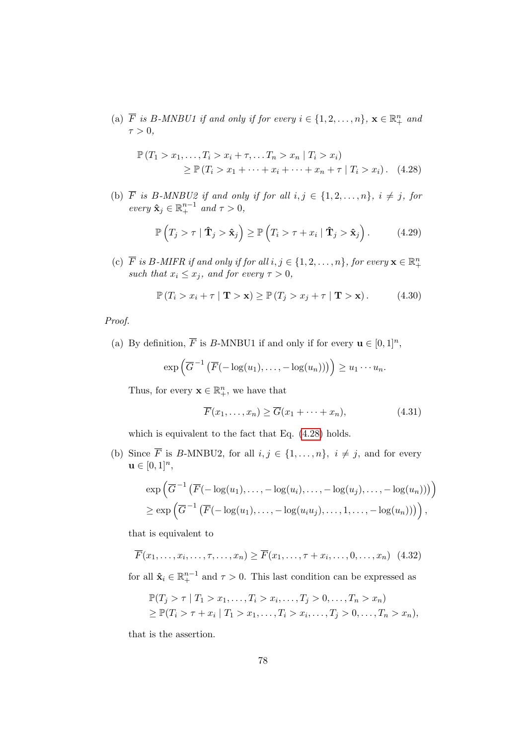(a)  $\overline{F}$  is B-MNBU1 if and only if for every  $i \in \{1, 2, ..., n\}$ ,  $\mathbf{x} \in \mathbb{R}_+^n$  and  $\tau > 0$ ,

$$
\mathbb{P}(T_1 > x_1, ..., T_i > x_i + \tau, ... T_n > x_n | T_i > x_i)
$$
  
\n
$$
\geq \mathbb{P}(T_i > x_1 + ... + x_i + ... + x_n + \tau | T_i > x_i).
$$
 (4.28)

(b) F is B-MNBU2 if and only if for all  $i, j \in \{1, 2, \ldots, n\}$ ,  $i \neq j$ , for every  $\hat{\mathbf{x}}_j \in \mathbb{R}^{n-1}_+$  and  $\tau > 0$ ,

<span id="page-93-2"></span><span id="page-93-0"></span>
$$
\mathbb{P}\left(T_j > \tau \mid \hat{\mathbf{T}}_j > \hat{\mathbf{x}}_j\right) \ge \mathbb{P}\left(T_i > \tau + x_i \mid \hat{\mathbf{T}}_j > \hat{\mathbf{x}}_j\right). \tag{4.29}
$$

(c)  $\overline{F}$  is B-MIFR if and only if for all  $i, j \in \{1, 2, ..., n\}$ , for every  $\mathbf{x} \in \mathbb{R}_+^n$ such that  $x_i \leq x_j$ , and for every  $\tau > 0$ ,

<span id="page-93-1"></span>
$$
\mathbb{P}\left(T_i > x_i + \tau \mid \mathbf{T} > \mathbf{x}\right) \ge \mathbb{P}\left(T_j > x_j + \tau \mid \mathbf{T} > \mathbf{x}\right). \tag{4.30}
$$

Proof.

(a) By definition,  $\overline{F}$  is B-MNBU1 if and only if for every  $\mathbf{u} \in [0,1]^n$ ,

$$
\exp\left(\overline{G}^{-1}\left(\overline{F}(-\log(u_1),\ldots,-\log(u_n))\right)\right)\geq u_1\cdots u_n.
$$

Thus, for every  $\mathbf{x} \in \mathbb{R}_+^n$ , we have that

<span id="page-93-3"></span>
$$
\overline{F}(x_1,\ldots,x_n) \ge \overline{G}(x_1+\cdots+x_n),\tag{4.31}
$$

which is equivalent to the fact that Eq. [\(4.28\)](#page-93-0) holds.

(b) Since  $\overline{F}$  is B-MNBU2, for all  $i, j \in \{1, ..., n\}$ ,  $i \neq j$ , and for every  $u \in [0, 1]^n$ ,

<span id="page-93-4"></span>
$$
\exp\left(\overline{G}^{-1}\left(\overline{F}(-\log(u_1),\ldots,-\log(u_i),\ldots,-\log(u_j),\ldots,-\log(u_n))\right)\right) \geq \exp\left(\overline{G}^{-1}\left(\overline{F}(-\log(u_1),\ldots,-\log(u_i))\ldots,1,\ldots,-\log(u_n))\right)\right),
$$

that is equivalent to

$$
\overline{F}(x_1,\ldots,x_i,\ldots,\tau,\ldots,x_n) \ge \overline{F}(x_1,\ldots,\tau+x_i,\ldots,0,\ldots,x_n) \tag{4.32}
$$

for all  $\hat{\mathbf{x}}_i \in \mathbb{R}^{n-1}_+$  and  $\tau > 0$ . This last condition can be expressed as

$$
\mathbb{P}(T_j > \tau | T_1 > x_1, \dots, T_i > x_i, \dots, T_j > 0, \dots, T_n > x_n) \geq \mathbb{P}(T_i > \tau + x_i | T_1 > x_1, \dots, T_i > x_i, \dots, T_j > 0, \dots, T_n > x_n),
$$

that is the assertion.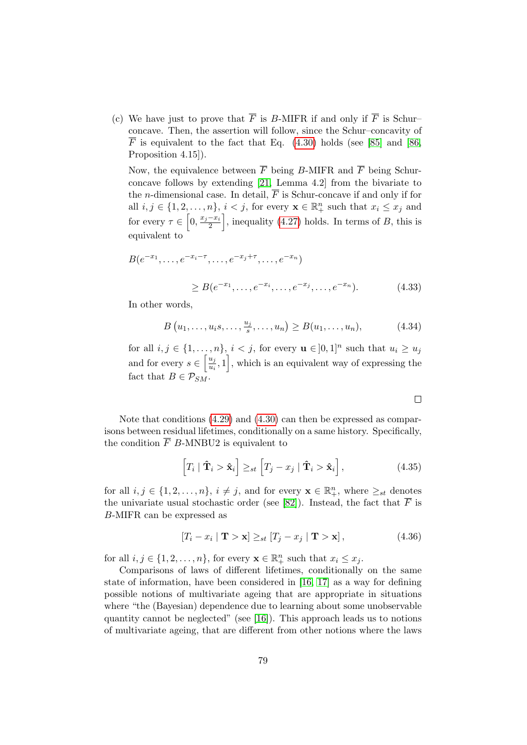(c) We have just to prove that  $\overline{F}$  is B-MIFR if and only if  $\overline{F}$  is Schurconcave. Then, the assertion will follow, since the Schur–concavity of  $\overline{F}$  is equivalent to the fact that Eq. [\(4.30\)](#page-93-1) holds (see [\[85\]](#page-123-1) and [\[86,](#page-123-0) Proposition 4.15]).

Now, the equivalence between  $\overline{F}$  being B-MIFR and  $\overline{F}$  being Schurconcave follows by extending [\[21,](#page-118-1) Lemma 4.2] from the bivariate to the *n*-dimensional case. In detail,  $\overline{F}$  is Schur-concave if and only if for all  $i, j \in \{1, 2, ..., n\}, i < j$ , for every  $\mathbf{x} \in \mathbb{R}_+^n$  such that  $x_i \leq x_j$  and for every  $\tau \in \left[0, \frac{x_j - x_i}{2}\right]$  $\left\lfloor \frac{-x_i}{2} \right\rfloor$ , inequality [\(4.27\)](#page-91-0) holds. In terms of B, this is equivalent to

$$
B(e^{-x_1}, \dots, e^{-x_i - \tau}, \dots, e^{-x_j + \tau}, \dots, e^{-x_n})
$$
  
 
$$
\geq B(e^{-x_1}, \dots, e^{-x_i}, \dots, e^{-x_j}, \dots, e^{-x_n}).
$$
 (4.33)

In other words,

$$
B(u_1, ..., u_i, ..., \frac{u_j}{s}, ..., u_n) \ge B(u_1, ..., u_n),
$$
 (4.34)

for all  $i, j \in \{1, \ldots, n\}, i < j$ , for every  $\mathbf{u} \in ]0,1]^n$  such that  $u_i \geq u_j$ and for every  $s \in \left[\frac{u_j}{u_j}\right]$  $\left[\frac{u_j}{u_i}, 1\right]$ , which is an equivalent way of expressing the fact that  $B \in \mathcal{P}_{SM}$ .

 $\Box$ 

Note that conditions [\(4.29\)](#page-93-2) and [\(4.30\)](#page-93-1) can then be expressed as comparisons between residual lifetimes, conditionally on a same history. Specifically, the condition  $\overline{F}$  B-MNBU2 is equivalent to

<span id="page-94-0"></span>
$$
\left[T_i \mid \hat{\mathbf{T}}_i > \hat{\mathbf{x}}_i\right] \geq_{st} \left[T_j - x_j \mid \hat{\mathbf{T}}_i > \hat{\mathbf{x}}_i\right],\tag{4.35}
$$

for all  $i, j \in \{1, 2, ..., n\}, i \neq j$ , and for every  $\mathbf{x} \in \mathbb{R}_+^n$ , where  $\geq_{st}$  denotes the univariate usual stochastic order (see [\[82\]](#page-123-2)). Instead, the fact that  $\overline{F}$  is B-MIFR can be expressed as

<span id="page-94-1"></span>
$$
[T_i - x_i \mid \mathbf{T} > \mathbf{x}] \geq_{st} [T_j - x_j \mid \mathbf{T} > \mathbf{x}], \tag{4.36}
$$

for all  $i, j \in \{1, 2, ..., n\}$ , for every  $\mathbf{x} \in \mathbb{R}^n_+$  such that  $x_i \leq x_j$ .

Comparisons of laws of different lifetimes, conditionally on the same state of information, have been considered in [\[16,](#page-118-6) [17\]](#page-118-9) as a way for defining possible notions of multivariate ageing that are appropriate in situations where "the (Bayesian) dependence due to learning about some unobservable quantity cannot be neglected" (see [\[16\]](#page-118-6)). This approach leads us to notions of multivariate ageing, that are different from other notions where the laws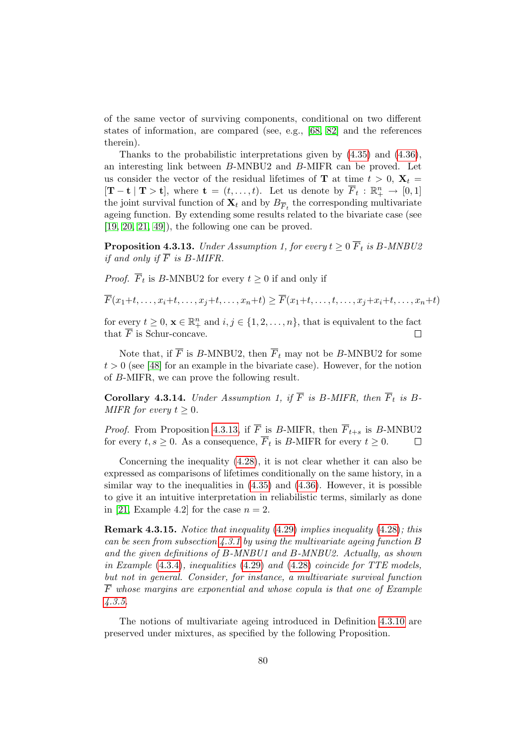of the same vector of surviving components, conditional on two different states of information, are compared (see, e.g., [\[68,](#page-122-6) [82\]](#page-123-2) and the references therein).

Thanks to the probabilistic interpretations given by [\(4.35\)](#page-94-0) and [\(4.36\)](#page-94-1), an interesting link between B-MNBU2 and B-MIFR can be proved. Let us consider the vector of the residual lifetimes of **T** at time  $t > 0$ ,  $X_t =$  $[\mathbf{T}-\mathbf{t} | \mathbf{T} > \mathbf{t}]$ , where  $\mathbf{t} = (t, \ldots, t)$ . Let us denote by  $\overline{F}_t : \mathbb{R}^n_+ \to [0, 1]$ the joint survival function of  $\mathbf{X}_t$  and by  $B_{\overline{F}_t}$  the corresponding multivariate ageing function. By extending some results related to the bivariate case (see  $[19, 20, 21, 49]$  $[19, 20, 21, 49]$  $[19, 20, 21, 49]$  $[19, 20, 21, 49]$ , the following one can be proved.

<span id="page-95-0"></span>**Proposition 4.3.13.** Under Assumption 1, for every  $t \geq 0$   $\overline{F}_t$  is B-MNBU2 if and only if  $\overline{F}$  is B-MIFR.

*Proof.*  $F_t$  is B-MNBU2 for every  $t \geq 0$  if and only if

 $\overline{F}(x_1+t,\ldots,x_i+t,\ldots,x_i+t,\ldots,x_n+t) > \overline{F}(x_1+t,\ldots,t,\ldots,x_i+x_i+t,\ldots,x_n+t)$ 

for every  $t \geq 0$ ,  $\mathbf{x} \in \mathbb{R}_+^n$  and  $i, j \in \{1, 2, ..., n\}$ , that is equivalent to the fact that  $\overline{F}$  is Schur-concave.  $\Box$ 

Note that, if  $\overline{F}$  is B-MNBU2, then  $\overline{F}_t$  may not be B-MNBU2 for some  $t > 0$  (see [\[48\]](#page-120-6) for an example in the bivariate case). However, for the notion of B-MIFR, we can prove the following result.

Corollary 4.3.14. Under Assumption 1, if  $\overline{F}$  is B-MIFR, then  $\overline{F}_t$  is B-MIFR for every  $t \geq 0$ .

*Proof.* From Proposition [4.3.13,](#page-95-0) if  $\overline{F}$  is B-MIFR, then  $\overline{F}_{t+s}$  is B-MNBU2 for every  $t, s \geq 0$ . As a consequence,  $\overline{F}_t$  is B-MIFR for every  $t \geq 0$ .  $\Box$ 

Concerning the inequality [\(4.28\)](#page-93-0), it is not clear whether it can also be expressed as comparisons of lifetimes conditionally on the same history, in a similar way to the inequalities in  $(4.35)$  and  $(4.36)$ . However, it is possible to give it an intuitive interpretation in reliabilistic terms, similarly as done in [\[21,](#page-118-1) Example 4.2] for the case  $n = 2$ .

Remark 4.3.15. Notice that inequality [\(4.29\)](#page-93-2) implies inequality [\(4.28\)](#page-93-0); this can be seen from subsection  $\angle 4.3.1$  $\angle 4.3.1$  by using the multivariate ageing function B and the given definitions of  $B\text{-}MNBU1$  and  $B\text{-}MNBU2$ . Actually, as shown in Example [\(4.3.4\)](#page-88-1), inequalities [\(4.29\)](#page-93-2) and [\(4.28\)](#page-93-0) coincide for TTE models, but not in general. Consider, for instance, a multivariate survival function  $\overline{F}$  whose margins are exponential and whose copula is that one of Example [4.3.5.](#page-89-2)

The notions of multivariate ageing introduced in Definition [4.3.10](#page-92-0) are preserved under mixtures, as specified by the following Proposition.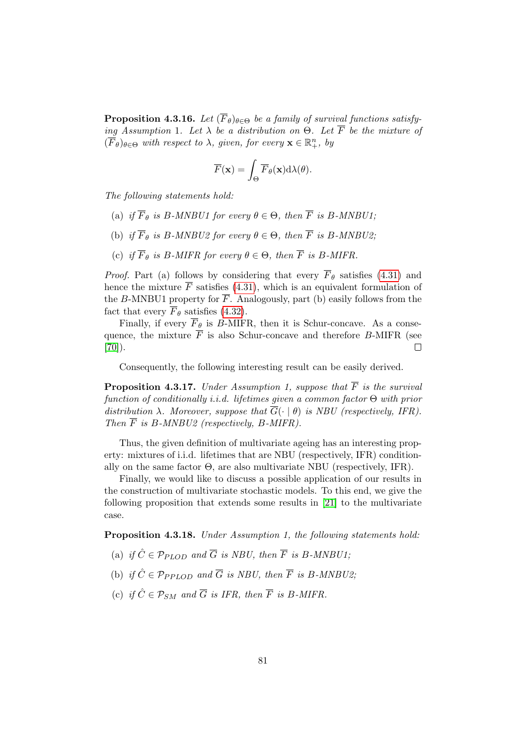**Proposition 4.3.16.** Let  $(\overline{F}_{\theta})_{\theta \in \Theta}$  be a family of survival functions satisfying Assumption 1. Let  $\lambda$  be a distribution on  $\Theta$ . Let  $\overline{F}$  be the mixture of  $(\overline{F}_{\theta})_{\theta \in \Theta}$  with respect to  $\lambda$ , given, for every  $\mathbf{x} \in \mathbb{R}^n_+$ , by

$$
\overline{F}(\mathbf{x}) = \int_{\Theta} \overline{F}_{\theta}(\mathbf{x}) \mathrm{d}\lambda(\theta).
$$

The following statements hold:

- (a) if  $\overline{F}_{\theta}$  is B-MNBU1 for every  $\theta \in \Theta$ , then  $\overline{F}$  is B-MNBU1;
- (b) if  $\overline{F}_{\theta}$  is B-MNBU2 for every  $\theta \in \Theta$ , then  $\overline{F}$  is B-MNBU2;
- (c) if  $\overline{F}_{\theta}$  is B-MIFR for every  $\theta \in \Theta$ , then  $\overline{F}$  is B-MIFR.

*Proof.* Part (a) follows by considering that every  $\overline{F}_{\theta}$  satisfies [\(4.31\)](#page-93-3) and hence the mixture  $\overline{F}$  satisfies [\(4.31\)](#page-93-3), which is an equivalent formulation of the B-MNBU1 property for  $\overline{F}$ . Analogously, part (b) easily follows from the fact that every  $\overline{F}_{\theta}$  satisfies [\(4.32\)](#page-93-4).

Finally, if every  $\overline{F}_{\theta}$  is B-MIFR, then it is Schur-concave. As a consequence, the mixture  $\overline{F}$  is also Schur-concave and therefore B-MIFR (see  $[70]$ ).  $\Box$ 

Consequently, the following interesting result can be easily derived.

**Proposition 4.3.17.** Under Assumption 1, suppose that  $\overline{F}$  is the survival function of conditionally *i.i.d.* lifetimes given a common factor  $\Theta$  with prior distribution  $\lambda$ . Moreover, suppose that  $\overline{G}(\cdot | \theta)$  is NBU (respectively, IFR). Then  $\overline{F}$  is B-MNBU2 (respectively, B-MIFR).

Thus, the given definition of multivariate ageing has an interesting property: mixtures of i.i.d. lifetimes that are NBU (respectively, IFR) conditionally on the same factor  $\Theta$ , are also multivariate NBU (respectively, IFR).

Finally, we would like to discuss a possible application of our results in the construction of multivariate stochastic models. To this end, we give the following proposition that extends some results in [\[21\]](#page-118-1) to the multivariate case.

<span id="page-96-0"></span>Proposition 4.3.18. Under Assumption 1, the following statements hold:

- (a) if  $\hat{C} \in \mathcal{P}_{PLOD}$  and  $\overline{G}$  is NBU, then  $\overline{F}$  is B-MNBU1;
- (b) if  $\hat{C} \in \mathcal{P}_{PPLOD}$  and  $\overline{G}$  is NBU, then  $\overline{F}$  is B-MNBU2;
- (c) if  $\hat{C} \in \mathcal{P}_{SM}$  and  $\overline{G}$  is IFR, then  $\overline{F}$  is B-MIFR.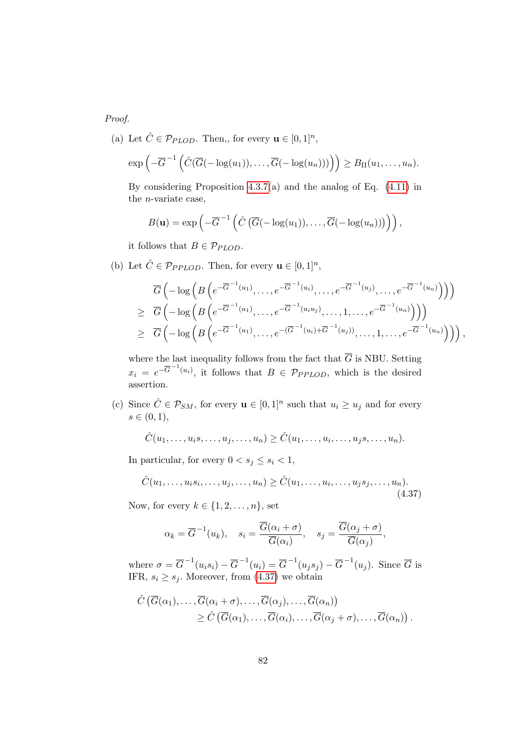Proof.

(a) Let  $\hat{C} \in \mathcal{P}_{PLOD}$ . Then,, for every  $\mathbf{u} \in [0,1]^n$ ,

$$
\exp\left(-\overline{G}^{-1}\left(\hat{C}(\overline{G}(-\log(u_1)),\ldots,\overline{G}(-\log(u_n)))\right)\right)\geq B_{\Pi}(u_1,\ldots,u_n).
$$

By considering Proposition [4.3.7\(](#page-90-0)a) and the analog of Eq. [\(4.11\)](#page-80-0) in the n-variate case,

$$
B(\mathbf{u}) = \exp\left(-\overline{G}^{-1}\left(\hat{C}\left(\overline{G}(-\log(u_1)),\ldots,\overline{G}(-\log(u_n))\right)\right)\right),\,
$$

it follows that  $B \in \mathcal{P}_{PLOD}$ .

(b) Let  $\hat{C} \in \mathcal{P}_{PPLOD}$ . Then, for every  $\mathbf{u} \in [0,1]^n$ ,

$$
\overline{G}\left(-\log\left(B\left(e^{-\overline{G}^{-1}(u_1)},\ldots,e^{-\overline{G}^{-1}(u_i)},\ldots,e^{-\overline{G}^{-1}(u_j)},\ldots,e^{-\overline{G}^{-1}(u_n)}\right)\right)\right) \n\geq \overline{G}\left(-\log\left(B\left(e^{-\overline{G}^{-1}(u_1)},\ldots,e^{-\overline{G}^{-1}(u_iu_j)},\ldots,1,\ldots,e^{-\overline{G}^{-1}(u_n)}\right)\right)\right) \n\geq \overline{G}\left(-\log\left(B\left(e^{-\overline{G}^{-1}(u_1)},\ldots,e^{-(\overline{G}^{-1}(u_i)+\overline{G}^{-1}(u_j)}\right),\ldots,1,\ldots,e^{-\overline{G}^{-1}(u_n)}\right)\right)\right),
$$

where the last inequality follows from the fact that  $\overline{G}$  is NBU. Setting  $x_i = e^{-\overline{G}^{-1}(u_i)}$ , it follows that  $B \in \mathcal{P}_{PPLOD}$ , which is the desired assertion.

(c) Since  $\hat{C} \in \mathcal{P}_{SM}$ , for every  $\mathbf{u} \in [0,1]^n$  such that  $u_i \geq u_j$  and for every  $s \in (0, 1),$ 

 $\hat{C}(u_1, \ldots, u_i s, \ldots, u_j, \ldots, u_n) \geq \hat{C}(u_1, \ldots, u_i, \ldots, u_j s, \ldots, u_n).$ 

In particular, for every  $0 < s_j \leq s_i < 1$ ,

$$
\hat{C}(u_1,\ldots,u_i s_i,\ldots,u_j,\ldots,u_n) \ge \hat{C}(u_1,\ldots,u_i,\ldots,u_j s_j,\ldots,u_n). \tag{4.37}
$$

Now, for every  $k \in \{1, 2, \ldots, n\}$ , set

<span id="page-97-0"></span>
$$
\alpha_k = \overline{G}^{-1}(u_k), \quad s_i = \frac{\overline{G}(\alpha_i + \sigma)}{\overline{G}(\alpha_i)}, \quad s_j = \frac{\overline{G}(\alpha_j + \sigma)}{\overline{G}(\alpha_j)},
$$

where  $\sigma = \overline{G}^{-1}(u_i s_i) - \overline{G}^{-1}(u_i) = \overline{G}^{-1}(u_j s_j) - \overline{G}^{-1}(u_j)$ . Since  $\overline{G}$  is IFR,  $s_i \geq s_j$ . Moreover, from [\(4.37\)](#page-97-0) we obtain

$$
\hat{C} (\overline{G}(\alpha_1), \ldots, \overline{G}(\alpha_i + \sigma), \ldots, \overline{G}(\alpha_j), \ldots, \overline{G}(\alpha_n))
$$
  
\n
$$
\geq \hat{C} (\overline{G}(\alpha_1), \ldots, \overline{G}(\alpha_i), \ldots, \overline{G}(\alpha_j + \sigma), \ldots, \overline{G}(\alpha_n)).
$$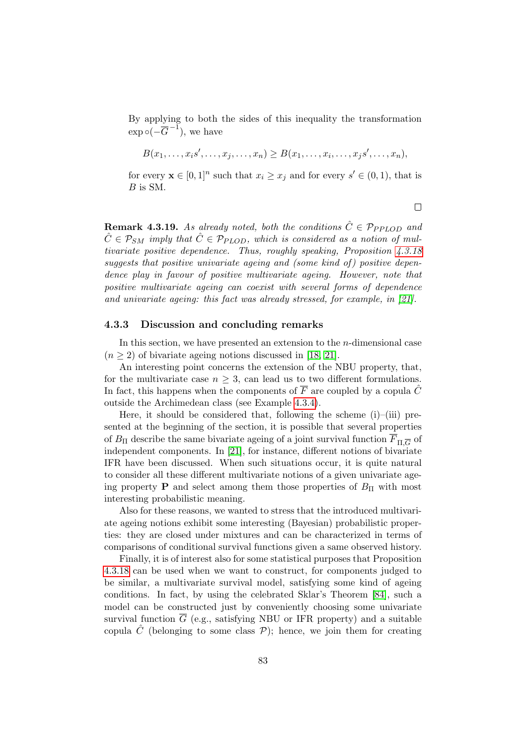By applying to both the sides of this inequality the transformation  $\exp \circ (-\overline{G}^{-1}),$  we have

$$
B(x_1,\ldots,x_is',\ldots,x_j,\ldots,x_n)\geq B(x_1,\ldots,x_i,\ldots,x_js',\ldots,x_n),
$$

for every  $\mathbf{x} \in [0,1]^n$  such that  $x_i \geq x_j$  and for every  $s' \in (0,1)$ , that is  $B$  is SM.

 $\Box$ 

**Remark 4.3.19.** As already noted, both the conditions  $\hat{C} \in \mathcal{P}_{PPLOD}$  and  $\hat{C} \in \mathcal{P}_{SM}$  imply that  $\hat{C} \in \mathcal{P}_{PLOD}$ , which is considered as a notion of multivariate positive dependence. Thus, roughly speaking, Proposition [4.3.18](#page-96-0) suggests that positive univariate ageing and (some kind of) positive dependence play in favour of positive multivariate ageing. However, note that positive multivariate ageing can coexist with several forms of dependence and univariate ageing: this fact was already stressed, for example, in [\[21\]](#page-118-1).

#### <span id="page-98-0"></span>4.3.3 Discussion and concluding remarks

In this section, we have presented an extension to the  $n$ -dimensional case  $(n \geq 2)$  of bivariate ageing notions discussed in [\[18,](#page-118-4) [21\]](#page-118-1).

An interesting point concerns the extension of the NBU property, that, for the multivariate case  $n \geq 3$ , can lead us to two different formulations. In fact, this happens when the components of  $\overline{F}$  are coupled by a copula  $\hat{C}$ outside the Archimedean class (see Example [4.3.4\)](#page-88-1).

Here, it should be considered that, following the scheme  $(i)$ – $(iii)$  presented at the beginning of the section, it is possible that several properties of  $B_{\Pi}$  describe the same bivariate ageing of a joint survival function  $F_{\Pi,\overline{G}}$  of independent components. In [\[21\]](#page-118-1), for instance, different notions of bivariate IFR have been discussed. When such situations occur, it is quite natural to consider all these different multivariate notions of a given univariate ageing property **P** and select among them those properties of  $B_{\Pi}$  with most interesting probabilistic meaning.

Also for these reasons, we wanted to stress that the introduced multivariate ageing notions exhibit some interesting (Bayesian) probabilistic properties: they are closed under mixtures and can be characterized in terms of comparisons of conditional survival functions given a same observed history.

Finally, it is of interest also for some statistical purposes that Proposition [4.3.18](#page-96-0) can be used when we want to construct, for components judged to be similar, a multivariate survival model, satisfying some kind of ageing conditions. In fact, by using the celebrated Sklar's Theorem [\[84\]](#page-123-3), such a model can be constructed just by conveniently choosing some univariate survival function  $\overline{G}$  (e.g., satisfying NBU or IFR property) and a suitable copula  $\tilde{C}$  (belonging to some class  $\mathcal{P}$ ); hence, we join them for creating

83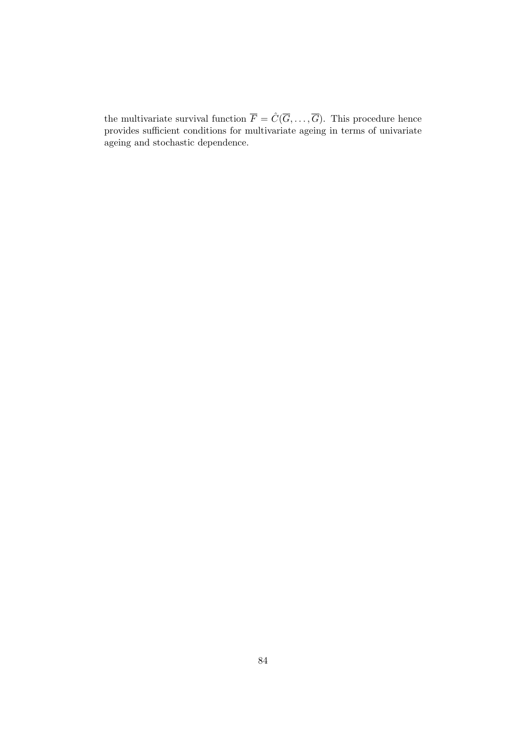the multivariate survival function  $\overline{F} = \hat{C}(\overline{G}, \ldots, \overline{G})$ . This procedure hence provides sufficient conditions for multivariate ageing in terms of univariate ageing and stochastic dependence.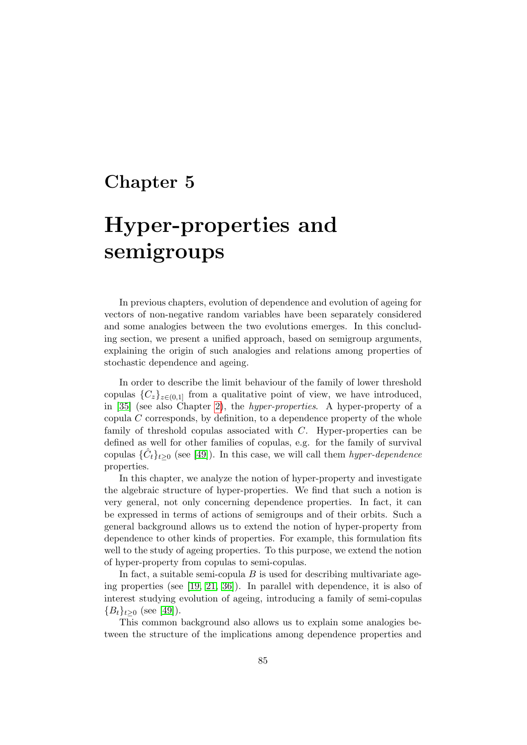# Chapter 5

# Hyper-properties and semigroups

In previous chapters, evolution of dependence and evolution of ageing for vectors of non-negative random variables have been separately considered and some analogies between the two evolutions emerges. In this concluding section, we present a unified approach, based on semigroup arguments, explaining the origin of such analogies and relations among properties of stochastic dependence and ageing.

In order to describe the limit behaviour of the family of lower threshold copulas  ${C_z}_{z\in(0,1]}$  from a qualitative point of view, we have introduced, in [\[35\]](#page-119-5) (see also Chapter [2\)](#page-32-0), the hyper-properties. A hyper-property of a copula C corresponds, by definition, to a dependence property of the whole family of threshold copulas associated with  $C$ . Hyper-properties can be defined as well for other families of copulas, e.g. for the family of survival copulas  $\{\hat{C}_t\}_{t\geq 0}$  (see [\[49\]](#page-120-3)). In this case, we will call them *hyper-dependence* properties.

In this chapter, we analyze the notion of hyper-property and investigate the algebraic structure of hyper-properties. We find that such a notion is very general, not only concerning dependence properties. In fact, it can be expressed in terms of actions of semigroups and of their orbits. Such a general background allows us to extend the notion of hyper-property from dependence to other kinds of properties. For example, this formulation fits well to the study of ageing properties. To this purpose, we extend the notion of hyper-property from copulas to semi-copulas.

In fact, a suitable semi-copula  $B$  is used for describing multivariate ageing properties (see [\[19,](#page-118-2) [21,](#page-118-1) [36\]](#page-119-3)). In parallel with dependence, it is also of interest studying evolution of ageing, introducing a family of semi-copulas  ${B_t}_{t>0}$  (see [\[49\]](#page-120-3)).

This common background also allows us to explain some analogies between the structure of the implications among dependence properties and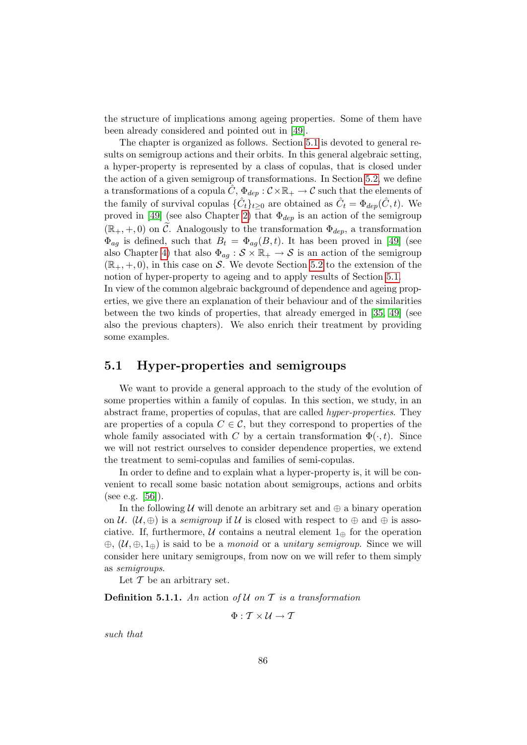the structure of implications among ageing properties. Some of them have been already considered and pointed out in [\[49\]](#page-120-3).

The chapter is organized as follows. Section [5.1](#page-101-0) is devoted to general results on semigroup actions and their orbits. In this general algebraic setting, a hyper-property is represented by a class of copulas, that is closed under the action of a given semigroup of transformations. In Section [5.2,](#page-107-0) we define a transformations of a copula  $\hat{C}$ ,  $\Phi_{dep}$  :  $\mathcal{C} \times \mathbb{R}_+ \to \mathcal{C}$  such that the elements of the family of survival copulas  $\{\hat{C}_t\}_{t\geq 0}$  are obtained as  $\hat{C}_t = \Phi_{dep}(\hat{C}, t)$ . We proved in [\[49\]](#page-120-3) (see also Chapter [2\)](#page-32-0) that  $\Phi_{dep}$  is an action of the semigroup  $(\mathbb{R}_+, +, 0)$  on C. Analogously to the transformation  $\Phi_{dep}$ , a transformation  $\Phi_{ag}$  is defined, such that  $B_t = \Phi_{ag}(B, t)$ . It has been proved in [\[49\]](#page-120-3) (see also Chapter [4\)](#page-74-0) that also  $\Phi_{ag}: \mathcal{S} \times \mathbb{R}_+ \to \mathcal{S}$  is an action of the semigroup  $(\mathbb{R}_+, +, 0)$ , in this case on S. We devote Section [5.2](#page-107-0) to the extension of the notion of hyper-property to ageing and to apply results of Section [5.1.](#page-101-0)

In view of the common algebraic background of dependence and ageing properties, we give there an explanation of their behaviour and of the similarities between the two kinds of properties, that already emerged in [\[35,](#page-119-5) [49\]](#page-120-3) (see also the previous chapters). We also enrich their treatment by providing some examples.

#### <span id="page-101-0"></span>5.1 Hyper-properties and semigroups

We want to provide a general approach to the study of the evolution of some properties within a family of copulas. In this section, we study, in an abstract frame, properties of copulas, that are called hyper-properties. They are properties of a copula  $C \in \mathcal{C}$ , but they correspond to properties of the whole family associated with C by a certain transformation  $\Phi(\cdot, t)$ . Since we will not restrict ourselves to consider dependence properties, we extend the treatment to semi-copulas and families of semi-copulas.

In order to define and to explain what a hyper-property is, it will be convenient to recall some basic notation about semigroups, actions and orbits (see e.g. [\[56\]](#page-121-4)).

In the following U will denote an arbitrary set and  $\oplus$  a binary operation on U.  $(\mathcal{U}, \oplus)$  is a semigroup if U is closed with respect to  $\oplus$  and  $\oplus$  is associative. If, furthermore,  $\mathcal U$  contains a neutral element  $1_{\oplus}$  for the operation  $\oplus$ ,  $(\mathcal{U}, \oplus, 1_{\oplus})$  is said to be a *monoid* or a *unitary semigroup*. Since we will consider here unitary semigroups, from now on we will refer to them simply as semigroups.

Let  $\mathcal T$  be an arbitrary set.

**Definition 5.1.1.** An action of  $U$  on  $T$  is a transformation

 $\Phi: \mathcal{T} \times \mathcal{U} \rightarrow \mathcal{T}$ 

such that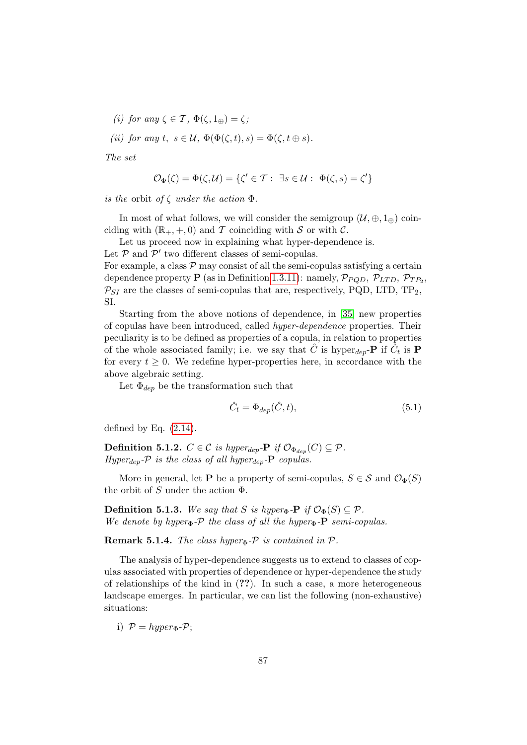(i) for any  $\zeta \in \mathcal{T}$ ,  $\Phi(\zeta, 1_{\oplus}) = \zeta$ ;

(ii) for any t,  $s \in \mathcal{U}$ ,  $\Phi(\Phi(\zeta,t),s) = \Phi(\zeta,t \oplus s)$ .

The set

$$
\mathcal{O}_{\Phi}(\zeta) = \Phi(\zeta, \mathcal{U}) = \{ \zeta' \in \mathcal{T} : \exists s \in \mathcal{U} : \Phi(\zeta, s) = \zeta' \}
$$

is the orbit of  $\zeta$  under the action  $\Phi$ .

In most of what follows, we will consider the semigroup  $(\mathcal{U}, \oplus, 1_{\oplus})$  coinciding with  $(\mathbb{R}_+, +, 0)$  and T coinciding with S or with C.

Let us proceed now in explaining what hyper-dependence is.

Let  $P$  and  $P'$  two different classes of semi-copulas.

For example, a class  $P$  may consist of all the semi-copulas satisfying a certain dependence property **P** (as in Definition [1.3.11\)](#page-24-0): namely,  $\mathcal{P}_{PQD}$ ,  $\mathcal{P}_{LTD}$ ,  $\mathcal{P}_{TP_2}$ ,  $\mathcal{P}_{SI}$  are the classes of semi-copulas that are, respectively, PQD, LTD, TP<sub>2</sub>, SI.

Starting from the above notions of dependence, in [\[35\]](#page-119-5) new properties of copulas have been introduced, called hyper-dependence properties. Their peculiarity is to be defined as properties of a copula, in relation to properties of the whole associated family; i.e. we say that  $\hat{C}$  is hyper<sub>dep</sub>-**P** if  $\hat{C}_t$  is **P** for every  $t \geq 0$ . We redefine hyper-properties here, in accordance with the above algebraic setting.

Let  $\Phi_{den}$  be the transformation such that

$$
\hat{C}_t = \Phi_{dep}(\hat{C}, t),\tag{5.1}
$$

defined by Eq.  $(2.14)$ .

<span id="page-102-0"></span>**Definition 5.1.2.**  $C \in \mathcal{C}$  is hyper<sub>dep</sub>-**P** if  $\mathcal{O}_{\Phi_{dep}}(C) \subseteq \mathcal{P}$ . Hyper<sub>dep</sub>- $\mathcal{P}$  is the class of all hyper<sub>dep</sub>- $\mathbf P$  copulas.

More in general, let **P** be a property of semi-copulas,  $S \in \mathcal{S}$  and  $\mathcal{O}_{\Phi}(S)$ the orbit of S under the action  $\Phi$ .

<span id="page-102-1"></span>**Definition 5.1.3.** We say that S is hyper<sub> $\Phi$ </sub>-P if  $\mathcal{O}_{\Phi}(S) \subseteq \mathcal{P}$ . We denote by hyper $\Phi$ -P the class of all the hyper $\Phi$ -P semi-copulas.

Remark 5.1.4. The class hyper<sub> $\Phi$ - $\mathcal P$  is contained in  $\mathcal P$ .</sub>

The analysis of hyper-dependence suggests us to extend to classes of copulas associated with properties of dependence or hyper-dependence the study of relationships of the kind in (??). In such a case, a more heterogeneous landscape emerges. In particular, we can list the following (non-exhaustive) situations:

i)  $P = hyper_{\Phi} - P$ ;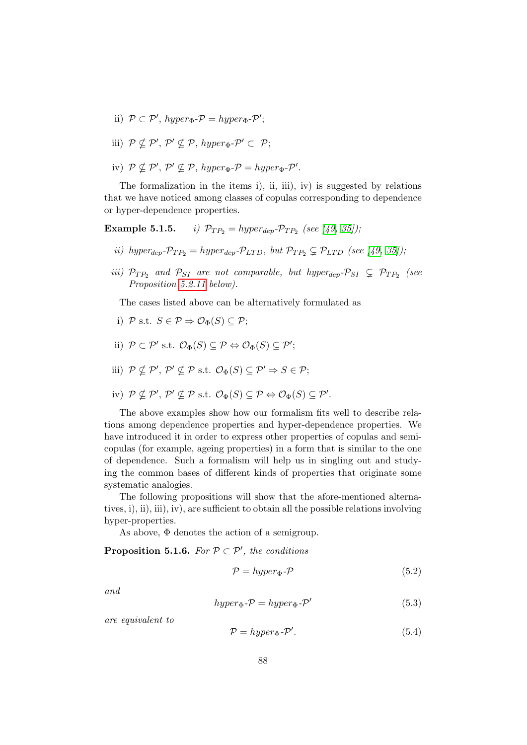- ii)  $P \subset P'$ , hyper<sub> $\Phi$ </sub>- $P = hyper_{\Phi}$ - $P'$ ;
- iii)  $P \nsubseteq P', P' \nsubseteq P$ ,  $hyper_{\Phi} \neg P' \subset P$ ;
- iv)  $P \nsubseteq P', P' \nsubseteq P$ ,  $hyper_{\Phi} \neg P = hyper_{\Phi} \neg P'.$

The formalization in the items i), ii, iii), iv) is suggested by relations that we have noticed among classes of copulas corresponding to dependence or hyper-dependence properties.

**Example 5.1.5.** *i)*  $\mathcal{P}_{TP_2} = hyper_{dep} \cdot \mathcal{P}_{TP_2}$  (see [\[49,](#page-120-3) [35\]](#page-119-5));

- ii) hyper<sub>dep</sub>- $\mathcal{P}_{TP_2} = \text{hyper}_{dep} \cdot \mathcal{P}_{LTD}$ , but  $\mathcal{P}_{TP_2} \subsetneq \mathcal{P}_{LTD}$  (see [\[49,](#page-120-3) [35\]](#page-119-5));
- iii)  $\mathcal{P}_{TP_2}$  and  $\mathcal{P}_{SI}$  are not comparable, but hyper<sub>dep</sub>- $\mathcal{P}_{SI} \subsetneq \mathcal{P}_{TP_2}$  (see Proposition [5.2.11](#page-111-0) below).

The cases listed above can be alternatively formulated as

- i)  $\mathcal{P}$  s.t.  $S \in \mathcal{P} \Rightarrow \mathcal{O}_{\Phi}(S) \subseteq \mathcal{P}$ ;
- ii)  $\mathcal{P} \subset \mathcal{P}'$  s.t.  $\mathcal{O}_{\Phi}(S) \subseteq \mathcal{P} \Leftrightarrow \mathcal{O}_{\Phi}(S) \subseteq \mathcal{P}';$
- iii)  $P \nsubseteq P', P' \nsubseteq P$  s.t.  $\mathcal{O}_{\Phi}(S) \subseteq P' \Rightarrow S \in \mathcal{P};$
- iv)  $P \nsubseteq P', P' \nsubseteq P$  s.t.  $\mathcal{O}_{\Phi}(S) \subseteq P \Leftrightarrow \mathcal{O}_{\Phi}(S) \subseteq P'.$

The above examples show how our formalism fits well to describe relations among dependence properties and hyper-dependence properties. We have introduced it in order to express other properties of copulas and semicopulas (for example, ageing properties) in a form that is similar to the one of dependence. Such a formalism will help us in singling out and studying the common bases of different kinds of properties that originate some systematic analogies.

The following propositions will show that the afore-mentioned alternatives, i), ii), iii), iv), are sufficient to obtain all the possible relations involving hyper-properties.

As above, Φ denotes the action of a semigroup.

<span id="page-103-3"></span>**Proposition 5.1.6.** For  $P \subset P'$ , the conditions

<span id="page-103-0"></span>
$$
\mathcal{P} = hyper_{\Phi} \text{-} \mathcal{P} \tag{5.2}
$$

<span id="page-103-1"></span>and

<span id="page-103-2"></span>
$$
hyper_{\Phi} \text{-} \mathcal{P} = hyper_{\Phi} \text{-} \mathcal{P}'
$$
\n
$$
(5.3)
$$

are equivalent to

$$
\mathcal{P} = hyper_{\Phi} \text{-} \mathcal{P}'. \tag{5.4}
$$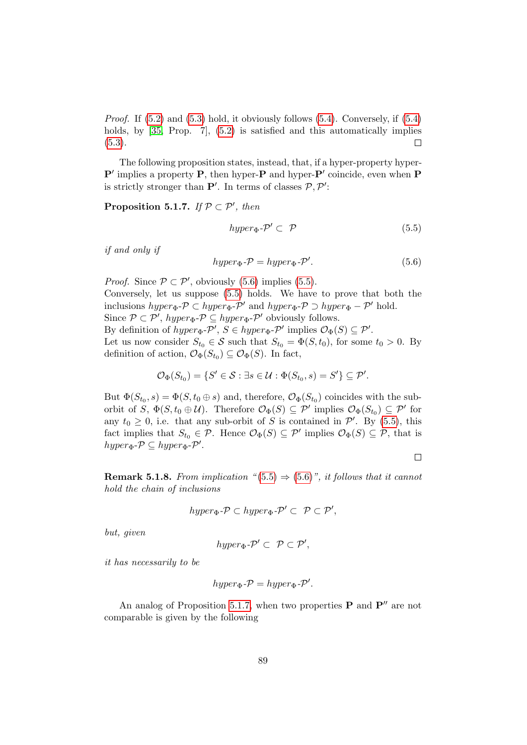*Proof.* If  $(5.2)$  and  $(5.3)$  hold, it obviously follows  $(5.4)$ . Conversely, if  $(5.4)$ holds, by [\[35,](#page-119-5) Prop. 7], [\(5.2\)](#page-103-0) is satisfied and this automatically implies  $(5.3).$  $(5.3).$  $\Box$ 

The following proposition states, instead, that, if a hyper-property hyper- $\mathbf{P}'$  implies a property **P**, then hyper-**P** and hyper-**P**' coincide, even when **P** is strictly stronger than  $\mathbf{P}'$ . In terms of classes  $\mathcal{P}, \mathcal{P}'$ :

<span id="page-104-2"></span>**Proposition 5.1.7.** If  $P \subset P'$ , then

<span id="page-104-1"></span>
$$
hyper_{\Phi} \text{-} \mathcal{P}' \subset \mathcal{P} \tag{5.5}
$$

if and only if

<span id="page-104-0"></span>
$$
hyper_{\Phi} \text{-} \mathcal{P} = hyper_{\Phi} \text{-} \mathcal{P}'.
$$
 (5.6)

*Proof.* Since  $P \subset P'$ , obviously [\(5.6\)](#page-104-0) implies [\(5.5\)](#page-104-1). Conversely, let us suppose [\(5.5\)](#page-104-1) holds. We have to prove that both the inclusions  $hyper_{\Phi} \text{-} \mathcal{P} \subset hyper_{\Phi} \text{-} \mathcal{P}'$  and  $hyper_{\Phi} \text{-} \mathcal{P} \supset hyper_{\Phi} \text{-} \mathcal{P}'$  hold. Since  $P \subset P'$ ,  $hyper_{\Phi} \subset P \subseteq hyper_{\Phi} \subset P'$  obviously follows. By definition of  $hyper_{\Phi} \text{-} \mathcal{P}'$ ,  $S \in hyper_{\Phi} \text{-} \mathcal{P}'$  implies  $\mathcal{O}_{\Phi}(S) \subseteq \mathcal{P}'$ . Let us now consider  $S_{t_0} \in \mathcal{S}$  such that  $S_{t_0} = \Phi(S, t_0)$ , for some  $t_0 > 0$ . By definition of action,  $\mathcal{O}_{\Phi}(S_{t_0}) \subseteq \mathcal{O}_{\Phi}(S)$ . In fact,

$$
\mathcal{O}_{\Phi}(S_{t_0}) = \{ S' \in \mathcal{S} : \exists s \in \mathcal{U} : \Phi(S_{t_0}, s) = S' \} \subseteq \mathcal{P}'.
$$

But  $\Phi(S_{t_0}, s) = \Phi(S, t_0 \oplus s)$  and, therefore,  $\mathcal{O}_{\Phi}(S_{t_0})$  coincides with the suborbit of S,  $\Phi(S, t_0 \oplus \mathcal{U})$ . Therefore  $\mathcal{O}_{\Phi}(S) \subseteq \mathcal{P}'$  implies  $\mathcal{O}_{\Phi}(S_{t_0}) \subseteq \mathcal{P}'$  for any  $t_0 \geq 0$ , i.e. that any sub-orbit of S is contained in  $\mathcal{P}'$ . By [\(5.5\)](#page-104-1), this fact implies that  $S_{t_0} \in \mathcal{P}$ . Hence  $\mathcal{O}_{\Phi}(S) \subseteq \mathcal{P}'$  implies  $\mathcal{O}_{\Phi}(S) \subseteq \mathcal{P}$ , that is  $hyper_{\Phi} \neg \mathcal{P} \subseteq hyper_{\Phi} \neg \mathcal{P}'.$ 

 $\Box$ 

**Remark 5.1.8.** From implication " $(5.5) \Rightarrow (5.6)$  $(5.5) \Rightarrow (5.6)$  $(5.5) \Rightarrow (5.6)$ ", it follows that it cannot hold the chain of inclusions

$$
hyper_{\Phi}\text{-}\mathcal{P} \subset hyper_{\Phi}\text{-}\mathcal{P}' \subset \mathcal{P} \subset \mathcal{P}',
$$

but, given

$$
hyper_{\Phi} \text{-} \mathcal{P}' \subset \mathcal{P} \subset \mathcal{P}',
$$

it has necessarily to be

$$
hyper_{\Phi}\text{-}\mathcal{P}=hyper_{\Phi}\text{-}\mathcal{P}'.
$$

<span id="page-104-3"></span>An analog of Proposition [5.1.7,](#page-104-2) when two properties  $P$  and  $P''$  are not comparable is given by the following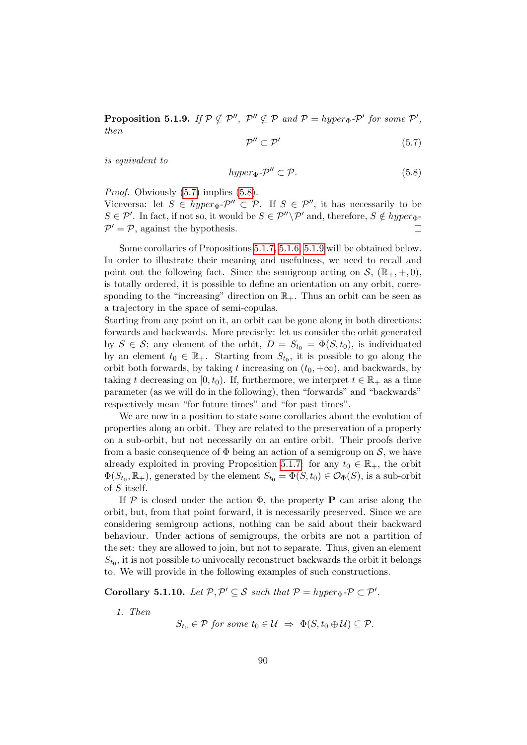<span id="page-105-0"></span>**Proposition 5.1.9.** If  $P \nsubseteq P''$ ,  $P'' \nsubseteq P$  and  $P = hyperp$ - $P'$  for some  $P'$ , then

$$
\mathcal{P}'' \subset \mathcal{P}' \tag{5.7}
$$

is equivalent to

<span id="page-105-1"></span>
$$
hyper_{\Phi} \text{-} \mathcal{P}'' \subset \mathcal{P}. \tag{5.8}
$$

Proof. Obviously  $(5.7)$  implies  $(5.8)$ .

Viceversa: let  $S \in hyper_{\Phi}$ - $\mathcal{P}'' \subset \mathcal{P}$ . If  $S \in \mathcal{P}''$ , it has necessarily to be  $S \in \mathcal{P}'$ . In fact, if not so, it would be  $S \in \mathcal{P}''\backslash \mathcal{P}'$  and, therefore,  $S \notin hyper_{\Phi}$ - $P' = P$ , against the hypothesis.  $\Box$ 

Some corollaries of Propositions [5.1.7,](#page-104-2) [5.1.6,](#page-103-3) [5.1.9](#page-104-3) will be obtained below. In order to illustrate their meaning and usefulness, we need to recall and point out the following fact. Since the semigroup acting on  $\mathcal{S}, (\mathbb{R}_+, +, 0)$ , is totally ordered, it is possible to define an orientation on any orbit, corresponding to the "increasing" direction on  $\mathbb{R}_+$ . Thus an orbit can be seen as a trajectory in the space of semi-copulas.

Starting from any point on it, an orbit can be gone along in both directions: forwards and backwards. More precisely: let us consider the orbit generated by  $S \in \mathcal{S}$ ; any element of the orbit,  $D = S_{t_0} = \Phi(S, t_0)$ , is individuated by an element  $t_0 \in \mathbb{R}_+$ . Starting from  $S_{t_0}$ , it is possible to go along the orbit both forwards, by taking t increasing on  $(t_0, +\infty)$ , and backwards, by taking t decreasing on [0, t<sub>0</sub>). If, furthermore, we interpret  $t \in \mathbb{R}_+$  as a time parameter (as we will do in the following), then "forwards" and "backwards" respectively mean "for future times" and "for past times".

We are now in a position to state some corollaries about the evolution of properties along an orbit. They are related to the preservation of a property on a sub-orbit, but not necessarily on an entire orbit. Their proofs derive from a basic consequence of  $\Phi$  being an action of a semigroup on  $\mathcal{S}$ , we have already exploited in proving Proposition [5.1.7:](#page-104-2) for any  $t_0 \in \mathbb{R}_+$ , the orbit  $\Phi(S_{t_0}, \mathbb{R}_+)$ , generated by the element  $S_{t_0} = \Phi(S, t_0) \in \mathcal{O}_{\Phi}(S)$ , is a sub-orbit of S itself.

If  $P$  is closed under the action  $\Phi$ , the property **P** can arise along the orbit, but, from that point forward, it is necessarily preserved. Since we are considering semigroup actions, nothing can be said about their backward behaviour. Under actions of semigroups, the orbits are not a partition of the set: they are allowed to join, but not to separate. Thus, given an element  $S_{t_0}$ , it is not possible to univocally reconstruct backwards the orbit it belongs to. We will provide in the following examples of such constructions.

<span id="page-105-2"></span>Corollary 5.1.10. Let  $P, P' \subseteq S$  such that  $P = hyper_{\Phi} \neg P \subset P'$ .

1. Then

$$
S_{t_0} \in \mathcal{P} \text{ for some } t_0 \in \mathcal{U} \ \Rightarrow \ \Phi(S, t_0 \oplus \mathcal{U}) \subseteq \mathcal{P}.
$$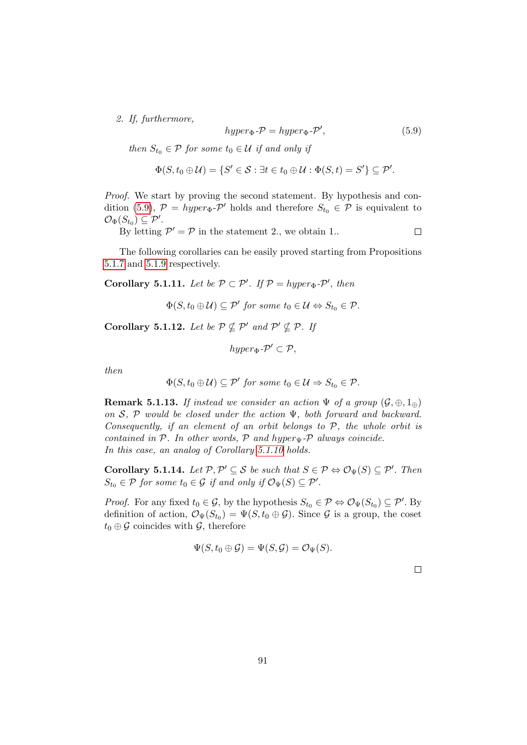2. If, furthermore,

<span id="page-106-0"></span>
$$
hyper_{\Phi} \text{-} \mathcal{P} = hyper_{\Phi} \text{-} \mathcal{P}', \qquad (5.9)
$$

then  $S_{t_0} \in \mathcal{P}$  for some  $t_0 \in \mathcal{U}$  if and only if

$$
\Phi(S, t_0 \oplus \mathcal{U}) = \{ S' \in \mathcal{S} : \exists t \in t_0 \oplus \mathcal{U} : \Phi(S, t) = S' \} \subseteq \mathcal{P}'.
$$

Proof. We start by proving the second statement. By hypothesis and con-dition [\(5.9\)](#page-106-0),  $\mathcal{P} = hyper_{\Phi}$ - $\mathcal{P}'$  holds and therefore  $S_{t_0} \in \mathcal{P}$  is equivalent to  $\mathcal{O}_{\Phi}(S_{t_0}) \subseteq \mathcal{P}'.$ 

By letting  $\mathcal{P}' = \mathcal{P}$  in the statement 2., we obtain 1.

 $\Box$ 

The following corollaries can be easily proved starting from Propositions [5.1.7](#page-104-2) and [5.1.9](#page-104-3) respectively.

**Corollary 5.1.11.** Let be  $P \subset P'$ . If  $P = hyper_{\Phi} \neg P'$ , then

 $\Phi(S, t_0 \oplus \mathcal{U}) \subseteq \mathcal{P}'$  for some  $t_0 \in \mathcal{U} \Leftrightarrow S_{t_0} \in \mathcal{P}$ .

Corollary 5.1.12. Let be  $P \nsubseteq P'$  and  $P' \nsubseteq P$ . If

$$
hyper_{\Phi} \text{-} \mathcal{P}' \subset \mathcal{P},
$$

then

$$
\Phi(S, t_0 \oplus \mathcal{U}) \subseteq \mathcal{P}' \text{ for some } t_0 \in \mathcal{U} \Rightarrow S_{t_0} \in \mathcal{P}.
$$

**Remark 5.1.13.** If instead we consider an action  $\Psi$  of a group  $(\mathcal{G}, \oplus, 1_{\oplus})$ on  $S$ ,  $P$  would be closed under the action  $\Psi$ , both forward and backward. Consequently, if an element of an orbit belongs to  $P$ , the whole orbit is contained in  $P$ . In other words,  $P$  and hyper $\psi$ - $P$  always coincide. In this case, an analog of Corollary [5.1.10](#page-105-2) holds.

**Corollary 5.1.14.** Let  $\mathcal{P}, \mathcal{P}' \subseteq \mathcal{S}$  be such that  $S \in \mathcal{P} \Leftrightarrow \mathcal{O}_{\Psi}(S) \subseteq \mathcal{P}'$ . Then  $S_{t_0} \in \mathcal{P}$  for some  $t_0 \in \mathcal{G}$  if and only if  $\mathcal{O}_{\Psi}(S) \subseteq \mathcal{P}'$ .

*Proof.* For any fixed  $t_0 \in \mathcal{G}$ , by the hypothesis  $S_{t_0} \in \mathcal{P} \Leftrightarrow \mathcal{O}_{\Psi}(S_{t_0}) \subseteq \mathcal{P}'$ . By definition of action,  $\mathcal{O}_{\Psi}(S_{t_0}) = \Psi(S, t_0 \oplus \mathcal{G})$ . Since  $\mathcal{G}$  is a group, the coset  $t_0 \oplus \mathcal{G}$  coincides with  $\mathcal{G}$ , therefore

$$
\Psi(S, t_0 \oplus \mathcal{G}) = \Psi(S, \mathcal{G}) = \mathcal{O}_{\Psi}(S).
$$

 $\Box$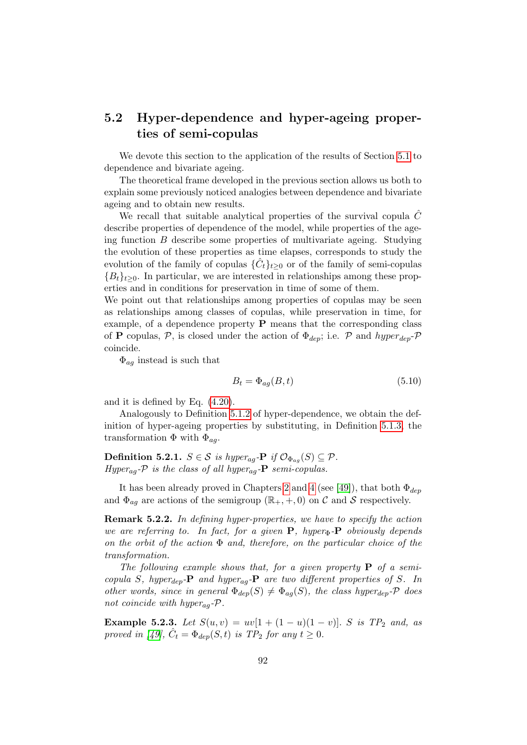## <span id="page-107-0"></span>5.2 Hyper-dependence and hyper-ageing properties of semi-copulas

We devote this section to the application of the results of Section [5.1](#page-101-0) to dependence and bivariate ageing.

The theoretical frame developed in the previous section allows us both to explain some previously noticed analogies between dependence and bivariate ageing and to obtain new results.

We recall that suitable analytical properties of the survival copula  $\ddot{C}$ describe properties of dependence of the model, while properties of the ageing function  $B$  describe some properties of multivariate ageing. Studying the evolution of these properties as time elapses, corresponds to study the evolution of the family of copulas  $\{\hat{C}_t\}_{t\geq 0}$  or of the family of semi-copulas  ${B_t}_{t\geq0}$ . In particular, we are interested in relationships among these properties and in conditions for preservation in time of some of them.

We point out that relationships among properties of copulas may be seen as relationships among classes of copulas, while preservation in time, for example, of a dependence property P means that the corresponding class of **P** copulas, P, is closed under the action of  $\Phi_{dep}$ ; i.e. P and  $hyperdep$ coincide.

 $\Phi_{ag}$  instead is such that

$$
B_t = \Phi_{ag}(B, t) \tag{5.10}
$$

and it is defined by Eq. [\(4.20\)](#page-85-1).

Analogously to Definition [5.1.2](#page-102-0) of hyper-dependence, we obtain the definition of hyper-ageing properties by substituting, in Definition [5.1.3,](#page-102-1) the transformation  $\Phi$  with  $\Phi_{ag}$ .

**Definition 5.2.1.**  $S \in \mathcal{S}$  is hyper<sub>ag</sub>-**P** if  $\mathcal{O}_{\Phi_{aa}}(S) \subseteq \mathcal{P}$ . Hyper<sub>ag</sub>- $\mathcal P$  is the class of all hyper<sub>ag</sub>- $\mathbf P$  semi-copulas.

It has been already proved in Chapters [2](#page-32-0) and [4](#page-74-0) (see [\[49\]](#page-120-3)), that both  $\Phi_{dep}$ and  $\Phi_{aa}$  are actions of the semigroup  $(\mathbb{R}_+, +, 0)$  on C and S respectively.

Remark 5.2.2. In defining hyper-properties, we have to specify the action we are referring to. In fact, for a given  $P$ , hyper $\Phi$ - $P$  obviously depends on the orbit of the action  $\Phi$  and, therefore, on the particular choice of the transformation.

The following example shows that, for a given property  $P$  of a semicopula S, hyper<sub>dep</sub>-P and hyper<sub>aq</sub>-P are two different properties of S. In other words, since in general  $\Phi_{dep}(S) \neq \Phi_{ag}(S)$ , the class hyper<sub>dep</sub>- $\mathcal P$  does not coincide with hyper<sub>ag</sub>- $\mathcal{P}$ .

Example 5.2.3. Let  $S(u, v) = uv[1 + (1 - u)(1 - v)]$ . S is  $TP_2$  and, as proved in [\[49\]](#page-120-3),  $\hat{C}_t = \Phi_{dep}(S, t)$  is TP<sub>2</sub> for any  $t \geq 0$ .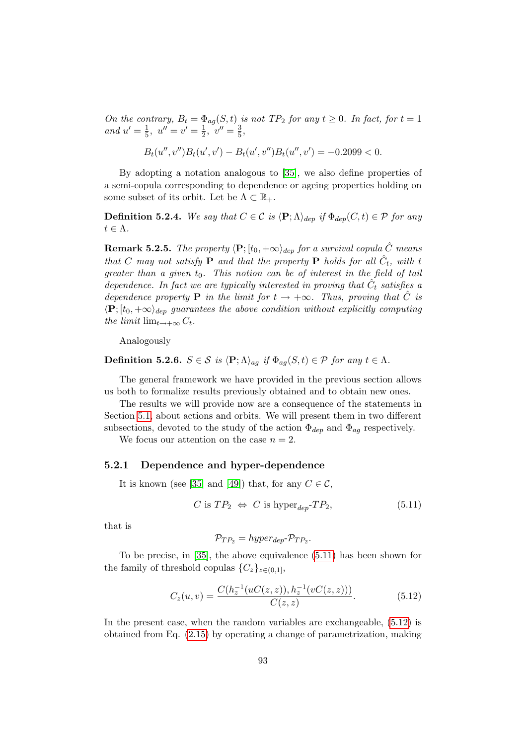On the contrary,  $B_t = \Phi_{ag}(S, t)$  is not  $TP_2$  for any  $t \geq 0$ . In fact, for  $t = 1$ and  $u' = \frac{1}{5}$  $\frac{1}{5}$ ,  $u'' = v' = \frac{1}{2}$  $\frac{1}{2}$ ,  $v'' = \frac{3}{5}$  $\frac{3}{5}$ ,

$$
B_t(u'',v'')B_t(u',v') - B_t(u',v'')B_t(u'',v') = -0.2099 < 0.
$$

By adopting a notation analogous to [\[35\]](#page-119-0), we also define properties of a semi-copula corresponding to dependence or ageing properties holding on some subset of its orbit. Let be  $\Lambda \subset \mathbb{R}_+$ .

**Definition 5.2.4.** We say that  $C \in \mathcal{C}$  is  $\langle \mathbf{P}; \Lambda \rangle_{dep}$  if  $\Phi_{dep}(C, t) \in \mathcal{P}$  for any  $t \in \Lambda$ .

**Remark 5.2.5.** The property  $\langle \mathbf{P}; [t_0, +\infty \rangle_{dep}$  for a survival copula  $\hat{C}$  means that C may not satisfy **P** and that the property **P** holds for all  $\hat{C}_t$ , with t greater than a given  $t_0$ . This notion can be of interest in the field of tail dependence. In fact we are typically interested in proving that  $\hat{C}_t$  satisfies a dependence property **P** in the limit for  $t \rightarrow +\infty$ . Thus, proving that  $\hat{C}$  is  $\langle \mathbf{P}; [t_0, +\infty\rangle]_{den}$  guarantees the above condition without explicitly computing the limit  $\lim_{t\to+\infty} C_t$ .

Analogously

**Definition 5.2.6.**  $S \in \mathcal{S}$  is  $\langle \mathbf{P}; \Lambda \rangle_{aq}$  if  $\Phi_{aq}(S, t) \in \mathcal{P}$  for any  $t \in \Lambda$ .

The general framework we have provided in the previous section allows us both to formalize results previously obtained and to obtain new ones.

The results we will provide now are a consequence of the statements in Section [5.1,](#page-101-0) about actions and orbits. We will present them in two different subsections, devoted to the study of the action  $\Phi_{dep}$  and  $\Phi_{aq}$  respectively.

We focus our attention on the case  $n = 2$ .

#### 5.2.1 Dependence and hyper-dependence

It is known (see [\[35\]](#page-119-0) and [\[49\]](#page-120-0)) that, for any  $C \in \mathcal{C}$ ,

$$
C \text{ is } TP_2 \Leftrightarrow C \text{ is hyper}_{dep} \neg TP_2,\tag{5.11}
$$

that is

<span id="page-108-1"></span><span id="page-108-0"></span>
$$
\mathcal{P}_{TP_2} = hyper_{dep}\text{-}\mathcal{P}_{TP_2}.
$$

To be precise, in [\[35\]](#page-119-0), the above equivalence [\(5.11\)](#page-108-0) has been shown for the family of threshold copulas  ${C<sub>z</sub>}<sub>z∈(0,1]</sub>$ ,

$$
C_z(u,v) = \frac{C(h_z^{-1}(uC(z,z)), h_z^{-1}(vC(z,z)))}{C(z,z)}.
$$
\n(5.12)

In the present case, when the random variables are exchangeable, [\(5.12\)](#page-108-1) is obtained from Eq. [\(2.15\)](#page-45-0) by operating a change of parametrization, making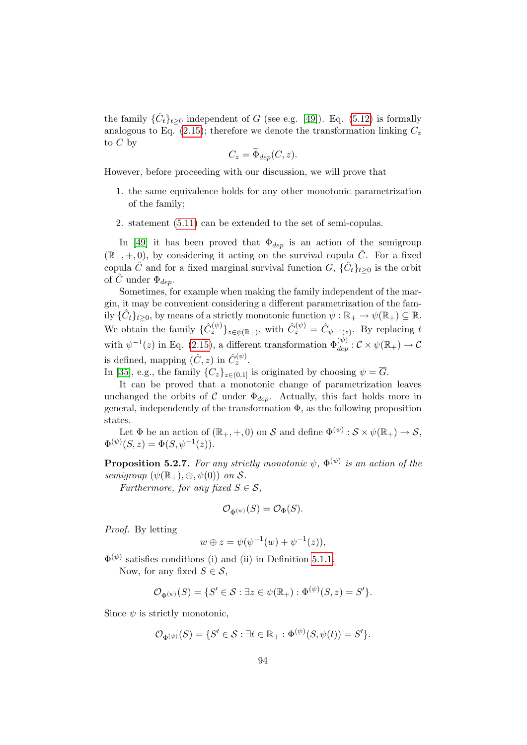the family  $\{\hat{C}_t\}_{t\geq 0}$  independent of  $\overline{G}$  (see e.g. [\[49\]](#page-120-0)). Eq. [\(5.12\)](#page-108-1) is formally analogous to Eq. [\(2.15\)](#page-45-0); therefore we denote the transformation linking  $C_z$ to  $C$  by

$$
C_z = \widetilde{\Phi}_{dep}(C, z).
$$

However, before proceeding with our discussion, we will prove that

- 1. the same equivalence holds for any other monotonic parametrization of the family;
- 2. statement [\(5.11\)](#page-108-0) can be extended to the set of semi-copulas.

In [\[49\]](#page-120-0) it has been proved that  $\Phi_{dep}$  is an action of the semigroup  $(\mathbb{R}_+, +, 0)$ , by considering it acting on the survival copula  $\hat{C}$ . For a fixed copula  $\hat{C}$  and for a fixed marginal survival function  $\overline{G}$ ,  $\{\hat{C}_t\}_{t\geq 0}$  is the orbit of C under  $\Phi_{dep}$ .

Sometimes, for example when making the family independent of the margin, it may be convenient considering a different parametrization of the family  $\{\hat{C}_t\}_{t>0}$ , by means of a strictly monotonic function  $\psi : \mathbb{R}_+ \to \psi(\mathbb{R}_+) \subseteq \mathbb{R}$ . We obtain the family  $\{\hat{C}_z^{(\psi)}\}_{z \in \psi(\mathbb{R}_+)}$ , with  $\hat{C}_z^{(\psi)} = \hat{C}_{\psi^{-1}(z)}$ . By replacing t with  $\psi^{-1}(z)$  in Eq. [\(2.15\)](#page-45-0), a different transformation  $\Phi_{dep}^{(\psi)}$  :  $\mathcal{C} \times \psi(\mathbb{R}_{+}) \to \mathcal{C}$ is defined, mapping  $(\hat{C}, z)$  in  $\hat{C}_z^{(\psi)}$ .

In [\[35\]](#page-119-0), e.g., the family  ${C_z}_{z \in (0,1]}$  is originated by choosing  $\psi = \overline{G}$ .

It can be proved that a monotonic change of parametrization leaves unchanged the orbits of C under  $\Phi_{dep}$ . Actually, this fact holds more in general, independently of the transformation  $\Phi$ , as the following proposition states.

Let  $\Phi$  be an action of  $(\mathbb{R}_+, +, 0)$  on  $\mathcal S$  and define  $\Phi^{(\psi)} : \mathcal S \times \psi(\mathbb{R}_+) \to \mathcal S$ ,  $\Phi^{(\psi)}(S, z) = \Phi(S, \psi^{-1}(z)).$ 

**Proposition 5.2.7.** For any strictly monotonic  $\psi$ ,  $\Phi^{(\psi)}$  is an action of the semigroup  $(\psi(\mathbb{R}_+), \oplus, \psi(0))$  on S.

Furthermore, for any fixed  $S \in \mathcal{S}$ ,

$$
\mathcal{O}_{\Phi^{(\psi)}}(S) = \mathcal{O}_{\Phi}(S).
$$

Proof. By letting

$$
w \oplus z = \psi(\psi^{-1}(w) + \psi^{-1}(z)),
$$

 $\Phi^{(\psi)}$  satisfies conditions (i) and (ii) in Definition [5.1.1.](#page-101-1) Now, for any fixed  $S \in \mathcal{S}$ ,

$$
\mathcal{O}_{\Phi(\psi)}(S) = \{S' \in \mathcal{S} : \exists z \in \psi(\mathbb{R}_+) : \Phi^{(\psi)}(S, z) = S'\}.
$$

Since  $\psi$  is strictly monotonic,

$$
\mathcal{O}_{\Phi^{(\psi)}}(S) = \{S' \in \mathcal{S} : \exists t \in \mathbb{R}_+ : \Phi^{(\psi)}(S, \psi(t)) = S'\}.
$$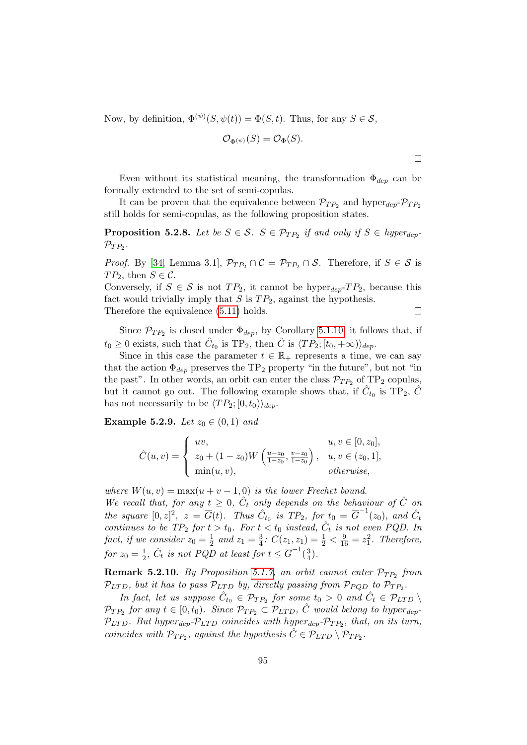Now, by definition,  $\Phi^{(\psi)}(S, \psi(t)) = \Phi(S, t)$ . Thus, for any  $S \in \mathcal{S}$ ,

$$
\mathcal{O}_{\Phi^{(\psi)}}(S) = \mathcal{O}_{\Phi}(S).
$$

Even without its statistical meaning, the transformation  $\Phi_{dep}$  can be formally extended to the set of semi-copulas.

It can be proven that the equivalence between  $\mathcal{P}_{TP_2}$  and hyper $_{dep}$ - $\mathcal{P}_{TP_2}$ still holds for semi-copulas, as the following proposition states.

**Proposition 5.2.8.** Let be  $S \in \mathcal{S}$ .  $S \in \mathcal{P}_{TP_2}$  if and only if  $S \in hyperde_{P}$  $\mathcal{P}_{TP_2}$ .

*Proof.* By [\[34,](#page-119-1) Lemma 3.1],  $\mathcal{P}_{TP_2} \cap \mathcal{C} = \mathcal{P}_{TP_2} \cap \mathcal{S}$ . Therefore, if  $S \in \mathcal{S}$  is  $TP_2$ , then  $S \in \mathcal{C}$ .

Conversely, if  $S \in \mathcal{S}$  is not  $TP_2$ , it cannot be hyper<sub>dep</sub>-TP<sub>2</sub>, because this fact would trivially imply that  $S$  is  $TP_2$ , against the hypothesis.

Therefore the equivalence [\(5.11\)](#page-108-0) holds.

 $\Box$ 

Since  $\mathcal{P}_{TP_2}$  is closed under  $\Phi_{dep}$ , by Corollary [5.1.10,](#page-105-0) it follows that, if  $t_0 \geq 0$  exists, such that  $\hat{C}_{t_0}$  is TP<sub>2</sub>, then  $\hat{C}$  is  $\langle TP_2; [t_0, +\infty) \rangle_{dep}$ .

Since in this case the parameter  $t \in \mathbb{R}_+$  represents a time, we can say that the action  $\Phi_{dep}$  preserves the TP<sub>2</sub> property "in the future", but not "in the past". In other words, an orbit can enter the class  $\mathcal{P}_{TP_2}$  of TP<sub>2</sub> copulas, but it cannot go out. The following example shows that, if  $\hat{C}_{t_0}$  is TP<sub>2</sub>,  $\hat{C}$ has not necessarily to be  $\langle TP_2; [0, t_0)\rangle_{dep}$ .

<span id="page-110-1"></span>**Example 5.2.9.** Let  $z_0 \in (0,1)$  and

$$
\hat{C}(u,v) = \begin{cases}\nu v, & u, v \in [0, z_0], \\
z_0 + (1 - z_0)W\left(\frac{u - z_0}{1 - z_0}, \frac{v - z_0}{1 - z_0}\right), & u, v \in (z_0, 1], \\
\min(u, v), & otherwise,\n\end{cases}
$$

where  $W(u, v) = \max(u + v - 1, 0)$  is the lower Frechet bound.

We recall that, for any  $t \geq 0$ ,  $\hat{C}_t$  only depends on the behaviour of  $\hat{C}$  on the square  $[0, z]^2$ ,  $z = \overline{G}(t)$ . Thus  $\hat{C}_{t_0}$  is  $TP_2$ , for  $t_0 = \overline{G}^{-1}(z_0)$ , and  $\hat{C}_t$ continues to be  $TP_2$  for  $t > t_0$ . For  $t < t_0$  instead,  $\hat{C}_t$  is not even PQD. In fact, if we consider  $z_0 = \frac{1}{2}$  $rac{1}{2}$  and  $z_1 = \frac{3}{4}$  $\frac{3}{4}$ :  $C(z_1, z_1) = \frac{1}{2} < \frac{9}{16} = z_1^2$ . Therefore, for  $z_0 = \frac{1}{2}$  $\frac{1}{2}$ ,  $\hat{C}_t$  is not PQD at least for  $t \leq \overline{G}^{-1}(\frac{3}{4})$  $\frac{3}{4}$ .

<span id="page-110-0"></span>**Remark 5.2.10.** By Proposition [5.1.7,](#page-104-0) an orbit cannot enter  $\mathcal{P}_{TP_2}$  from  $\mathcal{P}_{LTD}$ , but it has to pass  $\mathcal{P}_{LTD}$  by, directly passing from  $\mathcal{P}_{PQD}$  to  $\mathcal{P}_{TP_2}$ .

In fact, let us suppose  $\hat{C}_{t_0} \in \mathcal{P}_{TP_2}$  for some  $t_0 > 0$  and  $\hat{C}_t \in \mathcal{P}_{LTD} \setminus \mathcal{P}_{LTD}$  $\mathcal{P}_{TP_2}$  for any  $t \in [0, t_0)$ . Since  $\mathcal{P}_{TP_2} \subset \mathcal{P}_{LTD}$ ,  $\hat{C}$  would belong to hyper<sub>dep</sub>- $\mathcal{P}_{LTD}$ . But hyper<sub>dep</sub>- $\mathcal{P}_{LTD}$  coincides with hyper<sub>dep</sub>- $\mathcal{P}_{TP_2}$ , that, on its turn, coincides with  $\mathcal{P}_{TP_2}$ , against the hypothesis  $\hat{C} \in \mathcal{P}_{LTD} \setminus \mathcal{P}_{TP_2}$ .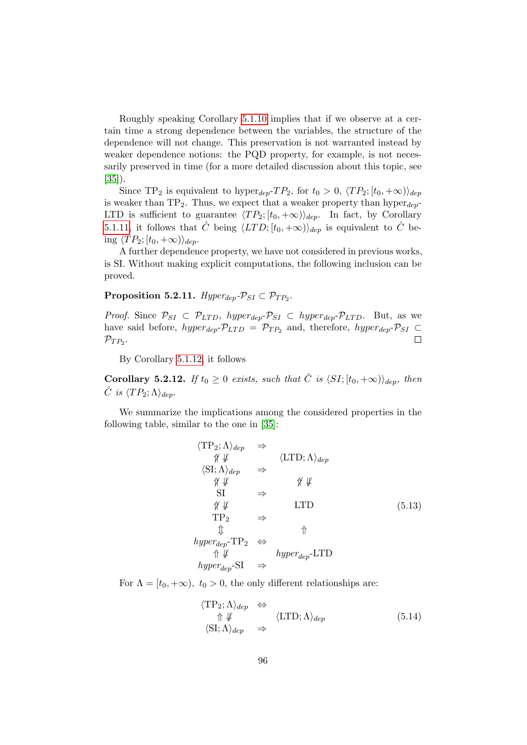Roughly speaking Corollary [5.1.10](#page-105-0) implies that if we observe at a certain time a strong dependence between the variables, the structure of the dependence will not change. This preservation is not warranted instead by weaker dependence notions: the PQD property, for example, is not necessarily preserved in time (for a more detailed discussion about this topic, see [\[35\]](#page-119-0)).

Since TP<sub>2</sub> is equivalent to hyper<sub>dep</sub>-TP<sub>2</sub>, for  $t_0 > 0$ ,  $\langle TP_2; [t_0, +\infty) \rangle_{dep}$ is weaker than  $TP_2$ . Thus, we expect that a weaker property than hyper $_{dep}$ -LTD is sufficient to guarantee  $\langle TP_2; [t_0, +\infty) \rangle_{dep}$ . In fact, by Corollary [5.1.11,](#page-106-0) it follows that  $\hat{C}$  being  $\langle LTD; [t_0, +\infty) \rangle_{dep}$  is equivalent to  $\hat{C}$  being  $\langle TP_2; [t_0, +\infty) \rangle_{den}$ .

A further dependence property, we have not considered in previous works, is SI. Without making explicit computations, the following inclusion can be proved.

### Proposition 5.2.11.  $Hyper_{dep}$ - $\mathcal{P}_{SI} \subset \mathcal{P}_{TP_2}$ .

*Proof.* Since  $\mathcal{P}_{SI} \subset \mathcal{P}_{LTD}$ , hyper<sub>dep</sub>- $\mathcal{P}_{SI} \subset hyper_{dep}$ - $\mathcal{P}_{LTD}$ . But, as we have said before,  $hyper_{dep}$ - $\mathcal{P}_{LTD}$  =  $\mathcal{P}_{TP_2}$  and, therefore,  $hyper_{dep}$ - $\mathcal{P}_{SI}$   $\subset$  $\mathcal{P}_{TP_2}$ .  $\Box$ 

By Corollary [5.1.12,](#page-106-1) it follows

**Corollary 5.2.12.** If  $t_0 \geq 0$  exists, such that  $\hat{C}$  is  $\langle SI; [t_0, +\infty) \rangle_{den}$ , then  $\hat{C}$  is  $\langle TP_2; \Lambda \rangle_{dep}$ .

<span id="page-111-0"></span>We summarize the implications among the considered properties in the following table, similar to the one in [\[35\]](#page-119-0):

$$
\langle TP_2; \Lambda \rangle_{dep} \Rightarrow
$$
  
\n
$$
\begin{array}{ccc}\n\langle TP_2; \Lambda \rangle_{dep} & \Rightarrow & \langle \text{LTD}; \Lambda \rangle_{dep} \\
\langle \text{SI}; \Lambda \rangle_{dep} & \Rightarrow & \mathcal{W} \n\end{array}
$$
  
\n
$$
\begin{array}{ccc}\n\chi \n\downarrow & & \mathcal{W} \n\end{array}
$$
  
\n
$$
\begin{array}{ccc}\nST & \Rightarrow & & \mathcal{W} \n\end{array}
$$
  
\n
$$
\begin{array}{ccc}\nTP_2 & \Rightarrow & \uparrow \n\end{array}
$$
  
\n
$$
\begin{array}{ccc}\n\text{hyper}^TTP_2 & \Leftrightarrow & \uparrow \n\end{array}
$$
  
\n
$$
\begin{array}{ccc}\n\text{hyper}^TTP_2 & \Leftrightarrow & \uparrow \n\end{array}
$$
  
\n
$$
\begin{array}{ccc}\n\text{hyper}^TTP_2 & \Leftrightarrow & \uparrow \n\end{array}
$$
  
\n
$$
\begin{array}{ccc}\n\text{hyper}^TTP_2 & \Leftrightarrow & \uparrow \n\end{array}
$$
  
\n
$$
\begin{array}{ccc}\n\text{hyper}^TTP_2 & \Leftrightarrow & \uparrow \n\end{array}
$$

<span id="page-111-1"></span>For  $\Lambda = [t_0, +\infty), t_0 > 0$ , the only different relationships are:

$$
\langle TP_2; \Lambda \rangle_{dep} \Leftrightarrow
$$
  
\n
$$
\Uparrow \Downarrow \langle \text{LTD}; \Lambda \rangle_{dep}
$$
  
\n
$$
\langle \text{SI}; \Lambda \rangle_{dep} \Rightarrow
$$
  
\n(5.14)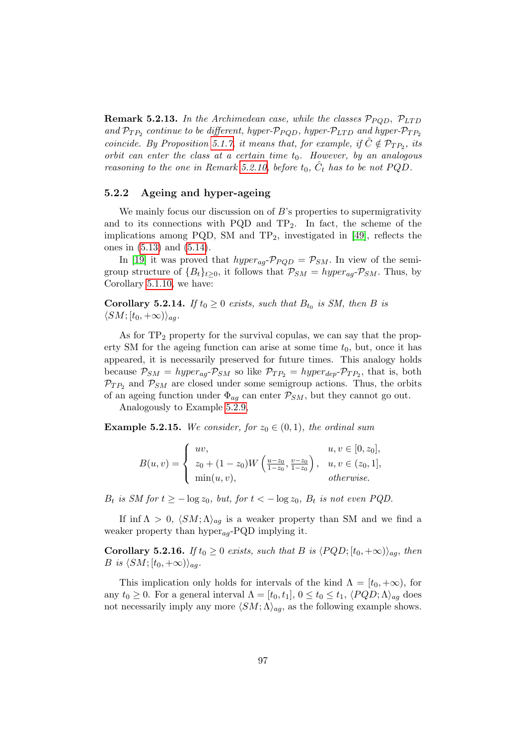**Remark 5.2.13.** In the Archimedean case, while the classes  $\mathcal{P}_{PQD}$ ,  $\mathcal{P}_{LTD}$ and  $\mathcal{P}_{TP_2}$  continue to be different, hyper- $\mathcal{P}_{PQD}$ , hyper- $\mathcal{P}_{LTD}$  and hyper- $\mathcal{P}_{TP_2}$ coincide. By Proposition [5.1.7,](#page-104-0) it means that, for example, if  $\hat{C} \notin \mathcal{P}_{TP_2}$ , its orbit can enter the class at a certain time  $t_0$ . However, by an analogous reasoning to the one in Remark [5.2.10,](#page-110-0) before  $t_0$ ,  $\hat{C}_t$  has to be not PQD.

#### 5.2.2 Ageing and hyper-ageing

We mainly focus our discussion on of B's properties to supermigrativity and to its connections with PQD and  $TP_2$ . In fact, the scheme of the implications among PQD, SM and  $TP_2$ , investigated in [\[49\]](#page-120-0), reflects the ones in [\(5.13\)](#page-111-0) and [\(5.14\)](#page-111-1).

In [\[19\]](#page-118-0) it was proved that  $hyper_{aa}P_{POD} = P_{SM}$ . In view of the semigroup structure of  ${B_t}_{t\geq0}$ , it follows that  $P_{SM} = hyper_{aq}P_{SM}$ . Thus, by Corollary [5.1.10,](#page-105-0) we have:

**Corollary 5.2.14.** If  $t_0 \ge 0$  exists, such that  $B_{t_0}$  is SM, then B is  $\langle SM; [t_0, +\infty)\rangle_{aa}.$ 

As for  $TP_2$  property for the survival copulas, we can say that the property SM for the ageing function can arise at some time  $t_0$ , but, once it has appeared, it is necessarily preserved for future times. This analogy holds because  $P_{SM} = hyper_{ag}P_{SM}$  so like  $P_{TP_2} = hyper_{dep}P_{TP_2}$ , that is, both  $\mathcal{P}_{TP_2}$  and  $\mathcal{P}_{SM}$  are closed under some semigroup actions. Thus, the orbits of an ageing function under  $\Phi_{aq}$  can enter  $P_{SM}$ , but they cannot go out.

Analogously to Example [5.2.9,](#page-110-1)

**Example 5.2.15.** We consider, for  $z_0 \in (0,1)$ , the ordinal sum

$$
B(u, v) = \begin{cases} uv, & u, v \in [0, z_0], \\ z_0 + (1 - z_0)W\left(\frac{u - z_0}{1 - z_0}, \frac{v - z_0}{1 - z_0}\right), & u, v \in (z_0, 1], \\ \min(u, v), & otherwise. \end{cases}
$$

 $B_t$  is SM for  $t \ge -\log z_0$ , but, for  $t < -\log z_0$ ,  $B_t$  is not even PQD.

If inf  $\Lambda > 0$ ,  $\langle SM; \Lambda \rangle_{aq}$  is a weaker property than SM and we find a weaker property than  $hyper_{aq}$ -PQD implying it.

**Corollary 5.2.16.** If  $t_0 \geq 0$  exists, such that B is  $\langle PQD; [t_0, +\infty)\rangle_{aq}$ , then B is  $\langle SM; [t_0, +\infty)\rangle_{aa}$ .

This implication only holds for intervals of the kind  $\Lambda = [t_0, +\infty)$ , for any  $t_0 \geq 0$ . For a general interval  $\Lambda = [t_0, t_1], 0 \leq t_0 \leq t_1, \langle PQD; \Lambda \rangle_{ag}$  does not necessarily imply any more  $\langle SM; \Lambda \rangle_{aq}$ , as the following example shows.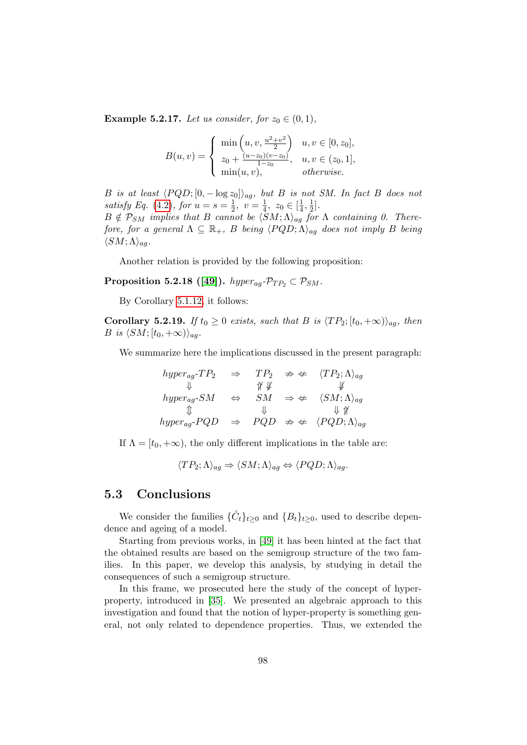**Example 5.2.17.** Let us consider, for  $z_0 \in (0,1)$ ,

$$
B(u, v) = \begin{cases} \min\left(u, v, \frac{u^2 + v^2}{2}\right) & u, v \in [0, z_0], \\ z_0 + \frac{(u - z_0)(v - z_0)}{1 - z_0}, & u, v \in (z_0, 1], \\ \min(u, v), & otherwise. \end{cases}
$$

B is at least  $\langle PQD; [0, -\log z_0]\rangle_{ag}$ , but B is not SM. In fact B does not satisfy Eq. [\(4.2\)](#page-76-0), for  $u = s = \frac{1}{2}$  $\frac{1}{2}, v = \frac{1}{4}$  $\frac{1}{4}$ ,  $z_0 \in [\frac{1}{4}]$  $\frac{1}{4}, \frac{1}{2}$  $rac{1}{2}$ .

 $B \notin \mathcal{P}_{SM}$  implies that B cannot be  $\langle SM; \Lambda \rangle_{ag}$  for  $\Lambda$  containing 0. Therefore, for a general  $\Lambda \subseteq \mathbb{R}_+$ , B being  $\langle PQD; \Lambda \rangle_{aa}$  does not imply B being  $\langle SM; \Lambda \rangle_{ag}.$ 

Another relation is provided by the following proposition:

Proposition 5.2.18 ([\[49\]](#page-120-0)).  $hyper_{aq}$ - $\mathcal{P}_{TP_2} \subset \mathcal{P}_{SM}$ .

By Corollary [5.1.12,](#page-106-1) it follows:

**Corollary 5.2.19.** If  $t_0 \geq 0$  exists, such that B is  $\langle TP_2; [t_0, +\infty) \rangle_{ag}$ , then B is  $\langle SM; [t_0, +\infty)\rangle_{aq}$ .

We summarize here the implications discussed in the present paragraph:

$$
hyper_{ag}\text{-}TP_2 \Rightarrow TP_2 \Rightarrow \mathcal{T}P_2 \Rightarrow \text{\textcircled{*}} \text{ } \langle TP_2; \Lambda \rangle_{ag}
$$
\n
$$
\Downarrow \text{ hyper}_{ag}\text{-}SM \Leftrightarrow SM \Rightarrow \text{\textcircled{*}} \text{ } \langle SM; \Lambda \rangle_{ag}
$$
\n
$$
\Downarrow \text{ hyper}_{ag}\text{-}PQD \Rightarrow PQD \Rightarrow \text{ } PQD \Rightarrow \text{\textcircled{*}} \text{ } \langle PQD; \Lambda \rangle_{ag}
$$

If  $\Lambda = [t_0, +\infty)$ , the only different implications in the table are:

 $\langle TP_2; \Lambda \rangle_{aa} \Rightarrow \langle SM; \Lambda \rangle_{aa} \Leftrightarrow \langle PQD; \Lambda \rangle_{aa}.$ 

## 5.3 Conclusions

We consider the families  $\{\hat{C}_t\}_{t\geq 0}$  and  $\{B_t\}_{t\geq 0}$ , used to describe dependence and ageing of a model.

Starting from previous works, in [\[49\]](#page-120-0) it has been hinted at the fact that the obtained results are based on the semigroup structure of the two families. In this paper, we develop this analysis, by studying in detail the consequences of such a semigroup structure.

In this frame, we prosecuted here the study of the concept of hyperproperty, introduced in [\[35\]](#page-119-0). We presented an algebraic approach to this investigation and found that the notion of hyper-property is something general, not only related to dependence properties. Thus, we extended the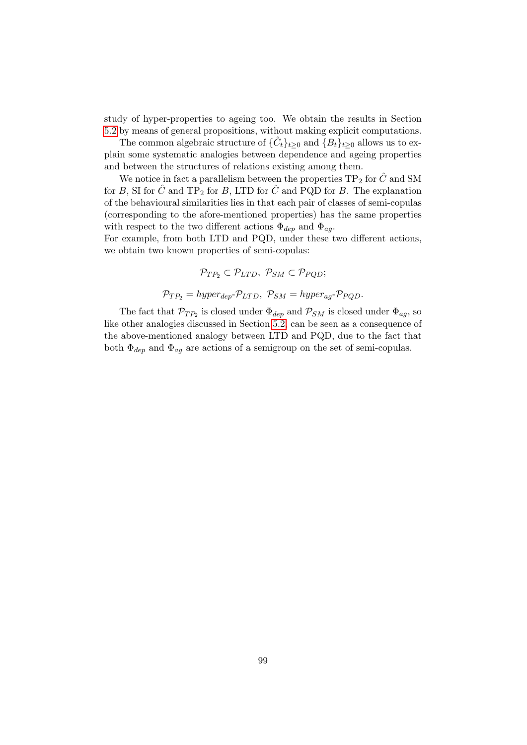study of hyper-properties to ageing too. We obtain the results in Section [5.2](#page-107-0) by means of general propositions, without making explicit computations.

The common algebraic structure of  $\{\hat{C}_t\}_{t\geq 0}$  and  $\{\hat{B}_t\}_{t\geq 0}$  allows us to explain some systematic analogies between dependence and ageing properties and between the structures of relations existing among them.

We notice in fact a parallelism between the properties  $TP_2$  for  $\ddot{C}$  and SM for B, SI for  $\hat{C}$  and TP<sub>2</sub> for B, LTD for  $\hat{C}$  and PQD for B. The explanation of the behavioural similarities lies in that each pair of classes of semi-copulas (corresponding to the afore-mentioned properties) has the same properties with respect to the two different actions  $\Phi_{dep}$  and  $\Phi_{aq}$ .

For example, from both LTD and PQD, under these two different actions, we obtain two known properties of semi-copulas:

$$
\mathcal{P}_{TP_2} \subset \mathcal{P}_{LTD}, \ \mathcal{P}_{SM} \subset \mathcal{P}_{PQD};
$$

$$
\mathcal{P}_{TP_2} = hyper_{dep}\text{-}P_{LTD}, \ \mathcal{P}_{SM} = hyper_{ag}\text{-}P_{PQD}.
$$

The fact that  $\mathcal{P}_{TP_2}$  is closed under  $\Phi_{dep}$  and  $\mathcal{P}_{SM}$  is closed under  $\Phi_{ag}$ , so like other analogies discussed in Section [5.2,](#page-107-0) can be seen as a consequence of the above-mentioned analogy between LTD and PQD, due to the fact that both  $\Phi_{dep}$  and  $\Phi_{ag}$  are actions of a semigroup on the set of semi-copulas.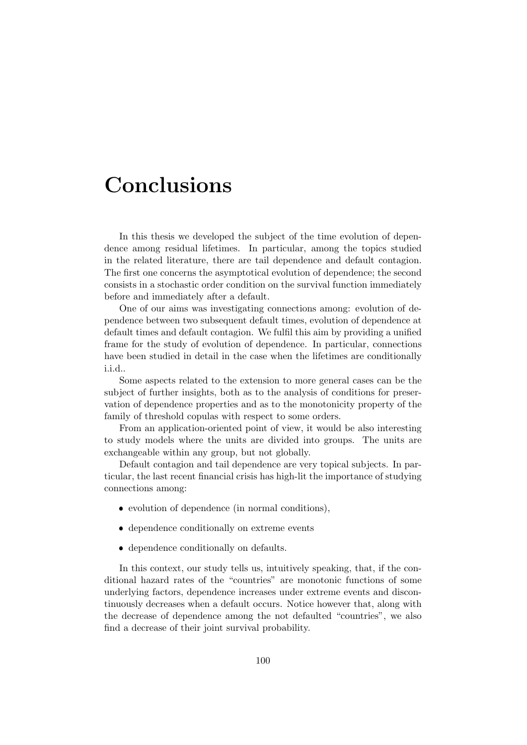## Conclusions

In this thesis we developed the subject of the time evolution of dependence among residual lifetimes. In particular, among the topics studied in the related literature, there are tail dependence and default contagion. The first one concerns the asymptotical evolution of dependence; the second consists in a stochastic order condition on the survival function immediately before and immediately after a default.

One of our aims was investigating connections among: evolution of dependence between two subsequent default times, evolution of dependence at default times and default contagion. We fulfil this aim by providing a unified frame for the study of evolution of dependence. In particular, connections have been studied in detail in the case when the lifetimes are conditionally i.i.d..

Some aspects related to the extension to more general cases can be the subject of further insights, both as to the analysis of conditions for preservation of dependence properties and as to the monotonicity property of the family of threshold copulas with respect to some orders.

From an application-oriented point of view, it would be also interesting to study models where the units are divided into groups. The units are exchangeable within any group, but not globally.

Default contagion and tail dependence are very topical subjects. In particular, the last recent financial crisis has high-lit the importance of studying connections among:

- evolution of dependence (in normal conditions),
- dependence conditionally on extreme events
- dependence conditionally on defaults.

In this context, our study tells us, intuitively speaking, that, if the conditional hazard rates of the "countries" are monotonic functions of some underlying factors, dependence increases under extreme events and discontinuously decreases when a default occurs. Notice however that, along with the decrease of dependence among the not defaulted "countries", we also find a decrease of their joint survival probability.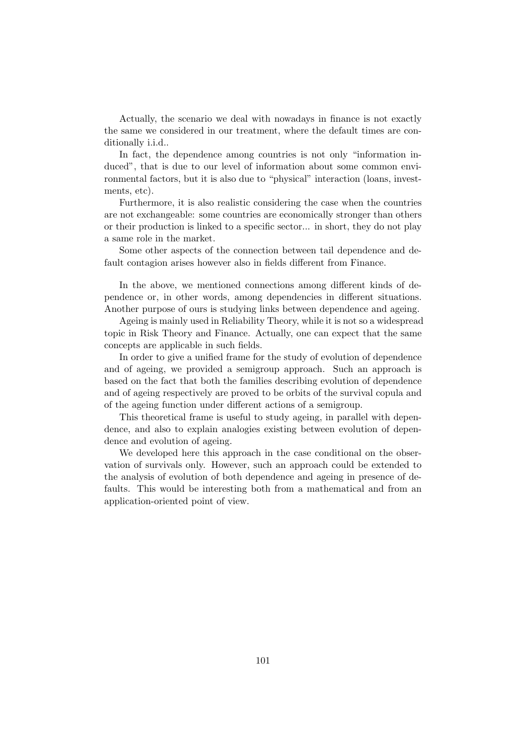Actually, the scenario we deal with nowadays in finance is not exactly the same we considered in our treatment, where the default times are conditionally i.i.d..

In fact, the dependence among countries is not only "information induced", that is due to our level of information about some common environmental factors, but it is also due to "physical" interaction (loans, investments, etc).

Furthermore, it is also realistic considering the case when the countries are not exchangeable: some countries are economically stronger than others or their production is linked to a specific sector... in short, they do not play a same role in the market.

Some other aspects of the connection between tail dependence and default contagion arises however also in fields different from Finance.

In the above, we mentioned connections among different kinds of dependence or, in other words, among dependencies in different situations. Another purpose of ours is studying links between dependence and ageing.

Ageing is mainly used in Reliability Theory, while it is not so a widespread topic in Risk Theory and Finance. Actually, one can expect that the same concepts are applicable in such fields.

In order to give a unified frame for the study of evolution of dependence and of ageing, we provided a semigroup approach. Such an approach is based on the fact that both the families describing evolution of dependence and of ageing respectively are proved to be orbits of the survival copula and of the ageing function under different actions of a semigroup.

This theoretical frame is useful to study ageing, in parallel with dependence, and also to explain analogies existing between evolution of dependence and evolution of ageing.

We developed here this approach in the case conditional on the observation of survivals only. However, such an approach could be extended to the analysis of evolution of both dependence and ageing in presence of defaults. This would be interesting both from a mathematical and from an application-oriented point of view.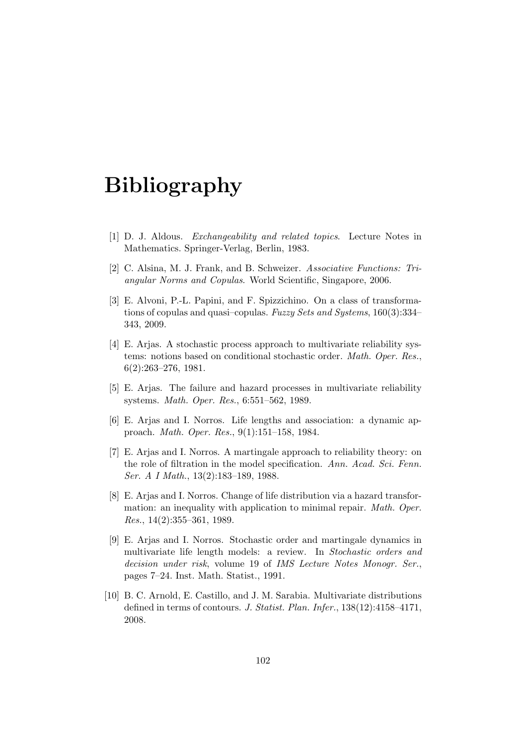# Bibliography

- [1] D. J. Aldous. Exchangeability and related topics. Lecture Notes in Mathematics. Springer-Verlag, Berlin, 1983.
- [2] C. Alsina, M. J. Frank, and B. Schweizer. Associative Functions: Triangular Norms and Copulas. World Scientific, Singapore, 2006.
- [3] E. Alvoni, P.-L. Papini, and F. Spizzichino. On a class of transformations of copulas and quasi–copulas. Fuzzy Sets and Systems, 160(3):334– 343, 2009.
- [4] E. Arjas. A stochastic process approach to multivariate reliability systems: notions based on conditional stochastic order. Math. Oper. Res., 6(2):263–276, 1981.
- [5] E. Arjas. The failure and hazard processes in multivariate reliability systems. Math. Oper. Res., 6:551–562, 1989.
- [6] E. Arjas and I. Norros. Life lengths and association: a dynamic approach. Math. Oper. Res., 9(1):151–158, 1984.
- [7] E. Arjas and I. Norros. A martingale approach to reliability theory: on the role of filtration in the model specification. Ann. Acad. Sci. Fenn. Ser. A I Math., 13(2):183–189, 1988.
- [8] E. Arjas and I. Norros. Change of life distribution via a hazard transformation: an inequality with application to minimal repair. Math. Oper. Res., 14(2):355–361, 1989.
- [9] E. Arjas and I. Norros. Stochastic order and martingale dynamics in multivariate life length models: a review. In Stochastic orders and decision under risk, volume 19 of IMS Lecture Notes Monogr. Ser., pages 7–24. Inst. Math. Statist., 1991.
- [10] B. C. Arnold, E. Castillo, and J. M. Sarabia. Multivariate distributions defined in terms of contours. J. Statist. Plan. Infer., 138(12):4158–4171, 2008.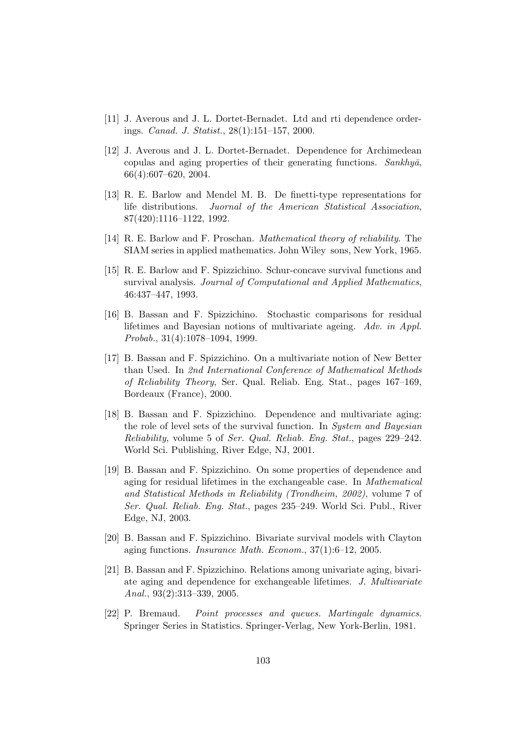- [11] J. Averous and J. L. Dortet-Bernadet. Ltd and rti dependence orderings. Canad. J. Statist., 28(1):151–157, 2000.
- [12] J. Averous and J. L. Dortet-Bernadet. Dependence for Archimedean copulas and aging properties of their generating functions.  $Sankhy\bar{a}$ , 66(4):607–620, 2004.
- [13] R. E. Barlow and Mendel M. B. De finetti-type representations for life distributions. Juornal of the American Statistical Association, 87(420):1116–1122, 1992.
- [14] R. E. Barlow and F. Proschan. Mathematical theory of reliability. The SIAM series in applied mathematics. John Wiley sons, New York, 1965.
- [15] R. E. Barlow and F. Spizzichino. Schur-concave survival functions and survival analysis. Journal of Computational and Applied Mathematics, 46:437–447, 1993.
- [16] B. Bassan and F. Spizzichino. Stochastic comparisons for residual lifetimes and Bayesian notions of multivariate ageing. Adv. in Appl. Probab., 31(4):1078–1094, 1999.
- [17] B. Bassan and F. Spizzichino. On a multivariate notion of New Better than Used. In 2nd International Conference of Mathematical Methods of Reliability Theory, Ser. Qual. Reliab. Eng. Stat., pages 167–169, Bordeaux (France), 2000.
- [18] B. Bassan and F. Spizzichino. Dependence and multivariate aging: the role of level sets of the survival function. In System and Bayesian Reliability, volume 5 of Ser. Qual. Reliab. Eng. Stat., pages 229–242. World Sci. Publishing, River Edge, NJ, 2001.
- <span id="page-118-0"></span>[19] B. Bassan and F. Spizzichino. On some properties of dependence and aging for residual lifetimes in the exchangeable case. In Mathematical and Statistical Methods in Reliability (Trondheim, 2002), volume 7 of Ser. Qual. Reliab. Eng. Stat., pages 235–249. World Sci. Publ., River Edge, NJ, 2003.
- [20] B. Bassan and F. Spizzichino. Bivariate survival models with Clayton aging functions. Insurance Math. Econom., 37(1):6–12, 2005.
- [21] B. Bassan and F. Spizzichino. Relations among univariate aging, bivariate aging and dependence for exchangeable lifetimes. J. Multivariate Anal., 93(2):313–339, 2005.
- [22] P. Bremaud. Point processes and queues. Martingale dynamics. Springer Series in Statistics. Springer-Verlag, New York-Berlin, 1981.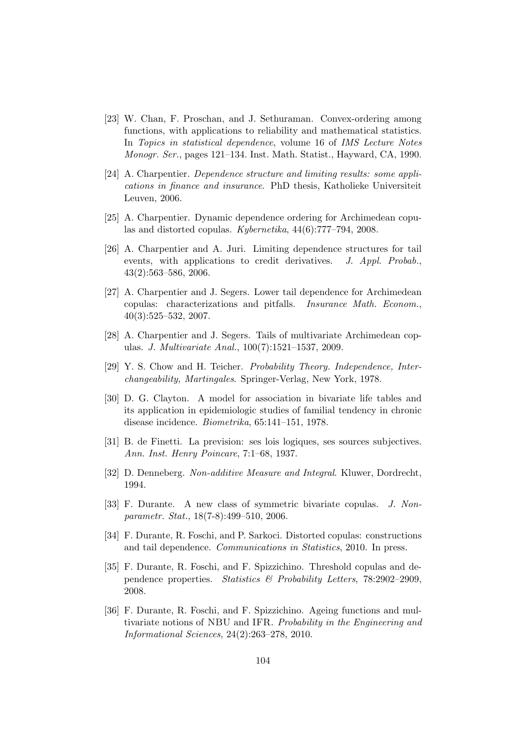- [23] W. Chan, F. Proschan, and J. Sethuraman. Convex-ordering among functions, with applications to reliability and mathematical statistics. In Topics in statistical dependence, volume 16 of IMS Lecture Notes Monogr. Ser., pages 121–134. Inst. Math. Statist., Hayward, CA, 1990.
- [24] A. Charpentier. Dependence structure and limiting results: some applications in finance and insurance. PhD thesis, Katholieke Universiteit Leuven, 2006.
- [25] A. Charpentier. Dynamic dependence ordering for Archimedean copulas and distorted copulas. Kybernetika, 44(6):777–794, 2008.
- [26] A. Charpentier and A. Juri. Limiting dependence structures for tail events, with applications to credit derivatives. J. Appl. Probab., 43(2):563–586, 2006.
- [27] A. Charpentier and J. Segers. Lower tail dependence for Archimedean copulas: characterizations and pitfalls. Insurance Math. Econom., 40(3):525–532, 2007.
- [28] A. Charpentier and J. Segers. Tails of multivariate Archimedean copulas. J. Multivariate Anal., 100(7):1521–1537, 2009.
- [29] Y. S. Chow and H. Teicher. Probability Theory. Independence, Interchangeability, Martingales. Springer-Verlag, New York, 1978.
- [30] D. G. Clayton. A model for association in bivariate life tables and its application in epidemiologic studies of familial tendency in chronic disease incidence. Biometrika, 65:141–151, 1978.
- [31] B. de Finetti. La prevision: ses lois logiques, ses sources subjectives. Ann. Inst. Henry Poincare, 7:1–68, 1937.
- [32] D. Denneberg. Non-additive Measure and Integral. Kluwer, Dordrecht, 1994.
- [33] F. Durante. A new class of symmetric bivariate copulas. J. Nonparametr. Stat., 18(7-8):499–510, 2006.
- <span id="page-119-1"></span>[34] F. Durante, R. Foschi, and P. Sarkoci. Distorted copulas: constructions and tail dependence. Communications in Statistics, 2010. In press.
- <span id="page-119-0"></span>[35] F. Durante, R. Foschi, and F. Spizzichino. Threshold copulas and dependence properties. Statistics & Probability Letters, 78:2902–2909, 2008.
- [36] F. Durante, R. Foschi, and F. Spizzichino. Ageing functions and multivariate notions of NBU and IFR. Probability in the Engineering and Informational Sciences, 24(2):263–278, 2010.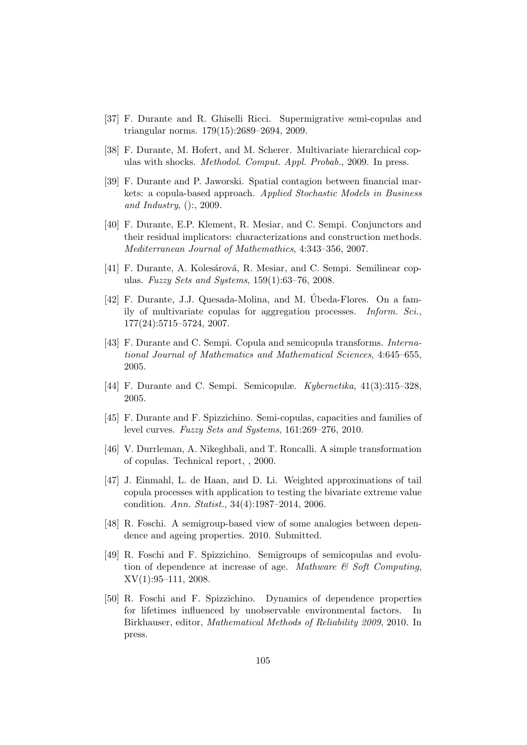- [37] F. Durante and R. Ghiselli Ricci. Supermigrative semi-copulas and triangular norms. 179(15):2689–2694, 2009.
- [38] F. Durante, M. Hofert, and M. Scherer. Multivariate hierarchical copulas with shocks. Methodol. Comput. Appl. Probab., 2009. In press.
- [39] F. Durante and P. Jaworski. Spatial contagion between financial markets: a copula-based approach. Applied Stochastic Models in Business and Industry, ():, 2009.
- [40] F. Durante, E.P. Klement, R. Mesiar, and C. Sempi. Conjunctors and their residual implicators: characterizations and construction methods. Mediterranean Journal of Mathemathics, 4:343–356, 2007.
- [41] F. Durante, A. Kolesárová, R. Mesiar, and C. Sempi. Semilinear copulas. Fuzzy Sets and Systems,  $159(1):63-76$ ,  $2008$ .
- [42] F. Durante, J.J. Quesada-Molina, and M. Úbeda-Flores. On a family of multivariate copulas for aggregation processes. Inform. Sci., 177(24):5715–5724, 2007.
- [43] F. Durante and C. Sempi. Copula and semicopula transforms. International Journal of Mathematics and Mathematical Sciences, 4:645–655, 2005.
- [44] F. Durante and C. Sempi. Semicopulæ. Kybernetika, 41(3):315–328, 2005.
- [45] F. Durante and F. Spizzichino. Semi-copulas, capacities and families of level curves. Fuzzy Sets and Systems, 161:269–276, 2010.
- [46] V. Durrleman, A. Nikeghbali, and T. Roncalli. A simple transformation of copulas. Technical report, , 2000.
- [47] J. Einmahl, L. de Haan, and D. Li. Weighted approximations of tail copula processes with application to testing the bivariate extreme value condition. Ann. Statist., 34(4):1987–2014, 2006.
- [48] R. Foschi. A semigroup-based view of some analogies between dependence and ageing properties. 2010. Submitted.
- <span id="page-120-0"></span>[49] R. Foschi and F. Spizzichino. Semigroups of semicopulas and evolution of dependence at increase of age. Mathware  $\mathcal{C}$  Soft Computing, XV(1):95–111, 2008.
- [50] R. Foschi and F. Spizzichino. Dynamics of dependence properties for lifetimes influenced by unobservable environmental factors. In Birkhauser, editor, Mathematical Methods of Reliability 2009, 2010. In press.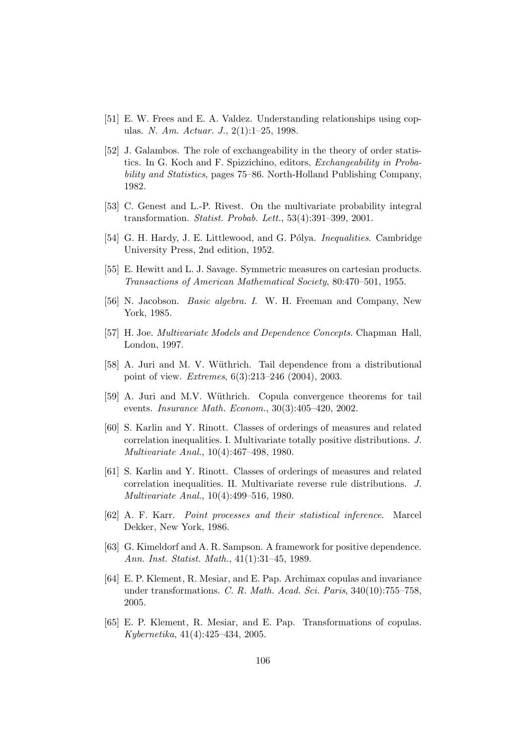- [51] E. W. Frees and E. A. Valdez. Understanding relationships using copulas. N. Am. Actuar. J., 2(1):1–25, 1998.
- [52] J. Galambos. The role of exchangeability in the theory of order statistics. In G. Koch and F. Spizzichino, editors, Exchangeability in Probability and Statistics, pages 75–86. North-Holland Publishing Company, 1982.
- [53] C. Genest and L.-P. Rivest. On the multivariate probability integral transformation. Statist. Probab. Lett., 53(4):391–399, 2001.
- [54] G. H. Hardy, J. E. Littlewood, and G. Pólya. *Inequalities.* Cambridge University Press, 2nd edition, 1952.
- [55] E. Hewitt and L. J. Savage. Symmetric measures on cartesian products. Transactions of American Mathematical Society, 80:470–501, 1955.
- [56] N. Jacobson. Basic algebra. I. W. H. Freeman and Company, New York, 1985.
- [57] H. Joe. Multivariate Models and Dependence Concepts. Chapman Hall, London, 1997.
- [58] A. Juri and M. V. Wüthrich. Tail dependence from a distributional point of view. Extremes, 6(3):213–246 (2004), 2003.
- [59] A. Juri and M.V. Wüthrich. Copula convergence theorems for tail events. Insurance Math. Econom., 30(3):405–420, 2002.
- [60] S. Karlin and Y. Rinott. Classes of orderings of measures and related correlation inequalities. I. Multivariate totally positive distributions. J. Multivariate Anal., 10(4):467–498, 1980.
- [61] S. Karlin and Y. Rinott. Classes of orderings of measures and related correlation inequalities. II. Multivariate reverse rule distributions. J. Multivariate Anal., 10(4):499–516, 1980.
- [62] A. F. Karr. Point processes and their statistical inference. Marcel Dekker, New York, 1986.
- [63] G. Kimeldorf and A. R. Sampson. A framework for positive dependence. Ann. Inst. Statist. Math., 41(1):31–45, 1989.
- [64] E. P. Klement, R. Mesiar, and E. Pap. Archimax copulas and invariance under transformations. C. R. Math. Acad. Sci. Paris, 340(10):755–758, 2005.
- [65] E. P. Klement, R. Mesiar, and E. Pap. Transformations of copulas. Kybernetika, 41(4):425–434, 2005.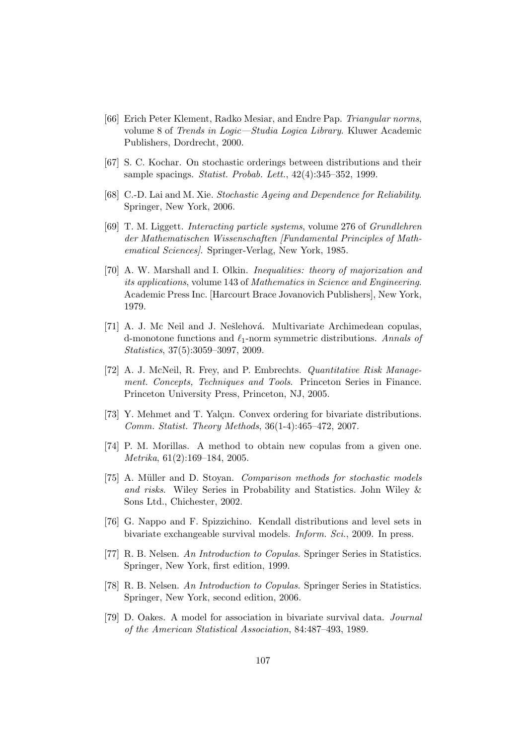- [66] Erich Peter Klement, Radko Mesiar, and Endre Pap. Triangular norms, volume 8 of Trends in Logic—Studia Logica Library. Kluwer Academic Publishers, Dordrecht, 2000.
- [67] S. C. Kochar. On stochastic orderings between distributions and their sample spacings. Statist. Probab. Lett., 42(4):345–352, 1999.
- [68] C.-D. Lai and M. Xie. Stochastic Ageing and Dependence for Reliability. Springer, New York, 2006.
- [69] T. M. Liggett. Interacting particle systems, volume 276 of Grundlehren der Mathematischen Wissenschaften [Fundamental Principles of Mathematical Sciences]. Springer-Verlag, New York, 1985.
- [70] A. W. Marshall and I. Olkin. Inequalities: theory of majorization and its applications, volume 143 of Mathematics in Science and Engineering. Academic Press Inc. [Harcourt Brace Jovanovich Publishers], New York, 1979.
- [71] A. J. Mc Neil and J. Nešlehová. Multivariate Archimedean copulas, d-monotone functions and  $\ell_1$ -norm symmetric distributions. Annals of Statistics, 37(5):3059–3097, 2009.
- [72] A. J. McNeil, R. Frey, and P. Embrechts. Quantitative Risk Management. Concepts, Techniques and Tools. Princeton Series in Finance. Princeton University Press, Princeton, NJ, 2005.
- [73] Y. Mehmet and T. Yalçın. Convex ordering for bivariate distributions. Comm. Statist. Theory Methods, 36(1-4):465–472, 2007.
- [74] P. M. Morillas. A method to obtain new copulas from a given one. Metrika, 61(2):169–184, 2005.
- [75] A. Müller and D. Stoyan. Comparison methods for stochastic models and risks. Wiley Series in Probability and Statistics. John Wiley & Sons Ltd., Chichester, 2002.
- [76] G. Nappo and F. Spizzichino. Kendall distributions and level sets in bivariate exchangeable survival models. Inform. Sci., 2009. In press.
- [77] R. B. Nelsen. An Introduction to Copulas. Springer Series in Statistics. Springer, New York, first edition, 1999.
- [78] R. B. Nelsen. An Introduction to Copulas. Springer Series in Statistics. Springer, New York, second edition, 2006.
- [79] D. Oakes. A model for association in bivariate survival data. Journal of the American Statistical Association, 84:487–493, 1989.